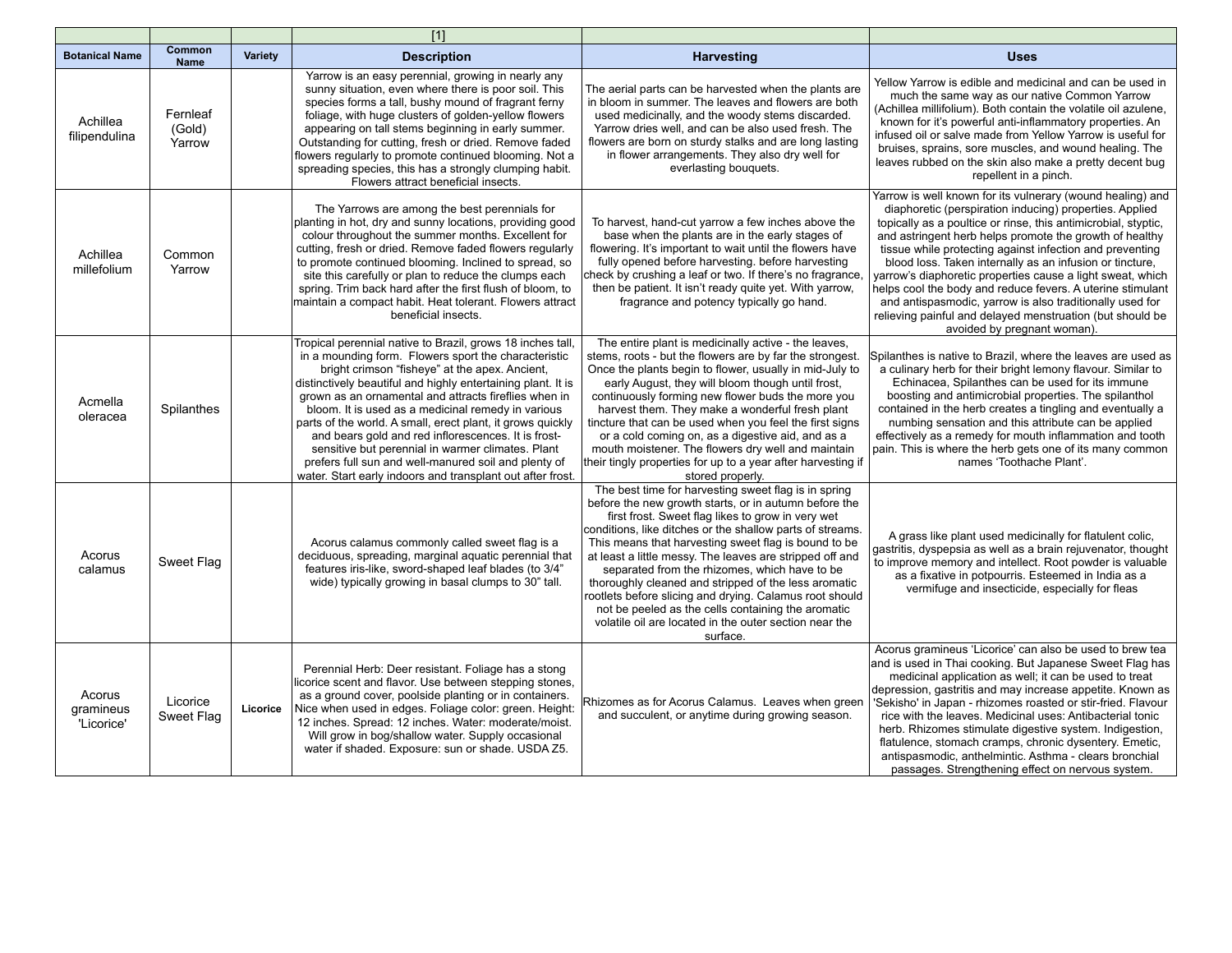|                                   |                              |          | $\overline{[1]}$                                                                                                                                                                                                                                                                                                                                                                                                                                                                                                                                                                                                                                    |                                                                                                                                                                                                                                                                                                                                                                                                                                                                                                                                                                                                                                                     |                                                                                                                                                                                                                                                                                                                                                                                                                                                                                                                                                                                                                                                                |
|-----------------------------------|------------------------------|----------|-----------------------------------------------------------------------------------------------------------------------------------------------------------------------------------------------------------------------------------------------------------------------------------------------------------------------------------------------------------------------------------------------------------------------------------------------------------------------------------------------------------------------------------------------------------------------------------------------------------------------------------------------------|-----------------------------------------------------------------------------------------------------------------------------------------------------------------------------------------------------------------------------------------------------------------------------------------------------------------------------------------------------------------------------------------------------------------------------------------------------------------------------------------------------------------------------------------------------------------------------------------------------------------------------------------------------|----------------------------------------------------------------------------------------------------------------------------------------------------------------------------------------------------------------------------------------------------------------------------------------------------------------------------------------------------------------------------------------------------------------------------------------------------------------------------------------------------------------------------------------------------------------------------------------------------------------------------------------------------------------|
| <b>Botanical Name</b>             | Common<br><b>Name</b>        | Variety  | <b>Description</b>                                                                                                                                                                                                                                                                                                                                                                                                                                                                                                                                                                                                                                  | <b>Harvesting</b>                                                                                                                                                                                                                                                                                                                                                                                                                                                                                                                                                                                                                                   | <b>Uses</b>                                                                                                                                                                                                                                                                                                                                                                                                                                                                                                                                                                                                                                                    |
| Achillea<br>filipendulina         | Fernleaf<br>(Gold)<br>Yarrow |          | Yarrow is an easy perennial, growing in nearly any<br>sunny situation, even where there is poor soil. This<br>species forms a tall, bushy mound of fragrant ferny<br>foliage, with huge clusters of golden-yellow flowers<br>appearing on tall stems beginning in early summer.<br>Outstanding for cutting, fresh or dried. Remove faded<br>flowers regularly to promote continued blooming. Not a<br>spreading species, this has a strongly clumping habit.<br>Flowers attract beneficial insects.                                                                                                                                                 | The aerial parts can be harvested when the plants are<br>in bloom in summer. The leaves and flowers are both<br>used medicinally, and the woody stems discarded.<br>Yarrow dries well, and can be also used fresh. The<br>flowers are born on sturdy stalks and are long lasting<br>in flower arrangements. They also dry well for<br>everlasting bouquets.                                                                                                                                                                                                                                                                                         | Yellow Yarrow is edible and medicinal and can be used in<br>much the same way as our native Common Yarrow<br>(Achillea millifolium). Both contain the volatile oil azulene,<br>known for it's powerful anti-inflammatory properties. An<br>infused oil or salve made from Yellow Yarrow is useful for<br>bruises, sprains, sore muscles, and wound healing. The<br>leaves rubbed on the skin also make a pretty decent bug<br>repellent in a pinch.                                                                                                                                                                                                            |
| Achillea<br>millefolium           | Common<br>Yarrow             |          | The Yarrows are among the best perennials for<br>planting in hot, dry and sunny locations, providing good<br>colour throughout the summer months. Excellent for<br>cutting, fresh or dried. Remove faded flowers regularly<br>to promote continued blooming. Inclined to spread, so<br>site this carefully or plan to reduce the clumps each<br>spring. Trim back hard after the first flush of bloom, to<br>maintain a compact habit. Heat tolerant. Flowers attract<br>beneficial insects.                                                                                                                                                        | To harvest, hand-cut yarrow a few inches above the<br>base when the plants are in the early stages of<br>flowering. It's important to wait until the flowers have<br>fully opened before harvesting. before harvesting<br>check by crushing a leaf or two. If there's no fragrance,<br>then be patient. It isn't ready quite yet. With yarrow,<br>fragrance and potency typically go hand.                                                                                                                                                                                                                                                          | Yarrow is well known for its vulnerary (wound healing) and<br>diaphoretic (perspiration inducing) properties. Applied<br>topically as a poultice or rinse, this antimicrobial, styptic,<br>and astringent herb helps promote the growth of healthy<br>tissue while protecting against infection and preventing<br>blood loss. Taken internally as an infusion or tincture,<br>varrow's diaphoretic properties cause a light sweat, which<br>helps cool the body and reduce fevers. A uterine stimulant<br>and antispasmodic, varrow is also traditionally used for<br>relieving painful and delayed menstruation (but should be<br>avoided by pregnant woman). |
| Acmella<br>oleracea               | Spilanthes                   |          | Tropical perennial native to Brazil, grows 18 inches tall,<br>in a mounding form. Flowers sport the characteristic<br>bright crimson "fisheye" at the apex. Ancient,<br>distinctively beautiful and highly entertaining plant. It is<br>grown as an ornamental and attracts fireflies when in<br>bloom. It is used as a medicinal remedy in various<br>parts of the world. A small, erect plant, it grows quickly<br>and bears gold and red inflorescences. It is frost-<br>sensitive but perennial in warmer climates. Plant<br>prefers full sun and well-manured soil and plenty of<br>water. Start early indoors and transplant out after frost. | The entire plant is medicinally active - the leaves,<br>stems, roots - but the flowers are by far the strongest.<br>Once the plants begin to flower, usually in mid-July to<br>early August, they will bloom though until frost,<br>continuously forming new flower buds the more you<br>harvest them. They make a wonderful fresh plant<br>tincture that can be used when you feel the first signs<br>or a cold coming on, as a digestive aid, and as a<br>mouth moistener. The flowers dry well and maintain<br>their tingly properties for up to a year after harvesting if<br>stored properly.                                                  | Spilanthes is native to Brazil, where the leaves are used as<br>a culinary herb for their bright lemony flavour. Similar to<br>Echinacea, Spilanthes can be used for its immune<br>boosting and antimicrobial properties. The spilanthol<br>contained in the herb creates a tingling and eventually a<br>numbing sensation and this attribute can be applied<br>effectively as a remedy for mouth inflammation and tooth<br>pain. This is where the herb gets one of its many common<br>names 'Toothache Plant'.                                                                                                                                               |
| Acorus<br>calamus                 | Sweet Flag                   |          | Acorus calamus commonly called sweet flag is a<br>deciduous, spreading, marginal aquatic perennial that<br>features iris-like, sword-shaped leaf blades (to 3/4"<br>wide) typically growing in basal clumps to 30" tall.                                                                                                                                                                                                                                                                                                                                                                                                                            | The best time for harvesting sweet flag is in spring<br>before the new growth starts, or in autumn before the<br>first frost. Sweet flag likes to grow in very wet<br>conditions, like ditches or the shallow parts of streams.<br>This means that harvesting sweet flag is bound to be<br>at least a little messy. The leaves are stripped off and<br>separated from the rhizomes, which have to be<br>thoroughly cleaned and stripped of the less aromatic<br>rootlets before slicing and drying. Calamus root should<br>not be peeled as the cells containing the aromatic<br>volatile oil are located in the outer section near the<br>surface. | A grass like plant used medicinally for flatulent colic,<br>gastritis, dyspepsia as well as a brain rejuvenator, thought<br>to improve memory and intellect. Root powder is valuable<br>as a fixative in potpourris. Esteemed in India as a<br>vermifuge and insecticide, especially for fleas                                                                                                                                                                                                                                                                                                                                                                 |
| Acorus<br>gramineus<br>'Licorice' | Licorice<br>Sweet Flag       | Licorice | Perennial Herb: Deer resistant. Foliage has a stong<br>licorice scent and flavor. Use between stepping stones,<br>as a ground cover, poolside planting or in containers.<br>Nice when used in edges. Foliage color: green. Height:<br>12 inches. Spread: 12 inches. Water: moderate/moist.<br>Will grow in bog/shallow water. Supply occasional<br>water if shaded. Exposure: sun or shade. USDA Z5.                                                                                                                                                                                                                                                | Rhizomes as for Acorus Calamus. Leaves when green<br>and succulent, or anytime during growing season.                                                                                                                                                                                                                                                                                                                                                                                                                                                                                                                                               | Acorus gramineus 'Licorice' can also be used to brew tea<br>and is used in Thai cooking. But Japanese Sweet Flag has<br>medicinal application as well; it can be used to treat<br>depression, gastritis and may increase appetite. Known as<br>'Sekisho' in Japan - rhizomes roasted or stir-fried. Flavour<br>rice with the leaves. Medicinal uses: Antibacterial tonic<br>herb. Rhizomes stimulate digestive system. Indigestion,<br>flatulence, stomach cramps, chronic dysentery. Emetic,<br>antispasmodic, anthelmintic. Asthma - clears bronchial<br>passages. Strengthening effect on nervous system.                                                   |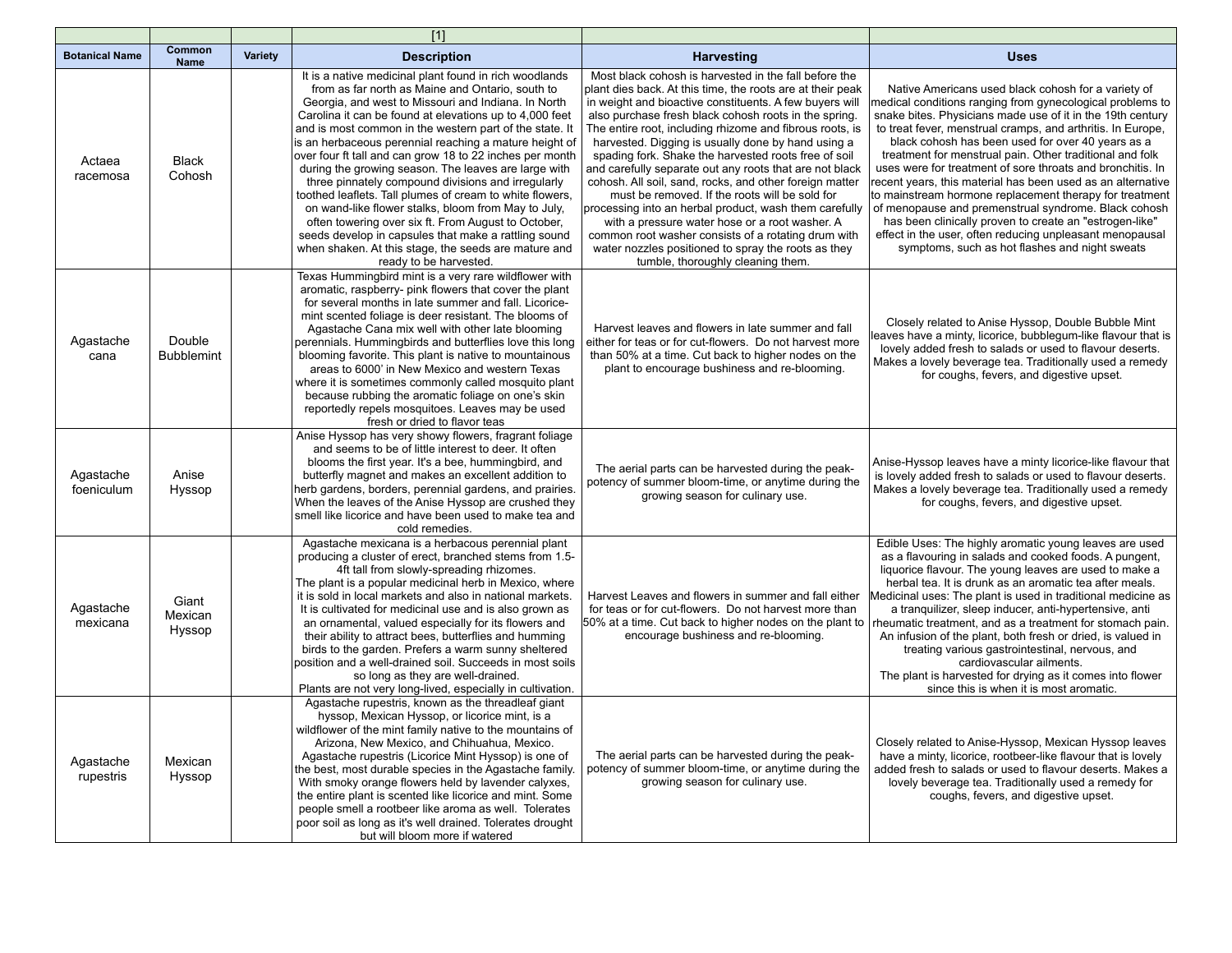|                         |                             |         | $[1]$                                                                                                                                                                                                                                                                                                                                                                                                                                                                                                                                                                                                                                                                                                                                                                                                                                           |                                                                                                                                                                                                                                                                                                                                                                                                                                                                                                                                                                                                                                                                                                                                                                                                                                                          |                                                                                                                                                                                                                                                                                                                                                                                                                                                                                                                                                                                                                                                                                                                                                                                         |
|-------------------------|-----------------------------|---------|-------------------------------------------------------------------------------------------------------------------------------------------------------------------------------------------------------------------------------------------------------------------------------------------------------------------------------------------------------------------------------------------------------------------------------------------------------------------------------------------------------------------------------------------------------------------------------------------------------------------------------------------------------------------------------------------------------------------------------------------------------------------------------------------------------------------------------------------------|----------------------------------------------------------------------------------------------------------------------------------------------------------------------------------------------------------------------------------------------------------------------------------------------------------------------------------------------------------------------------------------------------------------------------------------------------------------------------------------------------------------------------------------------------------------------------------------------------------------------------------------------------------------------------------------------------------------------------------------------------------------------------------------------------------------------------------------------------------|-----------------------------------------------------------------------------------------------------------------------------------------------------------------------------------------------------------------------------------------------------------------------------------------------------------------------------------------------------------------------------------------------------------------------------------------------------------------------------------------------------------------------------------------------------------------------------------------------------------------------------------------------------------------------------------------------------------------------------------------------------------------------------------------|
| <b>Botanical Name</b>   | Common<br><b>Name</b>       | Variety | <b>Description</b>                                                                                                                                                                                                                                                                                                                                                                                                                                                                                                                                                                                                                                                                                                                                                                                                                              | <b>Harvesting</b>                                                                                                                                                                                                                                                                                                                                                                                                                                                                                                                                                                                                                                                                                                                                                                                                                                        | <b>Uses</b>                                                                                                                                                                                                                                                                                                                                                                                                                                                                                                                                                                                                                                                                                                                                                                             |
| Actaea<br>racemosa      | <b>Black</b><br>Cohosh      |         | It is a native medicinal plant found in rich woodlands<br>from as far north as Maine and Ontario, south to<br>Georgia, and west to Missouri and Indiana. In North<br>Carolina it can be found at elevations up to 4,000 feet<br>and is most common in the western part of the state. It<br>is an herbaceous perennial reaching a mature height of<br>over four ft tall and can grow 18 to 22 inches per month<br>during the growing season. The leaves are large with<br>three pinnately compound divisions and irregularly<br>toothed leaflets. Tall plumes of cream to white flowers,<br>on wand-like flower stalks, bloom from May to July,<br>often towering over six ft. From August to October,<br>seeds develop in capsules that make a rattling sound<br>when shaken. At this stage, the seeds are mature and<br>ready to be harvested. | Most black cohosh is harvested in the fall before the<br>plant dies back. At this time, the roots are at their peak<br>in weight and bioactive constituents. A few buyers will<br>also purchase fresh black cohosh roots in the spring.<br>The entire root, including rhizome and fibrous roots, is<br>harvested. Digging is usually done by hand using a<br>spading fork. Shake the harvested roots free of soil<br>and carefully separate out any roots that are not black<br>cohosh. All soil, sand, rocks, and other foreign matter<br>must be removed. If the roots will be sold for<br>processing into an herbal product, wash them carefully<br>with a pressure water hose or a root washer. A<br>common root washer consists of a rotating drum with<br>water nozzles positioned to spray the roots as they<br>tumble, thoroughly cleaning them. | Native Americans used black cohosh for a variety of<br>medical conditions ranging from gynecological problems to<br>snake bites. Physicians made use of it in the 19th century<br>to treat fever, menstrual cramps, and arthritis. In Europe,<br>black cohosh has been used for over 40 years as a<br>treatment for menstrual pain. Other traditional and folk<br>uses were for treatment of sore throats and bronchitis. In<br>recent years, this material has been used as an alternative<br>to mainstream hormone replacement therapy for treatment<br>of menopause and premenstrual syndrome. Black cohosh<br>has been clinically proven to create an "estrogen-like"<br>effect in the user, often reducing unpleasant menopausal<br>symptoms, such as hot flashes and night sweats |
| Agastache<br>cana       | Double<br><b>Bubblemint</b> |         | Texas Hummingbird mint is a very rare wildflower with<br>aromatic, raspberry- pink flowers that cover the plant<br>for several months in late summer and fall. Licorice-<br>mint scented foliage is deer resistant. The blooms of<br>Agastache Cana mix well with other late blooming<br>perennials. Hummingbirds and butterflies love this long<br>blooming favorite. This plant is native to mountainous<br>areas to 6000' in New Mexico and western Texas<br>where it is sometimes commonly called mosquito plant<br>because rubbing the aromatic foliage on one's skin<br>reportedly repels mosquitoes. Leaves may be used<br>fresh or dried to flavor teas                                                                                                                                                                                 | Harvest leaves and flowers in late summer and fall<br>either for teas or for cut-flowers. Do not harvest more<br>than 50% at a time. Cut back to higher nodes on the<br>plant to encourage bushiness and re-blooming.                                                                                                                                                                                                                                                                                                                                                                                                                                                                                                                                                                                                                                    | Closely related to Anise Hyssop, Double Bubble Mint<br>eaves have a minty, licorice, bubblegum-like flavour that is<br>lovely added fresh to salads or used to flavour deserts.<br>Makes a lovely beverage tea. Traditionally used a remedy<br>for coughs, fevers, and digestive upset.                                                                                                                                                                                                                                                                                                                                                                                                                                                                                                 |
| Agastache<br>foeniculum | Anise<br>Hyssop             |         | Anise Hyssop has very showy flowers, fragrant foliage<br>and seems to be of little interest to deer. It often<br>blooms the first year. It's a bee, hummingbird, and<br>butterfly magnet and makes an excellent addition to<br>herb gardens, borders, perennial gardens, and prairies.<br>When the leaves of the Anise Hyssop are crushed they<br>smell like licorice and have been used to make tea and<br>cold remedies.                                                                                                                                                                                                                                                                                                                                                                                                                      | The aerial parts can be harvested during the peak-<br>potency of summer bloom-time, or anytime during the<br>growing season for culinary use.                                                                                                                                                                                                                                                                                                                                                                                                                                                                                                                                                                                                                                                                                                            | Anise-Hyssop leaves have a minty licorice-like flavour that<br>is lovely added fresh to salads or used to flavour deserts.<br>Makes a lovely beverage tea. Traditionally used a remedy<br>for coughs, fevers, and digestive upset.                                                                                                                                                                                                                                                                                                                                                                                                                                                                                                                                                      |
| Agastache<br>mexicana   | Giant<br>Mexican<br>Hyssop  |         | Agastache mexicana is a herbacous perennial plant<br>producing a cluster of erect, branched stems from 1.5-<br>4ft tall from slowly-spreading rhizomes.<br>The plant is a popular medicinal herb in Mexico, where<br>it is sold in local markets and also in national markets.<br>It is cultivated for medicinal use and is also grown as<br>an ornamental, valued especially for its flowers and<br>their ability to attract bees, butterflies and humming<br>birds to the garden. Prefers a warm sunny sheltered<br>position and a well-drained soil. Succeeds in most soils<br>so long as they are well-drained.<br>Plants are not very long-lived, especially in cultivation.                                                                                                                                                               | Harvest Leaves and flowers in summer and fall either<br>for teas or for cut-flowers. Do not harvest more than<br>50% at a time. Cut back to higher nodes on the plant to<br>encourage bushiness and re-blooming.                                                                                                                                                                                                                                                                                                                                                                                                                                                                                                                                                                                                                                         | Edible Uses: The highly aromatic young leaves are used<br>as a flavouring in salads and cooked foods. A pungent,<br>liquorice flavour. The young leaves are used to make a<br>herbal tea. It is drunk as an aromatic tea after meals.<br>Medicinal uses: The plant is used in traditional medicine as<br>a tranquilizer, sleep inducer, anti-hypertensive, anti<br>rheumatic treatment, and as a treatment for stomach pain.<br>An infusion of the plant, both fresh or dried, is valued in<br>treating various gastrointestinal, nervous, and<br>cardiovascular ailments.<br>The plant is harvested for drying as it comes into flower<br>since this is when it is most aromatic.                                                                                                      |
| Agastache<br>rupestris  | Mexican<br>Hyssop           |         | Agastache rupestris, known as the threadleaf giant<br>hyssop, Mexican Hyssop, or licorice mint, is a<br>wildflower of the mint family native to the mountains of<br>Arizona, New Mexico, and Chihuahua, Mexico.<br>Agastache rupestris (Licorice Mint Hyssop) is one of<br>the best, most durable species in the Agastache family.<br>With smoky orange flowers held by lavender calyxes,<br>the entire plant is scented like licorice and mint. Some<br>people smell a rootbeer like aroma as well. Tolerates<br>poor soil as long as it's well drained. Tolerates drought<br>but will bloom more if watered                                                                                                                                                                                                                                   | The aerial parts can be harvested during the peak-<br>potency of summer bloom-time, or anytime during the<br>growing season for culinary use.                                                                                                                                                                                                                                                                                                                                                                                                                                                                                                                                                                                                                                                                                                            | Closely related to Anise-Hyssop, Mexican Hyssop leaves<br>have a minty, licorice, rootbeer-like flavour that is lovely<br>added fresh to salads or used to flavour deserts. Makes a<br>lovely beverage tea. Traditionally used a remedy for<br>coughs, fevers, and digestive upset.                                                                                                                                                                                                                                                                                                                                                                                                                                                                                                     |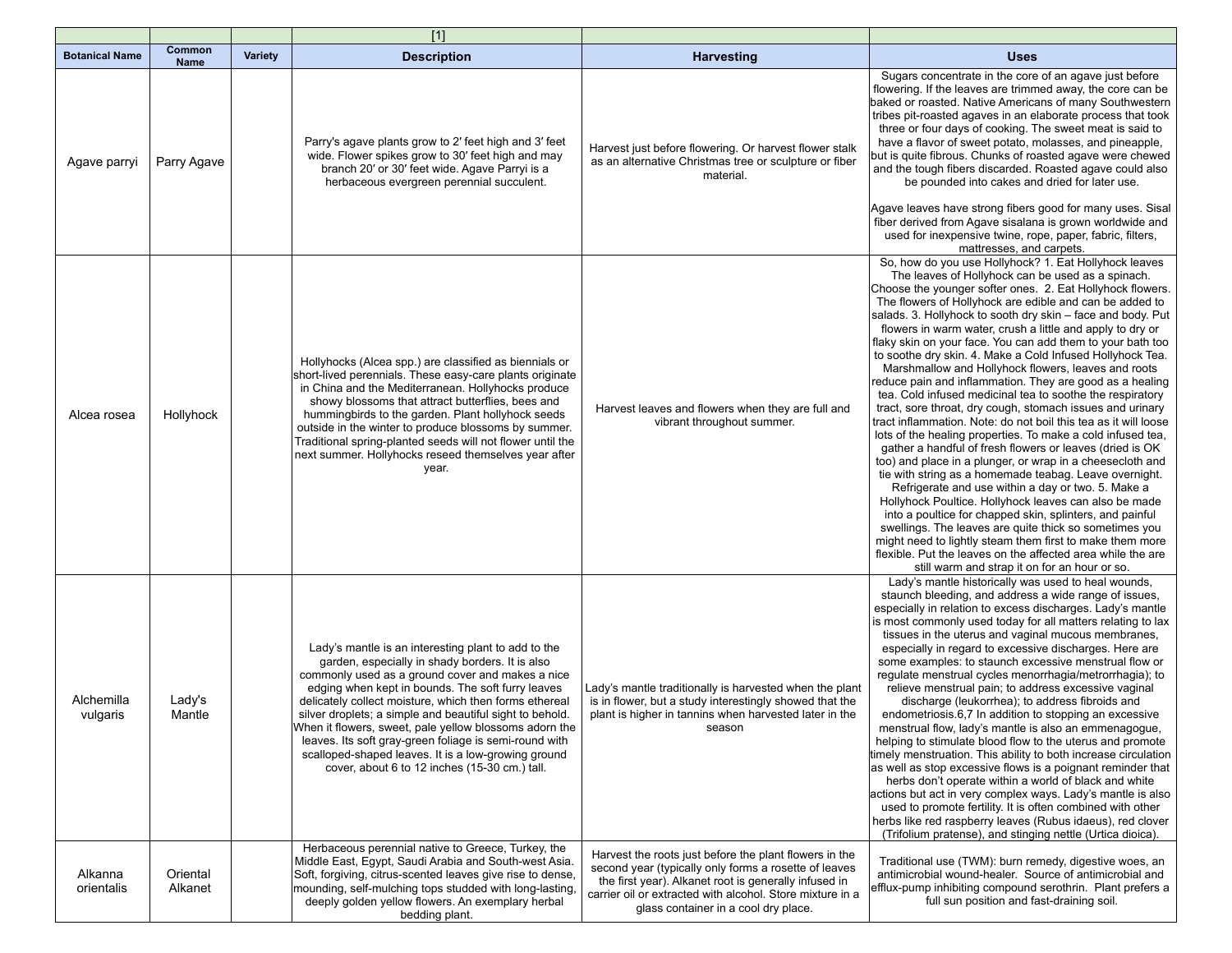|                        |                              |                | $[1]$                                                                                                                                                                                                                                                                                                                                                                                                                                                                                                                                                             |                                                                                                                                                                                                                                                                               |                                                                                                                                                                                                                                                                                                                                                                                                                                                                                                                                                                                                                                                                                                                                                                                                                                                                                                                                                                                                                                                                                                                                                                                                                                                                                                                                                                                                                                                                              |
|------------------------|------------------------------|----------------|-------------------------------------------------------------------------------------------------------------------------------------------------------------------------------------------------------------------------------------------------------------------------------------------------------------------------------------------------------------------------------------------------------------------------------------------------------------------------------------------------------------------------------------------------------------------|-------------------------------------------------------------------------------------------------------------------------------------------------------------------------------------------------------------------------------------------------------------------------------|------------------------------------------------------------------------------------------------------------------------------------------------------------------------------------------------------------------------------------------------------------------------------------------------------------------------------------------------------------------------------------------------------------------------------------------------------------------------------------------------------------------------------------------------------------------------------------------------------------------------------------------------------------------------------------------------------------------------------------------------------------------------------------------------------------------------------------------------------------------------------------------------------------------------------------------------------------------------------------------------------------------------------------------------------------------------------------------------------------------------------------------------------------------------------------------------------------------------------------------------------------------------------------------------------------------------------------------------------------------------------------------------------------------------------------------------------------------------------|
| <b>Botanical Name</b>  | <b>Common</b><br><b>Name</b> | <b>Variety</b> | <b>Description</b>                                                                                                                                                                                                                                                                                                                                                                                                                                                                                                                                                | <b>Harvesting</b>                                                                                                                                                                                                                                                             | <b>Uses</b>                                                                                                                                                                                                                                                                                                                                                                                                                                                                                                                                                                                                                                                                                                                                                                                                                                                                                                                                                                                                                                                                                                                                                                                                                                                                                                                                                                                                                                                                  |
| Agave parryi           | Parry Agave                  |                | Parry's agave plants grow to 2' feet high and 3' feet<br>wide. Flower spikes grow to 30' feet high and may<br>branch 20' or 30' feet wide. Agave Parryi is a<br>herbaceous evergreen perennial succulent.                                                                                                                                                                                                                                                                                                                                                         | Harvest just before flowering. Or harvest flower stalk<br>as an alternative Christmas tree or sculpture or fiber<br>material.                                                                                                                                                 | Sugars concentrate in the core of an agave just before<br>flowering. If the leaves are trimmed away, the core can be<br>baked or roasted. Native Americans of many Southwestern<br>tribes pit-roasted agaves in an elaborate process that took<br>three or four days of cooking. The sweet meat is said to<br>have a flavor of sweet potato, molasses, and pineapple,<br>but is quite fibrous. Chunks of roasted agave were chewed<br>and the tough fibers discarded. Roasted agave could also<br>be pounded into cakes and dried for later use.<br>Agave leaves have strong fibers good for many uses. Sisal<br>fiber derived from Agave sisalana is grown worldwide and<br>used for inexpensive twine, rope, paper, fabric, filters,<br>mattresses, and carpets.                                                                                                                                                                                                                                                                                                                                                                                                                                                                                                                                                                                                                                                                                                           |
| Alcea rosea            | Hollyhock                    |                | Hollyhocks (Alcea spp.) are classified as biennials or<br>short-lived perennials. These easy-care plants originate<br>in China and the Mediterranean. Hollyhocks produce<br>showy blossoms that attract butterflies, bees and<br>hummingbirds to the garden. Plant hollyhock seeds<br>outside in the winter to produce blossoms by summer.<br>Traditional spring-planted seeds will not flower until the<br>next summer. Hollyhocks reseed themselves year after<br>year.                                                                                         | Harvest leaves and flowers when they are full and<br>vibrant throughout summer.                                                                                                                                                                                               | So, how do you use Hollyhock? 1. Eat Hollyhock leaves<br>The leaves of Hollyhock can be used as a spinach.<br>Choose the younger softer ones. 2. Eat Hollyhock flowers.<br>The flowers of Hollyhock are edible and can be added to<br>salads. 3. Hollyhock to sooth dry skin – face and body. Put<br>flowers in warm water, crush a little and apply to dry or<br>flaky skin on your face. You can add them to your bath too<br>to soothe dry skin. 4. Make a Cold Infused Hollyhock Tea.<br>Marshmallow and Hollyhock flowers, leaves and roots<br>reduce pain and inflammation. They are good as a healing<br>tea. Cold infused medicinal tea to soothe the respiratory<br>tract, sore throat, dry cough, stomach issues and urinary<br>tract inflammation. Note: do not boil this tea as it will loose<br>lots of the healing properties. To make a cold infused tea,<br>gather a handful of fresh flowers or leaves (dried is OK<br>too) and place in a plunger, or wrap in a cheesecloth and<br>tie with string as a homemade teabag. Leave overnight.<br>Refrigerate and use within a day or two. 5. Make a<br>Hollyhock Poultice. Hollyhock leaves can also be made<br>into a poultice for chapped skin, splinters, and painful<br>swellings. The leaves are quite thick so sometimes you<br>might need to lightly steam them first to make them more<br>flexible. Put the leaves on the affected area while the are<br>still warm and strap it on for an hour or so. |
| Alchemilla<br>vulgaris | Lady's<br>Mantle             |                | Lady's mantle is an interesting plant to add to the<br>garden, especially in shady borders. It is also<br>commonly used as a ground cover and makes a nice<br>edging when kept in bounds. The soft furry leaves<br>delicately collect moisture, which then forms ethereal<br>silver droplets; a simple and beautiful sight to behold.<br>When it flowers, sweet, pale yellow blossoms adorn the<br>leaves. Its soft gray-green foliage is semi-round with<br>scalloped-shaped leaves. It is a low-growing ground<br>cover, about 6 to 12 inches (15-30 cm.) tall. | Lady's mantle traditionally is harvested when the plant<br>is in flower, but a study interestingly showed that the<br>plant is higher in tannins when harvested later in the<br>season                                                                                        | Lady's mantle historically was used to heal wounds,<br>staunch bleeding, and address a wide range of issues,<br>especially in relation to excess discharges. Lady's mantle<br>is most commonly used today for all matters relating to lax<br>tissues in the uterus and vaginal mucous membranes,<br>especially in regard to excessive discharges. Here are<br>some examples: to staunch excessive menstrual flow or<br>regulate menstrual cycles menorrhagia/metrorrhagia); to<br>relieve menstrual pain; to address excessive vaginal<br>discharge (leukorrhea); to address fibroids and<br>endometriosis.6,7 In addition to stopping an excessive<br>menstrual flow, lady's mantle is also an emmenagogue,<br>helping to stimulate blood flow to the uterus and promote<br>timely menstruation. This ability to both increase circulation<br>as well as stop excessive flows is a poignant reminder that<br>herbs don't operate within a world of black and white<br>actions but act in very complex ways. Lady's mantle is also<br>used to promote fertility. It is often combined with other<br>herbs like red raspberry leaves (Rubus idaeus), red clover<br>(Trifolium pratense), and stinging nettle (Urtica dioica).                                                                                                                                                                                                                                                 |
| Alkanna<br>orientalis  | Oriental<br>Alkanet          |                | Herbaceous perennial native to Greece, Turkey, the<br>Middle East, Eqypt, Saudi Arabia and South-west Asia.<br>Soft, forgiving, citrus-scented leaves give rise to dense,<br>mounding, self-mulching tops studded with long-lasting,<br>deeply golden yellow flowers. An exemplary herbal<br>bedding plant.                                                                                                                                                                                                                                                       | Harvest the roots just before the plant flowers in the<br>second year (typically only forms a rosette of leaves<br>the first year). Alkanet root is generally infused in<br>carrier oil or extracted with alcohol. Store mixture in a<br>glass container in a cool dry place. | Traditional use (TWM): burn remedy, digestive woes, an<br>antimicrobial wound-healer. Source of antimicrobial and<br>efflux-pump inhibiting compound serothrin. Plant prefers a<br>full sun position and fast-draining soil.                                                                                                                                                                                                                                                                                                                                                                                                                                                                                                                                                                                                                                                                                                                                                                                                                                                                                                                                                                                                                                                                                                                                                                                                                                                 |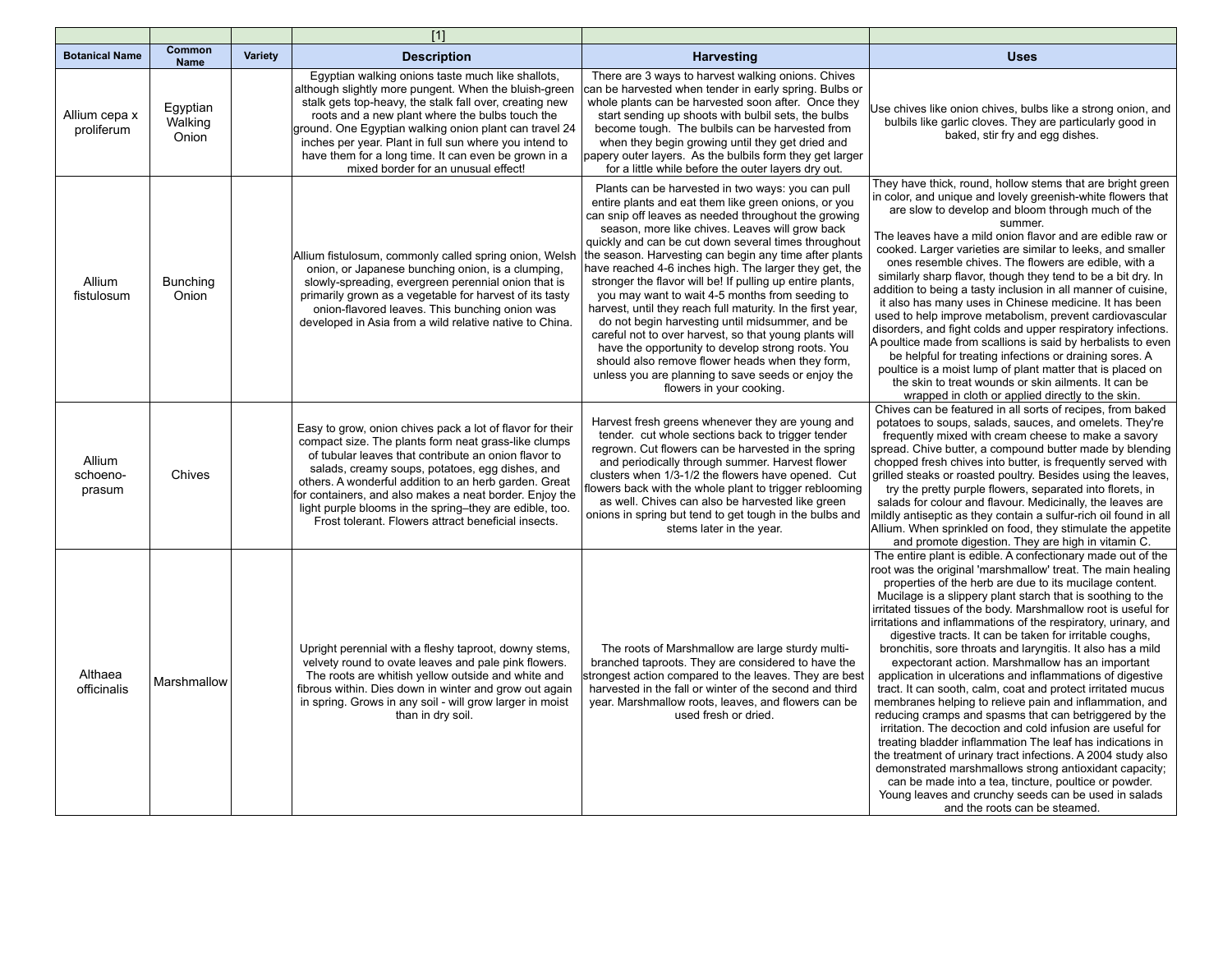|                              |                              |         | $[1]$                                                                                                                                                                                                                                                                                                                                                                                                                                                              |                                                                                                                                                                                                                                                                                                                                                                                                                                                                                                                                                                                                                                                                                                                                                                                                                                                                                        |                                                                                                                                                                                                                                                                                                                                                                                                                                                                                                                                                                                                                                                                                                                                                                                                                                                                                                                                                                                                                                                                                                                                                                                                                               |
|------------------------------|------------------------------|---------|--------------------------------------------------------------------------------------------------------------------------------------------------------------------------------------------------------------------------------------------------------------------------------------------------------------------------------------------------------------------------------------------------------------------------------------------------------------------|----------------------------------------------------------------------------------------------------------------------------------------------------------------------------------------------------------------------------------------------------------------------------------------------------------------------------------------------------------------------------------------------------------------------------------------------------------------------------------------------------------------------------------------------------------------------------------------------------------------------------------------------------------------------------------------------------------------------------------------------------------------------------------------------------------------------------------------------------------------------------------------|-------------------------------------------------------------------------------------------------------------------------------------------------------------------------------------------------------------------------------------------------------------------------------------------------------------------------------------------------------------------------------------------------------------------------------------------------------------------------------------------------------------------------------------------------------------------------------------------------------------------------------------------------------------------------------------------------------------------------------------------------------------------------------------------------------------------------------------------------------------------------------------------------------------------------------------------------------------------------------------------------------------------------------------------------------------------------------------------------------------------------------------------------------------------------------------------------------------------------------|
| <b>Botanical Name</b>        | Common<br><b>Name</b>        | Variety | <b>Description</b>                                                                                                                                                                                                                                                                                                                                                                                                                                                 | <b>Harvesting</b>                                                                                                                                                                                                                                                                                                                                                                                                                                                                                                                                                                                                                                                                                                                                                                                                                                                                      | <b>Uses</b>                                                                                                                                                                                                                                                                                                                                                                                                                                                                                                                                                                                                                                                                                                                                                                                                                                                                                                                                                                                                                                                                                                                                                                                                                   |
| Allium cepa x<br>proliferum  | Egyptian<br>Walking<br>Onion |         | Egyptian walking onions taste much like shallots,<br>although slightly more pungent. When the bluish-green<br>stalk gets top-heavy, the stalk fall over, creating new<br>roots and a new plant where the bulbs touch the<br>ground. One Egyptian walking onion plant can travel 24<br>inches per year. Plant in full sun where you intend to<br>have them for a long time. It can even be grown in a<br>mixed border for an unusual effect!                        | There are 3 ways to harvest walking onions. Chives<br>can be harvested when tender in early spring. Bulbs or<br>whole plants can be harvested soon after. Once they<br>start sending up shoots with bulbil sets, the bulbs<br>become tough. The bulbils can be harvested from<br>when they begin growing until they get dried and<br>papery outer layers. As the bulbils form they get larger<br>for a little while before the outer layers dry out.                                                                                                                                                                                                                                                                                                                                                                                                                                   | Use chives like onion chives, bulbs like a strong onion, and<br>bulbils like garlic cloves. They are particularly good in<br>baked, stir fry and egg dishes.                                                                                                                                                                                                                                                                                                                                                                                                                                                                                                                                                                                                                                                                                                                                                                                                                                                                                                                                                                                                                                                                  |
| Allium<br>fistulosum         | <b>Bunching</b><br>Onion     |         | Allium fistulosum, commonly called spring onion, Welsh<br>onion, or Japanese bunching onion, is a clumping,<br>slowly-spreading, evergreen perennial onion that is<br>primarily grown as a vegetable for harvest of its tasty<br>onion-flavored leaves. This bunching onion was<br>developed in Asia from a wild relative native to China.                                                                                                                         | Plants can be harvested in two ways: you can pull<br>entire plants and eat them like green onions, or you<br>can snip off leaves as needed throughout the growing<br>season, more like chives. Leaves will grow back<br>quickly and can be cut down several times throughout<br>the season. Harvesting can begin any time after plants<br>have reached 4-6 inches high. The larger they get, the<br>stronger the flavor will be! If pulling up entire plants,<br>you may want to wait 4-5 months from seeding to<br>harvest, until they reach full maturity. In the first year,<br>do not begin harvesting until midsummer, and be<br>careful not to over harvest, so that young plants will<br>have the opportunity to develop strong roots. You<br>should also remove flower heads when they form,<br>unless you are planning to save seeds or enjoy the<br>flowers in your cooking. | They have thick, round, hollow stems that are bright green<br>in color, and unique and lovely greenish-white flowers that<br>are slow to develop and bloom through much of the<br>summer.<br>The leaves have a mild onion flavor and are edible raw or<br>cooked. Larger varieties are similar to leeks, and smaller<br>ones resemble chives. The flowers are edible, with a<br>similarly sharp flavor, though they tend to be a bit dry. In<br>addition to being a tasty inclusion in all manner of cuisine,<br>it also has many uses in Chinese medicine. It has been<br>used to help improve metabolism, prevent cardiovascular<br>disorders, and fight colds and upper respiratory infections.<br>A poultice made from scallions is said by herbalists to even<br>be helpful for treating infections or draining sores. A<br>poultice is a moist lump of plant matter that is placed on<br>the skin to treat wounds or skin ailments. It can be<br>wrapped in cloth or applied directly to the skin.                                                                                                                                                                                                                      |
| Allium<br>schoeno-<br>prasum | Chives                       |         | Easy to grow, onion chives pack a lot of flavor for their<br>compact size. The plants form neat grass-like clumps<br>of tubular leaves that contribute an onion flavor to<br>salads, creamy soups, potatoes, egg dishes, and<br>others. A wonderful addition to an herb garden. Great<br>for containers, and also makes a neat border. Enjoy the<br>light purple blooms in the spring-they are edible, too.<br>Frost tolerant. Flowers attract beneficial insects. | Harvest fresh greens whenever they are young and<br>tender. cut whole sections back to trigger tender<br>regrown. Cut flowers can be harvested in the spring<br>and periodically through summer. Harvest flower<br>clusters when 1/3-1/2 the flowers have opened. Cut<br>flowers back with the whole plant to trigger reblooming<br>as well. Chives can also be harvested like green<br>onions in spring but tend to get tough in the bulbs and<br>stems later in the year.                                                                                                                                                                                                                                                                                                                                                                                                            | Chives can be featured in all sorts of recipes, from baked<br>potatoes to soups, salads, sauces, and omelets. They're<br>frequently mixed with cream cheese to make a savory<br>spread. Chive butter, a compound butter made by blending<br>chopped fresh chives into butter, is frequently served with<br>grilled steaks or roasted poultry. Besides using the leaves,<br>try the pretty purple flowers, separated into florets, in<br>salads for colour and flavour. Medicinally, the leaves are<br>mildly antiseptic as they contain a sulfur-rich oil found in all<br>Allium. When sprinkled on food, they stimulate the appetite<br>and promote digestion. They are high in vitamin C.                                                                                                                                                                                                                                                                                                                                                                                                                                                                                                                                   |
| Althaea<br>officinalis       | Marshmallow                  |         | Upright perennial with a fleshy taproot, downy stems,<br>velvety round to ovate leaves and pale pink flowers.<br>The roots are whitish yellow outside and white and<br>fibrous within. Dies down in winter and grow out again<br>in spring. Grows in any soil - will grow larger in moist<br>than in dry soil.                                                                                                                                                     | The roots of Marshmallow are large sturdy multi-<br>branched taproots. They are considered to have the<br>strongest action compared to the leaves. They are best<br>harvested in the fall or winter of the second and third<br>year. Marshmallow roots, leaves, and flowers can be<br>used fresh or dried.                                                                                                                                                                                                                                                                                                                                                                                                                                                                                                                                                                             | The entire plant is edible. A confectionary made out of the<br>root was the original 'marshmallow' treat. The main healing<br>properties of the herb are due to its mucilage content.<br>Mucilage is a slippery plant starch that is soothing to the<br>irritated tissues of the body. Marshmallow root is useful for<br>irritations and inflammations of the respiratory, urinary, and<br>digestive tracts. It can be taken for irritable coughs,<br>bronchitis, sore throats and laryngitis. It also has a mild<br>expectorant action. Marshmallow has an important<br>application in ulcerations and inflammations of digestive<br>tract. It can sooth, calm, coat and protect irritated mucus<br>membranes helping to relieve pain and inflammation, and<br>reducing cramps and spasms that can betriggered by the<br>irritation. The decoction and cold infusion are useful for<br>treating bladder inflammation The leaf has indications in<br>the treatment of urinary tract infections. A 2004 study also<br>demonstrated marshmallows strong antioxidant capacity;<br>can be made into a tea, tincture, poultice or powder.<br>Young leaves and crunchy seeds can be used in salads<br>and the roots can be steamed. |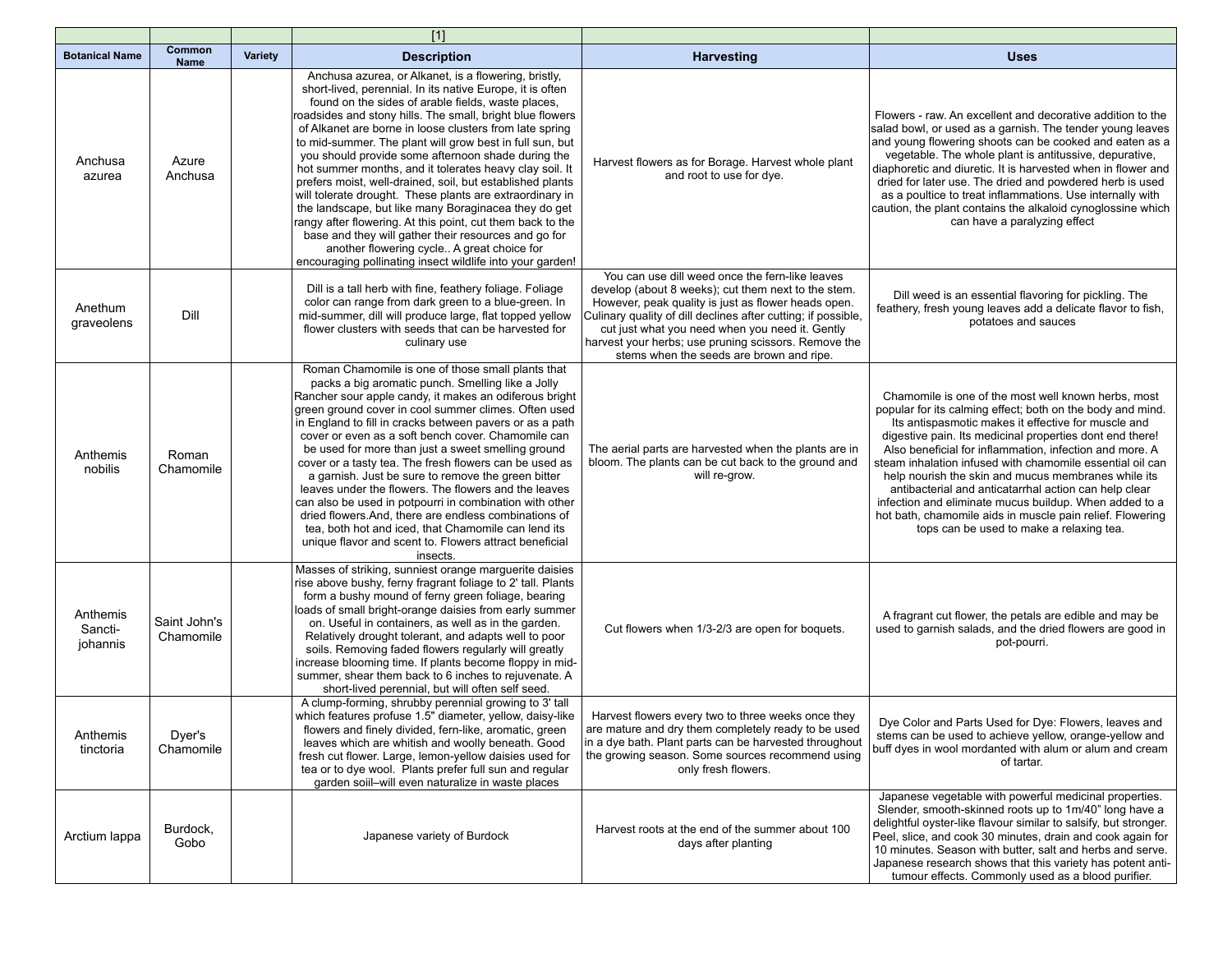|                                 |                           |                | $[1]$                                                                                                                                                                                                                                                                                                                                                                                                                                                                                                                                                                                                                                                                                                                                                                                                                                                                                          |                                                                                                                                                                                                                                                                                                                                                                                       |                                                                                                                                                                                                                                                                                                                                                                                                                                                                                                                                                                                                                                                 |
|---------------------------------|---------------------------|----------------|------------------------------------------------------------------------------------------------------------------------------------------------------------------------------------------------------------------------------------------------------------------------------------------------------------------------------------------------------------------------------------------------------------------------------------------------------------------------------------------------------------------------------------------------------------------------------------------------------------------------------------------------------------------------------------------------------------------------------------------------------------------------------------------------------------------------------------------------------------------------------------------------|---------------------------------------------------------------------------------------------------------------------------------------------------------------------------------------------------------------------------------------------------------------------------------------------------------------------------------------------------------------------------------------|-------------------------------------------------------------------------------------------------------------------------------------------------------------------------------------------------------------------------------------------------------------------------------------------------------------------------------------------------------------------------------------------------------------------------------------------------------------------------------------------------------------------------------------------------------------------------------------------------------------------------------------------------|
| <b>Botanical Name</b>           | Common<br><b>Name</b>     | <b>Variety</b> | <b>Description</b>                                                                                                                                                                                                                                                                                                                                                                                                                                                                                                                                                                                                                                                                                                                                                                                                                                                                             | <b>Harvesting</b>                                                                                                                                                                                                                                                                                                                                                                     | <b>Uses</b>                                                                                                                                                                                                                                                                                                                                                                                                                                                                                                                                                                                                                                     |
| Anchusa<br>azurea               | Azure<br>Anchusa          |                | Anchusa azurea, or Alkanet, is a flowering, bristly,<br>short-lived, perennial. In its native Europe, it is often<br>found on the sides of arable fields, waste places,<br>roadsides and stony hills. The small, bright blue flowers<br>of Alkanet are borne in loose clusters from late spring<br>to mid-summer. The plant will grow best in full sun, but<br>you should provide some afternoon shade during the<br>hot summer months, and it tolerates heavy clay soil. It<br>prefers moist, well-drained, soil, but established plants<br>will tolerate drought. These plants are extraordinary in<br>the landscape, but like many Boraginacea they do get<br>rangy after flowering. At this point, cut them back to the<br>base and they will gather their resources and go for<br>another flowering cycle A great choice for<br>encouraging pollinating insect wildlife into your garden! | Harvest flowers as for Borage. Harvest whole plant<br>and root to use for dye.                                                                                                                                                                                                                                                                                                        | Flowers - raw. An excellent and decorative addition to the<br>salad bowl, or used as a garnish. The tender young leaves<br>and young flowering shoots can be cooked and eaten as a<br>vegetable. The whole plant is antitussive, depurative,<br>diaphoretic and diuretic. It is harvested when in flower and<br>dried for later use. The dried and powdered herb is used<br>as a poultice to treat inflammations. Use internally with<br>caution, the plant contains the alkaloid cynoglossine which<br>can have a paralyzing effect                                                                                                            |
| Anethum<br>graveolens           | Dill                      |                | Dill is a tall herb with fine, feathery foliage. Foliage<br>color can range from dark green to a blue-green. In<br>mid-summer, dill will produce large, flat topped yellow<br>flower clusters with seeds that can be harvested for<br>culinary use                                                                                                                                                                                                                                                                                                                                                                                                                                                                                                                                                                                                                                             | You can use dill weed once the fern-like leaves<br>develop (about 8 weeks); cut them next to the stem.<br>However, peak quality is just as flower heads open.<br>Culinary quality of dill declines after cutting; if possible,<br>cut just what you need when you need it. Gently<br>harvest your herbs; use pruning scissors. Remove the<br>stems when the seeds are brown and ripe. | Dill weed is an essential flavoring for pickling. The<br>feathery, fresh young leaves add a delicate flavor to fish,<br>potatoes and sauces                                                                                                                                                                                                                                                                                                                                                                                                                                                                                                     |
| Anthemis<br>nobilis             | Roman<br>Chamomile        |                | Roman Chamomile is one of those small plants that<br>packs a big aromatic punch. Smelling like a Jolly<br>Rancher sour apple candy, it makes an odiferous bright<br>green ground cover in cool summer climes. Often used<br>in England to fill in cracks between pavers or as a path<br>cover or even as a soft bench cover. Chamomile can<br>be used for more than just a sweet smelling ground<br>cover or a tasty tea. The fresh flowers can be used as<br>a garnish. Just be sure to remove the green bitter<br>leaves under the flowers. The flowers and the leaves<br>can also be used in potpourri in combination with other<br>dried flowers. And, there are endless combinations of<br>tea, both hot and iced, that Chamomile can lend its<br>unique flavor and scent to. Flowers attract beneficial<br>insects.                                                                      | The aerial parts are harvested when the plants are in<br>bloom. The plants can be cut back to the ground and<br>will re-grow.                                                                                                                                                                                                                                                         | Chamomile is one of the most well known herbs, most<br>popular for its calming effect; both on the body and mind.<br>Its antispasmotic makes it effective for muscle and<br>digestive pain. Its medicinal properties dont end there!<br>Also beneficial for inflammation, infection and more, A<br>steam inhalation infused with chamomile essential oil can<br>help nourish the skin and mucus membranes while its<br>antibacterial and anticatarrhal action can help clear<br>infection and eliminate mucus buildup. When added to a<br>hot bath, chamomile aids in muscle pain relief. Flowering<br>tops can be used to make a relaxing tea. |
| Anthemis<br>Sancti-<br>johannis | Saint John's<br>Chamomile |                | Masses of striking, sunniest orange marguerite daisies<br>rise above bushy, ferny fragrant foliage to 2' tall. Plants<br>form a bushy mound of ferny green foliage, bearing<br>loads of small bright-orange daisies from early summer<br>on. Useful in containers, as well as in the garden.<br>Relatively drought tolerant, and adapts well to poor<br>soils. Removing faded flowers regularly will greatly<br>increase blooming time. If plants become floppy in mid-<br>summer, shear them back to 6 inches to rejuvenate. A<br>short-lived perennial, but will often self seed.                                                                                                                                                                                                                                                                                                            | Cut flowers when 1/3-2/3 are open for boquets.                                                                                                                                                                                                                                                                                                                                        | A fragrant cut flower, the petals are edible and may be<br>used to garnish salads, and the dried flowers are good in<br>pot-pourri.                                                                                                                                                                                                                                                                                                                                                                                                                                                                                                             |
| Anthemis<br>tinctoria           | Dyer's<br>Chamomile       |                | A clump-forming, shrubby perennial growing to 3' tall<br>which features profuse 1.5" diameter, yellow, daisy-like<br>flowers and finely divided, fern-like, aromatic, green<br>leaves which are whitish and woolly beneath. Good<br>fresh cut flower. Large, lemon-yellow daisies used for<br>tea or to dye wool. Plants prefer full sun and regular<br>garden soiil-will even naturalize in waste places                                                                                                                                                                                                                                                                                                                                                                                                                                                                                      | Harvest flowers every two to three weeks once they<br>are mature and dry them completely ready to be used<br>in a dye bath. Plant parts can be harvested throughout<br>the growing season. Some sources recommend using<br>only fresh flowers.                                                                                                                                        | Dye Color and Parts Used for Dye: Flowers, leaves and<br>stems can be used to achieve yellow, orange-yellow and<br>buff dyes in wool mordanted with alum or alum and cream<br>of tartar.                                                                                                                                                                                                                                                                                                                                                                                                                                                        |
| Arctium lappa                   | Burdock,<br>Gobo          |                | Japanese variety of Burdock                                                                                                                                                                                                                                                                                                                                                                                                                                                                                                                                                                                                                                                                                                                                                                                                                                                                    | Harvest roots at the end of the summer about 100<br>days after planting                                                                                                                                                                                                                                                                                                               | Japanese vegetable with powerful medicinal properties.<br>Slender, smooth-skinned roots up to 1m/40" long have a<br>delightful oyster-like flavour similar to salsify, but stronger.<br>Peel, slice, and cook 30 minutes, drain and cook again for<br>10 minutes. Season with butter, salt and herbs and serve.<br>Japanese research shows that this variety has potent anti-<br>tumour effects. Commonly used as a blood purifier.                                                                                                                                                                                                             |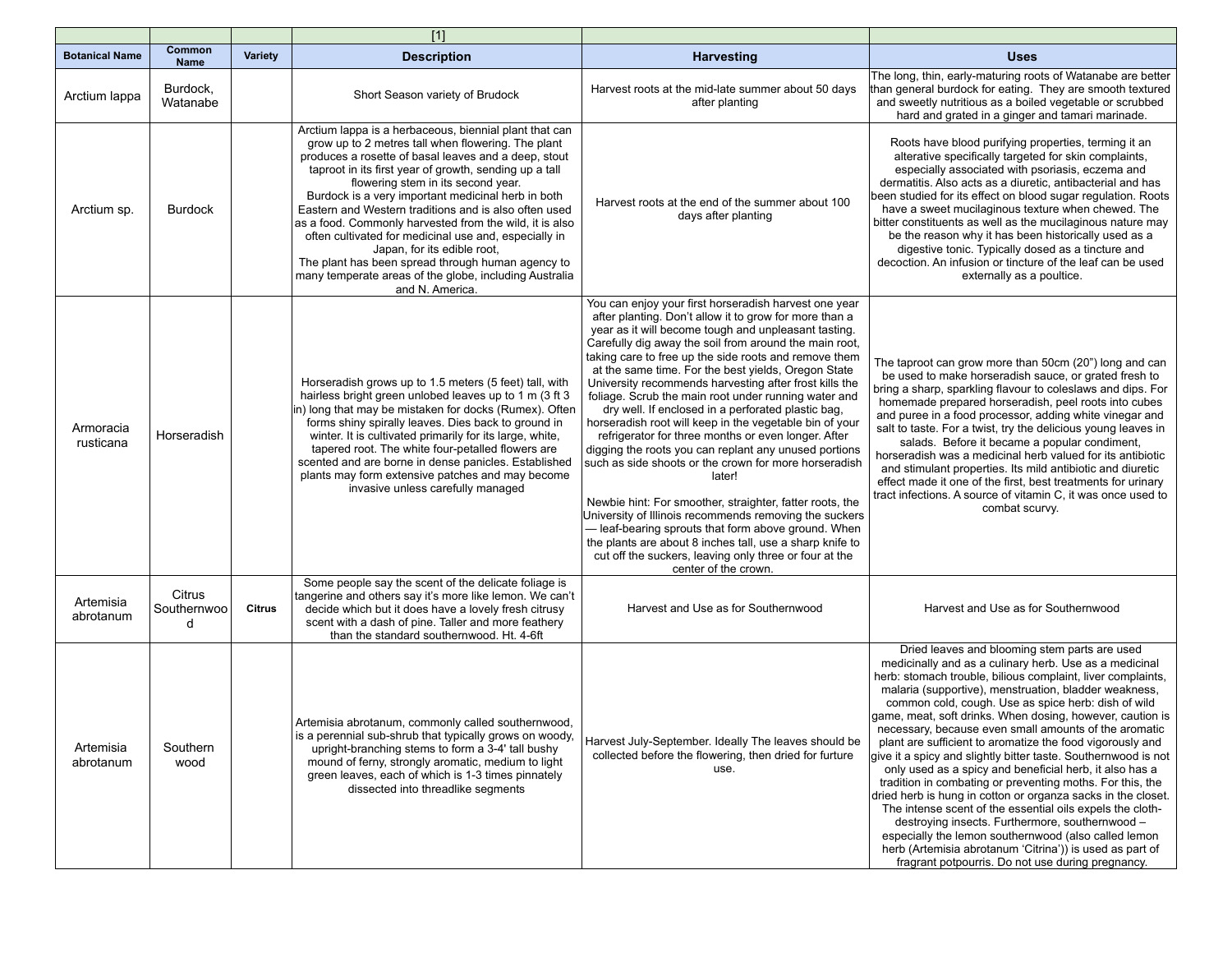|                        |                            |                | $[1]$                                                                                                                                                                                                                                                                                                                                                                                                                                                                                                                                                                                                                                                                    |                                                                                                                                                                                                                                                                                                                                                                                                                                                                                                                                                                                                                                                                                                                                                                                                                                                                                                                                                                                                                                                                                                    |                                                                                                                                                                                                                                                                                                                                                                                                                                                                                                                                                                                                                                                                                                                                                                                                                                                                                                                                                                                                                              |
|------------------------|----------------------------|----------------|--------------------------------------------------------------------------------------------------------------------------------------------------------------------------------------------------------------------------------------------------------------------------------------------------------------------------------------------------------------------------------------------------------------------------------------------------------------------------------------------------------------------------------------------------------------------------------------------------------------------------------------------------------------------------|----------------------------------------------------------------------------------------------------------------------------------------------------------------------------------------------------------------------------------------------------------------------------------------------------------------------------------------------------------------------------------------------------------------------------------------------------------------------------------------------------------------------------------------------------------------------------------------------------------------------------------------------------------------------------------------------------------------------------------------------------------------------------------------------------------------------------------------------------------------------------------------------------------------------------------------------------------------------------------------------------------------------------------------------------------------------------------------------------|------------------------------------------------------------------------------------------------------------------------------------------------------------------------------------------------------------------------------------------------------------------------------------------------------------------------------------------------------------------------------------------------------------------------------------------------------------------------------------------------------------------------------------------------------------------------------------------------------------------------------------------------------------------------------------------------------------------------------------------------------------------------------------------------------------------------------------------------------------------------------------------------------------------------------------------------------------------------------------------------------------------------------|
| <b>Botanical Name</b>  | Common<br><b>Name</b>      | <b>Variety</b> | <b>Description</b>                                                                                                                                                                                                                                                                                                                                                                                                                                                                                                                                                                                                                                                       | <b>Harvesting</b>                                                                                                                                                                                                                                                                                                                                                                                                                                                                                                                                                                                                                                                                                                                                                                                                                                                                                                                                                                                                                                                                                  | <b>Uses</b>                                                                                                                                                                                                                                                                                                                                                                                                                                                                                                                                                                                                                                                                                                                                                                                                                                                                                                                                                                                                                  |
| Arctium lappa          | Burdock,<br>Watanabe       |                | Short Season variety of Brudock                                                                                                                                                                                                                                                                                                                                                                                                                                                                                                                                                                                                                                          | Harvest roots at the mid-late summer about 50 days<br>after planting                                                                                                                                                                                                                                                                                                                                                                                                                                                                                                                                                                                                                                                                                                                                                                                                                                                                                                                                                                                                                               | The long, thin, early-maturing roots of Watanabe are better<br>than general burdock for eating. They are smooth textured<br>and sweetly nutritious as a boiled vegetable or scrubbed<br>hard and grated in a ginger and tamari marinade.                                                                                                                                                                                                                                                                                                                                                                                                                                                                                                                                                                                                                                                                                                                                                                                     |
| Arctium sp.            | Burdock                    |                | Arctium lappa is a herbaceous, biennial plant that can<br>grow up to 2 metres tall when flowering. The plant<br>produces a rosette of basal leaves and a deep, stout<br>taproot in its first year of growth, sending up a tall<br>flowering stem in its second year.<br>Burdock is a very important medicinal herb in both<br>Eastern and Western traditions and is also often used<br>as a food. Commonly harvested from the wild, it is also<br>often cultivated for medicinal use and, especially in<br>Japan, for its edible root,<br>The plant has been spread through human agency to<br>many temperate areas of the globe, including Australia<br>and N. America. | Harvest roots at the end of the summer about 100<br>days after planting                                                                                                                                                                                                                                                                                                                                                                                                                                                                                                                                                                                                                                                                                                                                                                                                                                                                                                                                                                                                                            | Roots have blood purifying properties, terming it an<br>alterative specifically targeted for skin complaints,<br>especially associated with psoriasis, eczema and<br>dermatitis. Also acts as a diuretic, antibacterial and has<br>been studied for its effect on blood sugar regulation. Roots<br>have a sweet mucilaginous texture when chewed. The<br>bitter constituents as well as the mucilaginous nature may<br>be the reason why it has been historically used as a<br>digestive tonic. Typically dosed as a tincture and<br>decoction. An infusion or tincture of the leaf can be used<br>externally as a poultice.                                                                                                                                                                                                                                                                                                                                                                                                 |
| Armoracia<br>rusticana | Horseradish                |                | Horseradish grows up to 1.5 meters (5 feet) tall, with<br>hairless bright green unlobed leaves up to 1 m (3 ft 3)<br>in) long that may be mistaken for docks (Rumex). Often<br>forms shiny spirally leaves. Dies back to ground in<br>winter. It is cultivated primarily for its large, white,<br>tapered root. The white four-petalled flowers are<br>scented and are borne in dense panicles. Established<br>plants may form extensive patches and may become<br>invasive unless carefully managed                                                                                                                                                                     | You can enjoy your first horseradish harvest one year<br>after planting. Don't allow it to grow for more than a<br>year as it will become tough and unpleasant tasting.<br>Carefully dig away the soil from around the main root,<br>taking care to free up the side roots and remove them<br>at the same time. For the best yields, Oregon State<br>University recommends harvesting after frost kills the<br>foliage. Scrub the main root under running water and<br>dry well. If enclosed in a perforated plastic bag,<br>horseradish root will keep in the vegetable bin of your<br>refrigerator for three months or even longer. After<br>digging the roots you can replant any unused portions<br>such as side shoots or the crown for more horseradish<br>later!<br>Newbie hint: For smoother, straighter, fatter roots, the<br>University of Illinois recommends removing the suckers<br>- leaf-bearing sprouts that form above ground. When<br>the plants are about 8 inches tall, use a sharp knife to<br>cut off the suckers, leaving only three or four at the<br>center of the crown. | The taproot can grow more than 50cm (20") long and can<br>be used to make horseradish sauce, or grated fresh to<br>bring a sharp, sparkling flavour to coleslaws and dips. For<br>homemade prepared horseradish, peel roots into cubes<br>and puree in a food processor, adding white vinegar and<br>salt to taste. For a twist, try the delicious young leaves in<br>salads. Before it became a popular condiment,<br>horseradish was a medicinal herb valued for its antibiotic<br>and stimulant properties. Its mild antibiotic and diuretic<br>effect made it one of the first, best treatments for urinary<br>tract infections. A source of vitamin C, it was once used to<br>combat scurvy.                                                                                                                                                                                                                                                                                                                            |
| Artemisia<br>abrotanum | Citrus<br>Southernwoo<br>d | <b>Citrus</b>  | Some people say the scent of the delicate foliage is<br>tangerine and others say it's more like lemon. We can't<br>decide which but it does have a lovely fresh citrusy<br>scent with a dash of pine. Taller and more feathery<br>than the standard southernwood. Ht. 4-6ft                                                                                                                                                                                                                                                                                                                                                                                              | Harvest and Use as for Southernwood                                                                                                                                                                                                                                                                                                                                                                                                                                                                                                                                                                                                                                                                                                                                                                                                                                                                                                                                                                                                                                                                | Harvest and Use as for Southernwood                                                                                                                                                                                                                                                                                                                                                                                                                                                                                                                                                                                                                                                                                                                                                                                                                                                                                                                                                                                          |
| Artemisia<br>abrotanum | Southern<br>wood           |                | Artemisia abrotanum, commonly called southernwood,<br>is a perennial sub-shrub that typically grows on woody.<br>upright-branching stems to form a 3-4' tall bushy<br>mound of ferny, strongly aromatic, medium to light<br>green leaves, each of which is 1-3 times pinnately<br>dissected into threadlike segments                                                                                                                                                                                                                                                                                                                                                     | Harvest July-September. Ideally The leaves should be<br>collected before the flowering, then dried for furture<br>use.                                                                                                                                                                                                                                                                                                                                                                                                                                                                                                                                                                                                                                                                                                                                                                                                                                                                                                                                                                             | Dried leaves and blooming stem parts are used<br>medicinally and as a culinary herb. Use as a medicinal<br>herb: stomach trouble, bilious complaint, liver complaints,<br>malaria (supportive), menstruation, bladder weakness,<br>common cold, cough. Use as spice herb: dish of wild<br>game, meat, soft drinks. When dosing, however, caution is<br>necessary, because even small amounts of the aromatic<br>plant are sufficient to aromatize the food vigorously and<br>give it a spicy and slightly bitter taste. Southernwood is not<br>only used as a spicy and beneficial herb, it also has a<br>tradition in combating or preventing moths. For this, the<br>dried herb is hung in cotton or organza sacks in the closet.<br>The intense scent of the essential oils expels the cloth-<br>destroying insects. Furthermore, southernwood -<br>especially the lemon southernwood (also called lemon<br>herb (Artemisia abrotanum 'Citrina')) is used as part of<br>fragrant potpourris. Do not use during pregnancy. |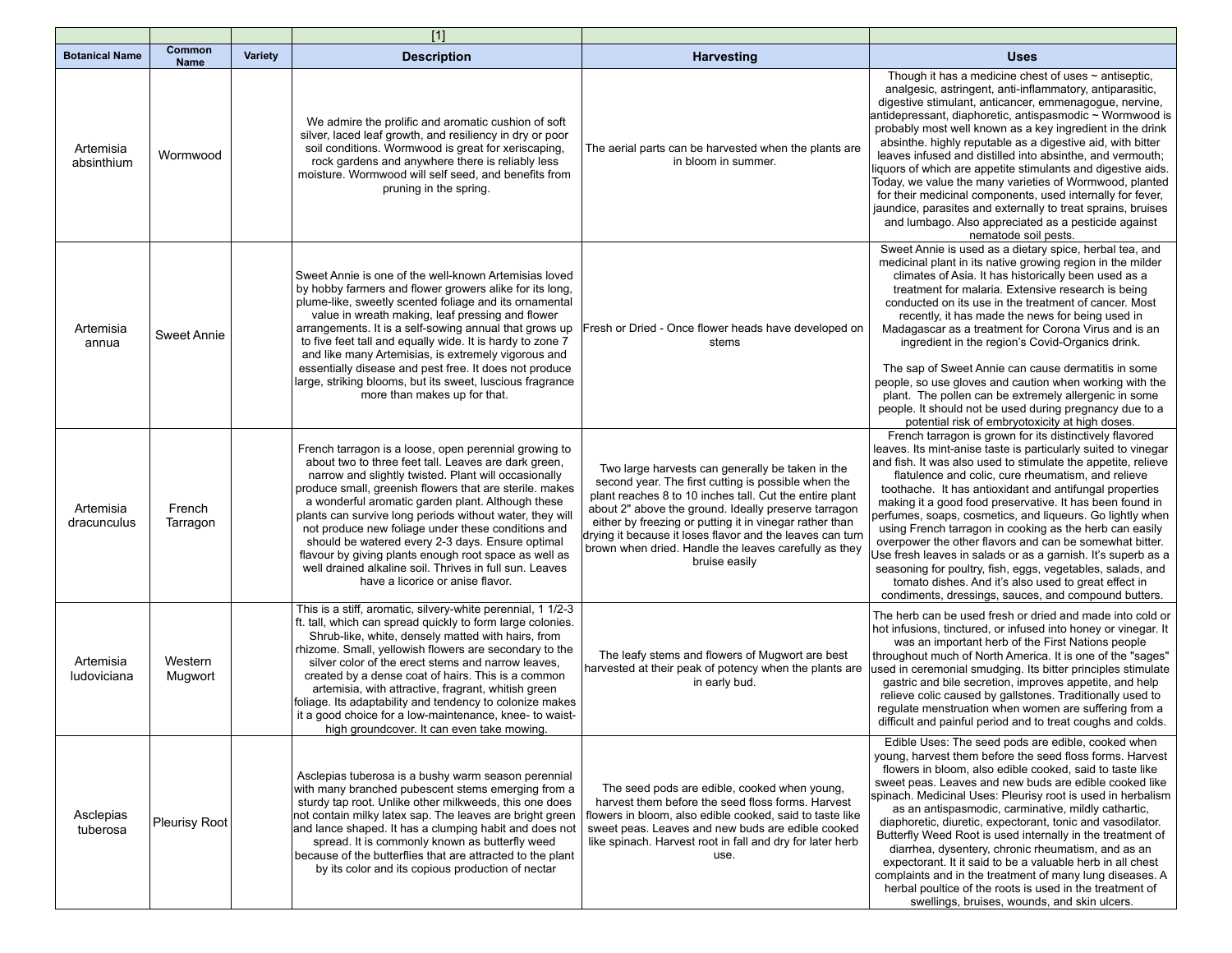|                          |                       |                | $[1]$                                                                                                                                                                                                                                                                                                                                                                                                                                                                                                                                                                                                               |                                                                                                                                                                                                                                                                                                                                                                                                                              |                                                                                                                                                                                                                                                                                                                                                                                                                                                                                                                                                                                                                                                                                                                                                                                                          |
|--------------------------|-----------------------|----------------|---------------------------------------------------------------------------------------------------------------------------------------------------------------------------------------------------------------------------------------------------------------------------------------------------------------------------------------------------------------------------------------------------------------------------------------------------------------------------------------------------------------------------------------------------------------------------------------------------------------------|------------------------------------------------------------------------------------------------------------------------------------------------------------------------------------------------------------------------------------------------------------------------------------------------------------------------------------------------------------------------------------------------------------------------------|----------------------------------------------------------------------------------------------------------------------------------------------------------------------------------------------------------------------------------------------------------------------------------------------------------------------------------------------------------------------------------------------------------------------------------------------------------------------------------------------------------------------------------------------------------------------------------------------------------------------------------------------------------------------------------------------------------------------------------------------------------------------------------------------------------|
| <b>Botanical Name</b>    | Common<br><b>Name</b> | <b>Variety</b> | <b>Description</b>                                                                                                                                                                                                                                                                                                                                                                                                                                                                                                                                                                                                  | Harvesting                                                                                                                                                                                                                                                                                                                                                                                                                   | <b>Uses</b>                                                                                                                                                                                                                                                                                                                                                                                                                                                                                                                                                                                                                                                                                                                                                                                              |
| Artemisia<br>absinthium  | Wormwood              |                | We admire the prolific and aromatic cushion of soft<br>silver, laced leaf growth, and resiliency in dry or poor<br>soil conditions. Wormwood is great for xeriscaping,<br>rock gardens and anywhere there is reliably less<br>moisture. Wormwood will self seed, and benefits from<br>pruning in the spring.                                                                                                                                                                                                                                                                                                        | The aerial parts can be harvested when the plants are<br>in bloom in summer.                                                                                                                                                                                                                                                                                                                                                 | Though it has a medicine chest of uses $\sim$ antiseptic,<br>analgesic, astringent, anti-inflammatory, antiparasitic,<br>digestive stimulant, anticancer, emmenagogue, nervine,<br>antidepressant, diaphoretic, antispasmodic ~ Wormwood is<br>probably most well known as a key ingredient in the drink<br>absinthe. highly reputable as a digestive aid, with bitter<br>leaves infused and distilled into absinthe, and vermouth;<br>liquors of which are appetite stimulants and digestive aids.<br>Today, we value the many varieties of Wormwood, planted<br>for their medicinal components, used internally for fever,<br>jaundice, parasites and externally to treat sprains, bruises<br>and lumbago. Also appreciated as a pesticide against<br>nematode soil pests.                             |
| Artemisia<br>annua       | Sweet Annie           |                | Sweet Annie is one of the well-known Artemisias loved<br>by hobby farmers and flower growers alike for its long,<br>plume-like, sweetly scented foliage and its ornamental<br>value in wreath making, leaf pressing and flower<br>arrangements. It is a self-sowing annual that grows up<br>to five feet tall and equally wide. It is hardy to zone 7<br>and like many Artemisias, is extremely vigorous and<br>essentially disease and pest free. It does not produce<br>large, striking blooms, but its sweet, luscious fragrance<br>more than makes up for that.                                                 | Fresh or Dried - Once flower heads have developed on<br>stems                                                                                                                                                                                                                                                                                                                                                                | Sweet Annie is used as a dietary spice, herbal tea, and<br>medicinal plant in its native growing region in the milder<br>climates of Asia. It has historically been used as a<br>treatment for malaria. Extensive research is being<br>conducted on its use in the treatment of cancer. Most<br>recently, it has made the news for being used in<br>Madagascar as a treatment for Corona Virus and is an<br>ingredient in the region's Covid-Organics drink.<br>The sap of Sweet Annie can cause dermatitis in some<br>people, so use gloves and caution when working with the<br>plant. The pollen can be extremely allergenic in some<br>people. It should not be used during pregnancy due to a<br>potential risk of embryotoxicity at high doses.                                                    |
| Artemisia<br>dracunculus | French<br>Tarragon    |                | French tarragon is a loose, open perennial growing to<br>about two to three feet tall. Leaves are dark green,<br>narrow and slightly twisted. Plant will occasionally<br>produce small, greenish flowers that are sterile. makes<br>a wonderful aromatic garden plant. Although these<br>plants can survive long periods without water, they will<br>not produce new foliage under these conditions and<br>should be watered every 2-3 days. Ensure optimal<br>flavour by giving plants enough root space as well as<br>well drained alkaline soil. Thrives in full sun. Leaves<br>have a licorice or anise flavor. | Two large harvests can generally be taken in the<br>second year. The first cutting is possible when the<br>plant reaches 8 to 10 inches tall. Cut the entire plant<br>about 2" above the ground. Ideally preserve tarragon<br>either by freezing or putting it in vinegar rather than<br>drying it because it loses flavor and the leaves can turn<br>brown when dried. Handle the leaves carefully as they<br>bruise easily | French tarragon is grown for its distinctively flavored<br>leaves. Its mint-anise taste is particularly suited to vinegar<br>and fish. It was also used to stimulate the appetite, relieve<br>flatulence and colic, cure rheumatism, and relieve<br>toothache. It has antioxidant and antifungal properties<br>making it a good food preservative. It has been found in<br>perfumes, soaps, cosmetics, and liqueurs. Go lightly when<br>using French tarragon in cooking as the herb can easily<br>overpower the other flavors and can be somewhat bitter.<br>Use fresh leaves in salads or as a garnish. It's superb as a<br>seasoning for poultry, fish, eggs, vegetables, salads, and<br>tomato dishes. And it's also used to great effect in<br>condiments, dressings, sauces, and compound butters. |
| Artemisia<br>ludoviciana | Western<br>Mugwort    |                | This is a stiff, aromatic, silvery-white perennial, 1 1/2-3<br>ft. tall, which can spread quickly to form large colonies.<br>Shrub-like, white, densely matted with hairs, from<br>rhizome. Small, yellowish flowers are secondary to the<br>silver color of the erect stems and narrow leaves.<br>created by a dense coat of hairs. This is a common<br>artemisia, with attractive, fragrant, whitish green<br>foliage. Its adaptability and tendency to colonize makes<br>it a good choice for a low-maintenance, knee- to waist-<br>high groundcover. It can even take mowing.                                   | The leafy stems and flowers of Mugwort are best<br>harvested at their peak of potency when the plants are<br>in early bud.                                                                                                                                                                                                                                                                                                   | The herb can be used fresh or dried and made into cold or<br>hot infusions, tinctured, or infused into honey or vinegar. It<br>was an important herb of the First Nations people<br>throughout much of North America. It is one of the "sages"<br>used in ceremonial smudging. Its bitter principles stimulate<br>gastric and bile secretion, improves appetite, and help<br>relieve colic caused by gallstones. Traditionally used to<br>regulate menstruation when women are suffering from a<br>difficult and painful period and to treat coughs and colds.                                                                                                                                                                                                                                           |
| Asclepias<br>tuberosa    | Pleurisy Root         |                | Asclepias tuberosa is a bushy warm season perennial<br>with many branched pubescent stems emerging from a<br>sturdy tap root. Unlike other milkweeds, this one does<br>not contain milky latex sap. The leaves are bright green<br>and lance shaped. It has a clumping habit and does not<br>spread. It is commonly known as butterfly weed<br>because of the butterflies that are attracted to the plant<br>by its color and its copious production of nectar                                                                                                                                                      | The seed pods are edible, cooked when young,<br>harvest them before the seed floss forms. Harvest<br>flowers in bloom, also edible cooked, said to taste like<br>sweet peas. Leaves and new buds are edible cooked<br>like spinach. Harvest root in fall and dry for later herb<br>use.                                                                                                                                      | Edible Uses: The seed pods are edible, cooked when<br>young, harvest them before the seed floss forms. Harvest<br>flowers in bloom, also edible cooked, said to taste like<br>sweet peas. Leaves and new buds are edible cooked like<br>spinach. Medicinal Uses: Pleurisy root is used in herbalism<br>as an antispasmodic, carminative, mildly cathartic,<br>diaphoretic, diuretic, expectorant, tonic and vasodilator.<br>Butterfly Weed Root is used internally in the treatment of<br>diarrhea, dysentery, chronic rheumatism, and as an<br>expectorant. It it said to be a valuable herb in all chest<br>complaints and in the treatment of many lung diseases. A<br>herbal poultice of the roots is used in the treatment of<br>swellings, bruises, wounds, and skin ulcers.                       |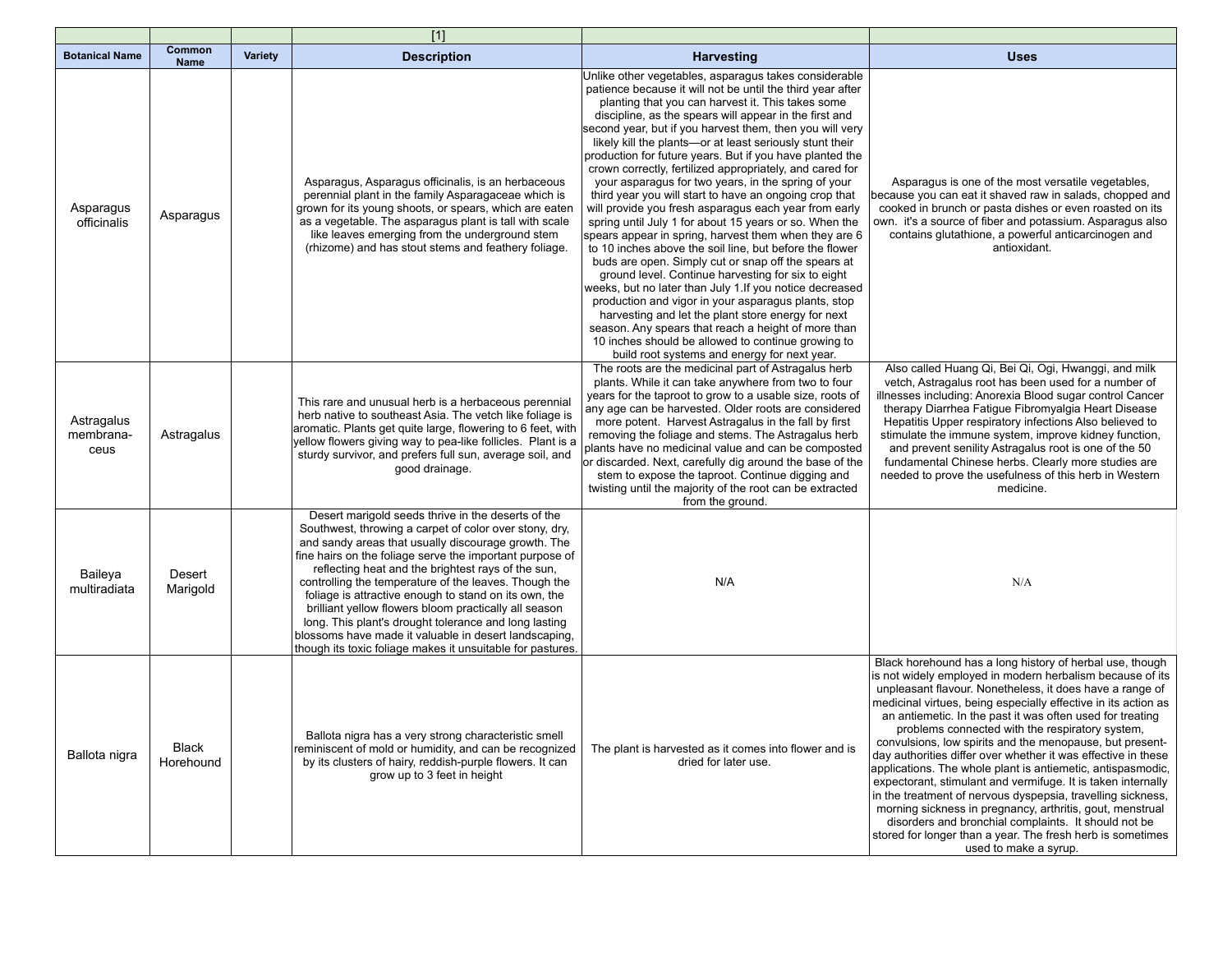|                                 |                       |                | $[1]$                                                                                                                                                                                                                                                                                                                                                                                                                                                                                                                                                                                                                                            |                                                                                                                                                                                                                                                                                                                                                                                                                                                                                                                                                                                                                                                                                                                                                                                                                                                                                                                                                                                                                                                                                                                                                                                                                                                                                               |                                                                                                                                                                                                                                                                                                                                                                                                                                                                                                                                                                                                                                                                                                                                                                                                                                                                                                            |
|---------------------------------|-----------------------|----------------|--------------------------------------------------------------------------------------------------------------------------------------------------------------------------------------------------------------------------------------------------------------------------------------------------------------------------------------------------------------------------------------------------------------------------------------------------------------------------------------------------------------------------------------------------------------------------------------------------------------------------------------------------|-----------------------------------------------------------------------------------------------------------------------------------------------------------------------------------------------------------------------------------------------------------------------------------------------------------------------------------------------------------------------------------------------------------------------------------------------------------------------------------------------------------------------------------------------------------------------------------------------------------------------------------------------------------------------------------------------------------------------------------------------------------------------------------------------------------------------------------------------------------------------------------------------------------------------------------------------------------------------------------------------------------------------------------------------------------------------------------------------------------------------------------------------------------------------------------------------------------------------------------------------------------------------------------------------|------------------------------------------------------------------------------------------------------------------------------------------------------------------------------------------------------------------------------------------------------------------------------------------------------------------------------------------------------------------------------------------------------------------------------------------------------------------------------------------------------------------------------------------------------------------------------------------------------------------------------------------------------------------------------------------------------------------------------------------------------------------------------------------------------------------------------------------------------------------------------------------------------------|
| <b>Botanical Name</b>           | Common<br><b>Name</b> | <b>Variety</b> | <b>Description</b>                                                                                                                                                                                                                                                                                                                                                                                                                                                                                                                                                                                                                               | <b>Harvesting</b>                                                                                                                                                                                                                                                                                                                                                                                                                                                                                                                                                                                                                                                                                                                                                                                                                                                                                                                                                                                                                                                                                                                                                                                                                                                                             | <b>Uses</b>                                                                                                                                                                                                                                                                                                                                                                                                                                                                                                                                                                                                                                                                                                                                                                                                                                                                                                |
| Asparagus<br>officinalis        | Asparagus             |                | Asparagus, Asparagus officinalis, is an herbaceous<br>perennial plant in the family Asparagaceae which is<br>grown for its young shoots, or spears, which are eaten<br>as a vegetable. The asparagus plant is tall with scale<br>like leaves emerging from the underground stem<br>(rhizome) and has stout stems and feathery foliage.                                                                                                                                                                                                                                                                                                           | Unlike other vegetables, asparagus takes considerable<br>patience because it will not be until the third year after<br>planting that you can harvest it. This takes some<br>discipline, as the spears will appear in the first and<br>second year, but if you harvest them, then you will very<br>likely kill the plants-or at least seriously stunt their<br>production for future years. But if you have planted the<br>crown correctly, fertilized appropriately, and cared for<br>your asparagus for two years, in the spring of your<br>third year you will start to have an ongoing crop that<br>will provide you fresh asparagus each year from early<br>spring until July 1 for about 15 years or so. When the<br>spears appear in spring, harvest them when they are 6<br>to 10 inches above the soil line, but before the flower<br>buds are open. Simply cut or snap off the spears at<br>ground level. Continue harvesting for six to eight<br>weeks, but no later than July 1. If you notice decreased<br>production and vigor in your asparagus plants, stop<br>harvesting and let the plant store energy for next<br>season. Any spears that reach a height of more than<br>10 inches should be allowed to continue growing to<br>build root systems and energy for next year. | Asparagus is one of the most versatile vegetables,<br>because you can eat it shaved raw in salads, chopped and<br>cooked in brunch or pasta dishes or even roasted on its<br>own. it's a source of fiber and potassium. Asparagus also<br>contains glutathione, a powerful anticarcinogen and<br>antioxidant.                                                                                                                                                                                                                                                                                                                                                                                                                                                                                                                                                                                              |
| Astragalus<br>membrana-<br>ceus | Astragalus            |                | This rare and unusual herb is a herbaceous perennial<br>herb native to southeast Asia. The vetch like foliage is<br>aromatic. Plants get quite large, flowering to 6 feet, with<br>yellow flowers giving way to pea-like follicles. Plant is a<br>sturdy survivor, and prefers full sun, average soil, and<br>good drainage.                                                                                                                                                                                                                                                                                                                     | The roots are the medicinal part of Astragalus herb<br>plants. While it can take anywhere from two to four<br>years for the taproot to grow to a usable size, roots of<br>any age can be harvested. Older roots are considered<br>more potent. Harvest Astragalus in the fall by first<br>removing the foliage and stems. The Astragalus herb<br>plants have no medicinal value and can be composted<br>or discarded. Next, carefully dig around the base of the<br>stem to expose the taproot. Continue digging and<br>twisting until the majority of the root can be extracted<br>from the ground.                                                                                                                                                                                                                                                                                                                                                                                                                                                                                                                                                                                                                                                                                          | Also called Huang Qi, Bei Qi, Ogi, Hwanggi, and milk<br>vetch, Astragalus root has been used for a number of<br>illnesses including: Anorexia Blood sugar control Cancer<br>therapy Diarrhea Fatigue Fibromyalgia Heart Disease<br>Hepatitis Upper respiratory infections Also believed to<br>stimulate the immune system, improve kidney function,<br>and prevent senility Astragalus root is one of the 50<br>fundamental Chinese herbs. Clearly more studies are<br>needed to prove the usefulness of this herb in Western<br>medicine.                                                                                                                                                                                                                                                                                                                                                                 |
| Baileya<br>multiradiata         | Desert<br>Marigold    |                | Desert marigold seeds thrive in the deserts of the<br>Southwest, throwing a carpet of color over stony, dry,<br>and sandy areas that usually discourage growth. The<br>fine hairs on the foliage serve the important purpose of<br>reflecting heat and the brightest rays of the sun,<br>controlling the temperature of the leaves. Though the<br>foliage is attractive enough to stand on its own, the<br>brilliant yellow flowers bloom practically all season<br>long. This plant's drought tolerance and long lasting<br>blossoms have made it valuable in desert landscaping,<br>though its toxic foliage makes it unsuitable for pastures. | N/A                                                                                                                                                                                                                                                                                                                                                                                                                                                                                                                                                                                                                                                                                                                                                                                                                                                                                                                                                                                                                                                                                                                                                                                                                                                                                           | N/A                                                                                                                                                                                                                                                                                                                                                                                                                                                                                                                                                                                                                                                                                                                                                                                                                                                                                                        |
| Ballota nigra                   | Black<br>Horehound    |                | Ballota nigra has a very strong characteristic smell<br>reminiscent of mold or humidity, and can be recognized<br>by its clusters of hairy, reddish-purple flowers. It can<br>grow up to 3 feet in height                                                                                                                                                                                                                                                                                                                                                                                                                                        | The plant is harvested as it comes into flower and is<br>dried for later use.                                                                                                                                                                                                                                                                                                                                                                                                                                                                                                                                                                                                                                                                                                                                                                                                                                                                                                                                                                                                                                                                                                                                                                                                                 | Black horehound has a long history of herbal use, though<br>is not widely employed in modern herbalism because of its<br>unpleasant flavour. Nonetheless, it does have a range of<br>medicinal virtues, being especially effective in its action as<br>an antiemetic. In the past it was often used for treating<br>problems connected with the respiratory system,<br>convulsions, low spirits and the menopause, but present-<br>day authorities differ over whether it was effective in these<br>applications. The whole plant is antiemetic, antispasmodic,<br>expectorant, stimulant and vermifuge. It is taken internally<br>in the treatment of nervous dyspepsia, travelling sickness,<br>morning sickness in pregnancy, arthritis, gout, menstrual<br>disorders and bronchial complaints. It should not be<br>stored for longer than a year. The fresh herb is sometimes<br>used to make a syrup. |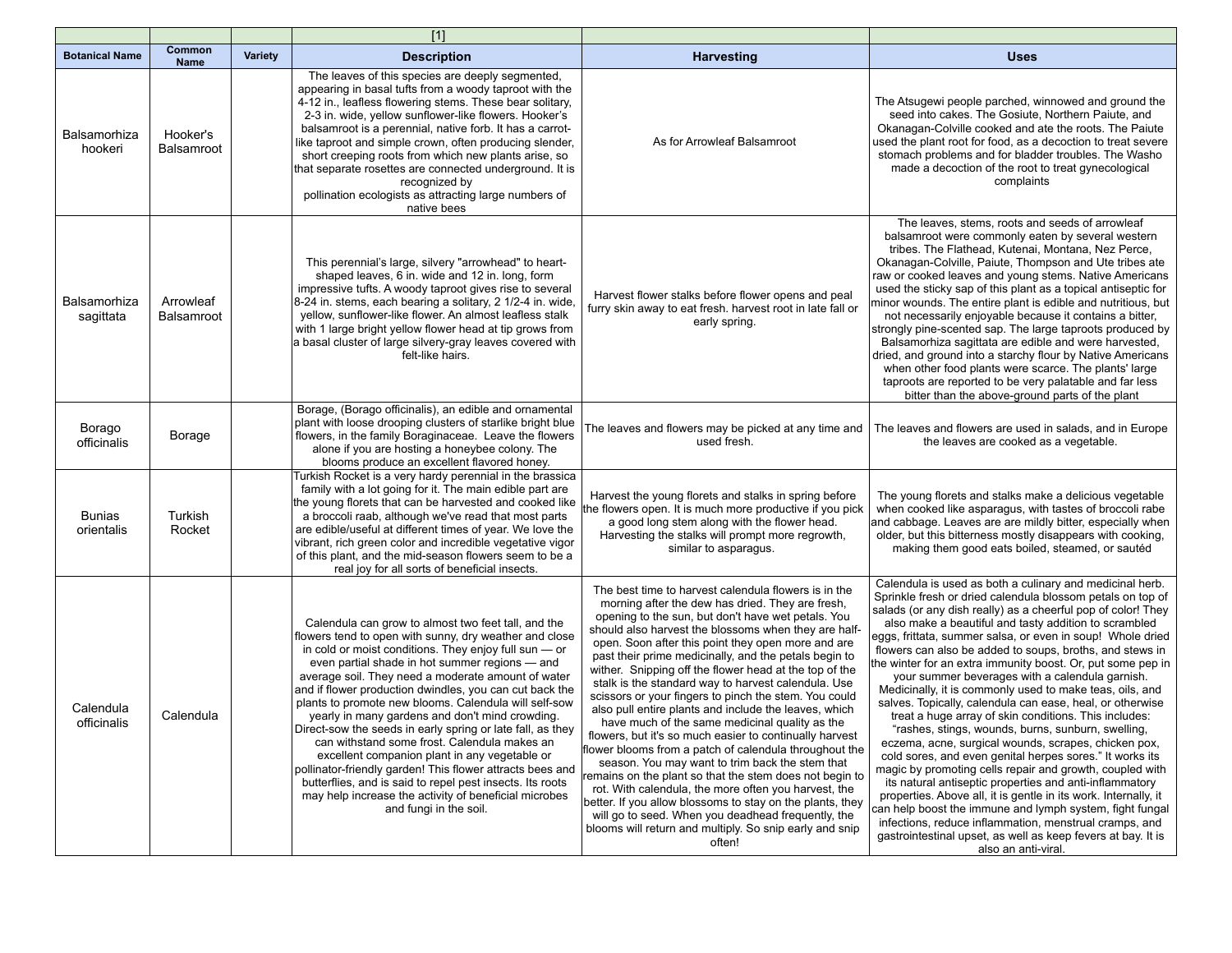|                             |                         |                | $[1]$                                                                                                                                                                                                                                                                                                                                                                                                                                                                                                                                                                                                                                                                                                                                                                                                                               |                                                                                                                                                                                                                                                                                                                                                                                                                                                                                                                                                                                                                                                                                                                                                                                                                                                                                                                                                                                                                                                                                                              |                                                                                                                                                                                                                                                                                                                                                                                                                                                                                                                                                                                                                                                                                                                                                                                                                                                                                                                                                                                                                                                                                                                                                                                                                                                                |
|-----------------------------|-------------------------|----------------|-------------------------------------------------------------------------------------------------------------------------------------------------------------------------------------------------------------------------------------------------------------------------------------------------------------------------------------------------------------------------------------------------------------------------------------------------------------------------------------------------------------------------------------------------------------------------------------------------------------------------------------------------------------------------------------------------------------------------------------------------------------------------------------------------------------------------------------|--------------------------------------------------------------------------------------------------------------------------------------------------------------------------------------------------------------------------------------------------------------------------------------------------------------------------------------------------------------------------------------------------------------------------------------------------------------------------------------------------------------------------------------------------------------------------------------------------------------------------------------------------------------------------------------------------------------------------------------------------------------------------------------------------------------------------------------------------------------------------------------------------------------------------------------------------------------------------------------------------------------------------------------------------------------------------------------------------------------|----------------------------------------------------------------------------------------------------------------------------------------------------------------------------------------------------------------------------------------------------------------------------------------------------------------------------------------------------------------------------------------------------------------------------------------------------------------------------------------------------------------------------------------------------------------------------------------------------------------------------------------------------------------------------------------------------------------------------------------------------------------------------------------------------------------------------------------------------------------------------------------------------------------------------------------------------------------------------------------------------------------------------------------------------------------------------------------------------------------------------------------------------------------------------------------------------------------------------------------------------------------|
| <b>Botanical Name</b>       | Common<br><b>Name</b>   | <b>Variety</b> | <b>Description</b>                                                                                                                                                                                                                                                                                                                                                                                                                                                                                                                                                                                                                                                                                                                                                                                                                  | <b>Harvesting</b>                                                                                                                                                                                                                                                                                                                                                                                                                                                                                                                                                                                                                                                                                                                                                                                                                                                                                                                                                                                                                                                                                            | <b>Uses</b>                                                                                                                                                                                                                                                                                                                                                                                                                                                                                                                                                                                                                                                                                                                                                                                                                                                                                                                                                                                                                                                                                                                                                                                                                                                    |
| Balsamorhiza<br>hookeri     | Hooker's<br>Balsamroot  |                | The leaves of this species are deeply segmented,<br>appearing in basal tufts from a woody taproot with the<br>4-12 in., leafless flowering stems. These bear solitary,<br>2-3 in. wide, yellow sunflower-like flowers. Hooker's<br>balsamroot is a perennial, native forb. It has a carrot-<br>like taproot and simple crown, often producing slender,<br>short creeping roots from which new plants arise, so<br>that separate rosettes are connected underground. It is<br>recognized by<br>pollination ecologists as attracting large numbers of<br>native bees                                                                                                                                                                                                                                                                  | As for Arrowleaf Balsamroot                                                                                                                                                                                                                                                                                                                                                                                                                                                                                                                                                                                                                                                                                                                                                                                                                                                                                                                                                                                                                                                                                  | The Atsugewi people parched, winnowed and ground the<br>seed into cakes. The Gosiute, Northern Paiute, and<br>Okanagan-Colville cooked and ate the roots. The Paiute<br>used the plant root for food, as a decoction to treat severe<br>stomach problems and for bladder troubles. The Washo<br>made a decoction of the root to treat gynecological<br>complaints                                                                                                                                                                                                                                                                                                                                                                                                                                                                                                                                                                                                                                                                                                                                                                                                                                                                                              |
| Balsamorhiza<br>sagittata   | Arrowleaf<br>Balsamroot |                | This perennial's large, silvery "arrowhead" to heart-<br>shaped leaves, 6 in. wide and 12 in. long, form<br>impressive tufts. A woody taproot gives rise to several<br>8-24 in. stems, each bearing a solitary, 2 1/2-4 in. wide,<br>yellow, sunflower-like flower. An almost leafless stalk<br>with 1 large bright yellow flower head at tip grows from<br>a basal cluster of large silvery-gray leaves covered with<br>felt-like hairs.                                                                                                                                                                                                                                                                                                                                                                                           | Harvest flower stalks before flower opens and peal<br>furry skin away to eat fresh. harvest root in late fall or<br>early spring.                                                                                                                                                                                                                                                                                                                                                                                                                                                                                                                                                                                                                                                                                                                                                                                                                                                                                                                                                                            | The leaves, stems, roots and seeds of arrowleaf<br>balsamroot were commonly eaten by several western<br>tribes. The Flathead, Kutenai, Montana, Nez Perce,<br>Okanagan-Colville, Paiute, Thompson and Ute tribes ate<br>raw or cooked leaves and young stems. Native Americans<br>used the sticky sap of this plant as a topical antiseptic for<br>minor wounds. The entire plant is edible and nutritious, but<br>not necessarily enjoyable because it contains a bitter,<br>strongly pine-scented sap. The large taproots produced by<br>Balsamorhiza sagittata are edible and were harvested.<br>dried, and ground into a starchy flour by Native Americans<br>when other food plants were scarce. The plants' large<br>taproots are reported to be very palatable and far less<br>bitter than the above-ground parts of the plant                                                                                                                                                                                                                                                                                                                                                                                                                          |
| Borago<br>officinalis       | Borage                  |                | Borage, (Borago officinalis), an edible and ornamental<br>plant with loose drooping clusters of starlike bright blue<br>flowers, in the family Boraginaceae. Leave the flowers<br>alone if you are hosting a honeybee colony. The<br>blooms produce an excellent flavored honey.                                                                                                                                                                                                                                                                                                                                                                                                                                                                                                                                                    | The leaves and flowers may be picked at any time and<br>used fresh.                                                                                                                                                                                                                                                                                                                                                                                                                                                                                                                                                                                                                                                                                                                                                                                                                                                                                                                                                                                                                                          | The leaves and flowers are used in salads, and in Europe<br>the leaves are cooked as a vegetable.                                                                                                                                                                                                                                                                                                                                                                                                                                                                                                                                                                                                                                                                                                                                                                                                                                                                                                                                                                                                                                                                                                                                                              |
| <b>Bunias</b><br>orientalis | Turkish<br>Rocket       |                | Turkish Rocket is a very hardy perennial in the brassica<br>family with a lot going for it. The main edible part are<br>the young florets that can be harvested and cooked like<br>a broccoli raab, although we've read that most parts<br>are edible/useful at different times of year. We love the<br>vibrant, rich green color and incredible vegetative vigor<br>of this plant, and the mid-season flowers seem to be a<br>real joy for all sorts of beneficial insects.                                                                                                                                                                                                                                                                                                                                                        | Harvest the young florets and stalks in spring before<br>the flowers open. It is much more productive if you pick<br>a good long stem along with the flower head.<br>Harvesting the stalks will prompt more regrowth,<br>similar to asparagus.                                                                                                                                                                                                                                                                                                                                                                                                                                                                                                                                                                                                                                                                                                                                                                                                                                                               | The young florets and stalks make a delicious vegetable<br>when cooked like asparagus, with tastes of broccoli rabe<br>and cabbage. Leaves are are mildly bitter, especially when<br>older, but this bitterness mostly disappears with cooking,<br>making them good eats boiled, steamed, or sautéd                                                                                                                                                                                                                                                                                                                                                                                                                                                                                                                                                                                                                                                                                                                                                                                                                                                                                                                                                            |
| Calendula<br>officinalis    | Calendula               |                | Calendula can grow to almost two feet tall, and the<br>flowers tend to open with sunny, dry weather and close<br>in cold or moist conditions. They enjoy full sun $-$ or<br>even partial shade in hot summer regions - and<br>average soil. They need a moderate amount of water<br>and if flower production dwindles, you can cut back the<br>plants to promote new blooms. Calendula will self-sow<br>yearly in many gardens and don't mind crowding.<br>Direct-sow the seeds in early spring or late fall, as they<br>can withstand some frost. Calendula makes an<br>excellent companion plant in any vegetable or<br>pollinator-friendly garden! This flower attracts bees and<br>butterflies, and is said to repel pest insects. Its roots<br>may help increase the activity of beneficial microbes<br>and fungi in the soil. | The best time to harvest calendula flowers is in the<br>morning after the dew has dried. They are fresh,<br>opening to the sun, but don't have wet petals. You<br>should also harvest the blossoms when they are half-<br>open. Soon after this point they open more and are<br>past their prime medicinally, and the petals begin to<br>wither. Snipping off the flower head at the top of the<br>stalk is the standard way to harvest calendula. Use<br>scissors or your fingers to pinch the stem. You could<br>also pull entire plants and include the leaves, which<br>have much of the same medicinal quality as the<br>flowers, but it's so much easier to continually harvest<br>flower blooms from a patch of calendula throughout the<br>season. You may want to trim back the stem that<br>emains on the plant so that the stem does not begin to<br>rot. With calendula, the more often you harvest, the<br>better. If you allow blossoms to stay on the plants, they<br>will go to seed. When you deadhead frequently, the<br>blooms will return and multiply. So snip early and snip<br>often! | Calendula is used as both a culinary and medicinal herb.<br>Sprinkle fresh or dried calendula blossom petals on top of<br>salads (or any dish really) as a cheerful pop of color! They<br>also make a beautiful and tasty addition to scrambled<br>eggs, frittata, summer salsa, or even in soup! Whole dried<br>flowers can also be added to soups, broths, and stews in<br>the winter for an extra immunity boost. Or, put some pep in<br>your summer beverages with a calendula garnish.<br>Medicinally, it is commonly used to make teas, oils, and<br>salves. Topically, calendula can ease, heal, or otherwise<br>treat a huge array of skin conditions. This includes:<br>"rasnes, stings, wounds, burns, sunburn, sweiling,<br>eczema, acne, surgical wounds, scrapes, chicken pox,<br>cold sores, and even genital herpes sores." It works its<br>magic by promoting cells repair and growth, coupled with<br>its natural antiseptic properties and anti-inflammatory<br>properties. Above all, it is gentle in its work. Internally, it<br>can help boost the immune and lymph system, fight fungal<br>infections, reduce inflammation, menstrual cramps, and<br>gastrointestinal upset, as well as keep fevers at bay. It is<br>also an anti-viral. |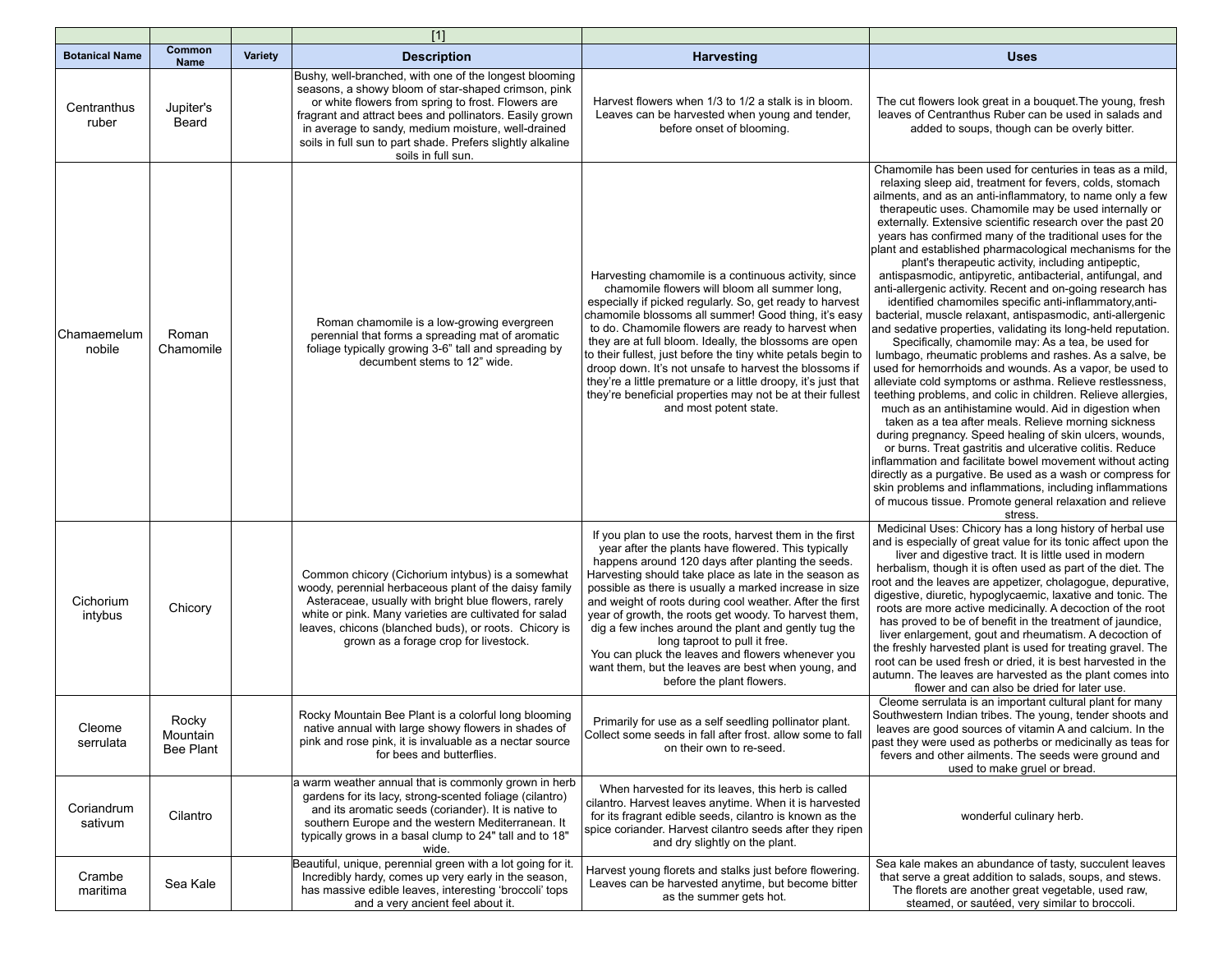|                       |                                       |                | $[1]$                                                                                                                                                                                                                                                                                                                                                                    |                                                                                                                                                                                                                                                                                                                                                                                                                                                                                                                                                                                                                                              |                                                                                                                                                                                                                                                                                                                                                                                                                                                                                                                                                                                                                                                                                                                                                                                                                                                                                                                                                                                                                                                                                                                                                                                                                                                                                                                                                                                                                                                                                                                                                                                                                            |
|-----------------------|---------------------------------------|----------------|--------------------------------------------------------------------------------------------------------------------------------------------------------------------------------------------------------------------------------------------------------------------------------------------------------------------------------------------------------------------------|----------------------------------------------------------------------------------------------------------------------------------------------------------------------------------------------------------------------------------------------------------------------------------------------------------------------------------------------------------------------------------------------------------------------------------------------------------------------------------------------------------------------------------------------------------------------------------------------------------------------------------------------|----------------------------------------------------------------------------------------------------------------------------------------------------------------------------------------------------------------------------------------------------------------------------------------------------------------------------------------------------------------------------------------------------------------------------------------------------------------------------------------------------------------------------------------------------------------------------------------------------------------------------------------------------------------------------------------------------------------------------------------------------------------------------------------------------------------------------------------------------------------------------------------------------------------------------------------------------------------------------------------------------------------------------------------------------------------------------------------------------------------------------------------------------------------------------------------------------------------------------------------------------------------------------------------------------------------------------------------------------------------------------------------------------------------------------------------------------------------------------------------------------------------------------------------------------------------------------------------------------------------------------|
| <b>Botanical Name</b> | Common<br><b>Name</b>                 | <b>Variety</b> | <b>Description</b>                                                                                                                                                                                                                                                                                                                                                       | <b>Harvesting</b>                                                                                                                                                                                                                                                                                                                                                                                                                                                                                                                                                                                                                            | <b>Uses</b>                                                                                                                                                                                                                                                                                                                                                                                                                                                                                                                                                                                                                                                                                                                                                                                                                                                                                                                                                                                                                                                                                                                                                                                                                                                                                                                                                                                                                                                                                                                                                                                                                |
| Centranthus<br>ruber  | Jupiter's<br>Beard                    |                | Bushy, well-branched, with one of the longest blooming<br>seasons, a showy bloom of star-shaped crimson, pink<br>or white flowers from spring to frost. Flowers are<br>fragrant and attract bees and pollinators. Easily grown<br>in average to sandy, medium moisture, well-drained<br>soils in full sun to part shade. Prefers slightly alkaline<br>soils in full sun. | Harvest flowers when 1/3 to 1/2 a stalk is in bloom.<br>Leaves can be harvested when young and tender,<br>before onset of blooming.                                                                                                                                                                                                                                                                                                                                                                                                                                                                                                          | The cut flowers look great in a bouquet. The young, fresh<br>leaves of Centranthus Ruber can be used in salads and<br>added to soups, though can be overly bitter.                                                                                                                                                                                                                                                                                                                                                                                                                                                                                                                                                                                                                                                                                                                                                                                                                                                                                                                                                                                                                                                                                                                                                                                                                                                                                                                                                                                                                                                         |
| Chamaemelum<br>nobile | Roman<br>Chamomile                    |                | Roman chamomile is a low-growing evergreen<br>perennial that forms a spreading mat of aromatic<br>foliage typically growing 3-6" tall and spreading by<br>decumbent stems to 12" wide.                                                                                                                                                                                   | Harvesting chamomile is a continuous activity, since<br>chamomile flowers will bloom all summer long,<br>especially if picked regularly. So, get ready to harvest<br>chamomile blossoms all summer! Good thing, it's easy<br>to do. Chamomile flowers are ready to harvest when<br>they are at full bloom. Ideally, the blossoms are open<br>to their fullest, just before the tiny white petals begin to<br>droop down. It's not unsafe to harvest the blossoms if<br>they're a little premature or a little droopy, it's just that<br>they're beneficial properties may not be at their fullest<br>and most potent state.                  | Chamomile has been used for centuries in teas as a mild.<br>relaxing sleep aid, treatment for fevers, colds, stomach<br>ailments, and as an anti-inflammatory, to name only a few<br>therapeutic uses. Chamomile may be used internally or<br>externally. Extensive scientific research over the past 20<br>years has confirmed many of the traditional uses for the<br>plant and established pharmacological mechanisms for the<br>plant's therapeutic activity, including antipeptic,<br>antispasmodic, antipyretic, antibacterial, antifungal, and<br>anti-allergenic activity. Recent and on-going research has<br>identified chamomiles specific anti-inflammatory, anti-<br>bacterial, muscle relaxant, antispasmodic, anti-allergenic<br>and sedative properties, validating its long-held reputation.<br>Specifically, chamomile may: As a tea, be used for<br>lumbago, rheumatic problems and rashes. As a salve, be<br>used for hemorrhoids and wounds. As a vapor, be used to<br>alleviate cold symptoms or asthma. Relieve restlessness,<br>teething problems, and colic in children. Relieve allergies,<br>much as an antihistamine would. Aid in digestion when<br>taken as a tea after meals. Relieve morning sickness<br>during pregnancy. Speed healing of skin ulcers, wounds,<br>or burns. Treat gastritis and ulcerative colitis. Reduce<br>inflammation and facilitate bowel movement without acting<br>directly as a purgative. Be used as a wash or compress for<br>skin problems and inflammations, including inflammations<br>of mucous tissue. Promote general relaxation and relieve<br>stress. |
| Cichorium<br>intybus  | Chicory                               |                | Common chicory (Cichorium intybus) is a somewhat<br>woody, perennial herbaceous plant of the daisy family<br>Asteraceae, usually with bright blue flowers, rarely<br>white or pink. Many varieties are cultivated for salad<br>leaves, chicons (blanched buds), or roots. Chicory is<br>grown as a forage crop for livestock.                                            | If you plan to use the roots, harvest them in the first<br>year after the plants have flowered. This typically<br>happens around 120 days after planting the seeds.<br>Harvesting should take place as late in the season as<br>possible as there is usually a marked increase in size<br>and weight of roots during cool weather. After the first<br>year of growth, the roots get woody. To harvest them,<br>dig a few inches around the plant and gently tug the<br>long taproot to pull it free.<br>You can pluck the leaves and flowers whenever you<br>want them, but the leaves are best when young, and<br>before the plant flowers. | Medicinal Uses: Chicory has a long history of herbal use<br>and is especially of great value for its tonic affect upon the<br>liver and digestive tract. It is little used in modern<br>herbalism, though it is often used as part of the diet. The<br>root and the leaves are appetizer, cholagogue, depurative,<br>digestive, diuretic, hypoglycaemic, laxative and tonic. The<br>roots are more active medicinally. A decoction of the root<br>has proved to be of benefit in the treatment of jaundice,<br>liver enlargement, gout and rheumatism. A decoction of<br>the freshly harvested plant is used for treating gravel. The<br>root can be used fresh or dried, it is best harvested in the<br>autumn. The leaves are harvested as the plant comes into<br>flower and can also be dried for later use.                                                                                                                                                                                                                                                                                                                                                                                                                                                                                                                                                                                                                                                                                                                                                                                                           |
| Cleome<br>serrulata   | Rocky<br>Mountain<br><b>Bee Plant</b> |                | Rocky Mountain Bee Plant is a colorful long blooming<br>native annual with large showy flowers in shades of<br>pink and rose pink, it is invaluable as a nectar source<br>for bees and butterflies.                                                                                                                                                                      | Primarily for use as a self seedling pollinator plant.<br>Collect some seeds in fall after frost. allow some to fall<br>on their own to re-seed.                                                                                                                                                                                                                                                                                                                                                                                                                                                                                             | Cleome serrulata is an important cultural plant for many<br>Southwestern Indian tribes. The young, tender shoots and<br>leaves are good sources of vitamin A and calcium. In the<br>past they were used as potherbs or medicinally as teas for<br>fevers and other ailments. The seeds were ground and<br>used to make gruel or bread.                                                                                                                                                                                                                                                                                                                                                                                                                                                                                                                                                                                                                                                                                                                                                                                                                                                                                                                                                                                                                                                                                                                                                                                                                                                                                     |
| Coriandrum<br>sativum | Cilantro                              |                | a warm weather annual that is commonly grown in herb<br>gardens for its lacy, strong-scented foliage (cilantro)<br>and its aromatic seeds (coriander). It is native to<br>southern Europe and the western Mediterranean. It<br>typically grows in a basal clump to 24" tall and to 18"<br>wide.                                                                          | When harvested for its leaves, this herb is called<br>cilantro. Harvest leaves anytime. When it is harvested<br>for its fragrant edible seeds, cilantro is known as the<br>spice coriander. Harvest cilantro seeds after they ripen<br>and dry slightly on the plant.                                                                                                                                                                                                                                                                                                                                                                        | wonderful culinary herb.                                                                                                                                                                                                                                                                                                                                                                                                                                                                                                                                                                                                                                                                                                                                                                                                                                                                                                                                                                                                                                                                                                                                                                                                                                                                                                                                                                                                                                                                                                                                                                                                   |
| Crambe<br>maritima    | Sea Kale                              |                | Beautiful, unique, perennial green with a lot going for it.<br>Incredibly hardy, comes up very early in the season,<br>has massive edible leaves, interesting 'broccoli' tops<br>and a very ancient feel about it.                                                                                                                                                       | Harvest young florets and stalks just before flowering.<br>Leaves can be harvested anytime, but become bitter<br>as the summer gets hot.                                                                                                                                                                                                                                                                                                                                                                                                                                                                                                     | Sea kale makes an abundance of tasty, succulent leaves<br>that serve a great addition to salads, soups, and stews.<br>The florets are another great vegetable, used raw,<br>steamed, or sautéed, very similar to broccoli.                                                                                                                                                                                                                                                                                                                                                                                                                                                                                                                                                                                                                                                                                                                                                                                                                                                                                                                                                                                                                                                                                                                                                                                                                                                                                                                                                                                                 |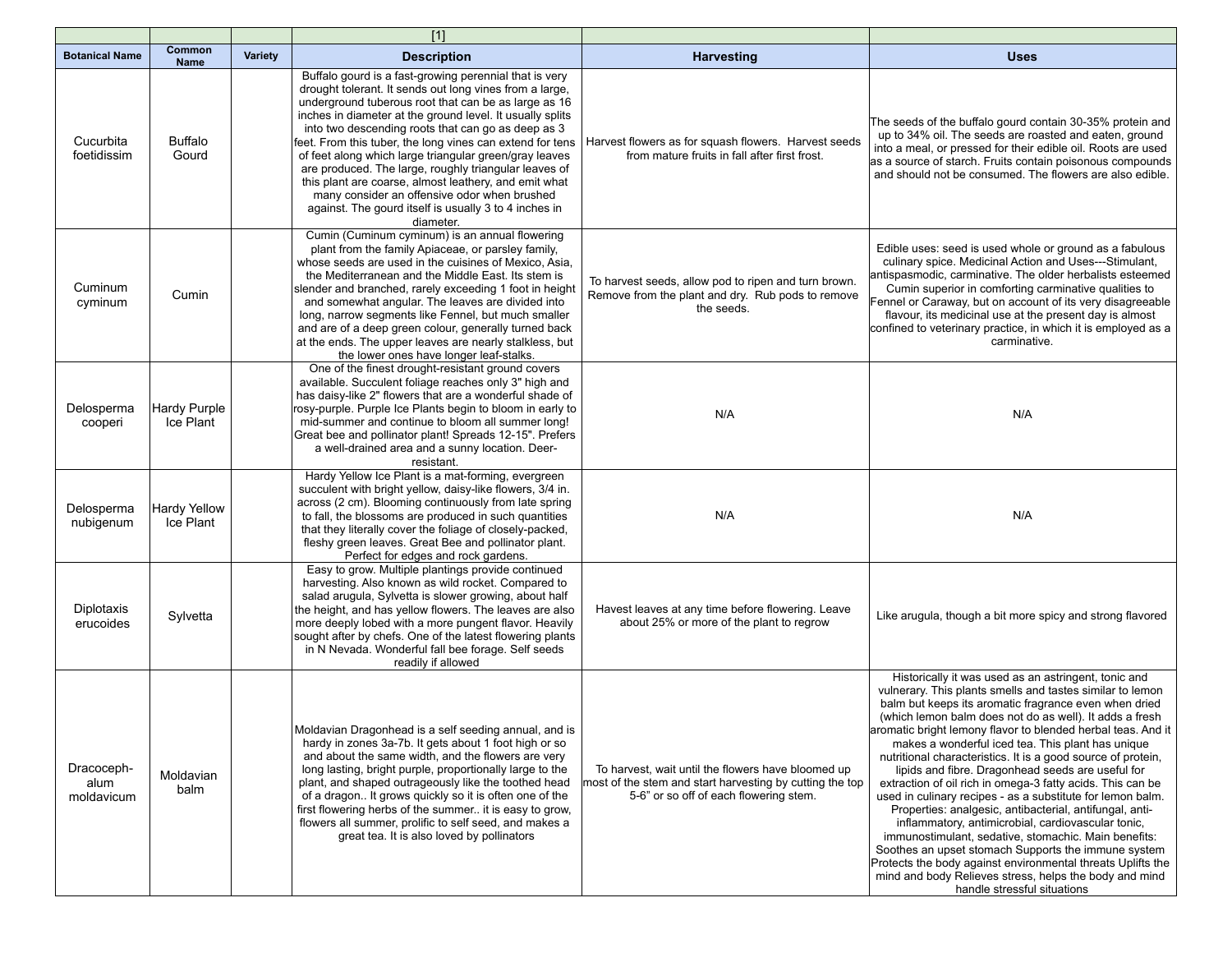|                                  |                                  |         | $[1]$                                                                                                                                                                                                                                                                                                                                                                                                                                                                                                                                                                                                                                                       |                                                                                                                                                          |                                                                                                                                                                                                                                                                                                                                                                                                                                                                                                                                                                                                                                                                                                                                                                                                                                                                                                                                                                                                      |
|----------------------------------|----------------------------------|---------|-------------------------------------------------------------------------------------------------------------------------------------------------------------------------------------------------------------------------------------------------------------------------------------------------------------------------------------------------------------------------------------------------------------------------------------------------------------------------------------------------------------------------------------------------------------------------------------------------------------------------------------------------------------|----------------------------------------------------------------------------------------------------------------------------------------------------------|------------------------------------------------------------------------------------------------------------------------------------------------------------------------------------------------------------------------------------------------------------------------------------------------------------------------------------------------------------------------------------------------------------------------------------------------------------------------------------------------------------------------------------------------------------------------------------------------------------------------------------------------------------------------------------------------------------------------------------------------------------------------------------------------------------------------------------------------------------------------------------------------------------------------------------------------------------------------------------------------------|
| <b>Botanical Name</b>            | Common<br><b>Name</b>            | Variety | <b>Description</b>                                                                                                                                                                                                                                                                                                                                                                                                                                                                                                                                                                                                                                          | <b>Harvesting</b>                                                                                                                                        | <b>Uses</b>                                                                                                                                                                                                                                                                                                                                                                                                                                                                                                                                                                                                                                                                                                                                                                                                                                                                                                                                                                                          |
| Cucurbita<br>foetidissim         | <b>Buffalo</b><br>Gourd          |         | Buffalo gourd is a fast-growing perennial that is very<br>drought tolerant. It sends out long vines from a large,<br>underground tuberous root that can be as large as 16<br>inches in diameter at the ground level. It usually splits<br>into two descending roots that can go as deep as 3<br>feet. From this tuber, the long vines can extend for tens<br>of feet along which large triangular green/gray leaves<br>are produced. The large, roughly triangular leaves of<br>this plant are coarse, almost leathery, and emit what<br>many consider an offensive odor when brushed<br>against. The gourd itself is usually 3 to 4 inches in<br>diameter. | Harvest flowers as for squash flowers. Harvest seeds<br>from mature fruits in fall after first frost.                                                    | The seeds of the buffalo gourd contain 30-35% protein and<br>up to 34% oil. The seeds are roasted and eaten, ground<br>into a meal, or pressed for their edible oil. Roots are used<br>as a source of starch. Fruits contain poisonous compounds<br>and should not be consumed. The flowers are also edible.                                                                                                                                                                                                                                                                                                                                                                                                                                                                                                                                                                                                                                                                                         |
| Cuminum<br>cyminum               | Cumin                            |         | Cumin (Cuminum cyminum) is an annual flowering<br>plant from the family Apiaceae, or parsley family,<br>whose seeds are used in the cuisines of Mexico, Asia,<br>the Mediterranean and the Middle East. Its stem is<br>slender and branched, rarely exceeding 1 foot in height<br>and somewhat angular. The leaves are divided into<br>long, narrow segments like Fennel, but much smaller<br>and are of a deep green colour, generally turned back<br>at the ends. The upper leaves are nearly stalkless, but<br>the lower ones have longer leaf-stalks.                                                                                                   | To harvest seeds, allow pod to ripen and turn brown.<br>Remove from the plant and dry. Rub pods to remove<br>the seeds.                                  | Edible uses: seed is used whole or ground as a fabulous<br>culinary spice. Medicinal Action and Uses---Stimulant,<br>antispasmodic, carminative. The older herbalists esteemed<br>Cumin superior in comforting carminative qualities to<br>Fennel or Caraway, but on account of its very disagreeable<br>flavour, its medicinal use at the present day is almost<br>confined to veterinary practice, in which it is employed as a<br>carminative.                                                                                                                                                                                                                                                                                                                                                                                                                                                                                                                                                    |
| Delosperma<br>cooperi            | Hardy Purple<br>Ice Plant        |         | One of the finest drought-resistant ground covers<br>available. Succulent foliage reaches only 3" high and<br>has daisy-like 2" flowers that are a wonderful shade of<br>rosy-purple. Purple Ice Plants begin to bloom in early to<br>mid-summer and continue to bloom all summer long!<br>Great bee and pollinator plant! Spreads 12-15". Prefers<br>a well-drained area and a sunny location. Deer-<br>resistant.                                                                                                                                                                                                                                         | N/A                                                                                                                                                      | N/A                                                                                                                                                                                                                                                                                                                                                                                                                                                                                                                                                                                                                                                                                                                                                                                                                                                                                                                                                                                                  |
| Delosperma<br>nubigenum          | <b>Hardy Yellow</b><br>Ice Plant |         | Hardy Yellow Ice Plant is a mat-forming, evergreen<br>succulent with bright yellow, daisy-like flowers, 3/4 in.<br>across (2 cm). Blooming continuously from late spring<br>to fall, the blossoms are produced in such quantities<br>that they literally cover the foliage of closely-packed,<br>fleshy green leaves. Great Bee and pollinator plant.<br>Perfect for edges and rock gardens.                                                                                                                                                                                                                                                                | N/A                                                                                                                                                      | N/A                                                                                                                                                                                                                                                                                                                                                                                                                                                                                                                                                                                                                                                                                                                                                                                                                                                                                                                                                                                                  |
| Diplotaxis<br>erucoides          | Sylvetta                         |         | Easy to grow. Multiple plantings provide continued<br>harvesting. Also known as wild rocket. Compared to<br>salad arugula, Sylvetta is slower growing, about half<br>the height, and has yellow flowers. The leaves are also<br>more deeply lobed with a more pungent flavor. Heavily<br>sought after by chefs. One of the latest flowering plants<br>in N Nevada. Wonderful fall bee forage. Self seeds<br>readily if allowed                                                                                                                                                                                                                              | Havest leaves at any time before flowering. Leave<br>about 25% or more of the plant to regrow                                                            | Like arugula, though a bit more spicy and strong flavored                                                                                                                                                                                                                                                                                                                                                                                                                                                                                                                                                                                                                                                                                                                                                                                                                                                                                                                                            |
| Dracoceph-<br>alum<br>moldavicum | Moldavian<br>balm                |         | Moldavian Dragonhead is a self seeding annual, and is<br>hardy in zones 3a-7b. It gets about 1 foot high or so<br>and about the same width, and the flowers are very<br>long lasting, bright purple, proportionally large to the<br>plant, and shaped outrageously like the toothed head<br>of a dragon It grows quickly so it is often one of the<br>first flowering herbs of the summer it is easy to grow,<br>flowers all summer, prolific to self seed, and makes a<br>great tea. It is also loved by pollinators                                                                                                                                       | To harvest, wait until the flowers have bloomed up<br>most of the stem and start harvesting by cutting the top<br>5-6" or so off of each flowering stem. | Historically it was used as an astringent, tonic and<br>vulnerary. This plants smells and tastes similar to lemon<br>balm but keeps its aromatic fragrance even when dried<br>(which lemon balm does not do as well). It adds a fresh<br> aromatic bright lemony flavor to blended herbal teas. And it<br>makes a wonderful iced tea. This plant has unique<br>nutritional characteristics. It is a good source of protein,<br>lipids and fibre. Dragonhead seeds are useful for<br>extraction of oil rich in omega-3 fatty acids. This can be<br>used in culinary recipes - as a substitute for lemon balm.<br>Properties: analgesic, antibacterial, antifungal, anti-<br>inflammatory, antimicrobial, cardiovascular tonic,<br>immunostimulant, sedative, stomachic. Main benefits:<br>Soothes an upset stomach Supports the immune system<br>Protects the body against environmental threats Uplifts the<br>mind and body Relieves stress, helps the body and mind<br>handle stressful situations |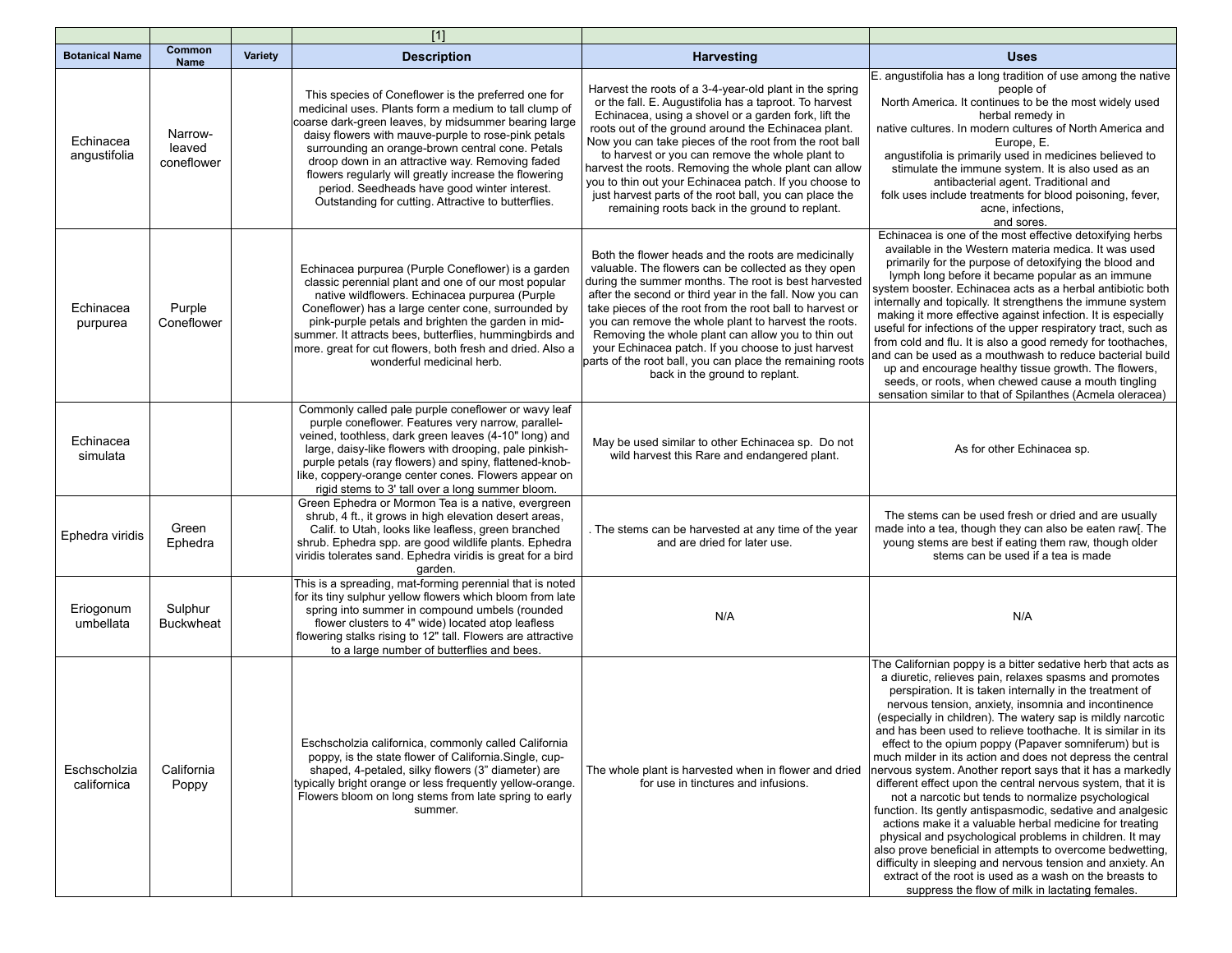|                             |                                 |                | $[1]$                                                                                                                                                                                                                                                                                                                                                                                                                                                                                              |                                                                                                                                                                                                                                                                                                                                                                                                                                                                                                                                                                              |                                                                                                                                                                                                                                                                                                                                                                                                                                                                                                                                                                                                                                                                                                                                                                                                                                                                                                                                                                                                                                                                                                                   |
|-----------------------------|---------------------------------|----------------|----------------------------------------------------------------------------------------------------------------------------------------------------------------------------------------------------------------------------------------------------------------------------------------------------------------------------------------------------------------------------------------------------------------------------------------------------------------------------------------------------|------------------------------------------------------------------------------------------------------------------------------------------------------------------------------------------------------------------------------------------------------------------------------------------------------------------------------------------------------------------------------------------------------------------------------------------------------------------------------------------------------------------------------------------------------------------------------|-------------------------------------------------------------------------------------------------------------------------------------------------------------------------------------------------------------------------------------------------------------------------------------------------------------------------------------------------------------------------------------------------------------------------------------------------------------------------------------------------------------------------------------------------------------------------------------------------------------------------------------------------------------------------------------------------------------------------------------------------------------------------------------------------------------------------------------------------------------------------------------------------------------------------------------------------------------------------------------------------------------------------------------------------------------------------------------------------------------------|
| <b>Botanical Name</b>       | Common<br><b>Name</b>           | <b>Variety</b> | <b>Description</b>                                                                                                                                                                                                                                                                                                                                                                                                                                                                                 | <b>Harvesting</b>                                                                                                                                                                                                                                                                                                                                                                                                                                                                                                                                                            | <b>Uses</b>                                                                                                                                                                                                                                                                                                                                                                                                                                                                                                                                                                                                                                                                                                                                                                                                                                                                                                                                                                                                                                                                                                       |
| Echinacea<br>angustifolia   | Narrow-<br>leaved<br>coneflower |                | This species of Coneflower is the preferred one for<br>medicinal uses. Plants form a medium to tall clump of<br>coarse dark-green leaves, by midsummer bearing large<br>daisy flowers with mauve-purple to rose-pink petals<br>surrounding an orange-brown central cone. Petals<br>droop down in an attractive way. Removing faded<br>flowers regularly will greatly increase the flowering<br>period. Seedheads have good winter interest.<br>Outstanding for cutting. Attractive to butterflies. | Harvest the roots of a 3-4-year-old plant in the spring<br>or the fall. E. Augustifolia has a taproot. To harvest<br>Echinacea, using a shovel or a garden fork, lift the<br>roots out of the ground around the Echinacea plant.<br>Now you can take pieces of the root from the root ball<br>to harvest or you can remove the whole plant to<br>harvest the roots. Removing the whole plant can allow<br>you to thin out your Echinacea patch. If you choose to<br>just harvest parts of the root ball, you can place the<br>remaining roots back in the ground to replant. | E. angustifolia has a long tradition of use among the native<br>people of<br>North America. It continues to be the most widely used<br>herbal remedy in<br>native cultures. In modern cultures of North America and<br>Europe, E.<br>angustifolia is primarily used in medicines believed to<br>stimulate the immune system. It is also used as an<br>antibacterial agent. Traditional and<br>folk uses include treatments for blood poisoning, fever,<br>acne, infections,<br>and sores.                                                                                                                                                                                                                                                                                                                                                                                                                                                                                                                                                                                                                         |
| Echinacea<br>purpurea       | Purple<br>Coneflower            |                | Echinacea purpurea (Purple Coneflower) is a garden<br>classic perennial plant and one of our most popular<br>native wildflowers. Echinacea purpurea (Purple<br>Coneflower) has a large center cone, surrounded by<br>pink-purple petals and brighten the garden in mid-<br>summer. It attracts bees, butterflies, hummingbirds and<br>more. great for cut flowers, both fresh and dried. Also a<br>wonderful medicinal herb.                                                                       | Both the flower heads and the roots are medicinally<br>valuable. The flowers can be collected as they open<br>during the summer months. The root is best harvested<br>after the second or third year in the fall. Now you can<br>take pieces of the root from the root ball to harvest or<br>you can remove the whole plant to harvest the roots.<br>Removing the whole plant can allow you to thin out<br>your Echinacea patch. If you choose to just harvest<br>parts of the root ball, you can place the remaining roots<br>back in the ground to replant.                | Echinacea is one of the most effective detoxifying herbs<br>available in the Western materia medica. It was used<br>primarily for the purpose of detoxifying the blood and<br>lymph long before it became popular as an immune<br>system booster. Echinacea acts as a herbal antibiotic both<br>internally and topically. It strengthens the immune system<br>making it more effective against infection. It is especially<br>useful for infections of the upper respiratory tract, such as<br>from cold and flu. It is also a good remedy for toothaches,<br>and can be used as a mouthwash to reduce bacterial build<br>up and encourage healthy tissue growth. The flowers,<br>seeds, or roots, when chewed cause a mouth tingling<br>sensation similar to that of Spilanthes (Acmela oleracea)                                                                                                                                                                                                                                                                                                                |
| Echinacea<br>simulata       |                                 |                | Commonly called pale purple coneflower or wavy leaf<br>purple coneflower. Features very narrow, parallel-<br>veined, toothless, dark green leaves (4-10" long) and<br>large, daisy-like flowers with drooping, pale pinkish-<br>purple petals (ray flowers) and spiny, flattened-knob-<br>like, coppery-orange center cones. Flowers appear on<br>rigid stems to 3' tall over a long summer bloom.                                                                                                 | May be used similar to other Echinacea sp. Do not<br>wild harvest this Rare and endangered plant.                                                                                                                                                                                                                                                                                                                                                                                                                                                                            | As for other Echinacea sp.                                                                                                                                                                                                                                                                                                                                                                                                                                                                                                                                                                                                                                                                                                                                                                                                                                                                                                                                                                                                                                                                                        |
| Ephedra viridis             | Green<br>Ephedra                |                | Green Ephedra or Mormon Tea is a native, evergreen<br>shrub, 4 ft., it grows in high elevation desert areas,<br>Calif. to Utah, looks like leafless, green branched<br>shrub. Ephedra spp. are good wildlife plants. Ephedra<br>viridis tolerates sand. Ephedra viridis is great for a bird<br>garden.                                                                                                                                                                                             | The stems can be harvested at any time of the year<br>and are dried for later use.                                                                                                                                                                                                                                                                                                                                                                                                                                                                                           | The stems can be used fresh or dried and are usually<br>made into a tea, though they can also be eaten raw[. The<br>young stems are best if eating them raw, though older<br>stems can be used if a tea is made                                                                                                                                                                                                                                                                                                                                                                                                                                                                                                                                                                                                                                                                                                                                                                                                                                                                                                   |
| Eriogonum<br>umbellata      | Sulphur<br><b>Buckwheat</b>     |                | This is a spreading, mat-forming perennial that is noted<br>for its tiny sulphur yellow flowers which bloom from late<br>spring into summer in compound umbels (rounded<br>flower clusters to 4" wide) located atop leafless<br>flowering stalks rising to 12" tall. Flowers are attractive<br>to a large number of butterflies and bees.                                                                                                                                                          | N/A                                                                                                                                                                                                                                                                                                                                                                                                                                                                                                                                                                          | N/A                                                                                                                                                                                                                                                                                                                                                                                                                                                                                                                                                                                                                                                                                                                                                                                                                                                                                                                                                                                                                                                                                                               |
| Eschscholzia<br>californica | California<br>Poppy             |                | Eschscholzia californica, commonly called California<br>poppy, is the state flower of California.Single, cup-<br>shaped, 4-petaled, silky flowers (3" diameter) are<br>typically bright orange or less frequently yellow-orange.<br>Flowers bloom on long stems from late spring to early<br>summer.                                                                                                                                                                                               | The whole plant is harvested when in flower and dried<br>for use in tinctures and infusions.                                                                                                                                                                                                                                                                                                                                                                                                                                                                                 | The Californian poppy is a bitter sedative herb that acts as<br>a diuretic, relieves pain, relaxes spasms and promotes<br>perspiration. It is taken internally in the treatment of<br>nervous tension, anxiety, insomnia and incontinence<br>(especially in children). The watery sap is mildly narcotic<br>and has been used to relieve toothache. It is similar in its<br>effect to the opium poppy (Papaver somniferum) but is<br>much milder in its action and does not depress the central<br>nervous system. Another report says that it has a markedly<br>different effect upon the central nervous system, that it is<br>not a narcotic but tends to normalize psychological<br>function. Its gently antispasmodic, sedative and analgesic<br>actions make it a valuable herbal medicine for treating<br>physical and psychological problems in children. It may<br>also prove beneficial in attempts to overcome bedwetting.<br>difficulty in sleeping and nervous tension and anxiety. An<br>extract of the root is used as a wash on the breasts to<br>suppress the flow of milk in lactating females. |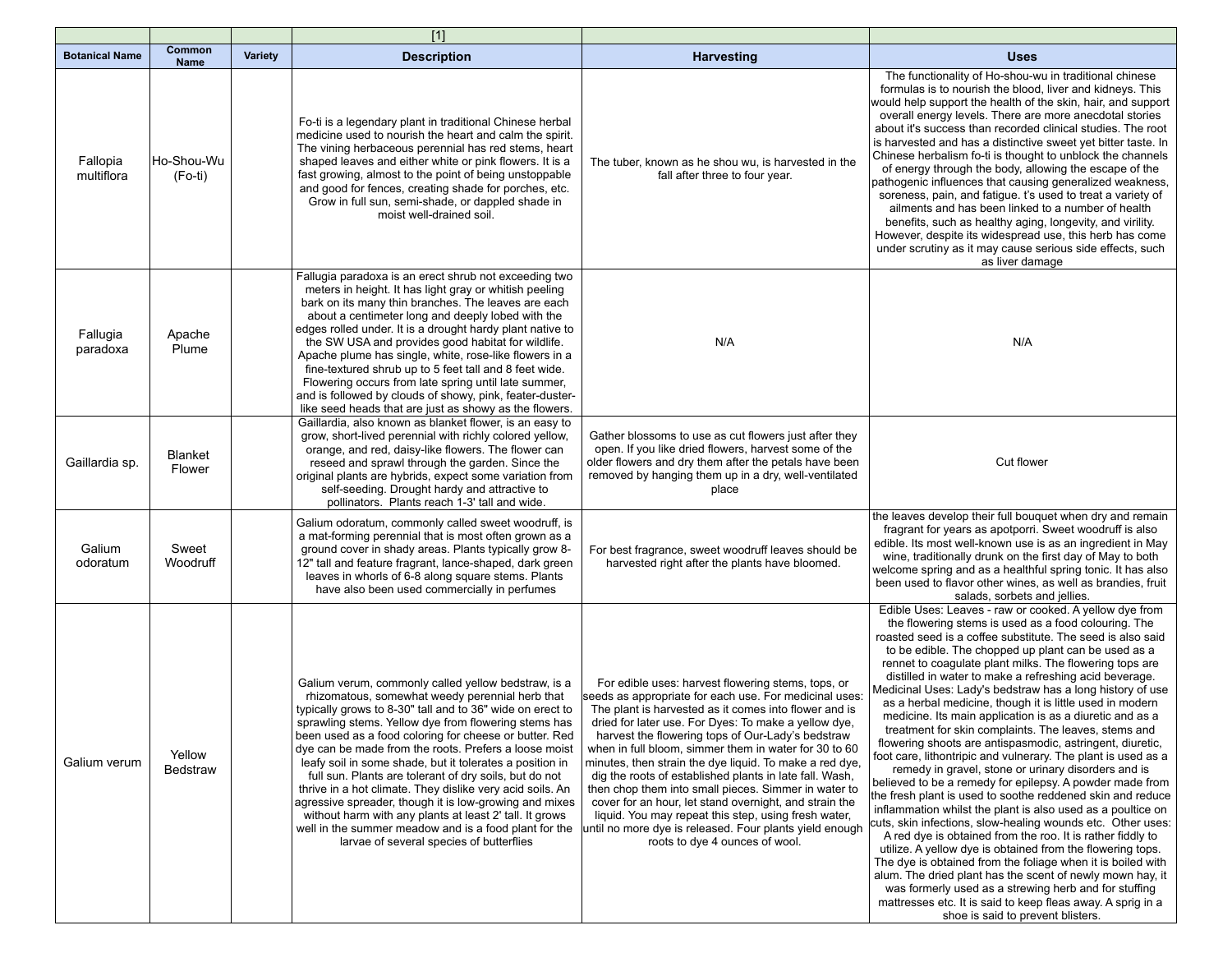|                        |                       |                | $[1]$                                                                                                                                                                                                                                                                                                                                                                                                                                                                                                                                                                                                                                                                                                                                                       |                                                                                                                                                                                                                                                                                                                                                                                                                                                                                                                                                                                                                                                                                                                                          |                                                                                                                                                                                                                                                                                                                                                                                                                                                                                                                                                                                                                                                                                                                                                                                                                                                                                                                                                                                                                                                                                                                                                                                                                                                                                                                                                                                                                                                                         |
|------------------------|-----------------------|----------------|-------------------------------------------------------------------------------------------------------------------------------------------------------------------------------------------------------------------------------------------------------------------------------------------------------------------------------------------------------------------------------------------------------------------------------------------------------------------------------------------------------------------------------------------------------------------------------------------------------------------------------------------------------------------------------------------------------------------------------------------------------------|------------------------------------------------------------------------------------------------------------------------------------------------------------------------------------------------------------------------------------------------------------------------------------------------------------------------------------------------------------------------------------------------------------------------------------------------------------------------------------------------------------------------------------------------------------------------------------------------------------------------------------------------------------------------------------------------------------------------------------------|-------------------------------------------------------------------------------------------------------------------------------------------------------------------------------------------------------------------------------------------------------------------------------------------------------------------------------------------------------------------------------------------------------------------------------------------------------------------------------------------------------------------------------------------------------------------------------------------------------------------------------------------------------------------------------------------------------------------------------------------------------------------------------------------------------------------------------------------------------------------------------------------------------------------------------------------------------------------------------------------------------------------------------------------------------------------------------------------------------------------------------------------------------------------------------------------------------------------------------------------------------------------------------------------------------------------------------------------------------------------------------------------------------------------------------------------------------------------------|
| <b>Botanical Name</b>  | Common<br><b>Name</b> | <b>Variety</b> | <b>Description</b>                                                                                                                                                                                                                                                                                                                                                                                                                                                                                                                                                                                                                                                                                                                                          | Harvesting                                                                                                                                                                                                                                                                                                                                                                                                                                                                                                                                                                                                                                                                                                                               | <b>Uses</b>                                                                                                                                                                                                                                                                                                                                                                                                                                                                                                                                                                                                                                                                                                                                                                                                                                                                                                                                                                                                                                                                                                                                                                                                                                                                                                                                                                                                                                                             |
| Fallopia<br>multiflora | Ho-Shou-Wu<br>(Fo-ti) |                | Fo-ti is a legendary plant in traditional Chinese herbal<br>medicine used to nourish the heart and calm the spirit.<br>The vining herbaceous perennial has red stems, heart<br>shaped leaves and either white or pink flowers. It is a<br>fast growing, almost to the point of being unstoppable<br>and good for fences, creating shade for porches, etc.<br>Grow in full sun, semi-shade, or dappled shade in<br>moist well-drained soil.                                                                                                                                                                                                                                                                                                                  | The tuber, known as he shou wu, is harvested in the<br>fall after three to four year.                                                                                                                                                                                                                                                                                                                                                                                                                                                                                                                                                                                                                                                    | The functionality of Ho-shou-wu in traditional chinese<br>formulas is to nourish the blood, liver and kidneys. This<br>would help support the health of the skin, hair, and support<br>overall energy levels. There are more anecdotal stories<br>about it's success than recorded clinical studies. The root<br>is harvested and has a distinctive sweet yet bitter taste. In<br>Chinese herbalism fo-ti is thought to unblock the channels<br>of energy through the body, allowing the escape of the<br>pathogenic influences that causing generalized weakness,<br>soreness, pain, and fatique. t's used to treat a variety of<br>ailments and has been linked to a number of health<br>benefits, such as healthy aging, longevity, and virility.<br>However, despite its widespread use, this herb has come<br>under scrutiny as it may cause serious side effects, such<br>as liver damage                                                                                                                                                                                                                                                                                                                                                                                                                                                                                                                                                                         |
| Fallugia<br>paradoxa   | Apache<br>Plume       |                | Fallugia paradoxa is an erect shrub not exceeding two<br>meters in height. It has light gray or whitish peeling<br>bark on its many thin branches. The leaves are each<br>about a centimeter long and deeply lobed with the<br>edges rolled under. It is a drought hardy plant native to<br>the SW USA and provides good habitat for wildlife.<br>Apache plume has single, white, rose-like flowers in a<br>fine-textured shrub up to 5 feet tall and 8 feet wide.<br>Flowering occurs from late spring until late summer,<br>and is followed by clouds of showy, pink, feater-duster-<br>like seed heads that are just as showy as the flowers.                                                                                                            | N/A                                                                                                                                                                                                                                                                                                                                                                                                                                                                                                                                                                                                                                                                                                                                      | N/A                                                                                                                                                                                                                                                                                                                                                                                                                                                                                                                                                                                                                                                                                                                                                                                                                                                                                                                                                                                                                                                                                                                                                                                                                                                                                                                                                                                                                                                                     |
| Gaillardia sp.         | Blanket<br>Flower     |                | Gaillardia, also known as blanket flower, is an easy to<br>grow, short-lived perennial with richly colored yellow,<br>orange, and red, daisy-like flowers. The flower can<br>reseed and sprawl through the garden. Since the<br>original plants are hybrids, expect some variation from<br>self-seeding. Drought hardy and attractive to<br>pollinators. Plants reach 1-3' tall and wide.                                                                                                                                                                                                                                                                                                                                                                   | Gather blossoms to use as cut flowers just after they<br>open. If you like dried flowers, harvest some of the<br>older flowers and dry them after the petals have been<br>removed by hanging them up in a dry, well-ventilated<br>place                                                                                                                                                                                                                                                                                                                                                                                                                                                                                                  | Cut flower                                                                                                                                                                                                                                                                                                                                                                                                                                                                                                                                                                                                                                                                                                                                                                                                                                                                                                                                                                                                                                                                                                                                                                                                                                                                                                                                                                                                                                                              |
| Galium<br>odoratum     | Sweet<br>Woodruff     |                | Galium odoratum, commonly called sweet woodruff, is<br>a mat-forming perennial that is most often grown as a<br>ground cover in shady areas. Plants typically grow 8-<br>12" tall and feature fragrant, lance-shaped, dark green<br>leaves in whorls of 6-8 along square stems. Plants<br>have also been used commercially in perfumes                                                                                                                                                                                                                                                                                                                                                                                                                      | For best fragrance, sweet woodruff leaves should be<br>harvested right after the plants have bloomed.                                                                                                                                                                                                                                                                                                                                                                                                                                                                                                                                                                                                                                    | the leaves develop their full bouquet when dry and remain<br>fragrant for years as apotporri. Sweet woodruff is also<br>edible. Its most well-known use is as an ingredient in May<br>wine, traditionally drunk on the first day of May to both<br>welcome spring and as a healthful spring tonic. It has also<br>been used to flavor other wines, as well as brandies, fruit<br>salads, sorbets and jellies.                                                                                                                                                                                                                                                                                                                                                                                                                                                                                                                                                                                                                                                                                                                                                                                                                                                                                                                                                                                                                                                           |
| Galium verum           | Yellow<br>Bedstraw    |                | Galium verum, commonly called yellow bedstraw, is a<br>rhizomatous, somewhat weedy perennial herb that<br>typically grows to 8-30" tall and to 36" wide on erect to<br>sprawling stems. Yellow dye from flowering stems has<br>been used as a food coloring for cheese or butter. Red<br>dye can be made from the roots. Prefers a loose moist<br>leafy soil in some shade, but it tolerates a position in<br>full sun. Plants are tolerant of dry soils, but do not<br>thrive in a hot climate. They dislike very acid soils. An<br>agressive spreader, though it is low-growing and mixes<br>without harm with any plants at least 2' tall. It grows<br>well in the summer meadow and is a food plant for the<br>larvae of several species of butterflies | For edible uses: harvest flowering stems, tops, or<br>seeds as appropriate for each use. For medicinal uses:<br>The plant is harvested as it comes into flower and is<br>dried for later use. For Dyes: To make a yellow dye,<br>harvest the flowering tops of Our-Lady's bedstraw<br>when in full bloom, simmer them in water for 30 to 60<br>minutes, then strain the dye liquid. To make a red dye,<br>dig the roots of established plants in late fall. Wash,<br>then chop them into small pieces. Simmer in water to<br>cover for an hour, let stand overnight, and strain the<br>liquid. You may repeat this step, using fresh water,<br>until no more dye is released. Four plants yield enough<br>roots to dye 4 ounces of wool. | Edible Uses: Leaves - raw or cooked. A yellow dye from<br>the flowering stems is used as a food colouring. The<br>roasted seed is a coffee substitute. The seed is also said<br>to be edible. The chopped up plant can be used as a<br>rennet to coaquiate plant milks. The flowering tops are<br>distilled in water to make a refreshing acid beverage.<br>Medicinal Uses: Lady's bedstraw has a long history of use<br>as a herbal medicine, though it is little used in modern<br>medicine. Its main application is as a diuretic and as a<br>treatment for skin complaints. The leaves, stems and<br>flowering shoots are antispasmodic, astringent, diuretic,<br>foot care, lithontripic and vulnerary. The plant is used as a<br>remedy in gravel, stone or urinary disorders and is<br>believed to be a remedy for epilepsy. A powder made from<br>the fresh plant is used to soothe reddened skin and reduce<br>inflammation whilst the plant is also used as a poultice on<br>cuts, skin infections, slow-healing wounds etc. Other uses:<br>A red dye is obtained from the roo. It is rather fiddly to<br>utilize. A yellow dye is obtained from the flowering tops.<br>The dye is obtained from the foliage when it is boiled with<br>alum. The dried plant has the scent of newly mown hay, it<br>was formerly used as a strewing herb and for stuffing<br>mattresses etc. It is said to keep fleas away. A sprig in a<br>shoe is said to prevent blisters. |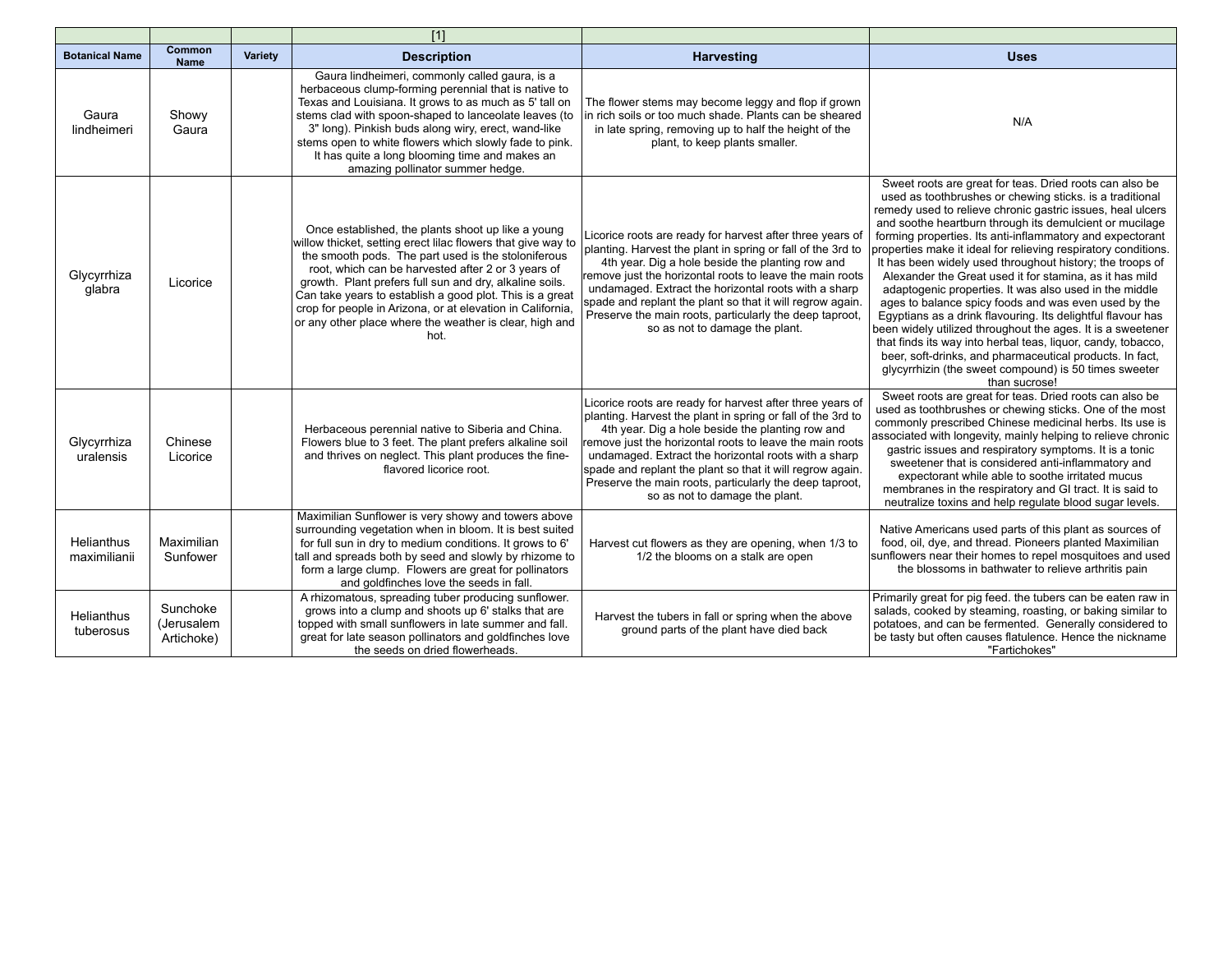|                                   |                                      |         | $[1]$                                                                                                                                                                                                                                                                                                                                                                                                                                                                                   |                                                                                                                                                                                                                                                                                                                                                                                                                                                            |                                                                                                                                                                                                                                                                                                                                                                                                                                                                                                                                                                                                                                                                                                                                                                                                                                                                                                                                                           |
|-----------------------------------|--------------------------------------|---------|-----------------------------------------------------------------------------------------------------------------------------------------------------------------------------------------------------------------------------------------------------------------------------------------------------------------------------------------------------------------------------------------------------------------------------------------------------------------------------------------|------------------------------------------------------------------------------------------------------------------------------------------------------------------------------------------------------------------------------------------------------------------------------------------------------------------------------------------------------------------------------------------------------------------------------------------------------------|-----------------------------------------------------------------------------------------------------------------------------------------------------------------------------------------------------------------------------------------------------------------------------------------------------------------------------------------------------------------------------------------------------------------------------------------------------------------------------------------------------------------------------------------------------------------------------------------------------------------------------------------------------------------------------------------------------------------------------------------------------------------------------------------------------------------------------------------------------------------------------------------------------------------------------------------------------------|
| <b>Botanical Name</b>             | Common<br><b>Name</b>                | Variety | <b>Description</b>                                                                                                                                                                                                                                                                                                                                                                                                                                                                      | <b>Harvesting</b>                                                                                                                                                                                                                                                                                                                                                                                                                                          | <b>Uses</b>                                                                                                                                                                                                                                                                                                                                                                                                                                                                                                                                                                                                                                                                                                                                                                                                                                                                                                                                               |
| Gaura<br>lindheimeri              | Showy<br>Gaura                       |         | Gaura lindheimeri, commonly called gaura, is a<br>herbaceous clump-forming perennial that is native to<br>Texas and Louisiana. It grows to as much as 5' tall on<br>stems clad with spoon-shaped to lanceolate leaves (to<br>3" long). Pinkish buds along wiry, erect, wand-like<br>stems open to white flowers which slowly fade to pink.<br>It has quite a long blooming time and makes an<br>amazing pollinator summer hedge.                                                        | The flower stems may become leggy and flop if grown<br>in rich soils or too much shade. Plants can be sheared<br>in late spring, removing up to half the height of the<br>plant, to keep plants smaller.                                                                                                                                                                                                                                                   | N/A                                                                                                                                                                                                                                                                                                                                                                                                                                                                                                                                                                                                                                                                                                                                                                                                                                                                                                                                                       |
| Glycyrrhiza<br>glabra             | Licorice                             |         | Once established, the plants shoot up like a young<br>willow thicket, setting erect lilac flowers that give way to<br>the smooth pods. The part used is the stoloniferous<br>root, which can be harvested after 2 or 3 years of<br>growth. Plant prefers full sun and dry, alkaline soils.<br>Can take years to establish a good plot. This is a great<br>crop for people in Arizona, or at elevation in California,<br>or any other place where the weather is clear, high and<br>hot. | Licorice roots are ready for harvest after three years of<br>planting. Harvest the plant in spring or fall of the 3rd to<br>4th year. Dig a hole beside the planting row and<br>remove just the horizontal roots to leave the main roots<br>undamaged. Extract the horizontal roots with a sharp<br>spade and replant the plant so that it will regrow again.<br>Preserve the main roots, particularly the deep taproot,<br>so as not to damage the plant. | Sweet roots are great for teas. Dried roots can also be<br>used as toothbrushes or chewing sticks. is a traditional<br>remedy used to relieve chronic gastric issues, heal ulcers<br>and soothe heartburn through its demulcient or mucilage<br>forming properties. Its anti-inflammatory and expectorant<br>properties make it ideal for relieving respiratory conditions.<br>It has been widely used throughout history; the troops of<br>Alexander the Great used it for stamina, as it has mild<br>adaptogenic properties. It was also used in the middle<br>ages to balance spicy foods and was even used by the<br>Egyptians as a drink flavouring. Its delightful flavour has<br>been widely utilized throughout the ages. It is a sweetener<br>that finds its way into herbal teas, liquor, candy, tobacco,<br>beer, soft-drinks, and pharmaceutical products. In fact,<br>glycyrrhizin (the sweet compound) is 50 times sweeter<br>than sucrose! |
| Glycyrrhiza<br>uralensis          | Chinese<br>Licorice                  |         | Herbaceous perennial native to Siberia and China.<br>Flowers blue to 3 feet. The plant prefers alkaline soil<br>and thrives on neglect. This plant produces the fine-<br>flavored licorice root.                                                                                                                                                                                                                                                                                        | Licorice roots are ready for harvest after three years of<br>planting. Harvest the plant in spring or fall of the 3rd to<br>4th year. Dig a hole beside the planting row and<br>remove just the horizontal roots to leave the main roots<br>undamaged. Extract the horizontal roots with a sharp<br>spade and replant the plant so that it will regrow again.<br>Preserve the main roots, particularly the deep taproot,<br>so as not to damage the plant. | Sweet roots are great for teas. Dried roots can also be<br>used as toothbrushes or chewing sticks. One of the most<br>commonly prescribed Chinese medicinal herbs. Its use is<br>associated with longevity, mainly helping to relieve chronic<br>gastric issues and respiratory symptoms. It is a tonic<br>sweetener that is considered anti-inflammatory and<br>expectorant while able to soothe irritated mucus<br>membranes in the respiratory and GI tract. It is said to<br>neutralize toxins and help regulate blood sugar levels.                                                                                                                                                                                                                                                                                                                                                                                                                  |
| <b>Helianthus</b><br>maximilianii | Maximilian<br>Sunfower               |         | Maximilian Sunflower is very showy and towers above<br>surrounding vegetation when in bloom. It is best suited<br>for full sun in dry to medium conditions. It grows to 6'<br>tall and spreads both by seed and slowly by rhizome to<br>form a large clump. Flowers are great for pollinators<br>and goldfinches love the seeds in fall.                                                                                                                                                | Harvest cut flowers as they are opening, when 1/3 to<br>1/2 the blooms on a stalk are open                                                                                                                                                                                                                                                                                                                                                                 | Native Americans used parts of this plant as sources of<br>food, oil, dye, and thread. Pioneers planted Maximilian<br>sunflowers near their homes to repel mosquitoes and used<br>the blossoms in bathwater to relieve arthritis pain                                                                                                                                                                                                                                                                                                                                                                                                                                                                                                                                                                                                                                                                                                                     |
| <b>Helianthus</b><br>tuberosus    | Sunchoke<br>(Jerusalem<br>Artichoke) |         | A rhizomatous, spreading tuber producing sunflower.<br>grows into a clump and shoots up 6' stalks that are<br>topped with small sunflowers in late summer and fall.<br>great for late season pollinators and goldfinches love<br>the seeds on dried flowerheads.                                                                                                                                                                                                                        | Harvest the tubers in fall or spring when the above<br>ground parts of the plant have died back                                                                                                                                                                                                                                                                                                                                                            | Primarily great for pig feed. the tubers can be eaten raw in<br>salads, cooked by steaming, roasting, or baking similar to<br>potatoes, and can be fermented. Generally considered to<br>be tasty but often causes flatulence. Hence the nickname<br>"Fartichokes"                                                                                                                                                                                                                                                                                                                                                                                                                                                                                                                                                                                                                                                                                        |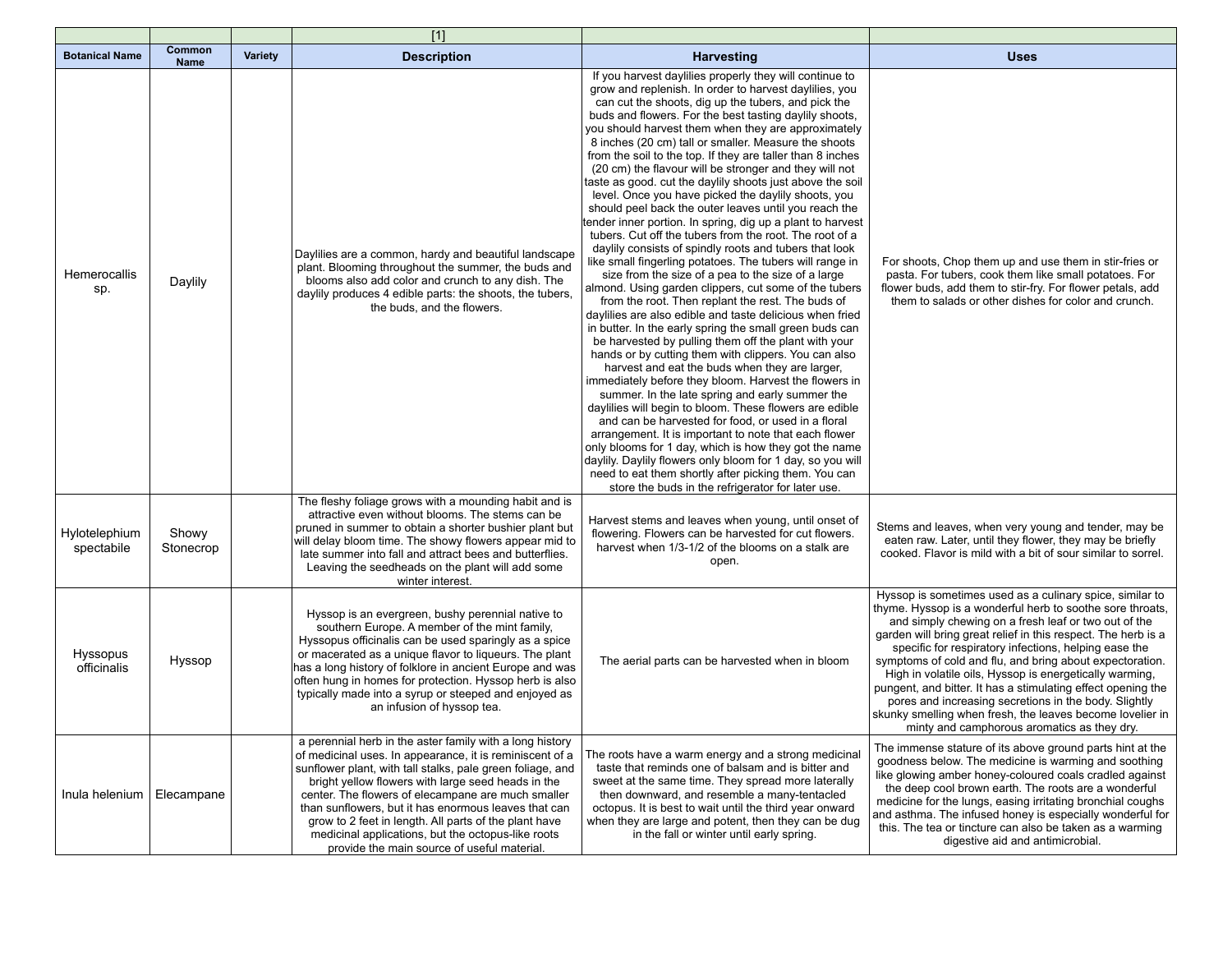|                                |                       |         | $[1]$                                                                                                                                                                                                                                                                                                                                                                                                                                                                                                                |                                                                                                                                                                                                                                                                                                                                                                                                                                                                                                                                                                                                                                                                                                                                                                                                                                                                                                                                                                                                                                                                                                                                                                                                                                                                                                                                                                                                                                                                                                                                                                                                                                                                                                                                                                                                                                                                                              |                                                                                                                                                                                                                                                                                                                                                                                                                                                                                                                                                                                                                                                                     |
|--------------------------------|-----------------------|---------|----------------------------------------------------------------------------------------------------------------------------------------------------------------------------------------------------------------------------------------------------------------------------------------------------------------------------------------------------------------------------------------------------------------------------------------------------------------------------------------------------------------------|----------------------------------------------------------------------------------------------------------------------------------------------------------------------------------------------------------------------------------------------------------------------------------------------------------------------------------------------------------------------------------------------------------------------------------------------------------------------------------------------------------------------------------------------------------------------------------------------------------------------------------------------------------------------------------------------------------------------------------------------------------------------------------------------------------------------------------------------------------------------------------------------------------------------------------------------------------------------------------------------------------------------------------------------------------------------------------------------------------------------------------------------------------------------------------------------------------------------------------------------------------------------------------------------------------------------------------------------------------------------------------------------------------------------------------------------------------------------------------------------------------------------------------------------------------------------------------------------------------------------------------------------------------------------------------------------------------------------------------------------------------------------------------------------------------------------------------------------------------------------------------------------|---------------------------------------------------------------------------------------------------------------------------------------------------------------------------------------------------------------------------------------------------------------------------------------------------------------------------------------------------------------------------------------------------------------------------------------------------------------------------------------------------------------------------------------------------------------------------------------------------------------------------------------------------------------------|
| <b>Botanical Name</b>          | Common<br><b>Name</b> | Variety | <b>Description</b>                                                                                                                                                                                                                                                                                                                                                                                                                                                                                                   | <b>Harvesting</b>                                                                                                                                                                                                                                                                                                                                                                                                                                                                                                                                                                                                                                                                                                                                                                                                                                                                                                                                                                                                                                                                                                                                                                                                                                                                                                                                                                                                                                                                                                                                                                                                                                                                                                                                                                                                                                                                            | <b>Uses</b>                                                                                                                                                                                                                                                                                                                                                                                                                                                                                                                                                                                                                                                         |
| <b>Hemerocallis</b><br>sp.     | Daylily               |         | Daylilies are a common, hardy and beautiful landscape<br>plant. Blooming throughout the summer, the buds and<br>blooms also add color and crunch to any dish. The<br>daylily produces 4 edible parts: the shoots, the tubers,<br>the buds, and the flowers.                                                                                                                                                                                                                                                          | If you harvest daylilies properly they will continue to<br>grow and replenish. In order to harvest daylilies, you<br>can cut the shoots, dig up the tubers, and pick the<br>buds and flowers. For the best tasting daylily shoots,<br>you should harvest them when they are approximately<br>8 inches (20 cm) tall or smaller. Measure the shoots<br>from the soil to the top. If they are taller than 8 inches<br>(20 cm) the flavour will be stronger and they will not<br>taste as good. cut the daylily shoots just above the soil<br>level. Once you have picked the daylily shoots, you<br>should peel back the outer leaves until you reach the<br>tender inner portion. In spring, dig up a plant to harvest<br>tubers. Cut off the tubers from the root. The root of a<br>daylily consists of spindly roots and tubers that look<br>like small fingerling potatoes. The tubers will range in<br>size from the size of a pea to the size of a large<br>almond. Using garden clippers, cut some of the tubers<br>from the root. Then replant the rest. The buds of<br>daylilies are also edible and taste delicious when fried<br>in butter. In the early spring the small green buds can<br>be harvested by pulling them off the plant with your<br>hands or by cutting them with clippers. You can also<br>harvest and eat the buds when they are larger,<br>immediately before they bloom. Harvest the flowers in<br>summer. In the late spring and early summer the<br>davillies will begin to bloom. These flowers are edible<br>and can be harvested for food, or used in a floral<br>arrangement. It is important to note that each flower<br>only blooms for 1 day, which is how they got the name<br>daylily. Daylily flowers only bloom for 1 day, so you will<br>need to eat them shortly after picking them. You can<br>store the buds in the refrigerator for later use. | For shoots, Chop them up and use them in stir-fries or<br>pasta. For tubers, cook them like small potatoes. For<br>flower buds, add them to stir-fry. For flower petals, add<br>them to salads or other dishes for color and crunch.                                                                                                                                                                                                                                                                                                                                                                                                                                |
| Hylotelephium<br>spectabile    | Showy<br>Stonecrop    |         | The fleshy foliage grows with a mounding habit and is<br>attractive even without blooms. The stems can be<br>pruned in summer to obtain a shorter bushier plant but<br>will delay bloom time. The showy flowers appear mid to<br>late summer into fall and attract bees and butterflies.<br>Leaving the seedheads on the plant will add some<br>winter interest.                                                                                                                                                     | Harvest stems and leaves when young, until onset of<br>flowering. Flowers can be harvested for cut flowers.<br>harvest when 1/3-1/2 of the blooms on a stalk are<br>open.                                                                                                                                                                                                                                                                                                                                                                                                                                                                                                                                                                                                                                                                                                                                                                                                                                                                                                                                                                                                                                                                                                                                                                                                                                                                                                                                                                                                                                                                                                                                                                                                                                                                                                                    | Stems and leaves, when very young and tender, may be<br>eaten raw. Later, until they flower, they may be briefly<br>cooked. Flavor is mild with a bit of sour similar to sorrel.                                                                                                                                                                                                                                                                                                                                                                                                                                                                                    |
| <b>Hyssopus</b><br>officinalis | Hyssop                |         | Hyssop is an evergreen, bushy perennial native to<br>southern Europe. A member of the mint family,<br>Hyssopus officinalis can be used sparingly as a spice<br>or macerated as a unique flavor to liqueurs. The plant<br>has a long history of folklore in ancient Europe and was<br>often hung in homes for protection. Hyssop herb is also<br>typically made into a syrup or steeped and enjoyed as<br>an infusion of hyssop tea.                                                                                  | The aerial parts can be harvested when in bloom                                                                                                                                                                                                                                                                                                                                                                                                                                                                                                                                                                                                                                                                                                                                                                                                                                                                                                                                                                                                                                                                                                                                                                                                                                                                                                                                                                                                                                                                                                                                                                                                                                                                                                                                                                                                                                              | Hyssop is sometimes used as a culinary spice, similar to<br>thyme. Hyssop is a wonderful herb to soothe sore throats,<br>and simply chewing on a fresh leaf or two out of the<br>garden will bring great relief in this respect. The herb is a<br>specific for respiratory infections, helping ease the<br>symptoms of cold and flu, and bring about expectoration.<br>High in volatile oils, Hyssop is energetically warming,<br>pungent, and bitter. It has a stimulating effect opening the<br>pores and increasing secretions in the body. Slightly<br>skunky smelling when fresh, the leaves become lovelier in<br>minty and camphorous aromatics as they dry. |
| Inula helenium                 | Elecampane            |         | a perennial herb in the aster family with a long history<br>of medicinal uses. In appearance, it is reminiscent of a<br>sunflower plant, with tall stalks, pale green foliage, and<br>bright yellow flowers with large seed heads in the<br>center. The flowers of elecampane are much smaller<br>than sunflowers, but it has enormous leaves that can<br>grow to 2 feet in length. All parts of the plant have<br>medicinal applications, but the octopus-like roots<br>provide the main source of useful material. | The roots have a warm energy and a strong medicinal<br>taste that reminds one of balsam and is bitter and<br>sweet at the same time. They spread more laterally<br>then downward, and resemble a many-tentacled<br>octopus. It is best to wait until the third year onward<br>when they are large and potent, then they can be dug<br>in the fall or winter until early spring.                                                                                                                                                                                                                                                                                                                                                                                                                                                                                                                                                                                                                                                                                                                                                                                                                                                                                                                                                                                                                                                                                                                                                                                                                                                                                                                                                                                                                                                                                                              | The immense stature of its above ground parts hint at the<br>goodness below. The medicine is warming and soothing<br>like glowing amber honey-coloured coals cradled against<br>the deep cool brown earth. The roots are a wonderful<br>medicine for the lungs, easing irritating bronchial coughs<br>and asthma. The infused honey is especially wonderful for<br>this. The tea or tincture can also be taken as a warming<br>digestive aid and antimicrobial.                                                                                                                                                                                                     |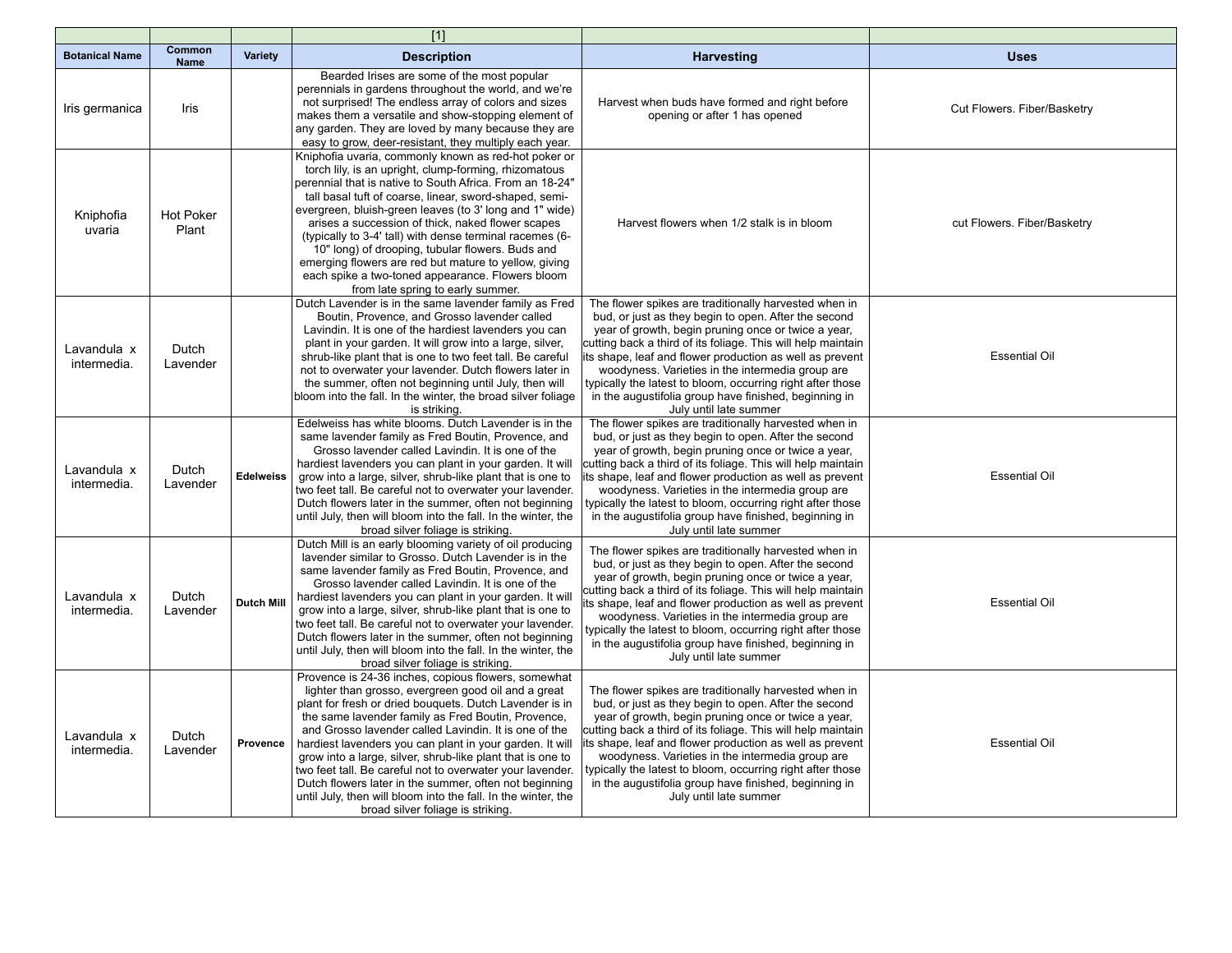|                            |                           |                   | $[1]$                                                                                                                                                                                                                                                                                                                                                                                                                                                                                                                                                                                                                                       |                                                                                                                                                                                                                                                                                                                                                                                                                                                                                                       |                             |
|----------------------------|---------------------------|-------------------|---------------------------------------------------------------------------------------------------------------------------------------------------------------------------------------------------------------------------------------------------------------------------------------------------------------------------------------------------------------------------------------------------------------------------------------------------------------------------------------------------------------------------------------------------------------------------------------------------------------------------------------------|-------------------------------------------------------------------------------------------------------------------------------------------------------------------------------------------------------------------------------------------------------------------------------------------------------------------------------------------------------------------------------------------------------------------------------------------------------------------------------------------------------|-----------------------------|
| <b>Botanical Name</b>      | Common<br><b>Name</b>     | <b>Variety</b>    | <b>Description</b>                                                                                                                                                                                                                                                                                                                                                                                                                                                                                                                                                                                                                          | <b>Harvesting</b>                                                                                                                                                                                                                                                                                                                                                                                                                                                                                     | <b>Uses</b>                 |
| Iris germanica             | Iris                      |                   | Bearded Irises are some of the most popular<br>perennials in gardens throughout the world, and we're<br>not surprised! The endless array of colors and sizes<br>makes them a versatile and show-stopping element of<br>any garden. They are loved by many because they are<br>easy to grow, deer-resistant, they multiply each year.                                                                                                                                                                                                                                                                                                        | Harvest when buds have formed and right before<br>opening or after 1 has opened                                                                                                                                                                                                                                                                                                                                                                                                                       | Cut Flowers. Fiber/Basketry |
| Kniphofia<br>uvaria        | <b>Hot Poker</b><br>Plant |                   | Kniphofia uvaria, commonly known as red-hot poker or<br>torch lily, is an upright, clump-forming, rhizomatous<br>perennial that is native to South Africa. From an 18-24"<br>tall basal tuft of coarse, linear, sword-shaped, semi-<br>evergreen, bluish-green leaves (to 3' long and 1" wide)<br>arises a succession of thick, naked flower scapes<br>(typically to 3-4' tall) with dense terminal racemes (6-<br>10" long) of drooping, tubular flowers. Buds and<br>emerging flowers are red but mature to yellow, giving<br>each spike a two-toned appearance. Flowers bloom<br>from late spring to early summer.                       | Harvest flowers when 1/2 stalk is in bloom                                                                                                                                                                                                                                                                                                                                                                                                                                                            | cut Flowers. Fiber/Basketry |
| Lavandula x<br>intermedia. | Dutch<br>Lavender         |                   | Dutch Lavender is in the same lavender family as Fred<br>Boutin, Provence, and Grosso lavender called<br>Lavindin. It is one of the hardiest lavenders you can<br>plant in your garden. It will grow into a large, silver,<br>shrub-like plant that is one to two feet tall. Be careful<br>not to overwater your lavender. Dutch flowers later in<br>the summer, often not beginning until July, then will<br>bloom into the fall. In the winter, the broad silver foliage<br>is striking.                                                                                                                                                  | The flower spikes are traditionally harvested when in<br>bud, or just as they begin to open. After the second<br>year of growth, begin pruning once or twice a year,<br>cutting back a third of its foliage. This will help maintain<br>its shape, leaf and flower production as well as prevent<br>woodyness. Varieties in the intermedia group are<br>typically the latest to bloom, occurring right after those<br>in the augustifolia group have finished, beginning in<br>July until late summer | <b>Essential Oil</b>        |
| Lavandula x<br>intermedia. | Dutch<br>Lavender         | <b>Edelweiss</b>  | Edelweiss has white blooms. Dutch Lavender is in the<br>same lavender family as Fred Boutin, Provence, and<br>Grosso lavender called Lavindin. It is one of the<br>hardiest lavenders you can plant in your garden. It will<br>grow into a large, silver, shrub-like plant that is one to<br>two feet tall. Be careful not to overwater your lavender.<br>Dutch flowers later in the summer, often not beginning<br>until July, then will bloom into the fall. In the winter, the<br>broad silver foliage is striking.                                                                                                                      | The flower spikes are traditionally harvested when in<br>bud, or just as they begin to open. After the second<br>year of growth, begin pruning once or twice a year,<br>cutting back a third of its foliage. This will help maintain<br>ts shape, leaf and flower production as well as prevent<br>woodyness. Varieties in the intermedia group are<br>typically the latest to bloom, occurring right after those<br>in the augustifolia group have finished, beginning in<br>July until late summer  | <b>Essential Oil</b>        |
| Lavandula x<br>intermedia. | Dutch<br>Lavender         | <b>Dutch Mill</b> | Dutch Mill is an early blooming variety of oil producing<br>lavender similar to Grosso. Dutch Lavender is in the<br>same lavender family as Fred Boutin, Provence, and<br>Grosso lavender called Lavindin. It is one of the<br>hardiest lavenders you can plant in your garden. It will<br>grow into a large, silver, shrub-like plant that is one to<br>two feet tall. Be careful not to overwater your lavender.<br>Dutch flowers later in the summer, often not beginning<br>until July, then will bloom into the fall. In the winter, the<br>broad silver foliage is striking.                                                          | The flower spikes are traditionally harvested when in<br>bud, or just as they begin to open. After the second<br>year of growth, begin pruning once or twice a year,<br>cutting back a third of its foliage. This will help maintain<br>ts shape, leaf and flower production as well as prevent<br>woodyness. Varieties in the intermedia group are<br>typically the latest to bloom, occurring right after those<br>in the augustifolia group have finished, beginning in<br>July until late summer  | <b>Essential Oil</b>        |
| Lavandula x<br>intermedia. | Dutch<br>Lavender         | Provence          | Provence is 24-36 inches, copious flowers, somewhat<br>lighter than grosso, evergreen good oil and a great<br>plant for fresh or dried bouquets. Dutch Lavender is in<br>the same lavender family as Fred Boutin, Provence,<br>and Grosso lavender called Lavindin. It is one of the<br>hardiest lavenders you can plant in your garden. It will<br>grow into a large, silver, shrub-like plant that is one to<br>two feet tall. Be careful not to overwater your lavender.<br>Dutch flowers later in the summer, often not beginning<br>until July, then will bloom into the fall. In the winter, the<br>broad silver foliage is striking. | The flower spikes are traditionally harvested when in<br>bud, or just as they begin to open. After the second<br>year of growth, begin pruning once or twice a year,<br>cutting back a third of its foliage. This will help maintain<br>ts shape, leaf and flower production as well as prevent<br>woodyness. Varieties in the intermedia group are<br>typically the latest to bloom, occurring right after those<br>in the augustifolia group have finished, beginning in<br>July until late summer  | <b>Essential Oil</b>        |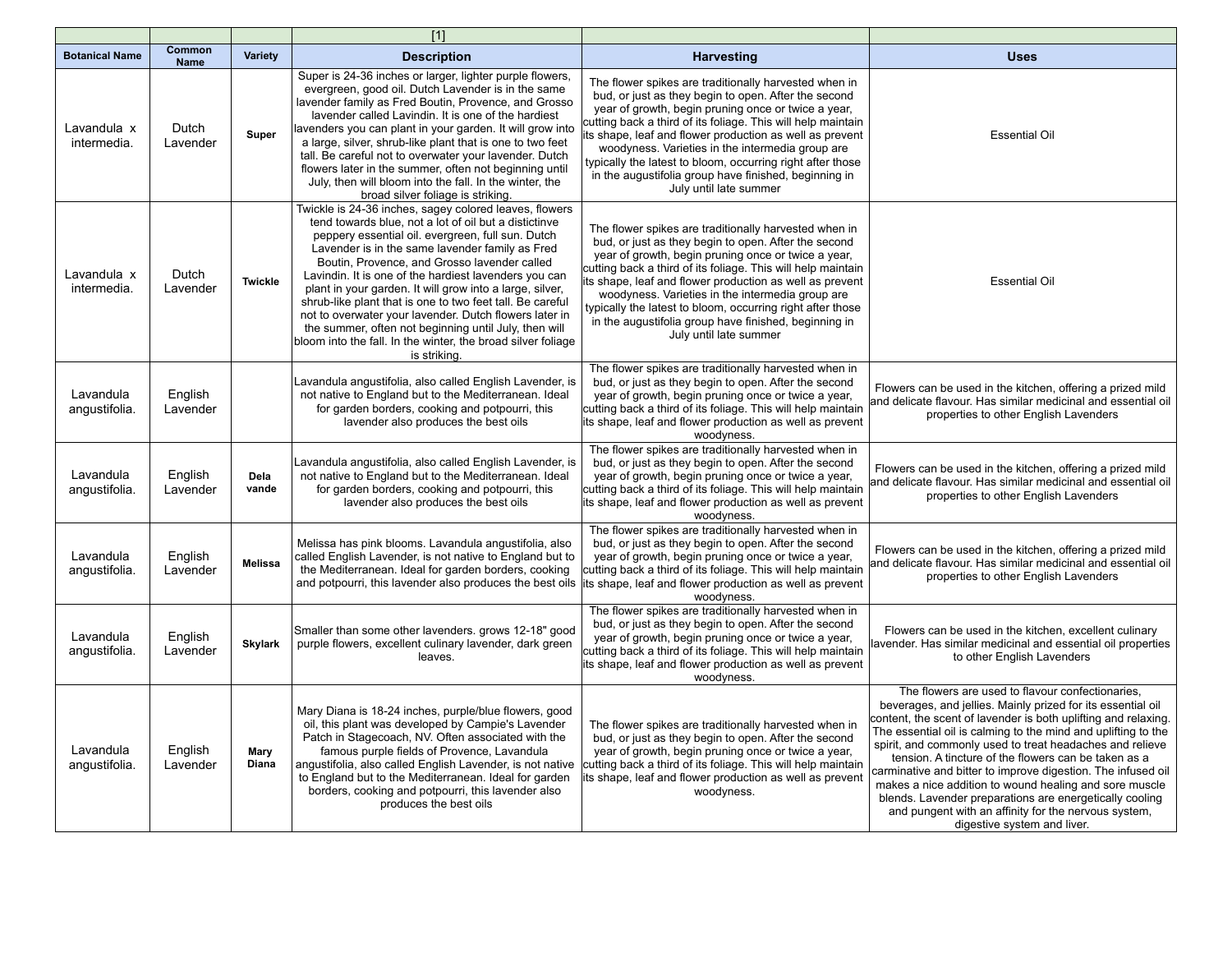|                            |                       |                      | $[1]$                                                                                                                                                                                                                                                                                                                                                                                                                                                                                                                                                                                                                                                        |                                                                                                                                                                                                                                                                                                                                                                                                                                                                                                      |                                                                                                                                                                                                                                                                                                                                                                                                                                                                                                                                                                                                                                                    |
|----------------------------|-----------------------|----------------------|--------------------------------------------------------------------------------------------------------------------------------------------------------------------------------------------------------------------------------------------------------------------------------------------------------------------------------------------------------------------------------------------------------------------------------------------------------------------------------------------------------------------------------------------------------------------------------------------------------------------------------------------------------------|------------------------------------------------------------------------------------------------------------------------------------------------------------------------------------------------------------------------------------------------------------------------------------------------------------------------------------------------------------------------------------------------------------------------------------------------------------------------------------------------------|----------------------------------------------------------------------------------------------------------------------------------------------------------------------------------------------------------------------------------------------------------------------------------------------------------------------------------------------------------------------------------------------------------------------------------------------------------------------------------------------------------------------------------------------------------------------------------------------------------------------------------------------------|
| <b>Botanical Name</b>      | Common<br><b>Name</b> | Variety              | <b>Description</b>                                                                                                                                                                                                                                                                                                                                                                                                                                                                                                                                                                                                                                           | <b>Harvesting</b>                                                                                                                                                                                                                                                                                                                                                                                                                                                                                    | <b>Uses</b>                                                                                                                                                                                                                                                                                                                                                                                                                                                                                                                                                                                                                                        |
| Lavandula x<br>intermedia. | Dutch<br>Lavender     | Super                | Super is 24-36 inches or larger, lighter purple flowers,<br>evergreen, good oil. Dutch Lavender is in the same<br>lavender family as Fred Boutin, Provence, and Grosso<br>lavender called Lavindin. It is one of the hardiest<br>lavenders you can plant in your garden. It will grow into<br>a large, silver, shrub-like plant that is one to two feet<br>tall. Be careful not to overwater your lavender. Dutch<br>flowers later in the summer, often not beginning until<br>July, then will bloom into the fall. In the winter, the<br>broad silver foliage is striking.                                                                                  | The flower spikes are traditionally harvested when in<br>bud, or just as they begin to open. After the second<br>year of growth, begin pruning once or twice a year,<br>cutting back a third of its foliage. This will help maintain<br>ts shape, leaf and flower production as well as prevent<br>woodyness. Varieties in the intermedia group are<br>typically the latest to bloom, occurring right after those<br>in the augustifolia group have finished, beginning in<br>July until late summer | <b>Essential Oil</b>                                                                                                                                                                                                                                                                                                                                                                                                                                                                                                                                                                                                                               |
| Lavandula x<br>intermedia. | Dutch<br>Lavender     | <b>Twickle</b>       | Twickle is 24-36 inches, sagey colored leaves, flowers<br>tend towards blue, not a lot of oil but a distictinve<br>peppery essential oil. evergreen, full sun. Dutch<br>Lavender is in the same lavender family as Fred<br>Boutin, Provence, and Grosso lavender called<br>Lavindin. It is one of the hardiest lavenders you can<br>plant in your garden. It will grow into a large, silver,<br>shrub-like plant that is one to two feet tall. Be careful<br>not to overwater your lavender. Dutch flowers later in<br>the summer, often not beginning until July, then will<br>bloom into the fall. In the winter, the broad silver foliage<br>is striking. | The flower spikes are traditionally harvested when in<br>bud, or just as they begin to open. After the second<br>year of growth, begin pruning once or twice a year,<br>cutting back a third of its foliage. This will help maintain<br>ts shape, leaf and flower production as well as prevent<br>woodyness. Varieties in the intermedia group are<br>typically the latest to bloom, occurring right after those<br>in the augustifolia group have finished, beginning in<br>July until late summer | <b>Essential Oil</b>                                                                                                                                                                                                                                                                                                                                                                                                                                                                                                                                                                                                                               |
| Lavandula<br>angustifolia. | English<br>Lavender   |                      | Lavandula angustifolia, also called English Lavender, is<br>not native to England but to the Mediterranean. Ideal<br>for garden borders, cooking and potpourri, this<br>lavender also produces the best oils                                                                                                                                                                                                                                                                                                                                                                                                                                                 | The flower spikes are traditionally harvested when in<br>bud, or just as they begin to open. After the second<br>year of growth, begin pruning once or twice a year,<br>cutting back a third of its foliage. This will help maintain<br>its shape, leaf and flower production as well as prevent<br>woodyness.                                                                                                                                                                                       | Flowers can be used in the kitchen, offering a prized mild<br>and delicate flavour. Has similar medicinal and essential oil<br>properties to other English Lavenders                                                                                                                                                                                                                                                                                                                                                                                                                                                                               |
| Lavandula<br>angustifolia. | English<br>Lavender   | Dela<br>vande        | Lavandula angustifolia, also called English Lavender, is<br>not native to England but to the Mediterranean. Ideal<br>for garden borders, cooking and potpourri, this<br>lavender also produces the best oils                                                                                                                                                                                                                                                                                                                                                                                                                                                 | The flower spikes are traditionally harvested when in<br>bud, or just as they begin to open. After the second<br>year of growth, begin pruning once or twice a year,<br>cutting back a third of its foliage. This will help maintain<br>its shape, leaf and flower production as well as prevent<br>woodyness.                                                                                                                                                                                       | Flowers can be used in the kitchen, offering a prized mild<br>and delicate flavour. Has similar medicinal and essential oil<br>properties to other English Lavenders                                                                                                                                                                                                                                                                                                                                                                                                                                                                               |
| Lavandula<br>angustifolia. | English<br>Lavender   | <b>Melissa</b>       | Melissa has pink blooms. Lavandula angustifolia, also<br>called English Lavender, is not native to England but to<br>the Mediterranean. Ideal for garden borders, cooking<br>and potpourri, this lavender also produces the best oils                                                                                                                                                                                                                                                                                                                                                                                                                        | The flower spikes are traditionally harvested when in<br>bud, or just as they begin to open. After the second<br>year of growth, begin pruning once or twice a year,<br>cutting back a third of its foliage. This will help maintain<br>its shape, leaf and flower production as well as prevent<br>woodyness.                                                                                                                                                                                       | Flowers can be used in the kitchen, offering a prized mild<br>and delicate flavour. Has similar medicinal and essential oil<br>properties to other English Lavenders                                                                                                                                                                                                                                                                                                                                                                                                                                                                               |
| Lavandula<br>angustifolia. | English<br>Lavender   | <b>Skylark</b>       | Smaller than some other lavenders. grows 12-18" good<br>purple flowers, excellent culinary lavender, dark green<br>leaves.                                                                                                                                                                                                                                                                                                                                                                                                                                                                                                                                   | The flower spikes are traditionally harvested when in<br>bud, or just as they begin to open. After the second<br>year of growth, begin pruning once or twice a year,<br>cutting back a third of its foliage. This will help maintain<br>its shape, leaf and flower production as well as prevent<br>woodyness.                                                                                                                                                                                       | Flowers can be used in the kitchen, excellent culinary<br>avender. Has similar medicinal and essential oil properties<br>to other English Lavenders                                                                                                                                                                                                                                                                                                                                                                                                                                                                                                |
| Lavandula<br>angustifolia. | English<br>Lavender   | Mary<br><b>Diana</b> | Mary Diana is 18-24 inches, purple/blue flowers, good<br>oil, this plant was developed by Campie's Lavender<br>Patch in Stagecoach, NV. Often associated with the<br>famous purple fields of Provence, Lavandula<br>angustifolia, also called English Lavender, is not native<br>to England but to the Mediterranean. Ideal for garden<br>borders, cooking and potpourri, this lavender also<br>produces the best oils                                                                                                                                                                                                                                       | The flower spikes are traditionally harvested when in<br>bud, or just as they begin to open. After the second<br>year of growth, begin pruning once or twice a year,<br>cutting back a third of its foliage. This will help maintain<br>ts shape, leaf and flower production as well as prevent<br>woodyness.                                                                                                                                                                                        | The flowers are used to flavour confectionaries.<br>beverages, and jellies. Mainly prized for its essential oil<br>content, the scent of lavender is both uplifting and relaxing.<br>The essential oil is calming to the mind and uplifting to the<br>spirit, and commonly used to treat headaches and relieve<br>tension. A tincture of the flowers can be taken as a<br>carminative and bitter to improve digestion. The infused oil<br>makes a nice addition to wound healing and sore muscle<br>blends. Lavender preparations are energetically cooling<br>and pungent with an affinity for the nervous system,<br>digestive system and liver. |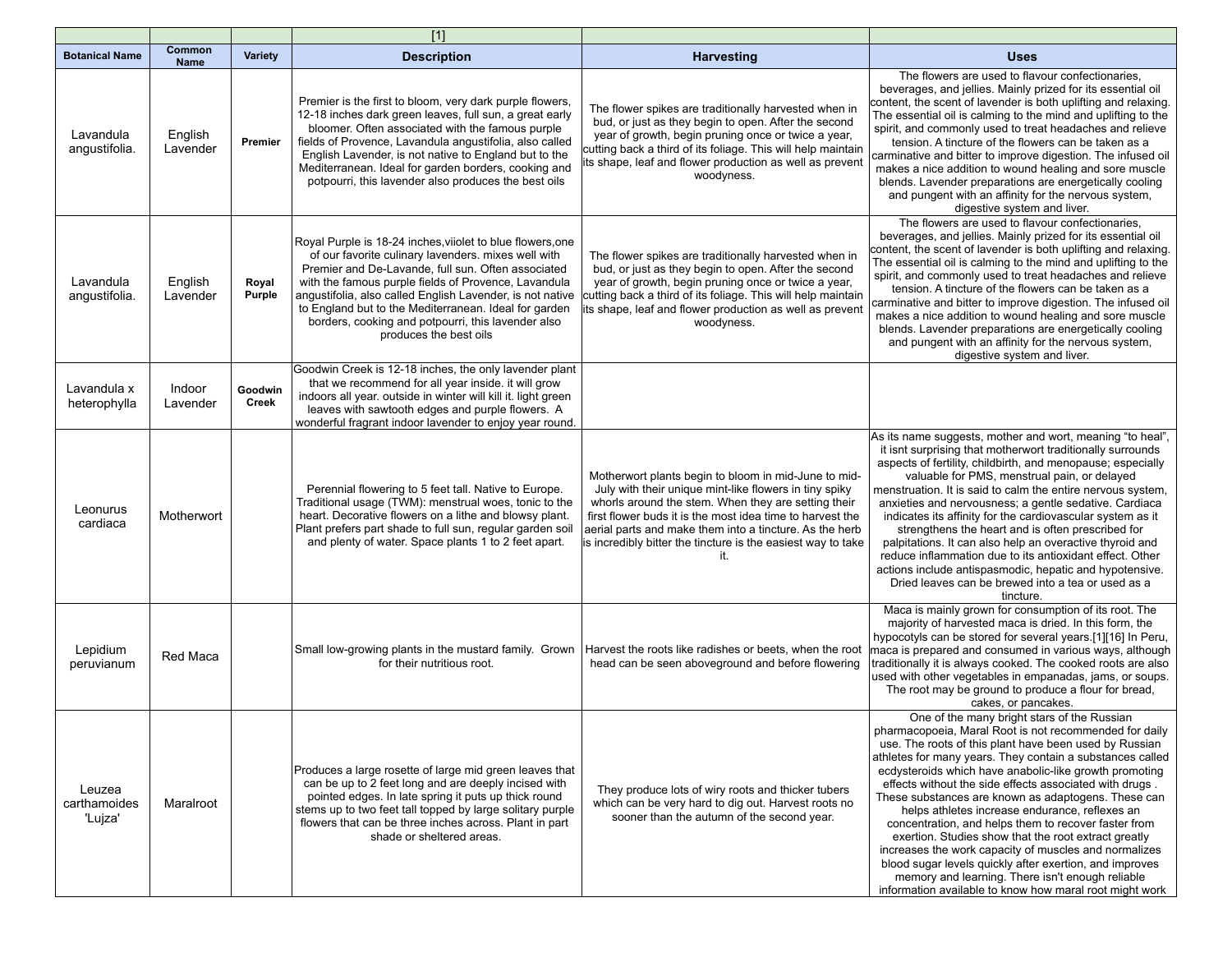|                                   |                       |                         | $[1]$                                                                                                                                                                                                                                                                                                                                                                                                                                 |                                                                                                                                                                                                                                                                                                                                                                      |                                                                                                                                                                                                                                                                                                                                                                                                                                                                                                                                                                                                                                                                                                                                                                                                               |
|-----------------------------------|-----------------------|-------------------------|---------------------------------------------------------------------------------------------------------------------------------------------------------------------------------------------------------------------------------------------------------------------------------------------------------------------------------------------------------------------------------------------------------------------------------------|----------------------------------------------------------------------------------------------------------------------------------------------------------------------------------------------------------------------------------------------------------------------------------------------------------------------------------------------------------------------|---------------------------------------------------------------------------------------------------------------------------------------------------------------------------------------------------------------------------------------------------------------------------------------------------------------------------------------------------------------------------------------------------------------------------------------------------------------------------------------------------------------------------------------------------------------------------------------------------------------------------------------------------------------------------------------------------------------------------------------------------------------------------------------------------------------|
| <b>Botanical Name</b>             | Common<br><b>Name</b> | <b>Variety</b>          | <b>Description</b>                                                                                                                                                                                                                                                                                                                                                                                                                    | <b>Harvesting</b>                                                                                                                                                                                                                                                                                                                                                    | <b>Uses</b>                                                                                                                                                                                                                                                                                                                                                                                                                                                                                                                                                                                                                                                                                                                                                                                                   |
| Lavandula<br>angustifolia.        | English<br>Lavender   | Premier                 | Premier is the first to bloom, very dark purple flowers,<br>12-18 inches dark green leaves, full sun, a great early<br>bloomer. Often associated with the famous purple<br>fields of Provence, Lavandula angustifolia, also called<br>English Lavender, is not native to England but to the<br>Mediterranean. Ideal for garden borders, cooking and<br>potpourri, this lavender also produces the best oils                           | The flower spikes are traditionally harvested when in<br>bud, or just as they begin to open. After the second<br>year of growth, begin pruning once or twice a year,<br>cutting back a third of its foliage. This will help maintain<br>ts shape, leaf and flower production as well as prevent<br>woodyness.                                                        | The flowers are used to flavour confectionaries.<br>beverages, and jellies. Mainly prized for its essential oil<br>content, the scent of lavender is both uplifting and relaxing.<br>The essential oil is calming to the mind and uplifting to the<br>spirit, and commonly used to treat headaches and relieve<br>tension. A tincture of the flowers can be taken as a<br>carminative and bitter to improve digestion. The infused oil<br>makes a nice addition to wound healing and sore muscle<br>blends. Lavender preparations are energetically cooling<br>and pungent with an affinity for the nervous system,<br>digestive system and liver.                                                                                                                                                            |
| Lavandula<br>angustifolia.        | English<br>Lavender   | Royal<br>Purple         | Royal Purple is 18-24 inches, viiolet to blue flowers, one<br>of our favorite culinary lavenders. mixes well with<br>Premier and De-Lavande, full sun. Often associated<br>with the famous purple fields of Provence, Lavandula<br>angustifolia, also called English Lavender, is not native<br>to England but to the Mediterranean. Ideal for garden<br>borders, cooking and potpourri, this lavender also<br>produces the best oils | The flower spikes are traditionally harvested when in<br>bud, or just as they begin to open. After the second<br>year of growth, begin pruning once or twice a year,<br>cutting back a third of its foliage. This will help maintain<br>its shape, leaf and flower production as well as prevent<br>woodyness.                                                       | The flowers are used to flavour confectionaries,<br>beverages, and jellies. Mainly prized for its essential oil<br>content, the scent of lavender is both uplifting and relaxing.<br>The essential oil is calming to the mind and uplifting to the<br>spirit, and commonly used to treat headaches and relieve<br>tension. A tincture of the flowers can be taken as a<br>carminative and bitter to improve digestion. The infused oil<br>makes a nice addition to wound healing and sore muscle<br>blends. Lavender preparations are energetically cooling<br>and pungent with an affinity for the nervous system,<br>digestive system and liver.                                                                                                                                                            |
| Lavandula x<br>heterophylla       | Indoor<br>Lavender    | Goodwin<br><b>Creek</b> | Goodwin Creek is 12-18 inches, the only lavender plant<br>that we recommend for all year inside. it will grow<br>indoors all year. outside in winter will kill it. light green<br>leaves with sawtooth edges and purple flowers. A<br>wonderful fragrant indoor lavender to enjoy year round.                                                                                                                                         |                                                                                                                                                                                                                                                                                                                                                                      |                                                                                                                                                                                                                                                                                                                                                                                                                                                                                                                                                                                                                                                                                                                                                                                                               |
| Leonurus<br>cardiaca              | Motherwort            |                         | Perennial flowering to 5 feet tall. Native to Europe.<br>Traditional usage (TWM): menstrual woes, tonic to the<br>heart. Decorative flowers on a lithe and blowsy plant.<br>Plant prefers part shade to full sun, regular garden soil<br>and plenty of water. Space plants 1 to 2 feet apart.                                                                                                                                         | Motherwort plants begin to bloom in mid-June to mid-<br>July with their unique mint-like flowers in tiny spiky<br>whorls around the stem. When they are setting their<br>first flower buds it is the most idea time to harvest the<br>aerial parts and make them into a tincture. As the herb<br>is incredibly bitter the tincture is the easiest way to take<br>it. | As its name suggests, mother and wort, meaning "to heal",<br>it isnt surprising that motherwort traditionally surrounds<br>aspects of fertility, childbirth, and menopause; especially<br>valuable for PMS, menstrual pain, or delayed<br>menstruation. It is said to calm the entire nervous system,<br>anxieties and nervousness; a gentle sedative. Cardiaca<br>indicates its affinity for the cardiovascular system as it<br>strengthens the heart and is often prescribed for<br>palpitations. It can also help an overactive thyroid and<br>reduce inflammation due to its antioxidant effect. Other<br>actions include antispasmodic, hepatic and hypotensive.<br>Dried leaves can be brewed into a tea or used as a<br>tincture.                                                                      |
| Lepidium<br>peruvianum            | Red Maca              |                         | Small low-growing plants in the mustard family. Grown<br>for their nutritious root.                                                                                                                                                                                                                                                                                                                                                   | Harvest the roots like radishes or beets, when the root<br>head can be seen aboveground and before flowering                                                                                                                                                                                                                                                         | Maca is mainly grown for consumption of its root. The<br>majority of harvested maca is dried. In this form, the<br>hypocotyls can be stored for several years.[1][16] In Peru,<br>maca is prepared and consumed in various ways, although<br>traditionally it is always cooked. The cooked roots are also<br>used with other vegetables in empanadas, jams, or soups.<br>The root may be ground to produce a flour for bread.<br>cakes, or pancakes.                                                                                                                                                                                                                                                                                                                                                          |
| Leuzea<br>carthamoides<br>'Lujza' | Maralroot             |                         | Produces a large rosette of large mid green leaves that<br>can be up to 2 feet long and are deeply incised with<br>pointed edges. In late spring it puts up thick round<br>stems up to two feet tall topped by large solitary purple<br>flowers that can be three inches across. Plant in part<br>shade or sheltered areas.                                                                                                           | They produce lots of wiry roots and thicker tubers<br>which can be very hard to dig out. Harvest roots no<br>sooner than the autumn of the second year.                                                                                                                                                                                                              | One of the many bright stars of the Russian<br>pharmacopoeia, Maral Root is not recommended for daily<br>use. The roots of this plant have been used by Russian<br>athletes for many years. They contain a substances called<br>ecdysteroids which have anabolic-like growth promoting<br>effects without the side effects associated with drugs.<br>These substances are known as adaptogens. These can<br>helps athletes increase endurance, reflexes an<br>concentration, and helps them to recover faster from<br>exertion. Studies show that the root extract greatly<br>increases the work capacity of muscles and normalizes<br>blood sugar levels quickly after exertion, and improves<br>memory and learning. There isn't enough reliable<br>information available to know how maral root might work |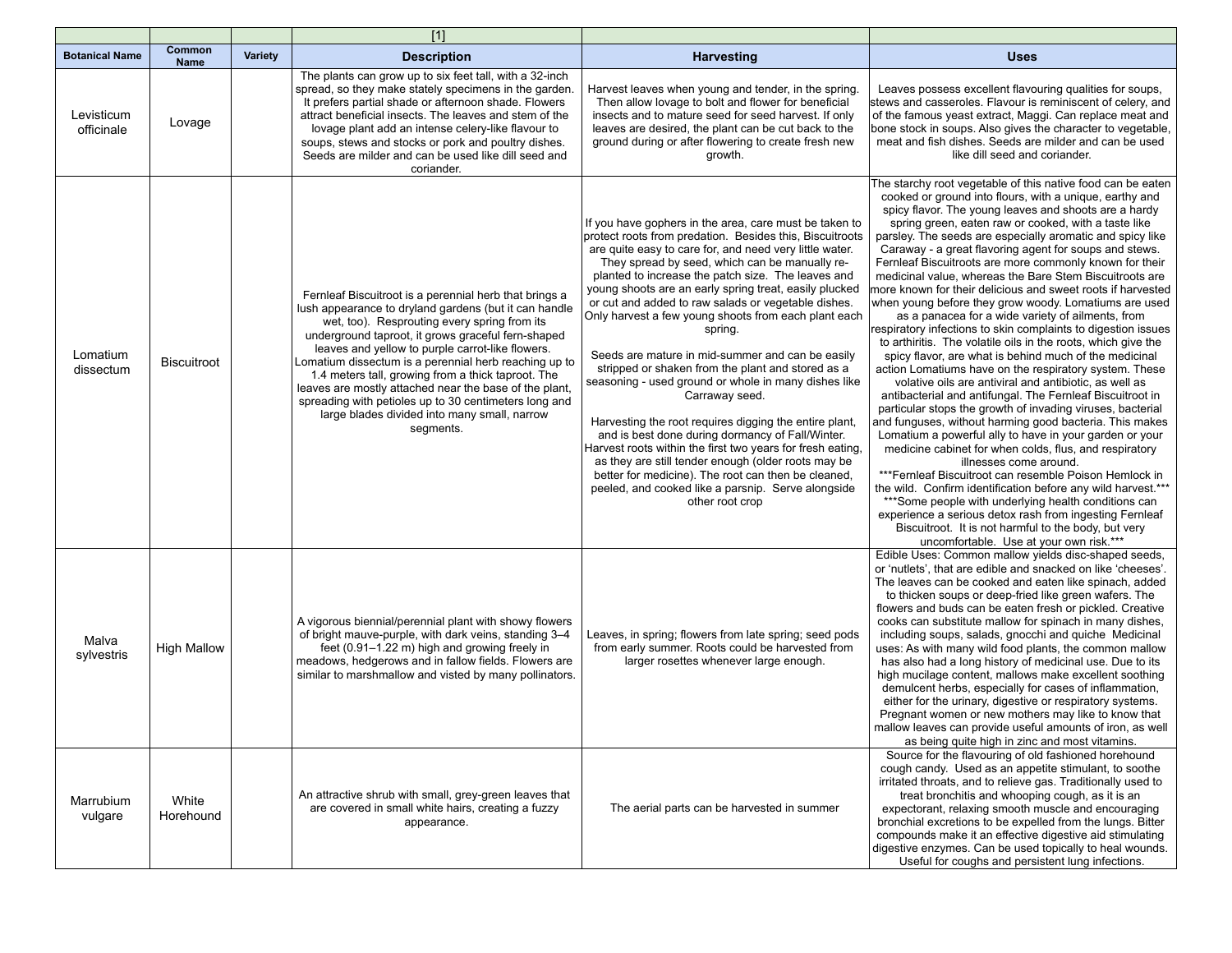|                          |                       |                | $[1]$                                                                                                                                                                                                                                                                                                                                                                                                                                                                                                                                                                    |                                                                                                                                                                                                                                                                                                                                                                                                                                                                                                                                                                                                                                                                                                                                                                                                                                                                                                                                                                                                                                 |                                                                                                                                                                                                                                                                                                                                                                                                                                                                                                                                                                                                                                                                                                                                                                                                                                                                                                                                                                                                                                                                                                                                                                                                                                                                                                                                                                                                                                                                                                                                                                                                                                                                        |
|--------------------------|-----------------------|----------------|--------------------------------------------------------------------------------------------------------------------------------------------------------------------------------------------------------------------------------------------------------------------------------------------------------------------------------------------------------------------------------------------------------------------------------------------------------------------------------------------------------------------------------------------------------------------------|---------------------------------------------------------------------------------------------------------------------------------------------------------------------------------------------------------------------------------------------------------------------------------------------------------------------------------------------------------------------------------------------------------------------------------------------------------------------------------------------------------------------------------------------------------------------------------------------------------------------------------------------------------------------------------------------------------------------------------------------------------------------------------------------------------------------------------------------------------------------------------------------------------------------------------------------------------------------------------------------------------------------------------|------------------------------------------------------------------------------------------------------------------------------------------------------------------------------------------------------------------------------------------------------------------------------------------------------------------------------------------------------------------------------------------------------------------------------------------------------------------------------------------------------------------------------------------------------------------------------------------------------------------------------------------------------------------------------------------------------------------------------------------------------------------------------------------------------------------------------------------------------------------------------------------------------------------------------------------------------------------------------------------------------------------------------------------------------------------------------------------------------------------------------------------------------------------------------------------------------------------------------------------------------------------------------------------------------------------------------------------------------------------------------------------------------------------------------------------------------------------------------------------------------------------------------------------------------------------------------------------------------------------------------------------------------------------------|
| <b>Botanical Name</b>    | Common<br><b>Name</b> | <b>Variety</b> | <b>Description</b>                                                                                                                                                                                                                                                                                                                                                                                                                                                                                                                                                       | <b>Harvesting</b>                                                                                                                                                                                                                                                                                                                                                                                                                                                                                                                                                                                                                                                                                                                                                                                                                                                                                                                                                                                                               | <b>Uses</b>                                                                                                                                                                                                                                                                                                                                                                                                                                                                                                                                                                                                                                                                                                                                                                                                                                                                                                                                                                                                                                                                                                                                                                                                                                                                                                                                                                                                                                                                                                                                                                                                                                                            |
| Levisticum<br>officinale | Lovage                |                | The plants can grow up to six feet tall, with a 32-inch<br>spread, so they make stately specimens in the garden.<br>It prefers partial shade or afternoon shade. Flowers<br>attract beneficial insects. The leaves and stem of the<br>lovage plant add an intense celery-like flavour to<br>soups, stews and stocks or pork and poultry dishes.<br>Seeds are milder and can be used like dill seed and<br>coriander.                                                                                                                                                     | Harvest leaves when young and tender, in the spring.<br>Then allow lovage to bolt and flower for beneficial<br>insects and to mature seed for seed harvest. If only<br>leaves are desired, the plant can be cut back to the<br>ground during or after flowering to create fresh new<br>growth.                                                                                                                                                                                                                                                                                                                                                                                                                                                                                                                                                                                                                                                                                                                                  | Leaves possess excellent flavouring qualities for soups,<br>stews and casseroles. Flavour is reminiscent of celery, and<br>of the famous yeast extract, Maggi. Can replace meat and<br>bone stock in soups. Also gives the character to vegetable,<br>meat and fish dishes. Seeds are milder and can be used<br>like dill seed and coriander.                                                                                                                                                                                                                                                                                                                                                                                                                                                                                                                                                                                                                                                                                                                                                                                                                                                                                                                                                                                                                                                                                                                                                                                                                                                                                                                          |
| Lomatium<br>dissectum    | <b>Biscuitroot</b>    |                | Fernleaf Biscuitroot is a perennial herb that brings a<br>lush appearance to dryland gardens (but it can handle<br>wet, too). Resprouting every spring from its<br>underground taproot, it grows graceful fern-shaped<br>leaves and yellow to purple carrot-like flowers.<br>Lomatium dissectum is a perennial herb reaching up to<br>1.4 meters tall, growing from a thick taproot. The<br>leaves are mostly attached near the base of the plant,<br>spreading with petioles up to 30 centimeters long and<br>large blades divided into many small, narrow<br>segments. | If you have gophers in the area, care must be taken to<br>protect roots from predation. Besides this, Biscuitroots<br>are quite easy to care for, and need very little water.<br>They spread by seed, which can be manually re-<br>planted to increase the patch size. The leaves and<br>young shoots are an early spring treat, easily plucked<br>or cut and added to raw salads or vegetable dishes.<br>Only harvest a few young shoots from each plant each<br>spring.<br>Seeds are mature in mid-summer and can be easily<br>stripped or shaken from the plant and stored as a<br>seasoning - used ground or whole in many dishes like<br>Carraway seed.<br>Harvesting the root requires digging the entire plant,<br>and is best done during dormancy of Fall/Winter.<br>Harvest roots within the first two years for fresh eating,<br>as they are still tender enough (older roots may be<br>better for medicine). The root can then be cleaned,<br>peeled, and cooked like a parsnip. Serve alongside<br>other root crop | The starchy root vegetable of this native food can be eaten<br>cooked or ground into flours, with a unique, earthy and<br>spicy flavor. The young leaves and shoots are a hardy<br>spring green, eaten raw or cooked, with a taste like<br>parsley. The seeds are especially aromatic and spicy like<br>Caraway - a great flavoring agent for soups and stews.<br>Fernleaf Biscuitroots are more commonly known for their<br>medicinal value, whereas the Bare Stem Biscuitroots are<br>more known for their delicious and sweet roots if harvested<br>when young before they grow woody. Lomatiums are used<br>as a panacea for a wide variety of ailments, from<br>respiratory infections to skin complaints to digestion issues<br>to arthiritis. The volatile oils in the roots, which give the<br>spicy flavor, are what is behind much of the medicinal<br>action Lomatiums have on the respiratory system. These<br>volative oils are antiviral and antibiotic, as well as<br>antibacterial and antifungal. The Fernleaf Biscuitroot in<br>particular stops the growth of invading viruses, bacterial<br>and funguses, without harming good bacteria. This makes<br>Lomatium a powerful ally to have in your garden or your<br>medicine cabinet for when colds, flus, and respiratory<br>illnesses come around.<br>***Fernleaf Biscuitroot can resemble Poison Hemlock in<br>the wild. Confirm identification before any wild harvest.***<br>***Some people with underlying health conditions can<br>experience a serious detox rash from ingesting Fernleaf<br>Biscuitroot. It is not harmful to the body, but very<br>uncomfortable. Use at your own risk.*** |
| Malva<br>sylvestris      | <b>High Mallow</b>    |                | A vigorous biennial/perennial plant with showy flowers<br>of bright mauve-purple, with dark veins, standing 3-4<br>feet (0.91-1.22 m) high and growing freely in<br>meadows, hedgerows and in fallow fields. Flowers are<br>similar to marshmallow and visted by many pollinators.                                                                                                                                                                                                                                                                                       | Leaves, in spring; flowers from late spring; seed pods<br>from early summer. Roots could be harvested from<br>larger rosettes whenever large enough.                                                                                                                                                                                                                                                                                                                                                                                                                                                                                                                                                                                                                                                                                                                                                                                                                                                                            | Edible Uses: Common mallow yields disc-shaped seeds,<br>or 'nutlets', that are edible and snacked on like 'cheeses'.<br>The leaves can be cooked and eaten like spinach, added<br>to thicken soups or deep-fried like green wafers. The<br>flowers and buds can be eaten fresh or pickled. Creative<br>cooks can substitute mallow for spinach in many dishes,<br>including soups, salads, gnocchi and quiche Medicinal<br>uses: As with many wild food plants, the common mallow<br>has also had a long history of medicinal use. Due to its<br>high mucilage content, mallows make excellent soothing<br>demulcent herbs, especially for cases of inflammation,<br>either for the urinary, digestive or respiratory systems.<br>Pregnant women or new mothers may like to know that<br>mallow leaves can provide useful amounts of iron, as well<br>as being quite high in zinc and most vitamins.                                                                                                                                                                                                                                                                                                                                                                                                                                                                                                                                                                                                                                                                                                                                                                   |
| Marrubium<br>vulgare     | White<br>Horehound    |                | An attractive shrub with small, grey-green leaves that<br>are covered in small white hairs, creating a fuzzy<br>appearance.                                                                                                                                                                                                                                                                                                                                                                                                                                              | The aerial parts can be harvested in summer                                                                                                                                                                                                                                                                                                                                                                                                                                                                                                                                                                                                                                                                                                                                                                                                                                                                                                                                                                                     | Source for the flavouring of old fashioned horehound<br>cough candy. Used as an appetite stimulant, to soothe<br>irritated throats, and to relieve gas. Traditionally used to<br>treat bronchitis and whooping cough, as it is an<br>expectorant, relaxing smooth muscle and encouraging<br>bronchial excretions to be expelled from the lungs. Bitter<br>compounds make it an effective digestive aid stimulating<br>digestive enzymes. Can be used topically to heal wounds.<br>Useful for coughs and persistent lung infections.                                                                                                                                                                                                                                                                                                                                                                                                                                                                                                                                                                                                                                                                                                                                                                                                                                                                                                                                                                                                                                                                                                                                    |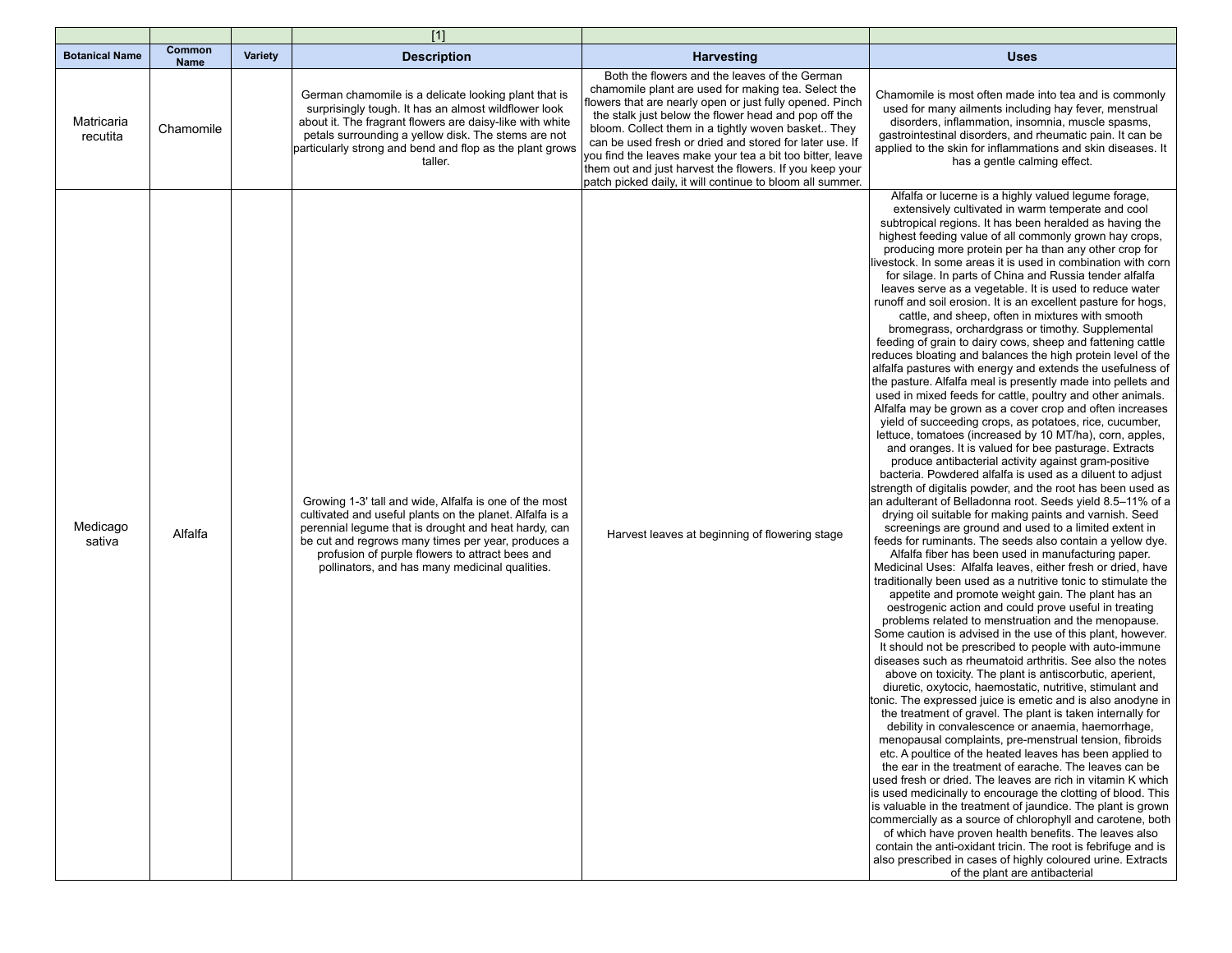|                        |                       |                | $[1]$                                                                                                                                                                                                                                                                                                                                 |                                                                                                                                                                                                                                                                                                                                                                                                                                                                                                                                |                                                                                                                                                                                                                                                                                                                                                                                                                                                                                                                                                                                                                                                                                                                                                                                                                                                                                                                                                                                                                                                                                                                                                                                                                                                                                                                                                                                                                                                                                                                                                                                                                                                                                                                                                                                                                                                                                                                                                                                                                                                                                                                                                                                                                                                                                                                                                                                                                                                                                                                                                                                                                                                                                                                                                                                                                                                                                                                                                                                                                                                                                                                                                                                                     |
|------------------------|-----------------------|----------------|---------------------------------------------------------------------------------------------------------------------------------------------------------------------------------------------------------------------------------------------------------------------------------------------------------------------------------------|--------------------------------------------------------------------------------------------------------------------------------------------------------------------------------------------------------------------------------------------------------------------------------------------------------------------------------------------------------------------------------------------------------------------------------------------------------------------------------------------------------------------------------|-----------------------------------------------------------------------------------------------------------------------------------------------------------------------------------------------------------------------------------------------------------------------------------------------------------------------------------------------------------------------------------------------------------------------------------------------------------------------------------------------------------------------------------------------------------------------------------------------------------------------------------------------------------------------------------------------------------------------------------------------------------------------------------------------------------------------------------------------------------------------------------------------------------------------------------------------------------------------------------------------------------------------------------------------------------------------------------------------------------------------------------------------------------------------------------------------------------------------------------------------------------------------------------------------------------------------------------------------------------------------------------------------------------------------------------------------------------------------------------------------------------------------------------------------------------------------------------------------------------------------------------------------------------------------------------------------------------------------------------------------------------------------------------------------------------------------------------------------------------------------------------------------------------------------------------------------------------------------------------------------------------------------------------------------------------------------------------------------------------------------------------------------------------------------------------------------------------------------------------------------------------------------------------------------------------------------------------------------------------------------------------------------------------------------------------------------------------------------------------------------------------------------------------------------------------------------------------------------------------------------------------------------------------------------------------------------------------------------------------------------------------------------------------------------------------------------------------------------------------------------------------------------------------------------------------------------------------------------------------------------------------------------------------------------------------------------------------------------------------------------------------------------------------------------------------------------------|
| <b>Botanical Name</b>  | Common<br><b>Name</b> | <b>Variety</b> | <b>Description</b>                                                                                                                                                                                                                                                                                                                    | <b>Harvesting</b>                                                                                                                                                                                                                                                                                                                                                                                                                                                                                                              | <b>Uses</b>                                                                                                                                                                                                                                                                                                                                                                                                                                                                                                                                                                                                                                                                                                                                                                                                                                                                                                                                                                                                                                                                                                                                                                                                                                                                                                                                                                                                                                                                                                                                                                                                                                                                                                                                                                                                                                                                                                                                                                                                                                                                                                                                                                                                                                                                                                                                                                                                                                                                                                                                                                                                                                                                                                                                                                                                                                                                                                                                                                                                                                                                                                                                                                                         |
| Matricaria<br>recutita | Chamomile             |                | German chamomile is a delicate looking plant that is<br>surprisingly tough. It has an almost wildflower look<br>about it. The fragrant flowers are daisy-like with white<br>petals surrounding a yellow disk. The stems are not<br>particularly strong and bend and flop as the plant grows<br>taller.                                | Both the flowers and the leaves of the German<br>chamomile plant are used for making tea. Select the<br>flowers that are nearly open or just fully opened. Pinch<br>the stalk just below the flower head and pop off the<br>bloom. Collect them in a tightly woven basket They<br>can be used fresh or dried and stored for later use. If<br>you find the leaves make your tea a bit too bitter, leave<br>them out and just harvest the flowers. If you keep your<br>patch picked daily, it will continue to bloom all summer. | Chamomile is most often made into tea and is commonly<br>used for many ailments including hay fever, menstrual<br>disorders, inflammation, insomnia, muscle spasms,<br>gastrointestinal disorders, and rheumatic pain. It can be<br>applied to the skin for inflammations and skin diseases. It<br>has a gentle calming effect.                                                                                                                                                                                                                                                                                                                                                                                                                                                                                                                                                                                                                                                                                                                                                                                                                                                                                                                                                                                                                                                                                                                                                                                                                                                                                                                                                                                                                                                                                                                                                                                                                                                                                                                                                                                                                                                                                                                                                                                                                                                                                                                                                                                                                                                                                                                                                                                                                                                                                                                                                                                                                                                                                                                                                                                                                                                                     |
| Medicago<br>sativa     | Alfalfa               |                | Growing 1-3' tall and wide, Alfalfa is one of the most<br>cultivated and useful plants on the planet. Alfalfa is a<br>perennial legume that is drought and heat hardy, can<br>be cut and regrows many times per year, produces a<br>profusion of purple flowers to attract bees and<br>pollinators, and has many medicinal qualities. | Harvest leaves at beginning of flowering stage                                                                                                                                                                                                                                                                                                                                                                                                                                                                                 | Alfalfa or lucerne is a highly valued legume forage,<br>extensively cultivated in warm temperate and cool<br>subtropical regions. It has been heralded as having the<br>highest feeding value of all commonly grown hay crops.<br>producing more protein per ha than any other crop for<br>ivestock. In some areas it is used in combination with corn<br>for silage. In parts of China and Russia tender alfalfa<br>leaves serve as a vegetable. It is used to reduce water<br>runoff and soil erosion. It is an excellent pasture for hogs,<br>cattle, and sheep, often in mixtures with smooth<br>bromegrass, orchardgrass or timothy. Supplemental<br>feeding of grain to dairy cows, sheep and fattening cattle<br>reduces bloating and balances the high protein level of the<br>alfalfa pastures with energy and extends the usefulness of<br>the pasture. Alfalfa meal is presently made into pellets and<br>used in mixed feeds for cattle, poultry and other animals.<br>Alfalfa may be grown as a cover crop and often increases<br>yield of succeeding crops, as potatoes, rice, cucumber,<br>lettuce, tomatoes (increased by 10 MT/ha), corn, apples,<br>and oranges. It is valued for bee pasturage. Extracts<br>produce antibacterial activity against gram-positive<br>bacteria. Powdered alfalfa is used as a diluent to adjust<br>strength of digitalis powder, and the root has been used as<br>an adulterant of Belladonna root. Seeds yield 8.5–11% of a<br>drying oil suitable for making paints and varnish. Seed<br>screenings are ground and used to a limited extent in<br>feeds for ruminants. The seeds also contain a yellow dye.<br>Alfalfa fiber has been used in manufacturing paper.<br>Medicinal Uses: Alfalfa leaves, either fresh or dried, have<br>traditionally been used as a nutritive tonic to stimulate the<br>appetite and promote weight gain. The plant has an<br>oestrogenic action and could prove useful in treating<br>problems related to menstruation and the menopause.<br>Some caution is advised in the use of this plant, however.<br>It should not be prescribed to people with auto-immune<br>diseases such as rheumatoid arthritis. See also the notes<br>above on toxicity. The plant is antiscorbutic, aperient,<br>diuretic, oxytocic, haemostatic, nutritive, stimulant and<br>tonic. The expressed juice is emetic and is also anodyne in<br>the treatment of gravel. The plant is taken internally for<br>debility in convalescence or anaemia, haemorrhage<br>menopausal complaints, pre-menstrual tension, fibroids<br>etc. A poultice of the heated leaves has been applied to<br>the ear in the treatment of earache. The leaves can be<br>used fresh or dried. The leaves are rich in vitamin K which<br>is used medicinally to encourage the clotting of blood. This<br>is valuable in the treatment of jaundice. The plant is grown<br>commercially as a source of chlorophyll and carotene, both<br>of which have proven health benefits. The leaves also<br>contain the anti-oxidant tricin. The root is febrifuge and is<br>also prescribed in cases of highly coloured urine. Extracts<br>of the plant are antibacterial |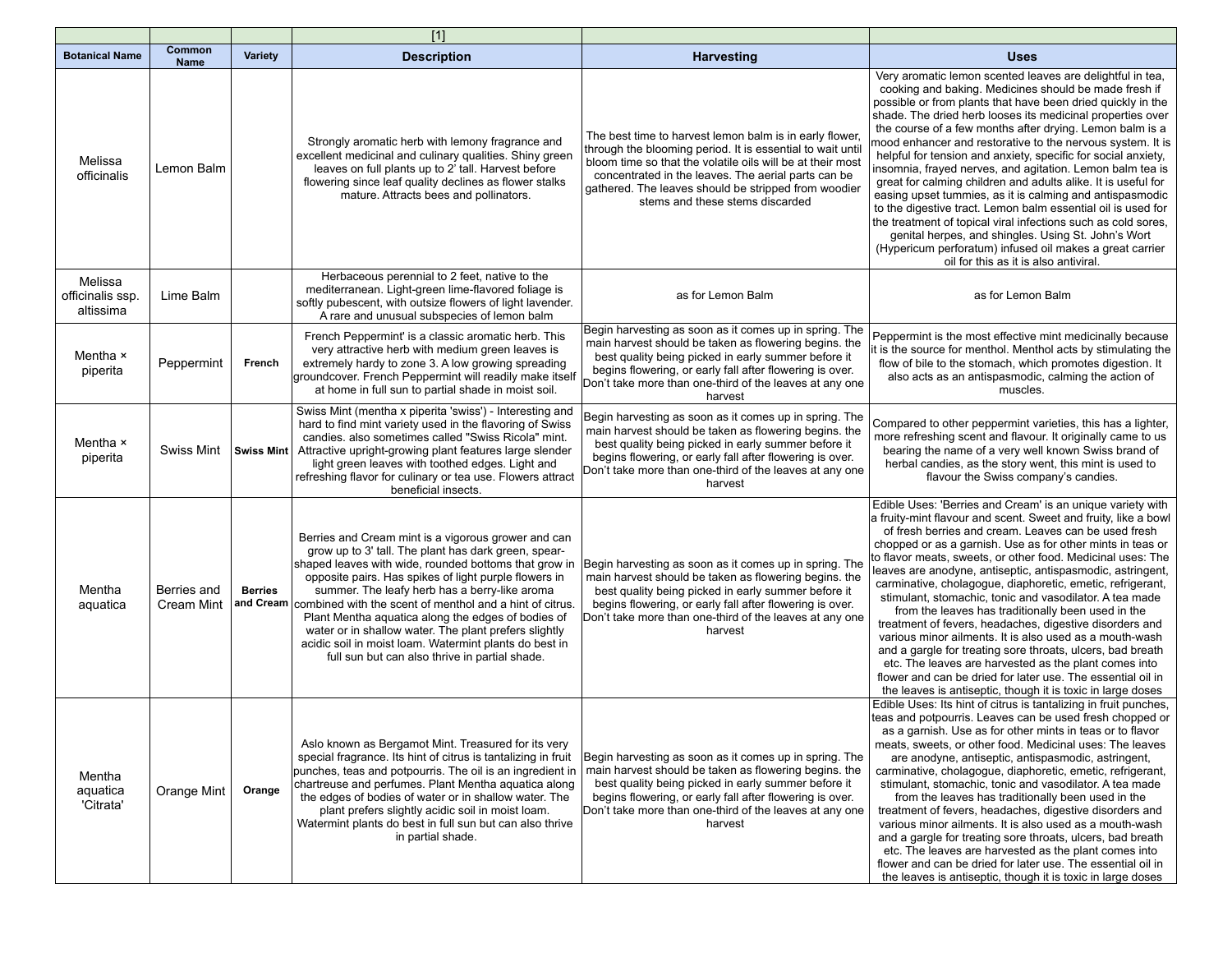|                                          |                           |                | $[1]$                                                                                                                                                                                                                                                                                                                                                                                                                                                                                                                                                                           |                                                                                                                                                                                                                                                                                                                                       |                                                                                                                                                                                                                                                                                                                                                                                                                                                                                                                                                                                                                                                                                                                                                                                                                                                                                                                                           |
|------------------------------------------|---------------------------|----------------|---------------------------------------------------------------------------------------------------------------------------------------------------------------------------------------------------------------------------------------------------------------------------------------------------------------------------------------------------------------------------------------------------------------------------------------------------------------------------------------------------------------------------------------------------------------------------------|---------------------------------------------------------------------------------------------------------------------------------------------------------------------------------------------------------------------------------------------------------------------------------------------------------------------------------------|-------------------------------------------------------------------------------------------------------------------------------------------------------------------------------------------------------------------------------------------------------------------------------------------------------------------------------------------------------------------------------------------------------------------------------------------------------------------------------------------------------------------------------------------------------------------------------------------------------------------------------------------------------------------------------------------------------------------------------------------------------------------------------------------------------------------------------------------------------------------------------------------------------------------------------------------|
| <b>Botanical Name</b>                    | Common<br><b>Name</b>     | <b>Variety</b> | <b>Description</b>                                                                                                                                                                                                                                                                                                                                                                                                                                                                                                                                                              | Harvesting                                                                                                                                                                                                                                                                                                                            | <b>Uses</b>                                                                                                                                                                                                                                                                                                                                                                                                                                                                                                                                                                                                                                                                                                                                                                                                                                                                                                                               |
| Melissa<br>officinalis                   | Lemon Balm                |                | Strongly aromatic herb with lemony fragrance and<br>excellent medicinal and culinary qualities. Shiny green<br>leaves on full plants up to 2' tall. Harvest before<br>flowering since leaf quality declines as flower stalks<br>mature. Attracts bees and pollinators.                                                                                                                                                                                                                                                                                                          | The best time to harvest lemon balm is in early flower,<br>through the blooming period. It is essential to wait until<br>bloom time so that the volatile oils will be at their most<br>concentrated in the leaves. The aerial parts can be<br>gathered. The leaves should be stripped from woodier<br>stems and these stems discarded | Very aromatic lemon scented leaves are delightful in tea,<br>cooking and baking. Medicines should be made fresh if<br>possible or from plants that have been dried quickly in the<br>shade. The dried herb looses its medicinal properties over<br>the course of a few months after drying. Lemon balm is a<br>mood enhancer and restorative to the nervous system. It is<br>helpful for tension and anxiety, specific for social anxiety,<br>insomnia, frayed nerves, and agitation. Lemon balm tea is<br>great for calming children and adults alike. It is useful for<br>easing upset tummies, as it is calming and antispasmodic<br>to the digestive tract. Lemon balm essential oil is used for<br>the treatment of topical viral infections such as cold sores,<br>genital herpes, and shingles. Using St. John's Wort<br>(Hypericum perforatum) infused oil makes a great carrier<br>oil for this as it is also antiviral.         |
| Melissa<br>officinalis ssp.<br>altissima | Lime Balm                 |                | Herbaceous perennial to 2 feet, native to the<br>mediterranean. Light-green lime-flavored foliage is<br>softly pubescent, with outsize flowers of light lavender.<br>A rare and unusual subspecies of lemon balm                                                                                                                                                                                                                                                                                                                                                                | as for Lemon Balm                                                                                                                                                                                                                                                                                                                     | as for Lemon Balm                                                                                                                                                                                                                                                                                                                                                                                                                                                                                                                                                                                                                                                                                                                                                                                                                                                                                                                         |
| Mentha ×<br>piperita                     | Peppermint                | French         | French Peppermint' is a classic aromatic herb. This<br>very attractive herb with medium green leaves is<br>extremely hardy to zone 3. A low growing spreading<br>groundcover. French Peppermint will readily make itself<br>at home in full sun to partial shade in moist soil.                                                                                                                                                                                                                                                                                                 | Begin harvesting as soon as it comes up in spring. The<br>main harvest should be taken as flowering begins, the<br>best quality being picked in early summer before it<br>begins flowering, or early fall after flowering is over.<br>Don't take more than one-third of the leaves at any one<br>harvest                              | Peppermint is the most effective mint medicinally because<br>it is the source for menthol. Menthol acts by stimulating the<br>flow of bile to the stomach, which promotes digestion. It<br>also acts as an antispasmodic, calming the action of<br>muscles.                                                                                                                                                                                                                                                                                                                                                                                                                                                                                                                                                                                                                                                                               |
| Mentha ×<br>piperita                     | <b>Swiss Mint</b>         |                | Swiss Mint (mentha x piperita 'swiss') - Interesting and<br>hard to find mint variety used in the flavoring of Swiss<br>candies. also sometimes called "Swiss Ricola" mint.<br>Swiss Mint   Attractive upright-growing plant features large slender<br>light green leaves with toothed edges. Light and<br>refreshing flavor for culinary or tea use. Flowers attract<br>beneficial insects.                                                                                                                                                                                    | Begin harvesting as soon as it comes up in spring. The<br>main harvest should be taken as flowering begins. the<br>best quality being picked in early summer before it<br>begins flowering, or early fall after flowering is over.<br>Don't take more than one-third of the leaves at any one<br>harvest                              | Compared to other peppermint varieties, this has a lighter,<br>more refreshing scent and flavour. It originally came to us<br>bearing the name of a very well known Swiss brand of<br>herbal candies, as the story went, this mint is used to<br>flavour the Swiss company's candies.                                                                                                                                                                                                                                                                                                                                                                                                                                                                                                                                                                                                                                                     |
| Mentha<br>aquatica                       | Berries and<br>Cream Mint | <b>Berries</b> | Berries and Cream mint is a vigorous grower and can<br>grow up to 3' tall. The plant has dark green, spear-<br>shaped leaves with wide, rounded bottoms that grow in<br>opposite pairs. Has spikes of light purple flowers in<br>summer. The leafy herb has a berry-like aroma<br>and Cream combined with the scent of menthol and a hint of citrus.<br>Plant Mentha aquatica along the edges of bodies of<br>water or in shallow water. The plant prefers slightly<br>acidic soil in moist loam. Watermint plants do best in<br>full sun but can also thrive in partial shade. | Begin harvesting as soon as it comes up in spring. The<br>main harvest should be taken as flowering begins. the<br>best quality being picked in early summer before it<br>begins flowering, or early fall after flowering is over.<br>Don't take more than one-third of the leaves at any one<br>harvest                              | Edible Uses: 'Berries and Cream' is an unique variety with<br>a fruity-mint flavour and scent. Sweet and fruity, like a bowl<br>of fresh berries and cream. Leaves can be used fresh<br>chopped or as a garnish. Use as for other mints in teas or<br>to flavor meats, sweets, or other food. Medicinal uses: The<br>leaves are anodyne, antiseptic, antispasmodic, astringent,<br>carminative, cholagogue, diaphoretic, emetic, refrigerant,<br>stimulant, stomachic, tonic and vasodilator. A tea made<br>from the leaves has traditionally been used in the<br>treatment of fevers, headaches, digestive disorders and<br>various minor ailments. It is also used as a mouth-wash<br>and a gargle for treating sore throats, ulcers, bad breath<br>etc. The leaves are harvested as the plant comes into<br>flower and can be dried for later use. The essential oil in<br>the leaves is antiseptic, though it is toxic in large doses |
| Mentha<br>aquatica<br>'Citrata'          | Orange Mint               | Orange         | Aslo known as Bergamot Mint. Treasured for its very<br>special fragrance. Its hint of citrus is tantalizing in fruit<br>punches, teas and potpourris. The oil is an ingredient in<br>chartreuse and perfumes. Plant Mentha aquatica along<br>the edges of bodies of water or in shallow water. The<br>plant prefers slightly acidic soil in moist loam.<br>Watermint plants do best in full sun but can also thrive<br>in partial shade.                                                                                                                                        | Begin harvesting as soon as it comes up in spring. The<br>main harvest should be taken as flowering begins. the<br>best quality being picked in early summer before it<br>begins flowering, or early fall after flowering is over.<br>Don't take more than one-third of the leaves at any one<br>harvest                              | Edible Uses: Its hint of citrus is tantalizing in fruit punches,<br>teas and potpourris. Leaves can be used fresh chopped or<br>as a garnish. Use as for other mints in teas or to flavor<br>meats, sweets, or other food. Medicinal uses: The leaves<br>are anodyne, antiseptic, antispasmodic, astringent,<br>carminative, cholagogue, diaphoretic, emetic, refrigerant,<br>stimulant, stomachic, tonic and vasodilator. A tea made<br>from the leaves has traditionally been used in the<br>treatment of fevers, headaches, digestive disorders and<br>various minor ailments. It is also used as a mouth-wash<br>and a gargle for treating sore throats, ulcers, bad breath<br>etc. The leaves are harvested as the plant comes into<br>flower and can be dried for later use. The essential oil in<br>the leaves is antiseptic, though it is toxic in large doses                                                                    |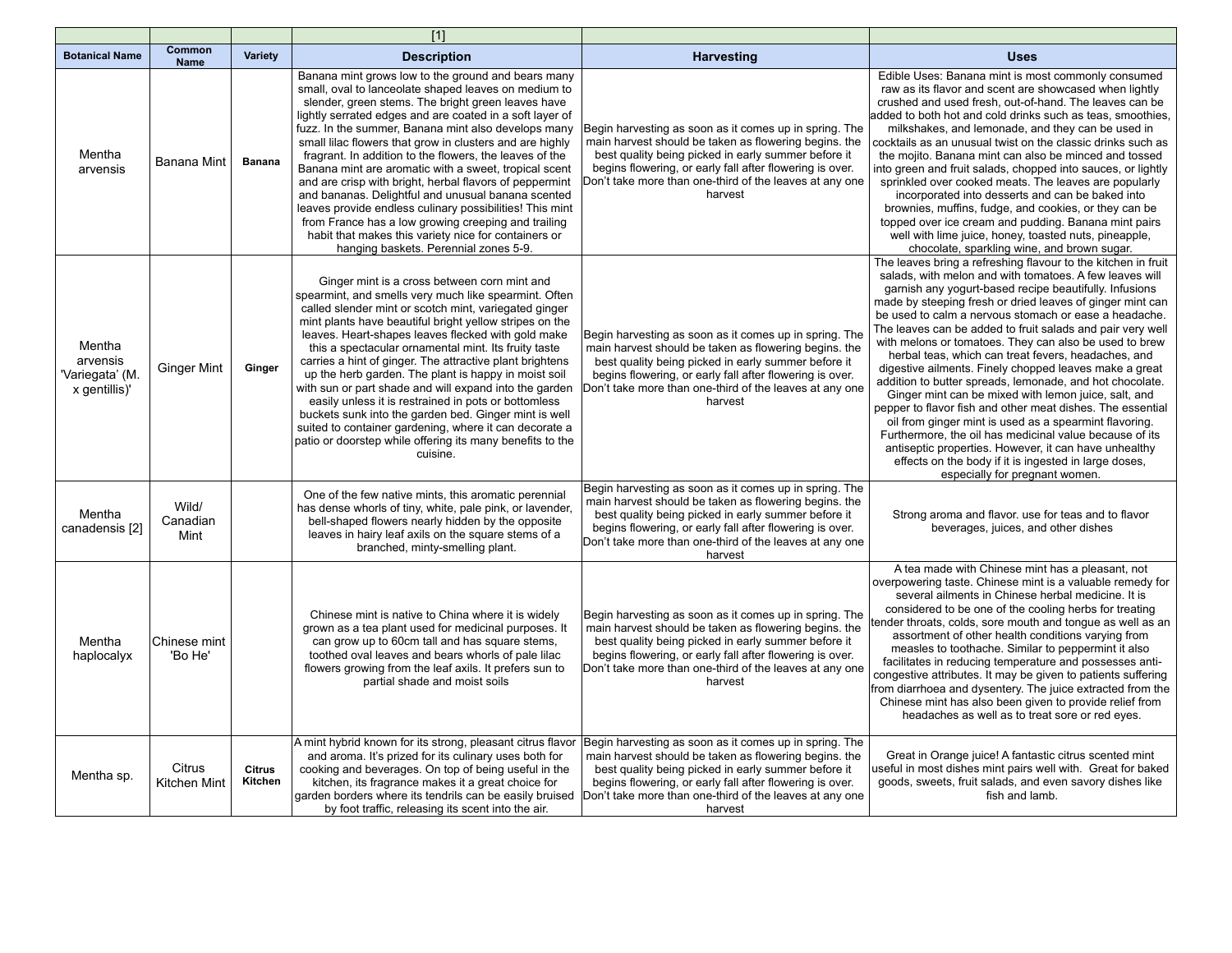|                                                        |                              |                          | $[1]$                                                                                                                                                                                                                                                                                                                                                                                                                                                                                                                                                                                                                                                                                                                                                                                                    |                                                                                                                                                                                                                                                                                                          |                                                                                                                                                                                                                                                                                                                                                                                                                                                                                                                                                                                                                                                                                                                                                                                                                                                                                                                                                                                                              |
|--------------------------------------------------------|------------------------------|--------------------------|----------------------------------------------------------------------------------------------------------------------------------------------------------------------------------------------------------------------------------------------------------------------------------------------------------------------------------------------------------------------------------------------------------------------------------------------------------------------------------------------------------------------------------------------------------------------------------------------------------------------------------------------------------------------------------------------------------------------------------------------------------------------------------------------------------|----------------------------------------------------------------------------------------------------------------------------------------------------------------------------------------------------------------------------------------------------------------------------------------------------------|--------------------------------------------------------------------------------------------------------------------------------------------------------------------------------------------------------------------------------------------------------------------------------------------------------------------------------------------------------------------------------------------------------------------------------------------------------------------------------------------------------------------------------------------------------------------------------------------------------------------------------------------------------------------------------------------------------------------------------------------------------------------------------------------------------------------------------------------------------------------------------------------------------------------------------------------------------------------------------------------------------------|
| <b>Botanical Name</b>                                  | <b>Common</b><br><b>Name</b> | <b>Variety</b>           | <b>Description</b>                                                                                                                                                                                                                                                                                                                                                                                                                                                                                                                                                                                                                                                                                                                                                                                       | <b>Harvesting</b>                                                                                                                                                                                                                                                                                        | <b>Uses</b>                                                                                                                                                                                                                                                                                                                                                                                                                                                                                                                                                                                                                                                                                                                                                                                                                                                                                                                                                                                                  |
| Mentha<br>arvensis                                     | <b>Banana Mint</b>           | <b>Banana</b>            | Banana mint grows low to the ground and bears many<br>small, oval to lanceolate shaped leaves on medium to<br>slender, green stems. The bright green leaves have<br>lightly serrated edges and are coated in a soft layer of<br>fuzz. In the summer, Banana mint also develops many<br>small lilac flowers that grow in clusters and are highly<br>fragrant. In addition to the flowers, the leaves of the<br>Banana mint are aromatic with a sweet, tropical scent<br>and are crisp with bright, herbal flavors of peppermint<br>and bananas. Delightful and unusual banana scented<br>leaves provide endless culinary possibilities! This mint<br>from France has a low growing creeping and trailing<br>habit that makes this variety nice for containers or<br>hanging baskets. Perennial zones 5-9. | Begin harvesting as soon as it comes up in spring. The<br>main harvest should be taken as flowering begins. the<br>best quality being picked in early summer before it<br>begins flowering, or early fall after flowering is over.<br>Don't take more than one-third of the leaves at any one<br>harvest | Edible Uses: Banana mint is most commonly consumed<br>raw as its flavor and scent are showcased when lightly<br>crushed and used fresh, out-of-hand. The leaves can be<br>added to both hot and cold drinks such as teas, smoothies,<br>milkshakes, and lemonade, and they can be used in<br>cocktails as an unusual twist on the classic drinks such as<br>the mojito. Banana mint can also be minced and tossed<br>into green and fruit salads, chopped into sauces, or lightly<br>sprinkled over cooked meats. The leaves are popularly<br>incorporated into desserts and can be baked into<br>brownies, muffins, fudge, and cookies, or they can be<br>topped over ice cream and pudding. Banana mint pairs<br>well with lime juice, honey, toasted nuts, pineapple,<br>chocolate, sparkling wine, and brown sugar.                                                                                                                                                                                      |
| Mentha<br>arvensis<br>'Variegata' (M.<br>x gentillis)' | <b>Ginger Mint</b>           | Ginger                   | Ginger mint is a cross between corn mint and<br>spearmint, and smells very much like spearmint. Often<br>called slender mint or scotch mint, variegated ginger<br>mint plants have beautiful bright yellow stripes on the<br>leaves. Heart-shapes leaves flecked with gold make<br>this a spectacular ornamental mint. Its fruity taste<br>carries a hint of ginger. The attractive plant brightens<br>up the herb garden. The plant is happy in moist soil<br>with sun or part shade and will expand into the garden<br>easily unless it is restrained in pots or bottomless<br>buckets sunk into the garden bed. Ginger mint is well<br>suited to container gardening, where it can decorate a<br>patio or doorstep while offering its many benefits to the<br>cuisine.                                | Begin harvesting as soon as it comes up in spring. The<br>main harvest should be taken as flowering begins. the<br>best quality being picked in early summer before it<br>begins flowering, or early fall after flowering is over.<br>Don't take more than one-third of the leaves at any one<br>harvest | The leaves bring a refreshing flavour to the kitchen in fruit<br>salads, with melon and with tomatoes. A few leaves will<br>garnish any yogurt-based recipe beautifully. Infusions<br>made by steeping fresh or dried leaves of ginger mint can<br>be used to calm a nervous stomach or ease a headache.<br>The leaves can be added to fruit salads and pair very well<br>with melons or tomatoes. They can also be used to brew<br>herbal teas, which can treat fevers, headaches, and<br>digestive ailments. Finely chopped leaves make a great<br>addition to butter spreads, lemonade, and hot chocolate.<br>Ginger mint can be mixed with lemon juice, salt, and<br>pepper to flavor fish and other meat dishes. The essential<br>oil from ginger mint is used as a spearmint flavoring.<br>Furthermore, the oil has medicinal value because of its<br>antiseptic properties. However, it can have unhealthy<br>effects on the body if it is ingested in large doses,<br>especially for pregnant women. |
| Mentha<br>canadensis [2]                               | Wild/<br>Canadian<br>Mint    |                          | One of the few native mints, this aromatic perennial<br>has dense whorls of tiny, white, pale pink, or lavender,<br>bell-shaped flowers nearly hidden by the opposite<br>leaves in hairy leaf axils on the square stems of a<br>branched, minty-smelling plant.                                                                                                                                                                                                                                                                                                                                                                                                                                                                                                                                          | Begin harvesting as soon as it comes up in spring. The<br>main harvest should be taken as flowering begins, the<br>best quality being picked in early summer before it<br>begins flowering, or early fall after flowering is over.<br>Don't take more than one-third of the leaves at any one<br>harvest | Strong aroma and flavor. use for teas and to flavor<br>beverages, juices, and other dishes                                                                                                                                                                                                                                                                                                                                                                                                                                                                                                                                                                                                                                                                                                                                                                                                                                                                                                                   |
| Mentha<br>haplocalyx                                   | Chinese mint<br>'Bo He'      |                          | Chinese mint is native to China where it is widely<br>grown as a tea plant used for medicinal purposes. It<br>can grow up to 60cm tall and has square stems,<br>toothed oval leaves and bears whorls of pale lilac<br>flowers growing from the leaf axils. It prefers sun to<br>partial shade and moist soils                                                                                                                                                                                                                                                                                                                                                                                                                                                                                            | Begin harvesting as soon as it comes up in spring. The<br>main harvest should be taken as flowering begins. the<br>best quality being picked in early summer before it<br>begins flowering, or early fall after flowering is over.<br>Don't take more than one-third of the leaves at any one<br>harvest | A tea made with Chinese mint has a pleasant, not<br>overpowering taste. Chinese mint is a valuable remedy for<br>several ailments in Chinese herbal medicine. It is<br>considered to be one of the cooling herbs for treating<br>tender throats, colds, sore mouth and tongue as well as an<br>assortment of other health conditions varying from<br>measles to toothache. Similar to peppermint it also<br>facilitates in reducing temperature and possesses anti-<br>congestive attributes. It may be given to patients suffering<br>from diarrhoea and dysentery. The juice extracted from the<br>Chinese mint has also been given to provide relief from<br>headaches as well as to treat sore or red eyes.                                                                                                                                                                                                                                                                                              |
| Mentha sp.                                             | Citrus<br>Kitchen Mint       | <b>Citrus</b><br>Kitchen | A mint hybrid known for its strong, pleasant citrus flavor<br>and aroma. It's prized for its culinary uses both for<br>cooking and beverages. On top of being useful in the<br>kitchen, its fragrance makes it a great choice for<br>garden borders where its tendrils can be easily bruised<br>by foot traffic, releasing its scent into the air.                                                                                                                                                                                                                                                                                                                                                                                                                                                       | Begin harvesting as soon as it comes up in spring. The<br>main harvest should be taken as flowering begins. the<br>best quality being picked in early summer before it<br>begins flowering, or early fall after flowering is over.<br>Don't take more than one-third of the leaves at any one<br>harvest | Great in Orange juice! A fantastic citrus scented mint<br>useful in most dishes mint pairs well with. Great for baked<br>goods, sweets, fruit salads, and even savory dishes like<br>fish and lamb.                                                                                                                                                                                                                                                                                                                                                                                                                                                                                                                                                                                                                                                                                                                                                                                                          |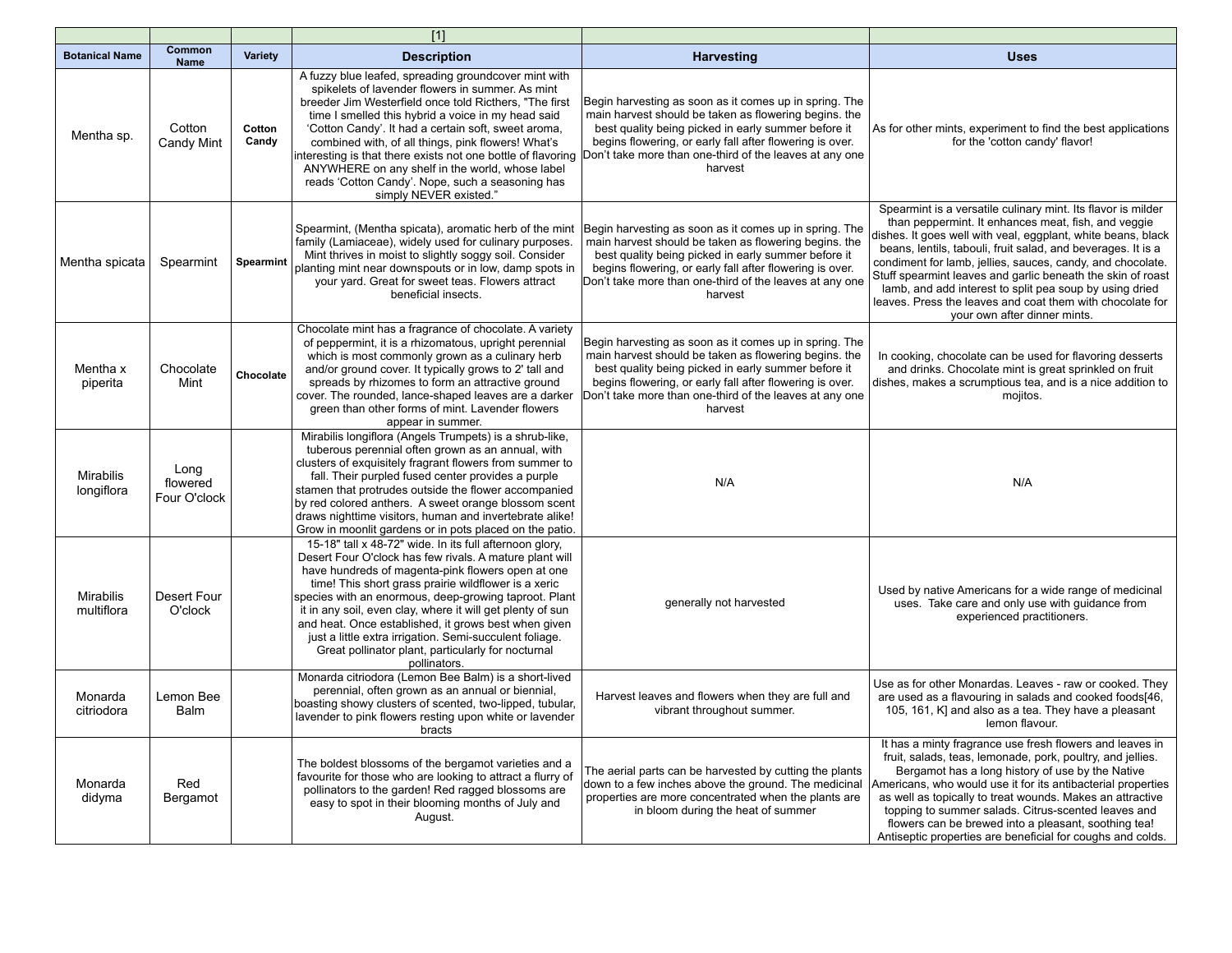|                                |                                  |                 | $[1]$                                                                                                                                                                                                                                                                                                                                                                                                                                                                                                                                           |                                                                                                                                                                                                                                                                                                          |                                                                                                                                                                                                                                                                                                                                                                                                                                                                                                                                          |
|--------------------------------|----------------------------------|-----------------|-------------------------------------------------------------------------------------------------------------------------------------------------------------------------------------------------------------------------------------------------------------------------------------------------------------------------------------------------------------------------------------------------------------------------------------------------------------------------------------------------------------------------------------------------|----------------------------------------------------------------------------------------------------------------------------------------------------------------------------------------------------------------------------------------------------------------------------------------------------------|------------------------------------------------------------------------------------------------------------------------------------------------------------------------------------------------------------------------------------------------------------------------------------------------------------------------------------------------------------------------------------------------------------------------------------------------------------------------------------------------------------------------------------------|
| <b>Botanical Name</b>          | Common<br>Name                   | Variety         | <b>Description</b>                                                                                                                                                                                                                                                                                                                                                                                                                                                                                                                              | <b>Harvesting</b>                                                                                                                                                                                                                                                                                        | <b>Uses</b>                                                                                                                                                                                                                                                                                                                                                                                                                                                                                                                              |
| Mentha sp.                     | Cotton<br>Candy Mint             | Cotton<br>Candy | A fuzzy blue leafed, spreading groundcover mint with<br>spikelets of lavender flowers in summer. As mint<br>breeder Jim Westerfield once told Ricthers, "The first<br>time I smelled this hybrid a voice in my head said<br>'Cotton Candy'. It had a certain soft, sweet aroma,<br>combined with, of all things, pink flowers! What's<br>nteresting is that there exists not one bottle of flavoring<br>ANYWHERE on any shelf in the world, whose label<br>reads 'Cotton Candy'. Nope, such a seasoning has<br>simply NEVER existed."           | Begin harvesting as soon as it comes up in spring. The<br>main harvest should be taken as flowering begins. the<br>best quality being picked in early summer before it<br>begins flowering, or early fall after flowering is over.<br>Don't take more than one-third of the leaves at any one<br>harvest | As for other mints, experiment to find the best applications<br>for the 'cotton candy' flavor!                                                                                                                                                                                                                                                                                                                                                                                                                                           |
| Mentha spicata                 | Spearmint                        | Spearmint       | Spearmint, (Mentha spicata), aromatic herb of the mint<br>family (Lamiaceae), widely used for culinary purposes.<br>Mint thrives in moist to slightly soggy soil. Consider<br>planting mint near downspouts or in low, damp spots in<br>your yard. Great for sweet teas. Flowers attract<br>beneficial insects.                                                                                                                                                                                                                                 | Begin harvesting as soon as it comes up in spring. The<br>main harvest should be taken as flowering begins. the<br>best quality being picked in early summer before it<br>begins flowering, or early fall after flowering is over.<br>Don't take more than one-third of the leaves at any one<br>harvest | Spearmint is a versatile culinary mint. Its flavor is milder<br>than peppermint. It enhances meat, fish, and veggie<br>dishes. It goes well with veal, eggplant, white beans, black<br>beans, lentils, tabouli, fruit salad, and beverages. It is a<br>condiment for lamb, jellies, sauces, candy, and chocolate.<br>Stuff spearmint leaves and garlic beneath the skin of roast<br>lamb, and add interest to split pea soup by using dried<br>leaves. Press the leaves and coat them with chocolate for<br>your own after dinner mints. |
| Mentha x<br>piperita           | Chocolate<br>Mint                | Chocolate       | Chocolate mint has a fragrance of chocolate. A variety<br>of peppermint, it is a rhizomatous, upright perennial<br>which is most commonly grown as a culinary herb<br>and/or ground cover. It typically grows to 2' tall and<br>spreads by rhizomes to form an attractive ground<br>cover. The rounded, lance-shaped leaves are a darker<br>green than other forms of mint. Lavender flowers<br>appear in summer.                                                                                                                               | Begin harvesting as soon as it comes up in spring. The<br>main harvest should be taken as flowering begins. the<br>best quality being picked in early summer before it<br>begins flowering, or early fall after flowering is over.<br>Don't take more than one-third of the leaves at any one<br>harvest | In cooking, chocolate can be used for flavoring desserts<br>and drinks. Chocolate mint is great sprinkled on fruit<br>dishes, makes a scrumptious tea, and is a nice addition to<br>mojitos.                                                                                                                                                                                                                                                                                                                                             |
| <b>Mirabilis</b><br>longiflora | Long<br>flowered<br>Four O'clock |                 | Mirabilis longiflora (Angels Trumpets) is a shrub-like,<br>tuberous perennial often grown as an annual, with<br>clusters of exquisitely fragrant flowers from summer to<br>fall. Their purpled fused center provides a purple<br>stamen that protrudes outside the flower accompanied<br>by red colored anthers. A sweet orange blossom scent<br>draws nighttime visitors, human and invertebrate alike!<br>Grow in moonlit gardens or in pots placed on the patio.                                                                             | N/A                                                                                                                                                                                                                                                                                                      | N/A                                                                                                                                                                                                                                                                                                                                                                                                                                                                                                                                      |
| <b>Mirabilis</b><br>multiflora | Desert Four<br>O'clock           |                 | 15-18" tall x 48-72" wide. In its full afternoon glory,<br>Desert Four O'clock has few rivals. A mature plant will<br>have hundreds of magenta-pink flowers open at one<br>time! This short grass prairie wildflower is a xeric<br>species with an enormous, deep-growing taproot. Plant<br>it in any soil, even clay, where it will get plenty of sun<br>and heat. Once established, it grows best when given<br>just a little extra irrigation. Semi-succulent foliage.<br>Great pollinator plant, particularly for nocturnal<br>pollinators. | generally not harvested                                                                                                                                                                                                                                                                                  | Used by native Americans for a wide range of medicinal<br>uses. Take care and only use with guidance from<br>experienced practitioners.                                                                                                                                                                                                                                                                                                                                                                                                  |
| Monarda<br>citriodora          | Lemon Bee<br>Balm                |                 | Monarda citriodora (Lemon Bee Balm) is a short-lived<br>perennial, often grown as an annual or biennial,<br>boasting showy clusters of scented, two-lipped, tubular,<br>lavender to pink flowers resting upon white or lavender<br>bracts                                                                                                                                                                                                                                                                                                       | Harvest leaves and flowers when they are full and<br>vibrant throughout summer.                                                                                                                                                                                                                          | Use as for other Monardas. Leaves - raw or cooked. They<br>are used as a flavouring in salads and cooked foods[46,<br>105, 161, K] and also as a tea. They have a pleasant<br>lemon flavour.                                                                                                                                                                                                                                                                                                                                             |
| Monarda<br>didyma              | Red<br>Bergamot                  |                 | The boldest blossoms of the bergamot varieties and a<br>favourite for those who are looking to attract a flurry of<br>pollinators to the garden! Red ragged blossoms are<br>easy to spot in their blooming months of July and<br>August.                                                                                                                                                                                                                                                                                                        | The aerial parts can be harvested by cutting the plants<br>down to a few inches above the ground. The medicinal<br>properties are more concentrated when the plants are<br>in bloom during the heat of summer                                                                                            | It has a minty fragrance use fresh flowers and leaves in<br>fruit, salads, teas, lemonade, pork, poultry, and jellies.<br>Bergamot has a long history of use by the Native<br>Americans, who would use it for its antibacterial properties<br>as well as topically to treat wounds. Makes an attractive<br>topping to summer salads. Citrus-scented leaves and<br>flowers can be brewed into a pleasant, soothing tea!<br>Antiseptic properties are beneficial for coughs and colds.                                                     |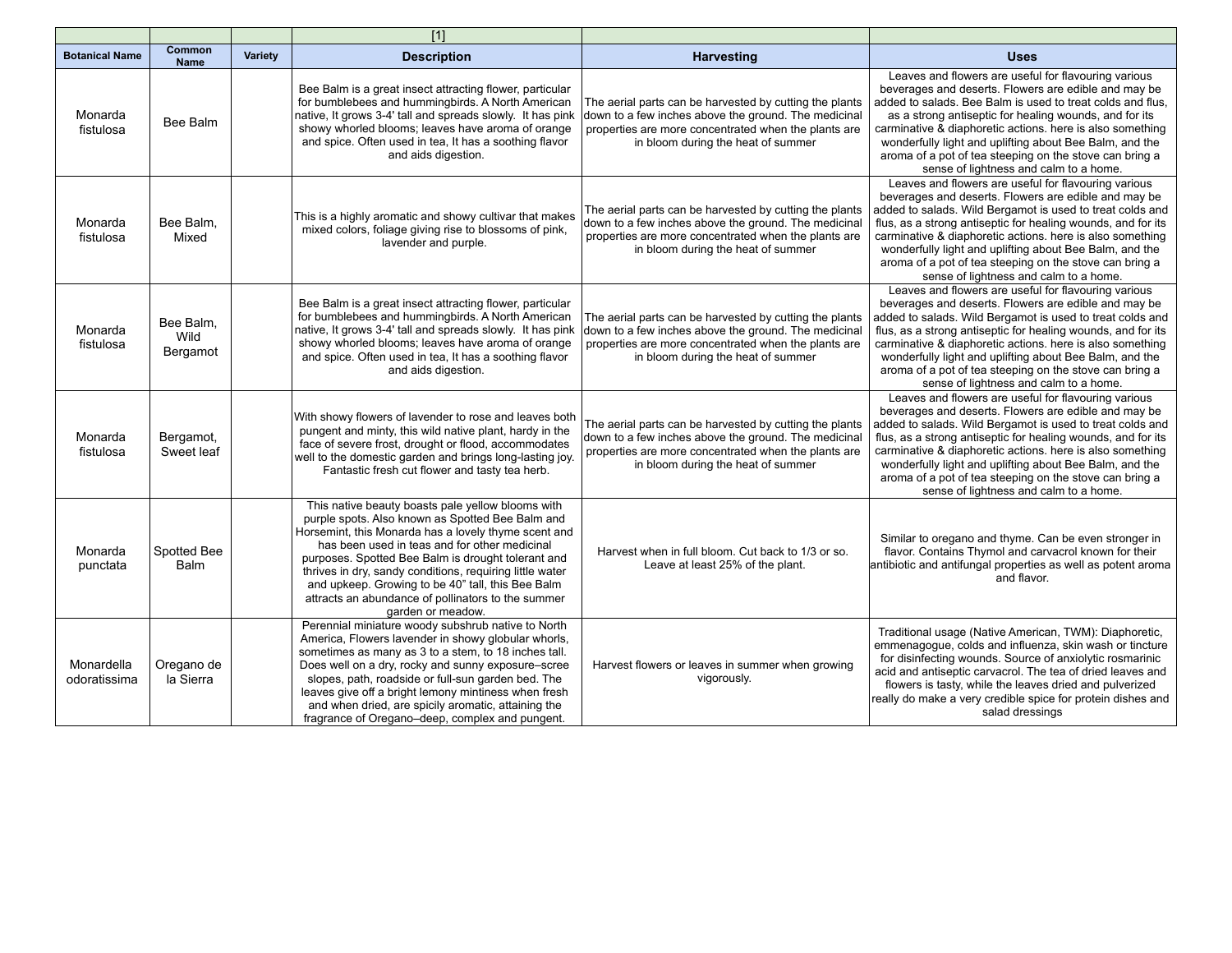|                            |                               |         | $[1]$                                                                                                                                                                                                                                                                                                                                                                                                                                                            |                                                                                                                                                                                                               |                                                                                                                                                                                                                                                                                                                                                                                                                                                                        |
|----------------------------|-------------------------------|---------|------------------------------------------------------------------------------------------------------------------------------------------------------------------------------------------------------------------------------------------------------------------------------------------------------------------------------------------------------------------------------------------------------------------------------------------------------------------|---------------------------------------------------------------------------------------------------------------------------------------------------------------------------------------------------------------|------------------------------------------------------------------------------------------------------------------------------------------------------------------------------------------------------------------------------------------------------------------------------------------------------------------------------------------------------------------------------------------------------------------------------------------------------------------------|
| <b>Botanical Name</b>      | Common<br><b>Name</b>         | Variety | <b>Description</b>                                                                                                                                                                                                                                                                                                                                                                                                                                               | <b>Harvesting</b>                                                                                                                                                                                             | <b>Uses</b>                                                                                                                                                                                                                                                                                                                                                                                                                                                            |
| Monarda<br>fistulosa       | Bee Balm                      |         | Bee Balm is a great insect attracting flower, particular<br>for bumblebees and hummingbirds. A North American<br>native, It grows 3-4' tall and spreads slowly. It has pink<br>showy whorled blooms; leaves have aroma of orange<br>and spice. Often used in tea, It has a soothing flavor<br>and aids digestion.                                                                                                                                                | The aerial parts can be harvested by cutting the plants<br>down to a few inches above the ground. The medicinal<br>properties are more concentrated when the plants are<br>in bloom during the heat of summer | Leaves and flowers are useful for flavouring various<br>beverages and deserts. Flowers are edible and may be<br>added to salads. Bee Balm is used to treat colds and flus,<br>as a strong antiseptic for healing wounds, and for its<br>carminative & diaphoretic actions. here is also something<br>wonderfully light and uplifting about Bee Balm, and the<br>aroma of a pot of tea steeping on the stove can bring a<br>sense of lightness and calm to a home.      |
| Monarda<br>fistulosa       | Bee Balm.<br>Mixed            |         | This is a highly aromatic and showy cultivar that makes<br>mixed colors, foliage giving rise to blossoms of pink,<br>lavender and purple.                                                                                                                                                                                                                                                                                                                        | The aerial parts can be harvested by cutting the plants<br>down to a few inches above the ground. The medicinal<br>properties are more concentrated when the plants are<br>in bloom during the heat of summer | Leaves and flowers are useful for flavouring various<br>beverages and deserts. Flowers are edible and may be<br>added to salads. Wild Bergamot is used to treat colds and<br>flus, as a strong antiseptic for healing wounds, and for its<br>carminative & diaphoretic actions. here is also something<br>wonderfully light and uplifting about Bee Balm, and the<br>aroma of a pot of tea steeping on the stove can bring a<br>sense of lightness and calm to a home. |
| Monarda<br>fistulosa       | Bee Balm,<br>Wild<br>Bergamot |         | Bee Balm is a great insect attracting flower, particular<br>for bumblebees and hummingbirds. A North American<br>native, It grows 3-4' tall and spreads slowly. It has pink<br>showy whorled blooms; leaves have aroma of orange<br>and spice. Often used in tea, It has a soothing flavor<br>and aids digestion.                                                                                                                                                | The aerial parts can be harvested by cutting the plants<br>down to a few inches above the ground. The medicinal<br>properties are more concentrated when the plants are<br>in bloom during the heat of summer | Leaves and flowers are useful for flavouring various<br>beverages and deserts. Flowers are edible and may be<br>added to salads. Wild Bergamot is used to treat colds and<br>flus, as a strong antiseptic for healing wounds, and for its<br>carminative & diaphoretic actions. here is also something<br>wonderfully light and uplifting about Bee Balm, and the<br>aroma of a pot of tea steeping on the stove can bring a<br>sense of lightness and calm to a home. |
| Monarda<br>fistulosa       | Bergamot,<br>Sweet leaf       |         | With showy flowers of lavender to rose and leaves both<br>pungent and minty, this wild native plant, hardy in the<br>face of severe frost, drought or flood, accommodates<br>well to the domestic garden and brings long-lasting joy.<br>Fantastic fresh cut flower and tasty tea herb.                                                                                                                                                                          | The aerial parts can be harvested by cutting the plants<br>down to a few inches above the ground. The medicinal<br>properties are more concentrated when the plants are<br>in bloom during the heat of summer | Leaves and flowers are useful for flavouring various<br>beverages and deserts. Flowers are edible and may be<br>added to salads. Wild Bergamot is used to treat colds and<br>flus, as a strong antiseptic for healing wounds, and for its<br>carminative & diaphoretic actions. here is also something<br>wonderfully light and uplifting about Bee Balm, and the<br>aroma of a pot of tea steeping on the stove can bring a<br>sense of lightness and calm to a home. |
| Monarda<br>punctata        | Spotted Bee<br><b>Balm</b>    |         | This native beauty boasts pale yellow blooms with<br>purple spots. Also known as Spotted Bee Balm and<br>Horsemint, this Monarda has a lovely thyme scent and<br>has been used in teas and for other medicinal<br>purposes. Spotted Bee Balm is drought tolerant and<br>thrives in dry, sandy conditions, requiring little water<br>and upkeep. Growing to be 40" tall, this Bee Balm<br>attracts an abundance of pollinators to the summer<br>garden or meadow. | Harvest when in full bloom. Cut back to 1/3 or so.<br>Leave at least 25% of the plant.                                                                                                                        | Similar to oregano and thyme. Can be even stronger in<br>flavor. Contains Thymol and carvacrol known for their<br>antibiotic and antifungal properties as well as potent aroma<br>and flavor.                                                                                                                                                                                                                                                                          |
| Monardella<br>odoratissima | Oregano de<br>la Sierra       |         | Perennial miniature woody subshrub native to North<br>America, Flowers lavender in showy globular whorls,<br>sometimes as many as 3 to a stem, to 18 inches tall.<br>Does well on a dry, rocky and sunny exposure-scree<br>slopes, path, roadside or full-sun garden bed. The<br>leaves give off a bright lemony mintiness when fresh<br>and when dried, are spicily aromatic, attaining the<br>fragrance of Oregano-deep, complex and pungent.                  | Harvest flowers or leaves in summer when growing<br>vigorously.                                                                                                                                               | Traditional usage (Native American, TWM): Diaphoretic,<br>emmenagogue, colds and influenza, skin wash or tincture<br>for disinfecting wounds. Source of anxiolytic rosmarinic<br>acid and antiseptic carvacrol. The tea of dried leaves and<br>flowers is tasty, while the leaves dried and pulverized<br>really do make a very credible spice for protein dishes and<br>salad dressings                                                                               |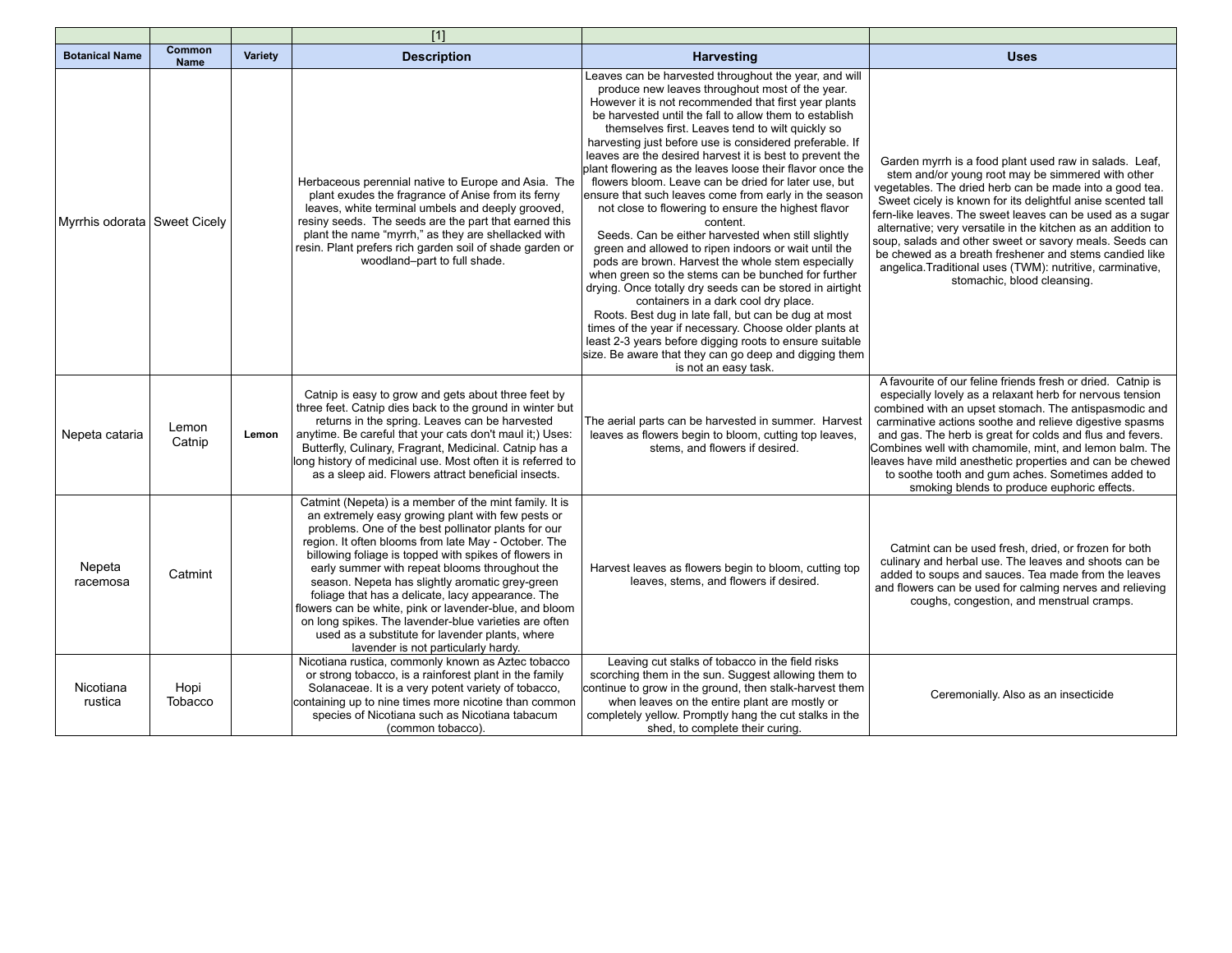|                                |                              |                | $[1]$                                                                                                                                                                                                                                                                                                                                                                                                                                                                                                                                                                                                                                                      |                                                                                                                                                                                                                                                                                                                                                                                                                                                                                                                                                                                                                                                                                                                                                                                                                                                                                                                                                                                                                                                                                                                                                                                                                                                   |                                                                                                                                                                                                                                                                                                                                                                                                                                                                                                                                                                                     |
|--------------------------------|------------------------------|----------------|------------------------------------------------------------------------------------------------------------------------------------------------------------------------------------------------------------------------------------------------------------------------------------------------------------------------------------------------------------------------------------------------------------------------------------------------------------------------------------------------------------------------------------------------------------------------------------------------------------------------------------------------------------|---------------------------------------------------------------------------------------------------------------------------------------------------------------------------------------------------------------------------------------------------------------------------------------------------------------------------------------------------------------------------------------------------------------------------------------------------------------------------------------------------------------------------------------------------------------------------------------------------------------------------------------------------------------------------------------------------------------------------------------------------------------------------------------------------------------------------------------------------------------------------------------------------------------------------------------------------------------------------------------------------------------------------------------------------------------------------------------------------------------------------------------------------------------------------------------------------------------------------------------------------|-------------------------------------------------------------------------------------------------------------------------------------------------------------------------------------------------------------------------------------------------------------------------------------------------------------------------------------------------------------------------------------------------------------------------------------------------------------------------------------------------------------------------------------------------------------------------------------|
| <b>Botanical Name</b>          | <b>Common</b><br><b>Name</b> | <b>Variety</b> | <b>Description</b>                                                                                                                                                                                                                                                                                                                                                                                                                                                                                                                                                                                                                                         | <b>Harvesting</b>                                                                                                                                                                                                                                                                                                                                                                                                                                                                                                                                                                                                                                                                                                                                                                                                                                                                                                                                                                                                                                                                                                                                                                                                                                 | <b>Uses</b>                                                                                                                                                                                                                                                                                                                                                                                                                                                                                                                                                                         |
| Myrrhis odorata   Sweet Cicely |                              |                | Herbaceous perennial native to Europe and Asia. The<br>plant exudes the fragrance of Anise from its ferny<br>leaves, white terminal umbels and deeply grooved,<br>resiny seeds. The seeds are the part that earned this<br>plant the name "myrrh," as they are shellacked with<br>resin. Plant prefers rich garden soil of shade garden or<br>woodland-part to full shade.                                                                                                                                                                                                                                                                                 | Leaves can be harvested throughout the year, and will<br>produce new leaves throughout most of the year.<br>However it is not recommended that first year plants<br>be harvested until the fall to allow them to establish<br>themselves first. Leaves tend to wilt quickly so<br>harvesting just before use is considered preferable. If<br>leaves are the desired harvest it is best to prevent the<br>plant flowering as the leaves loose their flavor once the<br>flowers bloom. Leave can be dried for later use, but<br>ensure that such leaves come from early in the season<br>not close to flowering to ensure the highest flavor<br>content.<br>Seeds. Can be either harvested when still slightly<br>green and allowed to ripen indoors or wait until the<br>pods are brown. Harvest the whole stem especially<br>when green so the stems can be bunched for further<br>drying. Once totally dry seeds can be stored in airtight<br>containers in a dark cool dry place.<br>Roots. Best dug in late fall, but can be dug at most<br>times of the year if necessary. Choose older plants at<br>least 2-3 years before digging roots to ensure suitable<br>size. Be aware that they can go deep and digging them<br>is not an easy task. | Garden myrrh is a food plant used raw in salads. Leaf,<br>stem and/or young root may be simmered with other<br>vegetables. The dried herb can be made into a good tea.<br>Sweet cicely is known for its delightful anise scented tall<br>fern-like leaves. The sweet leaves can be used as a sugar<br>alternative; very versatile in the kitchen as an addition to<br>soup, salads and other sweet or savory meals. Seeds can<br>be chewed as a breath freshener and stems candied like<br>angelica. Traditional uses (TWM): nutritive, carminative,<br>stomachic, blood cleansing. |
| Nepeta cataria                 | Lemon<br>Catnip              | Lemon          | Catnip is easy to grow and gets about three feet by<br>three feet. Catnip dies back to the ground in winter but<br>returns in the spring. Leaves can be harvested<br>anytime. Be careful that your cats don't maul it;) Uses:<br>Butterfly, Culinary, Fragrant, Medicinal. Catnip has a<br>long history of medicinal use. Most often it is referred to<br>as a sleep aid. Flowers attract beneficial insects.                                                                                                                                                                                                                                              | The aerial parts can be harvested in summer. Harvest<br>leaves as flowers begin to bloom, cutting top leaves,<br>stems, and flowers if desired.                                                                                                                                                                                                                                                                                                                                                                                                                                                                                                                                                                                                                                                                                                                                                                                                                                                                                                                                                                                                                                                                                                   | A favourite of our feline friends fresh or dried. Catnip is<br>especially lovely as a relaxant herb for nervous tension<br>combined with an upset stomach. The antispasmodic and<br>carminative actions soothe and relieve digestive spasms<br>and gas. The herb is great for colds and flus and fevers.<br>Combines well with chamomile, mint, and lemon balm. The<br>leaves have mild anesthetic properties and can be chewed<br>to soothe tooth and gum aches. Sometimes added to<br>smoking blends to produce euphoric effects.                                                 |
| Nepeta<br>racemosa             | Catmint                      |                | Catmint (Nepeta) is a member of the mint family. It is<br>an extremely easy growing plant with few pests or<br>problems. One of the best pollinator plants for our<br>region. It often blooms from late May - October. The<br>billowing foliage is topped with spikes of flowers in<br>early summer with repeat blooms throughout the<br>season. Nepeta has slightly aromatic grey-green<br>foliage that has a delicate, lacy appearance. The<br>flowers can be white, pink or lavender-blue, and bloom<br>on long spikes. The lavender-blue varieties are often<br>used as a substitute for lavender plants, where<br>lavender is not particularly hardy. | Harvest leaves as flowers begin to bloom, cutting top<br>leaves, stems, and flowers if desired.                                                                                                                                                                                                                                                                                                                                                                                                                                                                                                                                                                                                                                                                                                                                                                                                                                                                                                                                                                                                                                                                                                                                                   | Catmint can be used fresh, dried, or frozen for both<br>culinary and herbal use. The leaves and shoots can be<br>added to soups and sauces. Tea made from the leaves<br>and flowers can be used for calming nerves and relieving<br>coughs, congestion, and menstrual cramps.                                                                                                                                                                                                                                                                                                       |
| Nicotiana<br>rustica           | Hopi<br>Tobacco              |                | Nicotiana rustica, commonly known as Aztec tobacco<br>or strong tobacco, is a rainforest plant in the family<br>Solanaceae. It is a very potent variety of tobacco,<br>containing up to nine times more nicotine than common<br>species of Nicotiana such as Nicotiana tabacum<br>(common tobacco).                                                                                                                                                                                                                                                                                                                                                        | Leaving cut stalks of tobacco in the field risks<br>scorching them in the sun. Suggest allowing them to<br>continue to grow in the ground, then stalk-harvest them<br>when leaves on the entire plant are mostly or<br>completely yellow. Promptly hang the cut stalks in the<br>shed, to complete their curing.                                                                                                                                                                                                                                                                                                                                                                                                                                                                                                                                                                                                                                                                                                                                                                                                                                                                                                                                  | Ceremonially. Also as an insecticide                                                                                                                                                                                                                                                                                                                                                                                                                                                                                                                                                |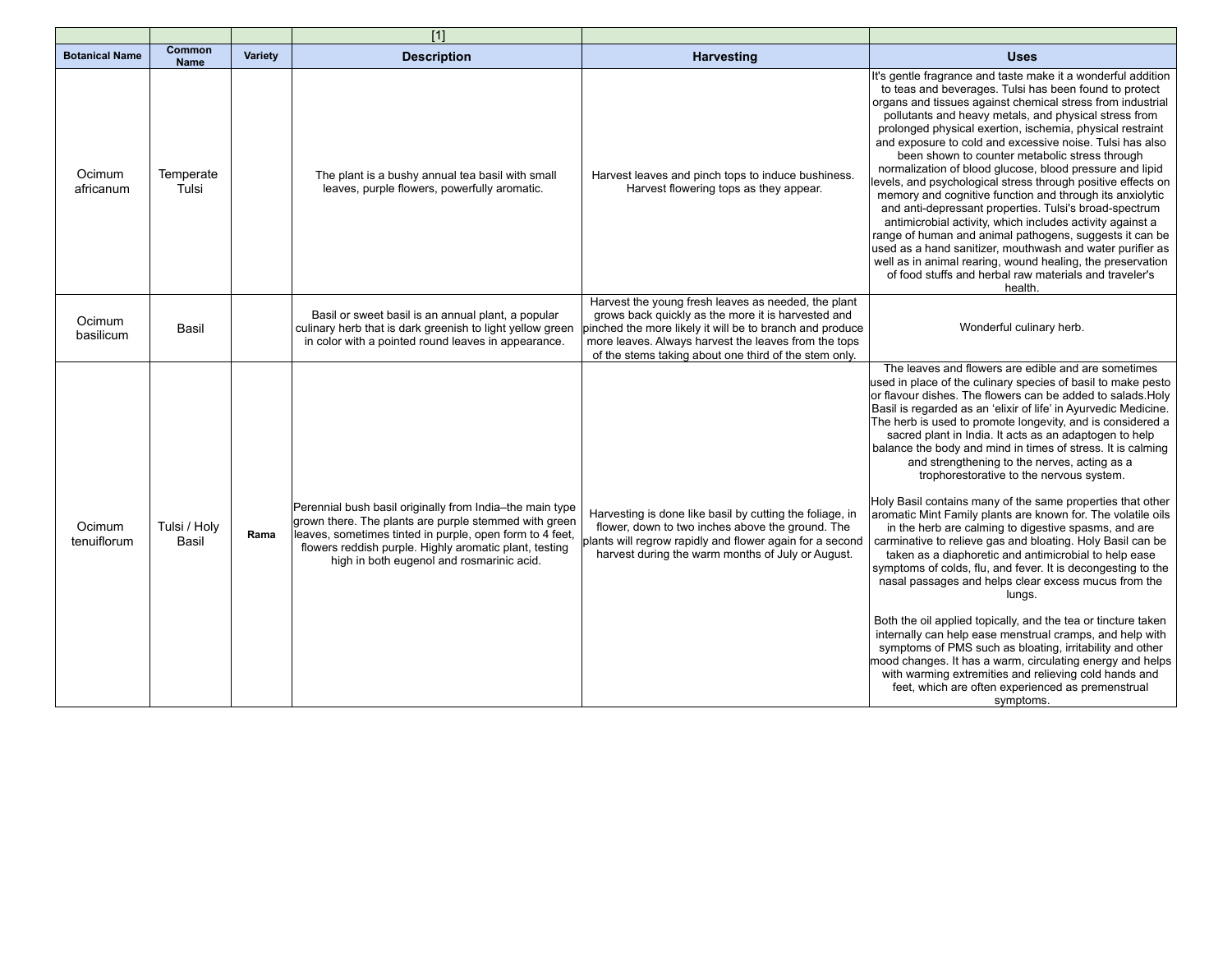|                       |                       |         | $[1]$                                                                                                                                                                                                                                                                                |                                                                                                                                                                                                                                                                                        |                                                                                                                                                                                                                                                                                                                                                                                                                                                                                                                                                                                                                                                                                                                                                                                                                                                                                                                                                                                                                                                                                                                                                                                                                                                                                                                                                                          |
|-----------------------|-----------------------|---------|--------------------------------------------------------------------------------------------------------------------------------------------------------------------------------------------------------------------------------------------------------------------------------------|----------------------------------------------------------------------------------------------------------------------------------------------------------------------------------------------------------------------------------------------------------------------------------------|--------------------------------------------------------------------------------------------------------------------------------------------------------------------------------------------------------------------------------------------------------------------------------------------------------------------------------------------------------------------------------------------------------------------------------------------------------------------------------------------------------------------------------------------------------------------------------------------------------------------------------------------------------------------------------------------------------------------------------------------------------------------------------------------------------------------------------------------------------------------------------------------------------------------------------------------------------------------------------------------------------------------------------------------------------------------------------------------------------------------------------------------------------------------------------------------------------------------------------------------------------------------------------------------------------------------------------------------------------------------------|
| <b>Botanical Name</b> | Common<br><b>Name</b> | Variety | <b>Description</b>                                                                                                                                                                                                                                                                   | <b>Harvesting</b>                                                                                                                                                                                                                                                                      | <b>Uses</b>                                                                                                                                                                                                                                                                                                                                                                                                                                                                                                                                                                                                                                                                                                                                                                                                                                                                                                                                                                                                                                                                                                                                                                                                                                                                                                                                                              |
| Ocimum<br>africanum   | Temperate<br>Tulsi    |         | The plant is a bushy annual tea basil with small<br>leaves, purple flowers, powerfully aromatic.                                                                                                                                                                                     | Harvest leaves and pinch tops to induce bushiness.<br>Harvest flowering tops as they appear.                                                                                                                                                                                           | It's gentle fragrance and taste make it a wonderful addition<br>to teas and beverages. Tulsi has been found to protect<br>organs and tissues against chemical stress from industrial<br>pollutants and heavy metals, and physical stress from<br>prolonged physical exertion, ischemia, physical restraint<br>and exposure to cold and excessive noise. Tulsi has also<br>been shown to counter metabolic stress through<br>normalization of blood glucose, blood pressure and lipid<br>levels, and psychological stress through positive effects on<br>memory and cognitive function and through its anxiolytic<br>and anti-depressant properties. Tulsi's broad-spectrum<br>antimicrobial activity, which includes activity against a<br>range of human and animal pathogens, suggests it can be<br>used as a hand sanitizer, mouthwash and water purifier as<br>well as in animal rearing, wound healing, the preservation<br>of food stuffs and herbal raw materials and traveler's<br>health.                                                                                                                                                                                                                                                                                                                                                                       |
| Ocimum<br>basilicum   | Basil                 |         | Basil or sweet basil is an annual plant, a popular<br>culinary herb that is dark greenish to light yellow green<br>in color with a pointed round leaves in appearance.                                                                                                               | Harvest the young fresh leaves as needed, the plant<br>grows back quickly as the more it is harvested and<br>pinched the more likely it will be to branch and produce<br>more leaves. Always harvest the leaves from the tops<br>of the stems taking about one third of the stem only. | Wonderful culinary herb.                                                                                                                                                                                                                                                                                                                                                                                                                                                                                                                                                                                                                                                                                                                                                                                                                                                                                                                                                                                                                                                                                                                                                                                                                                                                                                                                                 |
| Ocimum<br>tenuiflorum | Tulsi / Holy<br>Basil | Rama    | Perennial bush basil originally from India-the main type<br>grown there. The plants are purple stemmed with green<br>leaves, sometimes tinted in purple, open form to 4 feet,<br>flowers reddish purple. Highly aromatic plant, testing<br>high in both eugenol and rosmarinic acid. | Harvesting is done like basil by cutting the foliage, in<br>flower, down to two inches above the ground. The<br>plants will regrow rapidly and flower again for a second<br>harvest during the warm months of July or August.                                                          | The leaves and flowers are edible and are sometimes<br>used in place of the culinary species of basil to make pesto<br>or flavour dishes. The flowers can be added to salads. Holy<br>Basil is regarded as an 'elixir of life' in Ayurvedic Medicine.<br>The herb is used to promote longevity, and is considered a<br>sacred plant in India. It acts as an adaptogen to help<br>balance the body and mind in times of stress. It is calming<br>and strengthening to the nerves, acting as a<br>trophorestorative to the nervous system.<br>Holy Basil contains many of the same properties that other<br>aromatic Mint Family plants are known for. The volatile oils<br>in the herb are calming to digestive spasms, and are<br>carminative to relieve gas and bloating. Holy Basil can be<br>taken as a diaphoretic and antimicrobial to help ease<br>symptoms of colds, flu, and fever. It is decongesting to the<br>nasal passages and helps clear excess mucus from the<br>lungs.<br>Both the oil applied topically, and the tea or tincture taken<br>internally can help ease menstrual cramps, and help with<br>symptoms of PMS such as bloating, irritability and other<br>mood changes. It has a warm, circulating energy and helps<br>with warming extremities and relieving cold hands and<br>feet, which are often experienced as premenstrual<br>symptoms. |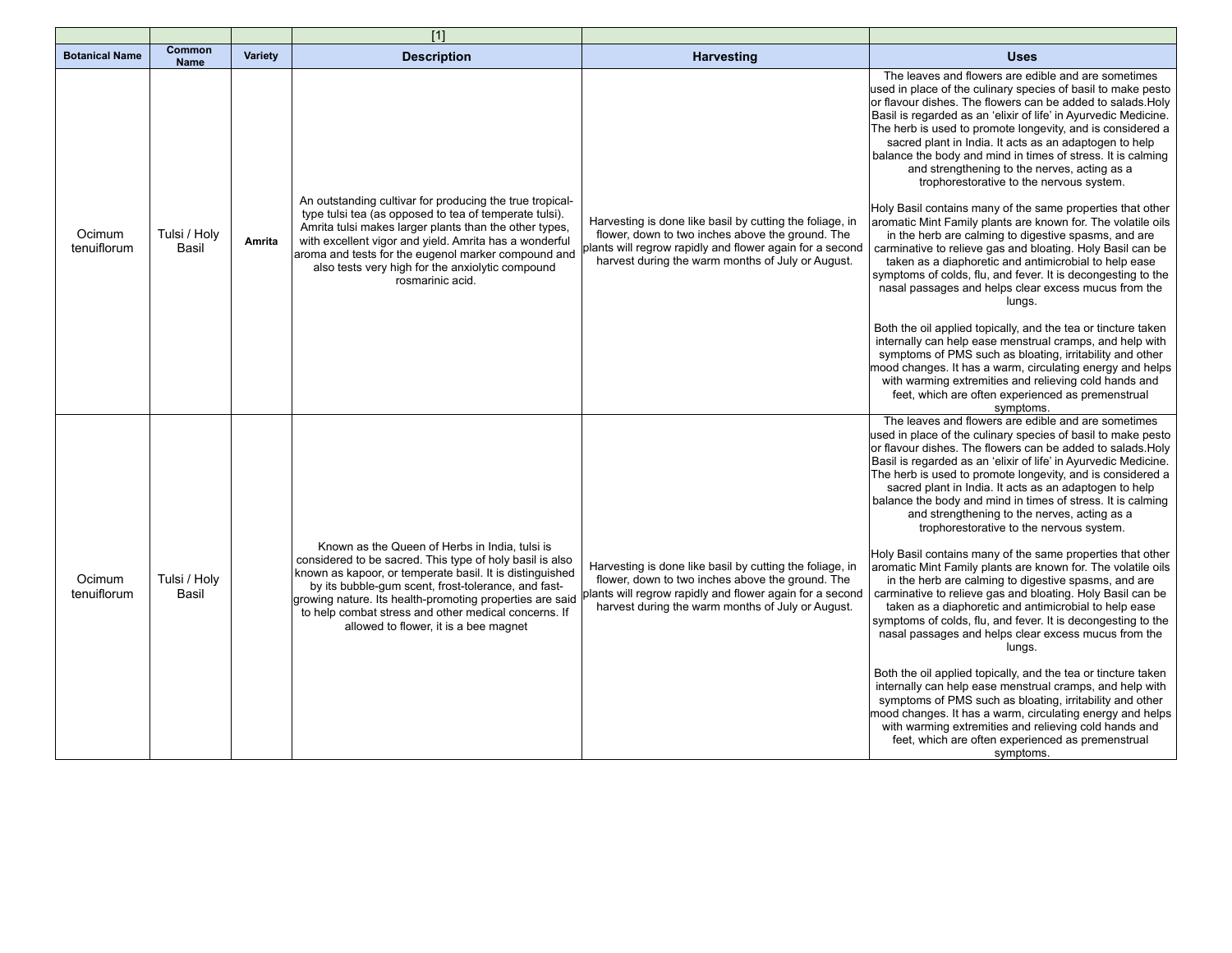|                       |                       |         | $[1]$                                                                                                                                                                                                                                                                                                                                                                                      |                                                                                                                                                                                                                               |                                                                                                                                                                                                                                                                                                                                                                                                                                                                                                                                                                                                                                                                                                                                                                                                                                                                                                                                                                                                                                                                                                                                                                                                                                                                                                                                                                          |
|-----------------------|-----------------------|---------|--------------------------------------------------------------------------------------------------------------------------------------------------------------------------------------------------------------------------------------------------------------------------------------------------------------------------------------------------------------------------------------------|-------------------------------------------------------------------------------------------------------------------------------------------------------------------------------------------------------------------------------|--------------------------------------------------------------------------------------------------------------------------------------------------------------------------------------------------------------------------------------------------------------------------------------------------------------------------------------------------------------------------------------------------------------------------------------------------------------------------------------------------------------------------------------------------------------------------------------------------------------------------------------------------------------------------------------------------------------------------------------------------------------------------------------------------------------------------------------------------------------------------------------------------------------------------------------------------------------------------------------------------------------------------------------------------------------------------------------------------------------------------------------------------------------------------------------------------------------------------------------------------------------------------------------------------------------------------------------------------------------------------|
| <b>Botanical Name</b> | Common<br><b>Name</b> | Variety | <b>Description</b>                                                                                                                                                                                                                                                                                                                                                                         | <b>Harvesting</b>                                                                                                                                                                                                             | <b>Uses</b>                                                                                                                                                                                                                                                                                                                                                                                                                                                                                                                                                                                                                                                                                                                                                                                                                                                                                                                                                                                                                                                                                                                                                                                                                                                                                                                                                              |
| Ocimum<br>tenuiflorum | Tulsi / Holy<br>Basil | Amrita  | An outstanding cultivar for producing the true tropical-<br>type tulsi tea (as opposed to tea of temperate tulsi).<br>Amrita tulsi makes larger plants than the other types.<br>with excellent vigor and yield. Amrita has a wonderful<br>aroma and tests for the eugenol marker compound and<br>also tests very high for the anxiolytic compound<br>rosmarinic acid.                      | Harvesting is done like basil by cutting the foliage, in<br>flower, down to two inches above the ground. The<br>plants will regrow rapidly and flower again for a second<br>harvest during the warm months of July or August. | The leaves and flowers are edible and are sometimes<br>used in place of the culinary species of basil to make pesto<br>or flavour dishes. The flowers can be added to salads. Holy<br>Basil is regarded as an 'elixir of life' in Ayurvedic Medicine.<br>The herb is used to promote longevity, and is considered a<br>sacred plant in India. It acts as an adaptogen to help<br>balance the body and mind in times of stress. It is calming<br>and strengthening to the nerves, acting as a<br>trophorestorative to the nervous system.<br>Holy Basil contains many of the same properties that other<br>aromatic Mint Family plants are known for. The volatile oils<br>in the herb are calming to digestive spasms, and are<br>carminative to relieve gas and bloating. Holy Basil can be<br>taken as a diaphoretic and antimicrobial to help ease<br>symptoms of colds, flu, and fever. It is decongesting to the<br>nasal passages and helps clear excess mucus from the<br>lungs.<br>Both the oil applied topically, and the tea or tincture taken<br>internally can help ease menstrual cramps, and help with<br>symptoms of PMS such as bloating, irritability and other<br>mood changes. It has a warm, circulating energy and helps<br>with warming extremities and relieving cold hands and<br>feet, which are often experienced as premenstrual<br>symptoms. |
| Ocimum<br>tenuiflorum | Tulsi / Holy<br>Basil |         | Known as the Queen of Herbs in India, tulsi is<br>considered to be sacred. This type of holy basil is also<br>known as kapoor, or temperate basil. It is distinguished<br>by its bubble-qum scent, frost-tolerance, and fast-<br>growing nature. Its health-promoting properties are said<br>to help combat stress and other medical concerns. If<br>allowed to flower, it is a bee magnet | Harvesting is done like basil by cutting the foliage, in<br>flower, down to two inches above the ground. The<br>plants will regrow rapidly and flower again for a second<br>harvest during the warm months of July or August. | The leaves and flowers are edible and are sometimes<br>used in place of the culinary species of basil to make pesto<br>or flavour dishes. The flowers can be added to salads. Holy<br>Basil is regarded as an 'elixir of life' in Ayurvedic Medicine.<br>The herb is used to promote longevity, and is considered a<br>sacred plant in India. It acts as an adaptogen to help<br>balance the body and mind in times of stress. It is calming<br>and strengthening to the nerves, acting as a<br>trophorestorative to the nervous system.<br>Holy Basil contains many of the same properties that other<br>aromatic Mint Family plants are known for. The volatile oils<br>in the herb are calming to digestive spasms, and are<br>carminative to relieve gas and bloating. Holy Basil can be<br>taken as a diaphoretic and antimicrobial to help ease<br>symptoms of colds, flu, and fever. It is decongesting to the<br>nasal passages and helps clear excess mucus from the<br>lungs.<br>Both the oil applied topically, and the tea or tincture taken<br>internally can help ease menstrual cramps, and help with<br>symptoms of PMS such as bloating, irritability and other<br>mood changes. It has a warm, circulating energy and helps<br>with warming extremities and relieving cold hands and<br>feet, which are often experienced as premenstrual<br>symptoms. |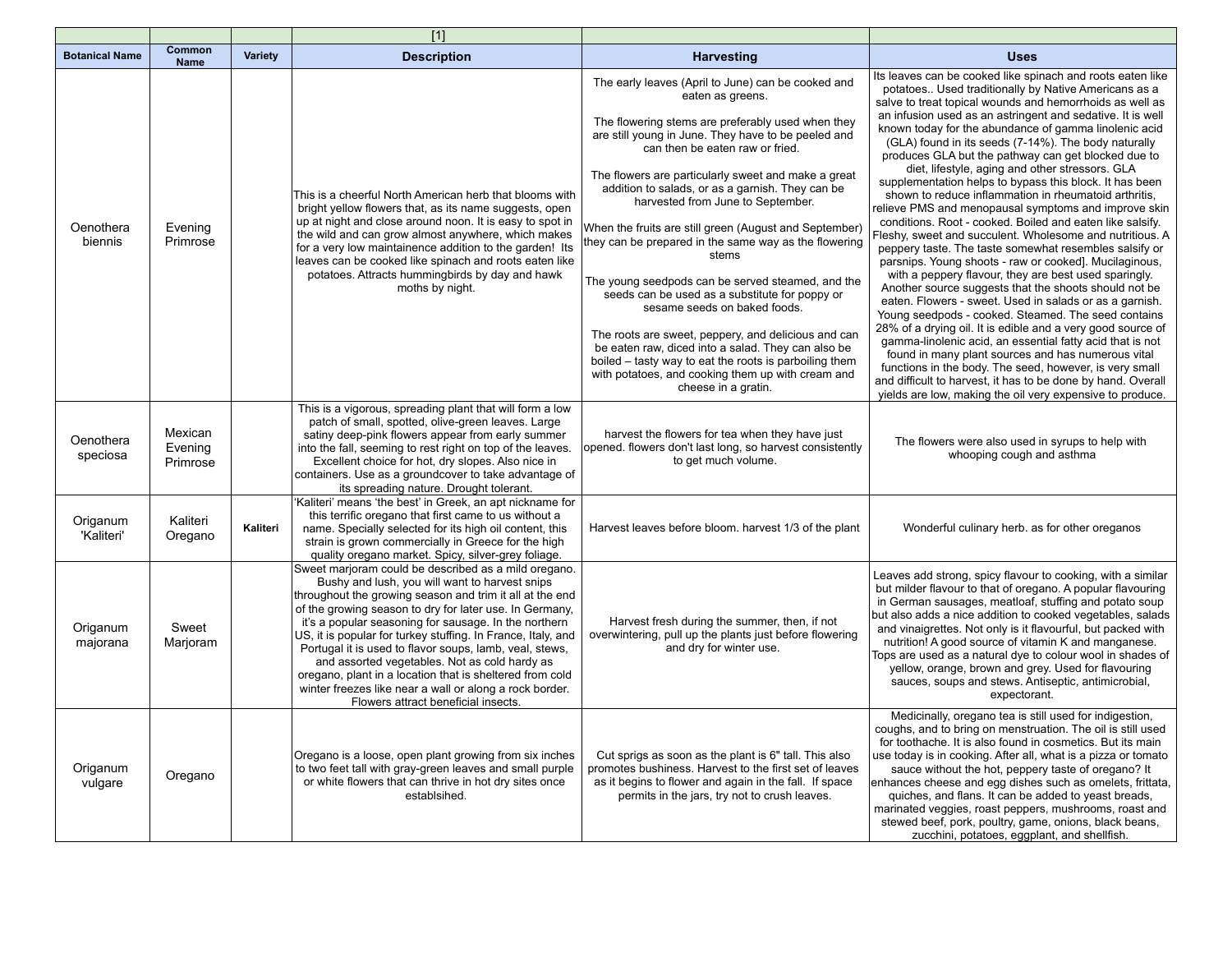|                        |                                |          | $[1]$                                                                                                                                                                                                                                                                                                                                                                                                                                                                                                                                                                                                                            |                                                                                                                                                                                                                                                                                                                                                                                                                                                                                                                                                                                                                                                                                                                                                                                                                                                                                             |                                                                                                                                                                                                                                                                                                                                                                                                                                                                                                                                                                                                                                                                                                                                                                                                                                                                                                                                                                                                                                                                                                                                                                                                                                                                                                                                                                                                                                                                                                                |
|------------------------|--------------------------------|----------|----------------------------------------------------------------------------------------------------------------------------------------------------------------------------------------------------------------------------------------------------------------------------------------------------------------------------------------------------------------------------------------------------------------------------------------------------------------------------------------------------------------------------------------------------------------------------------------------------------------------------------|---------------------------------------------------------------------------------------------------------------------------------------------------------------------------------------------------------------------------------------------------------------------------------------------------------------------------------------------------------------------------------------------------------------------------------------------------------------------------------------------------------------------------------------------------------------------------------------------------------------------------------------------------------------------------------------------------------------------------------------------------------------------------------------------------------------------------------------------------------------------------------------------|----------------------------------------------------------------------------------------------------------------------------------------------------------------------------------------------------------------------------------------------------------------------------------------------------------------------------------------------------------------------------------------------------------------------------------------------------------------------------------------------------------------------------------------------------------------------------------------------------------------------------------------------------------------------------------------------------------------------------------------------------------------------------------------------------------------------------------------------------------------------------------------------------------------------------------------------------------------------------------------------------------------------------------------------------------------------------------------------------------------------------------------------------------------------------------------------------------------------------------------------------------------------------------------------------------------------------------------------------------------------------------------------------------------------------------------------------------------------------------------------------------------|
| <b>Botanical Name</b>  | Common<br><b>Name</b>          | Variety  | <b>Description</b>                                                                                                                                                                                                                                                                                                                                                                                                                                                                                                                                                                                                               | <b>Harvesting</b>                                                                                                                                                                                                                                                                                                                                                                                                                                                                                                                                                                                                                                                                                                                                                                                                                                                                           | <b>Uses</b>                                                                                                                                                                                                                                                                                                                                                                                                                                                                                                                                                                                                                                                                                                                                                                                                                                                                                                                                                                                                                                                                                                                                                                                                                                                                                                                                                                                                                                                                                                    |
| Oenothera<br>biennis   | Evening<br>Primrose            |          | This is a cheerful North American herb that blooms with<br>bright yellow flowers that, as its name suggests, open<br>up at night and close around noon. It is easy to spot in<br>the wild and can grow almost anywhere, which makes<br>for a very low maintainence addition to the garden! Its<br>leaves can be cooked like spinach and roots eaten like<br>potatoes. Attracts hummingbirds by day and hawk<br>moths by night.                                                                                                                                                                                                   | The early leaves (April to June) can be cooked and<br>eaten as greens.<br>The flowering stems are preferably used when they<br>are still young in June. They have to be peeled and<br>can then be eaten raw or fried.<br>The flowers are particularly sweet and make a great<br>addition to salads, or as a garnish. They can be<br>harvested from June to September.<br>When the fruits are still green (August and September)<br>they can be prepared in the same way as the flowering<br>stems<br>The young seedpods can be served steamed, and the<br>seeds can be used as a substitute for poppy or<br>sesame seeds on baked foods.<br>The roots are sweet, peppery, and delicious and can<br>be eaten raw, diced into a salad. They can also be<br>boiled – tasty way to eat the roots is parboiling them<br>with potatoes, and cooking them up with cream and<br>cheese in a gratin. | Its leaves can be cooked like spinach and roots eaten like<br>potatoes Used traditionally by Native Americans as a<br>salve to treat topical wounds and hemorrhoids as well as<br>an infusion used as an astringent and sedative. It is well<br>known today for the abundance of gamma linolenic acid<br>(GLA) found in its seeds (7-14%). The body naturally<br>produces GLA but the pathway can get blocked due to<br>diet, lifestyle, aging and other stressors. GLA<br>supplementation helps to bypass this block. It has been<br>shown to reduce inflammation in rheumatoid arthritis,<br>relieve PMS and menopausal symptoms and improve skin<br>conditions. Root - cooked. Boiled and eaten like salsify.<br>Fleshy, sweet and succulent. Wholesome and nutritious. A<br>peppery taste. The taste somewhat resembles salsify or<br>parsnips. Young shoots - raw or cooked]. Mucilaginous,<br>with a peppery flavour, they are best used sparingly.<br>Another source suggests that the shoots should not be<br>eaten. Flowers - sweet. Used in salads or as a garnish.<br>Young seedpods - cooked. Steamed. The seed contains<br>28% of a drying oil. It is edible and a very good source of<br>gamma-linolenic acid, an essential fatty acid that is not<br>found in many plant sources and has numerous vital<br>functions in the body. The seed, however, is very small<br>and difficult to harvest, it has to be done by hand. Overall<br>yields are low, making the oil very expensive to produce. |
| Oenothera<br>speciosa  | Mexican<br>Evening<br>Primrose |          | This is a vigorous, spreading plant that will form a low<br>patch of small, spotted, olive-green leaves. Large<br>satiny deep-pink flowers appear from early summer<br>into the fall, seeming to rest right on top of the leaves.<br>Excellent choice for hot, dry slopes. Also nice in<br>containers. Use as a groundcover to take advantage of<br>its spreading nature. Drought tolerant.                                                                                                                                                                                                                                      | harvest the flowers for tea when they have just<br>opened. flowers don't last long, so harvest consistently<br>to get much volume.                                                                                                                                                                                                                                                                                                                                                                                                                                                                                                                                                                                                                                                                                                                                                          | The flowers were also used in syrups to help with<br>whooping cough and asthma                                                                                                                                                                                                                                                                                                                                                                                                                                                                                                                                                                                                                                                                                                                                                                                                                                                                                                                                                                                                                                                                                                                                                                                                                                                                                                                                                                                                                                 |
| Origanum<br>'Kaliteri' | Kaliteri<br>Oregano            | Kaliteri | Kaliteri' means 'the best' in Greek, an apt nickname for<br>this terrific oregano that first came to us without a<br>name. Specially selected for its high oil content, this<br>strain is grown commercially in Greece for the high<br>quality oregano market. Spicy, silver-grey foliage.                                                                                                                                                                                                                                                                                                                                       | Harvest leaves before bloom. harvest 1/3 of the plant                                                                                                                                                                                                                                                                                                                                                                                                                                                                                                                                                                                                                                                                                                                                                                                                                                       | Wonderful culinary herb. as for other oreganos                                                                                                                                                                                                                                                                                                                                                                                                                                                                                                                                                                                                                                                                                                                                                                                                                                                                                                                                                                                                                                                                                                                                                                                                                                                                                                                                                                                                                                                                 |
| Origanum<br>majorana   | Sweet<br>Marjoram              |          | Sweet marjoram could be described as a mild oregano.<br>Bushy and lush, you will want to harvest snips<br>throughout the growing season and trim it all at the end<br>of the growing season to dry for later use. In Germany,<br>it's a popular seasoning for sausage. In the northern<br>US, it is popular for turkey stuffing. In France, Italy, and<br>Portugal it is used to flavor soups, lamb, veal, stews,<br>and assorted vegetables. Not as cold hardy as<br>oregano, plant in a location that is sheltered from cold<br>winter freezes like near a wall or along a rock border.<br>Flowers attract beneficial insects. | Harvest fresh during the summer, then, if not<br>overwintering, pull up the plants just before flowering<br>and dry for winter use.                                                                                                                                                                                                                                                                                                                                                                                                                                                                                                                                                                                                                                                                                                                                                         | Leaves add strong, spicy flavour to cooking, with a similar<br>but milder flavour to that of oregano. A popular flavouring<br>in German sausages, meatloaf, stuffing and potato soup<br>but also adds a nice addition to cooked vegetables, salads<br>and vinaigrettes. Not only is it flavourful, but packed with<br>nutrition! A good source of vitamin K and manganese.<br>Tops are used as a natural dye to colour wool in shades of<br>yellow, orange, brown and grey. Used for flavouring<br>sauces, soups and stews. Antiseptic, antimicrobial,<br>expectorant.                                                                                                                                                                                                                                                                                                                                                                                                                                                                                                                                                                                                                                                                                                                                                                                                                                                                                                                                         |
| Origanum<br>vulgare    | Oregano                        |          | Oregano is a loose, open plant growing from six inches<br>to two feet tall with gray-green leaves and small purple<br>or white flowers that can thrive in hot dry sites once<br>establsihed.                                                                                                                                                                                                                                                                                                                                                                                                                                     | Cut sprigs as soon as the plant is 6" tall. This also<br>promotes bushiness. Harvest to the first set of leaves<br>as it begins to flower and again in the fall. If space<br>permits in the jars, try not to crush leaves.                                                                                                                                                                                                                                                                                                                                                                                                                                                                                                                                                                                                                                                                  | Medicinally, oregano tea is still used for indigestion,<br>coughs, and to bring on menstruation. The oil is still used<br>for toothache. It is also found in cosmetics. But its main<br>use today is in cooking. After all, what is a pizza or tomato<br>sauce without the hot, peppery taste of oregano? It<br>enhances cheese and egg dishes such as omelets, frittata,<br>quiches, and flans. It can be added to yeast breads,<br>marinated veggies, roast peppers, mushrooms, roast and<br>stewed beef, pork, poultry, game, onions, black beans,<br>zucchini, potatoes, eggplant, and shellfish.                                                                                                                                                                                                                                                                                                                                                                                                                                                                                                                                                                                                                                                                                                                                                                                                                                                                                                          |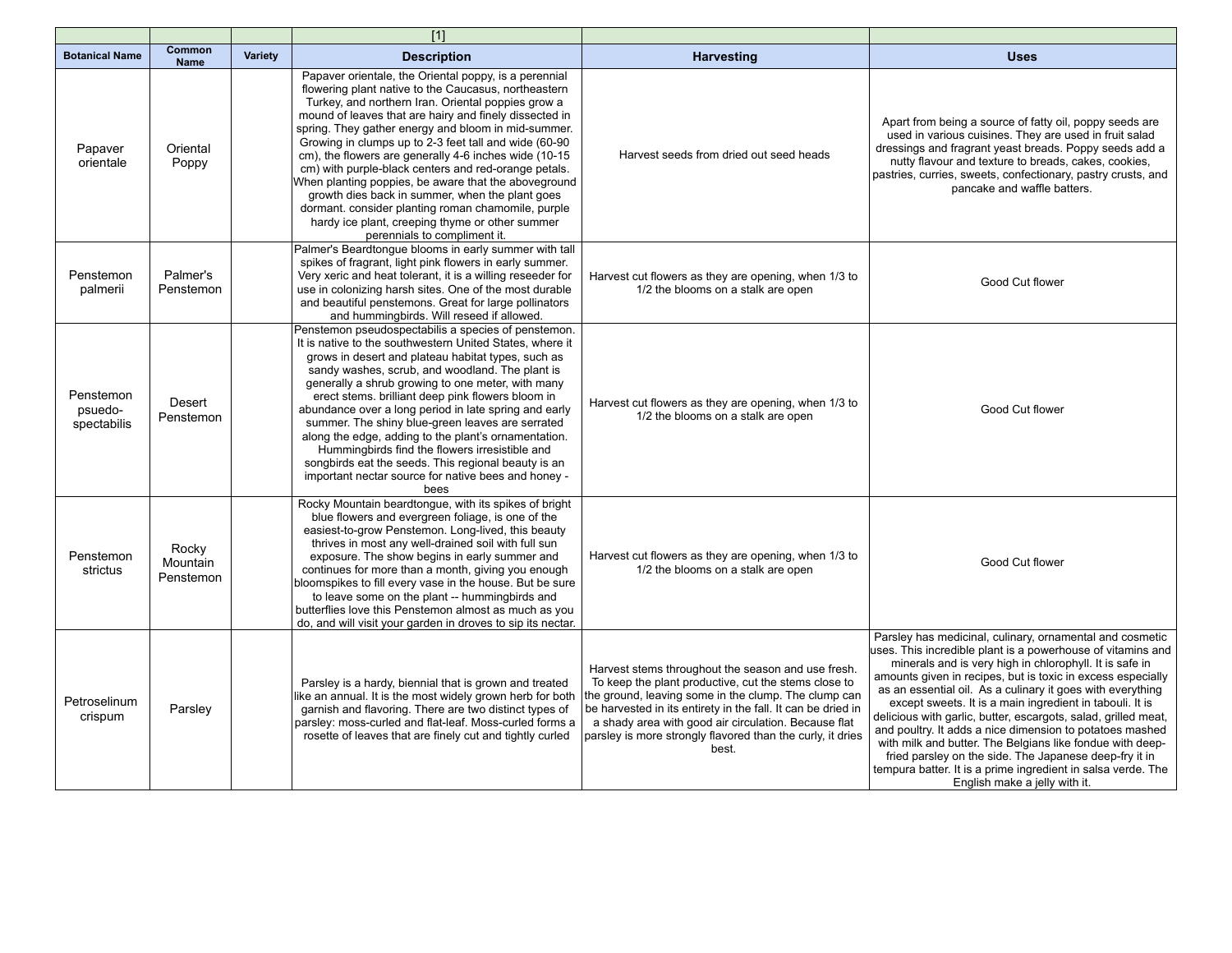|                                     |                                |         | $\boxed{1}$                                                                                                                                                                                                                                                                                                                                                                                                                                                                                                                                                                                                                                                                                                        |                                                                                                                                                                                                                                                                                                                                                                   |                                                                                                                                                                                                                                                                                                                                                                                                                                                                                                                                                                                                                                                                                                                                   |
|-------------------------------------|--------------------------------|---------|--------------------------------------------------------------------------------------------------------------------------------------------------------------------------------------------------------------------------------------------------------------------------------------------------------------------------------------------------------------------------------------------------------------------------------------------------------------------------------------------------------------------------------------------------------------------------------------------------------------------------------------------------------------------------------------------------------------------|-------------------------------------------------------------------------------------------------------------------------------------------------------------------------------------------------------------------------------------------------------------------------------------------------------------------------------------------------------------------|-----------------------------------------------------------------------------------------------------------------------------------------------------------------------------------------------------------------------------------------------------------------------------------------------------------------------------------------------------------------------------------------------------------------------------------------------------------------------------------------------------------------------------------------------------------------------------------------------------------------------------------------------------------------------------------------------------------------------------------|
| <b>Botanical Name</b>               | Common<br><b>Name</b>          | Variety | <b>Description</b>                                                                                                                                                                                                                                                                                                                                                                                                                                                                                                                                                                                                                                                                                                 | <b>Harvesting</b>                                                                                                                                                                                                                                                                                                                                                 | <b>Uses</b>                                                                                                                                                                                                                                                                                                                                                                                                                                                                                                                                                                                                                                                                                                                       |
| Papaver<br>orientale                | Oriental<br>Poppy              |         | Papaver orientale, the Oriental poppy, is a perennial<br>flowering plant native to the Caucasus, northeastern<br>Turkey, and northern Iran. Oriental poppies grow a<br>mound of leaves that are hairy and finely dissected in<br>spring. They gather energy and bloom in mid-summer.<br>Growing in clumps up to 2-3 feet tall and wide (60-90<br>cm), the flowers are generally 4-6 inches wide (10-15<br>cm) with purple-black centers and red-orange petals.<br>When planting poppies, be aware that the aboveground<br>growth dies back in summer, when the plant goes<br>dormant. consider planting roman chamomile, purple<br>hardy ice plant, creeping thyme or other summer<br>perennials to compliment it. | Harvest seeds from dried out seed heads                                                                                                                                                                                                                                                                                                                           | Apart from being a source of fatty oil, poppy seeds are<br>used in various cuisines. They are used in fruit salad<br>dressings and fragrant yeast breads. Poppy seeds add a<br>nutty flavour and texture to breads, cakes, cookies,<br>pastries, curries, sweets, confectionary, pastry crusts, and<br>pancake and waffle batters.                                                                                                                                                                                                                                                                                                                                                                                                |
| Penstemon<br>palmerii               | Palmer's<br>Penstemon          |         | Palmer's Beardtongue blooms in early summer with tall<br>spikes of fragrant, light pink flowers in early summer.<br>Very xeric and heat tolerant, it is a willing reseeder for<br>use in colonizing harsh sites. One of the most durable<br>and beautiful penstemons. Great for large pollinators<br>and hummingbirds. Will reseed if allowed.                                                                                                                                                                                                                                                                                                                                                                     | Harvest cut flowers as they are opening, when 1/3 to<br>1/2 the blooms on a stalk are open                                                                                                                                                                                                                                                                        | Good Cut flower                                                                                                                                                                                                                                                                                                                                                                                                                                                                                                                                                                                                                                                                                                                   |
| Penstemon<br>psuedo-<br>spectabilis | Desert<br>Penstemon            |         | Penstemon pseudospectabilis a species of penstemon.<br>It is native to the southwestern United States, where it<br>grows in desert and plateau habitat types, such as<br>sandy washes, scrub, and woodland. The plant is<br>generally a shrub growing to one meter, with many<br>erect stems. brilliant deep pink flowers bloom in<br>abundance over a long period in late spring and early<br>summer. The shiny blue-green leaves are serrated<br>along the edge, adding to the plant's ornamentation.<br>Hummingbirds find the flowers irresistible and<br>songbirds eat the seeds. This regional beauty is an<br>important nectar source for native bees and honey -<br>bees                                    | Harvest cut flowers as they are opening, when 1/3 to<br>1/2 the blooms on a stalk are open                                                                                                                                                                                                                                                                        | Good Cut flower                                                                                                                                                                                                                                                                                                                                                                                                                                                                                                                                                                                                                                                                                                                   |
| Penstemon<br>strictus               | Rocky<br>Mountain<br>Penstemon |         | Rocky Mountain beardtongue, with its spikes of bright<br>blue flowers and evergreen foliage, is one of the<br>easiest-to-grow Penstemon. Long-lived, this beauty<br>thrives in most any well-drained soil with full sun<br>exposure. The show begins in early summer and<br>continues for more than a month, giving you enough<br>bloomspikes to fill every vase in the house. But be sure<br>to leave some on the plant -- hummingbirds and<br>butterflies love this Penstemon almost as much as you<br>do, and will visit your garden in droves to sip its nectar.                                                                                                                                               | Harvest cut flowers as they are opening, when 1/3 to<br>1/2 the blooms on a stalk are open                                                                                                                                                                                                                                                                        | Good Cut flower                                                                                                                                                                                                                                                                                                                                                                                                                                                                                                                                                                                                                                                                                                                   |
| Petroselinum<br>crispum             | Parsley                        |         | Parsley is a hardy, biennial that is grown and treated<br>like an annual. It is the most widely grown herb for both<br>garnish and flavoring. There are two distinct types of<br>parsley: moss-curled and flat-leaf. Moss-curled forms a<br>rosette of leaves that are finely cut and tightly curled                                                                                                                                                                                                                                                                                                                                                                                                               | Harvest stems throughout the season and use fresh.<br>To keep the plant productive, cut the stems close to<br>the ground, leaving some in the clump. The clump can<br>be harvested in its entirety in the fall. It can be dried in<br>a shady area with good air circulation. Because flat<br>parsley is more strongly flavored than the curly, it dries<br>best. | Parsley has medicinal, culinary, ornamental and cosmetic<br>uses. This incredible plant is a powerhouse of vitamins and<br>minerals and is very high in chlorophyll. It is safe in<br>amounts given in recipes, but is toxic in excess especially<br>as an essential oil. As a culinary it goes with everything<br>except sweets. It is a main ingredient in tabouli. It is<br>delicious with garlic, butter, escargots, salad, grilled meat,<br>and poultry. It adds a nice dimension to potatoes mashed<br>with milk and butter. The Belgians like fondue with deep-<br>fried parsley on the side. The Japanese deep-fry it in<br>tempura batter. It is a prime ingredient in salsa verde. The<br>English make a jelly with it. |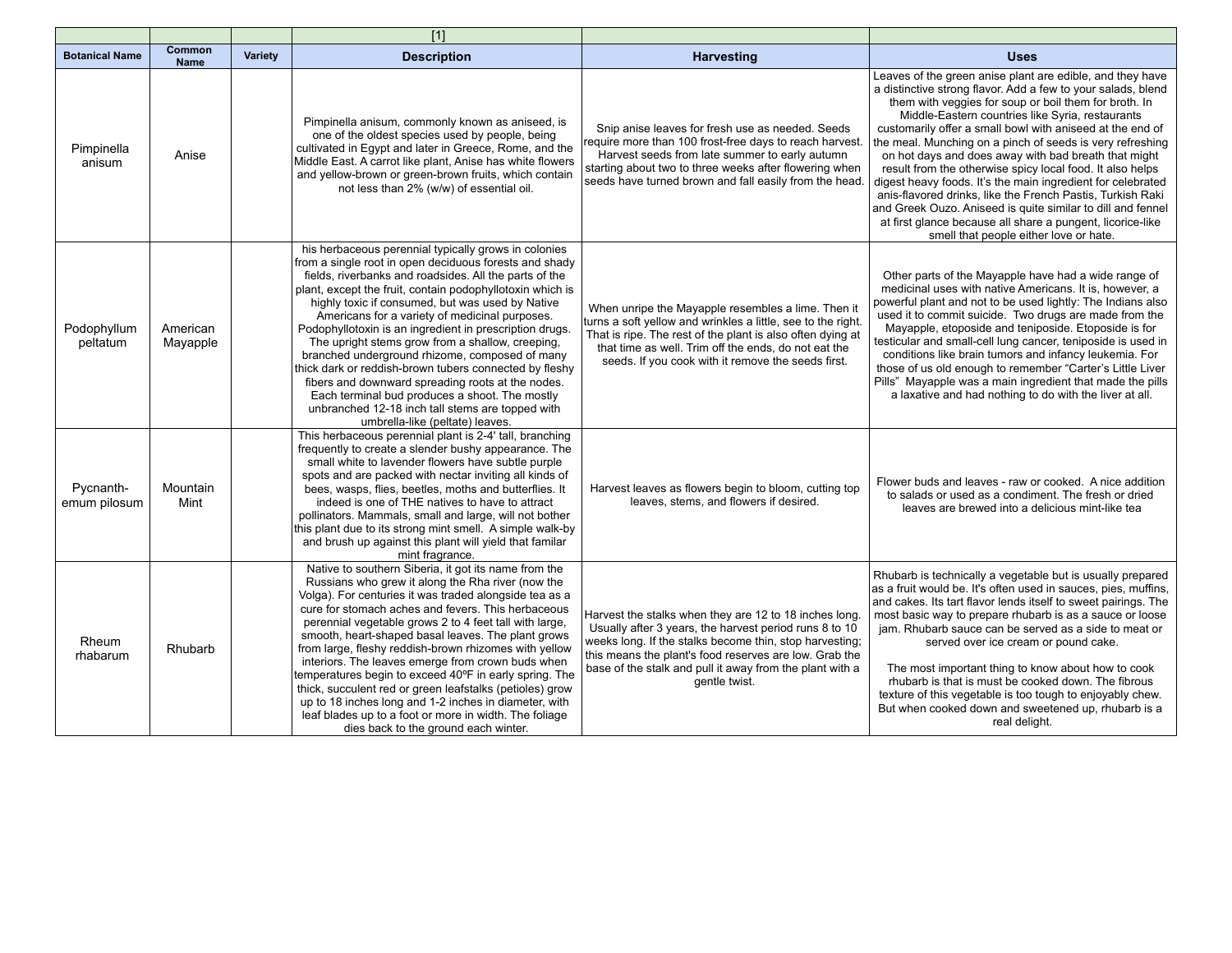|                           |                       |         | $[1]$                                                                                                                                                                                                                                                                                                                                                                                                                                                                                                                                                                                                                                                                                                                                                                |                                                                                                                                                                                                                                                                                                                    |                                                                                                                                                                                                                                                                                                                                                                                                                                                                                                                                                                                                                                                                                                                                                                                           |
|---------------------------|-----------------------|---------|----------------------------------------------------------------------------------------------------------------------------------------------------------------------------------------------------------------------------------------------------------------------------------------------------------------------------------------------------------------------------------------------------------------------------------------------------------------------------------------------------------------------------------------------------------------------------------------------------------------------------------------------------------------------------------------------------------------------------------------------------------------------|--------------------------------------------------------------------------------------------------------------------------------------------------------------------------------------------------------------------------------------------------------------------------------------------------------------------|-------------------------------------------------------------------------------------------------------------------------------------------------------------------------------------------------------------------------------------------------------------------------------------------------------------------------------------------------------------------------------------------------------------------------------------------------------------------------------------------------------------------------------------------------------------------------------------------------------------------------------------------------------------------------------------------------------------------------------------------------------------------------------------------|
| <b>Botanical Name</b>     | Common<br><b>Name</b> | Variety | <b>Description</b>                                                                                                                                                                                                                                                                                                                                                                                                                                                                                                                                                                                                                                                                                                                                                   | <b>Harvesting</b>                                                                                                                                                                                                                                                                                                  | <b>Uses</b>                                                                                                                                                                                                                                                                                                                                                                                                                                                                                                                                                                                                                                                                                                                                                                               |
| Pimpinella<br>anisum      | Anise                 |         | Pimpinella anisum, commonly known as aniseed, is<br>one of the oldest species used by people, being<br>cultivated in Eqypt and later in Greece, Rome, and the<br>Middle East. A carrot like plant, Anise has white flowers<br>and yellow-brown or green-brown fruits, which contain<br>not less than 2% (w/w) of essential oil.                                                                                                                                                                                                                                                                                                                                                                                                                                      | Snip anise leaves for fresh use as needed. Seeds<br>require more than 100 frost-free days to reach harvest.<br>Harvest seeds from late summer to early autumn<br>starting about two to three weeks after flowering when<br>seeds have turned brown and fall easily from the head.                                  | Leaves of the green anise plant are edible, and they have<br>a distinctive strong flavor. Add a few to your salads, blend<br>them with veggies for soup or boil them for broth. In<br>Middle-Eastern countries like Syria, restaurants<br>customarily offer a small bowl with aniseed at the end of<br>the meal. Munching on a pinch of seeds is very refreshing<br>on hot days and does away with bad breath that might<br>result from the otherwise spicy local food. It also helps<br>digest heavy foods. It's the main ingredient for celebrated<br>anis-flavored drinks, like the French Pastis, Turkish Raki<br>and Greek Ouzo. Aniseed is quite similar to dill and fennel<br>at first glance because all share a pungent, licorice-like<br>smell that people either love or hate. |
| Podophyllum<br>peltatum   | American<br>Mayapple  |         | his herbaceous perennial typically grows in colonies<br>from a single root in open deciduous forests and shady<br>fields, riverbanks and roadsides. All the parts of the<br>plant, except the fruit, contain podophyllotoxin which is<br>highly toxic if consumed, but was used by Native<br>Americans for a variety of medicinal purposes.<br>Podophyllotoxin is an ingredient in prescription drugs.<br>The upright stems grow from a shallow, creeping,<br>branched underground rhizome, composed of many<br>thick dark or reddish-brown tubers connected by fleshy<br>fibers and downward spreading roots at the nodes.<br>Each terminal bud produces a shoot. The mostly<br>unbranched 12-18 inch tall stems are topped with<br>umbrella-like (peltate) leaves. | When unripe the Mayapple resembles a lime. Then it<br>turns a soft yellow and wrinkles a little, see to the right.<br>That is ripe. The rest of the plant is also often dying at<br>that time as well. Trim off the ends, do not eat the<br>seeds. If you cook with it remove the seeds first.                     | Other parts of the Mayapple have had a wide range of<br>medicinal uses with native Americans. It is, however, a<br>powerful plant and not to be used lightly: The Indians also<br>used it to commit suicide. Two drugs are made from the<br>Mayapple, etoposide and teniposide. Etoposide is for<br>testicular and small-cell lung cancer, teniposide is used in<br>conditions like brain tumors and infancy leukemia. For<br>those of us old enough to remember "Carter's Little Liver<br>Pills" Mayapple was a main ingredient that made the pills<br>a laxative and had nothing to do with the liver at all.                                                                                                                                                                           |
| Pycnanth-<br>emum pilosum | Mountain<br>Mint      |         | This herbaceous perennial plant is 2-4' tall, branching<br>frequently to create a slender bushy appearance. The<br>small white to lavender flowers have subtle purple<br>spots and are packed with nectar inviting all kinds of<br>bees, wasps, flies, beetles, moths and butterflies. It<br>indeed is one of THE natives to have to attract<br>pollinators. Mammals, small and large, will not bother<br>this plant due to its strong mint smell. A simple walk-by<br>and brush up against this plant will yield that familar<br>mint fragrance.                                                                                                                                                                                                                    | Harvest leaves as flowers begin to bloom, cutting top<br>leaves, stems, and flowers if desired.                                                                                                                                                                                                                    | Flower buds and leaves - raw or cooked. A nice addition<br>to salads or used as a condiment. The fresh or dried<br>leaves are brewed into a delicious mint-like tea                                                                                                                                                                                                                                                                                                                                                                                                                                                                                                                                                                                                                       |
| Rheum<br>rhabarum         | Rhubarb               |         | Native to southern Siberia, it got its name from the<br>Russians who grew it along the Rha river (now the<br>Volga). For centuries it was traded alongside tea as a<br>cure for stomach aches and fevers. This herbaceous<br>perennial vegetable grows 2 to 4 feet tall with large,<br>smooth, heart-shaped basal leaves. The plant grows<br>from large, fleshy reddish-brown rhizomes with yellow<br>interiors. The leaves emerge from crown buds when<br>temperatures begin to exceed 40°F in early spring. The<br>thick, succulent red or green leafstalks (petioles) grow<br>up to 18 inches long and 1-2 inches in diameter, with<br>leaf blades up to a foot or more in width. The foliage<br>dies back to the ground each winter.                             | Harvest the stalks when they are 12 to 18 inches long.<br>Usually after 3 years, the harvest period runs 8 to 10<br>weeks long. If the stalks become thin, stop harvesting;<br>this means the plant's food reserves are low. Grab the<br>base of the stalk and pull it away from the plant with a<br>gentle twist. | Rhubarb is technically a vegetable but is usually prepared<br>as a fruit would be. It's often used in sauces, pies, muffins,<br>and cakes. Its tart flavor lends itself to sweet pairings. The<br>most basic way to prepare rhubarb is as a sauce or loose<br>jam. Rhubarb sauce can be served as a side to meat or<br>served over ice cream or pound cake.<br>The most important thing to know about how to cook<br>rhubarb is that is must be cooked down. The fibrous<br>texture of this vegetable is too tough to enjoyably chew.<br>But when cooked down and sweetened up, rhubarb is a<br>real delight.                                                                                                                                                                             |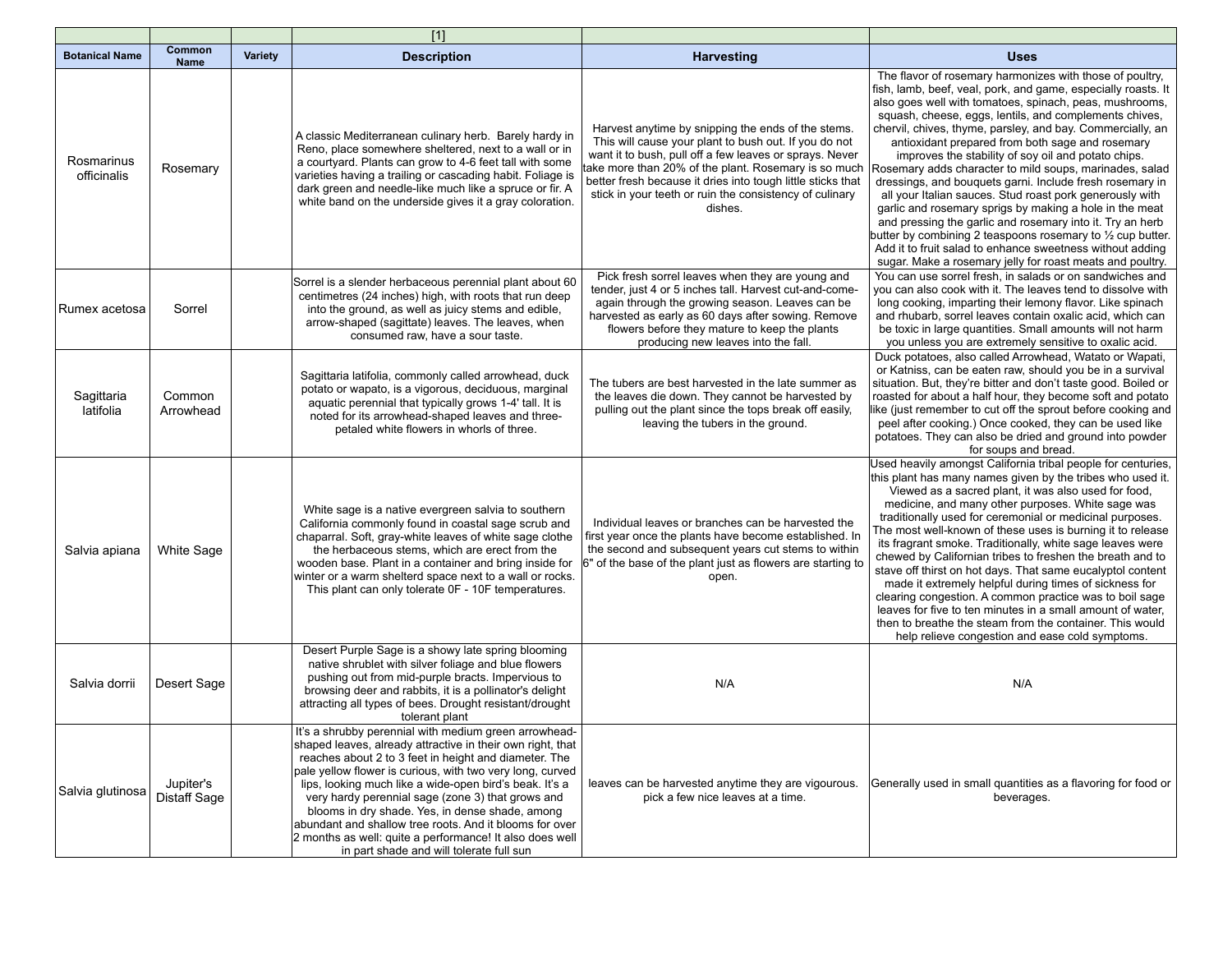|                           |                                  |         | $[1]$                                                                                                                                                                                                                                                                                                                                                                                                                                                                                                                                                                           |                                                                                                                                                                                                                                                                                                                                                                     |                                                                                                                                                                                                                                                                                                                                                                                                                                                                                                                                                                                                                                                                                                                                                                                                                                                                                                                                       |
|---------------------------|----------------------------------|---------|---------------------------------------------------------------------------------------------------------------------------------------------------------------------------------------------------------------------------------------------------------------------------------------------------------------------------------------------------------------------------------------------------------------------------------------------------------------------------------------------------------------------------------------------------------------------------------|---------------------------------------------------------------------------------------------------------------------------------------------------------------------------------------------------------------------------------------------------------------------------------------------------------------------------------------------------------------------|---------------------------------------------------------------------------------------------------------------------------------------------------------------------------------------------------------------------------------------------------------------------------------------------------------------------------------------------------------------------------------------------------------------------------------------------------------------------------------------------------------------------------------------------------------------------------------------------------------------------------------------------------------------------------------------------------------------------------------------------------------------------------------------------------------------------------------------------------------------------------------------------------------------------------------------|
| <b>Botanical Name</b>     | Common<br><b>Name</b>            | Variety | <b>Description</b>                                                                                                                                                                                                                                                                                                                                                                                                                                                                                                                                                              | <b>Harvesting</b>                                                                                                                                                                                                                                                                                                                                                   | <b>Uses</b>                                                                                                                                                                                                                                                                                                                                                                                                                                                                                                                                                                                                                                                                                                                                                                                                                                                                                                                           |
| Rosmarinus<br>officinalis | Rosemary                         |         | A classic Mediterranean culinary herb. Barely hardy in<br>Reno, place somewhere sheltered, next to a wall or in<br>a courtyard. Plants can grow to 4-6 feet tall with some<br>varieties having a trailing or cascading habit. Foliage is<br>dark green and needle-like much like a spruce or fir. A<br>white band on the underside gives it a gray coloration.                                                                                                                                                                                                                  | Harvest anytime by snipping the ends of the stems.<br>This will cause your plant to bush out. If you do not<br>want it to bush, pull off a few leaves or sprays. Never<br>take more than 20% of the plant. Rosemary is so much<br>better fresh because it dries into tough little sticks that<br>stick in your teeth or ruin the consistency of culinary<br>dishes. | The flavor of rosemary harmonizes with those of poultry.<br>fish, lamb, beef, veal, pork, and game, especially roasts. It<br>also goes well with tomatoes, spinach, peas, mushrooms,<br>squash, cheese, eggs, lentils, and complements chives,<br>chervil, chives, thyme, parsley, and bay. Commercially, an<br>antioxidant prepared from both sage and rosemary<br>improves the stability of soy oil and potato chips.<br>Rosemary adds character to mild soups, marinades, salad<br>dressings, and bouquets garni. Include fresh rosemary in<br>all your Italian sauces. Stud roast pork generously with<br>garlic and rosemary sprigs by making a hole in the meat<br>and pressing the garlic and rosemary into it. Try an herb<br>butter by combining 2 teaspoons rosemary to $\frac{1}{2}$ cup butter.<br>Add it to fruit salad to enhance sweetness without adding<br>sugar. Make a rosemary jelly for roast meats and poultry. |
| Rumex acetosa             | Sorrel                           |         | Sorrel is a slender herbaceous perennial plant about 60<br>centimetres (24 inches) high, with roots that run deep<br>into the ground, as well as juicy stems and edible,<br>arrow-shaped (sagittate) leaves. The leaves, when<br>consumed raw, have a sour taste.                                                                                                                                                                                                                                                                                                               | Pick fresh sorrel leaves when they are young and<br>tender, just 4 or 5 inches tall. Harvest cut-and-come-<br>again through the growing season. Leaves can be<br>harvested as early as 60 days after sowing. Remove<br>flowers before they mature to keep the plants<br>producing new leaves into the fall.                                                         | You can use sorrel fresh, in salads or on sandwiches and<br>you can also cook with it. The leaves tend to dissolve with<br>long cooking, imparting their lemony flavor. Like spinach<br>and rhubarb, sorrel leaves contain oxalic acid, which can<br>be toxic in large quantities. Small amounts will not harm<br>you unless you are extremely sensitive to oxalic acid.                                                                                                                                                                                                                                                                                                                                                                                                                                                                                                                                                              |
| Sagittaria<br>latifolia   | Common<br>Arrowhead              |         | Sagittaria latifolia, commonly called arrowhead, duck<br>potato or wapato, is a vigorous, deciduous, marginal<br>aquatic perennial that typically grows 1-4' tall. It is<br>noted for its arrowhead-shaped leaves and three-<br>petaled white flowers in whorls of three.                                                                                                                                                                                                                                                                                                       | The tubers are best harvested in the late summer as<br>the leaves die down. They cannot be harvested by<br>pulling out the plant since the tops break off easily,<br>leaving the tubers in the ground.                                                                                                                                                              | Duck potatoes, also called Arrowhead, Watato or Wapati,<br>or Katniss, can be eaten raw, should you be in a survival<br>situation. But, they're bitter and don't taste good. Boiled or<br>roasted for about a half hour, they become soft and potato<br>like (just remember to cut off the sprout before cooking and<br>peel after cooking.) Once cooked, they can be used like<br>potatoes. They can also be dried and ground into powder<br>for soups and bread.                                                                                                                                                                                                                                                                                                                                                                                                                                                                    |
| Salvia apiana             | <b>White Sage</b>                |         | White sage is a native evergreen salvia to southern<br>California commonly found in coastal sage scrub and<br>chaparral. Soft, gray-white leaves of white sage clothe<br>the herbaceous stems, which are erect from the<br>wooden base. Plant in a container and bring inside for<br>winter or a warm shelterd space next to a wall or rocks.<br>This plant can only tolerate OF - 10F temperatures.                                                                                                                                                                            | Individual leaves or branches can be harvested the<br>first year once the plants have become established. In<br>the second and subsequent years cut stems to within<br>6" of the base of the plant just as flowers are starting to<br>open.                                                                                                                         | Used heavily amongst California tribal people for centuries,<br>this plant has many names given by the tribes who used it.<br>Viewed as a sacred plant, it was also used for food,<br>medicine, and many other purposes. White sage was<br>traditionally used for ceremonial or medicinal purposes.<br>The most well-known of these uses is burning it to release<br>its fragrant smoke. Traditionally, white sage leaves were<br>chewed by Californian tribes to freshen the breath and to<br>stave off thirst on hot days. That same eucalyptol content<br>made it extremely helpful during times of sickness for<br>clearing congestion. A common practice was to boil sage<br>leaves for five to ten minutes in a small amount of water,<br>then to breathe the steam from the container. This would<br>help relieve congestion and ease cold symptoms.                                                                           |
| Salvia dorrii             | Desert Sage                      |         | Desert Purple Sage is a showy late spring blooming<br>native shrublet with silver foliage and blue flowers<br>pushing out from mid-purple bracts. Impervious to<br>browsing deer and rabbits, it is a pollinator's delight<br>attracting all types of bees. Drought resistant/drought<br>tolerant plant                                                                                                                                                                                                                                                                         | N/A                                                                                                                                                                                                                                                                                                                                                                 | N/A                                                                                                                                                                                                                                                                                                                                                                                                                                                                                                                                                                                                                                                                                                                                                                                                                                                                                                                                   |
| Salvia glutinosa          | Jupiter's<br><b>Distaff Sage</b> |         | It's a shrubby perennial with medium green arrowhead-<br>shaped leaves, already attractive in their own right, that<br>reaches about 2 to 3 feet in height and diameter. The<br>pale yellow flower is curious, with two very long, curved<br>lips, looking much like a wide-open bird's beak. It's a<br>very hardy perennial sage (zone 3) that grows and<br>blooms in dry shade. Yes, in dense shade, among<br>abundant and shallow tree roots. And it blooms for over<br>2 months as well: quite a performance! It also does well<br>in part shade and will tolerate full sun | leaves can be harvested anytime they are vigourous.<br>pick a few nice leaves at a time.                                                                                                                                                                                                                                                                            | Generally used in small quantities as a flavoring for food or<br>beverages.                                                                                                                                                                                                                                                                                                                                                                                                                                                                                                                                                                                                                                                                                                                                                                                                                                                           |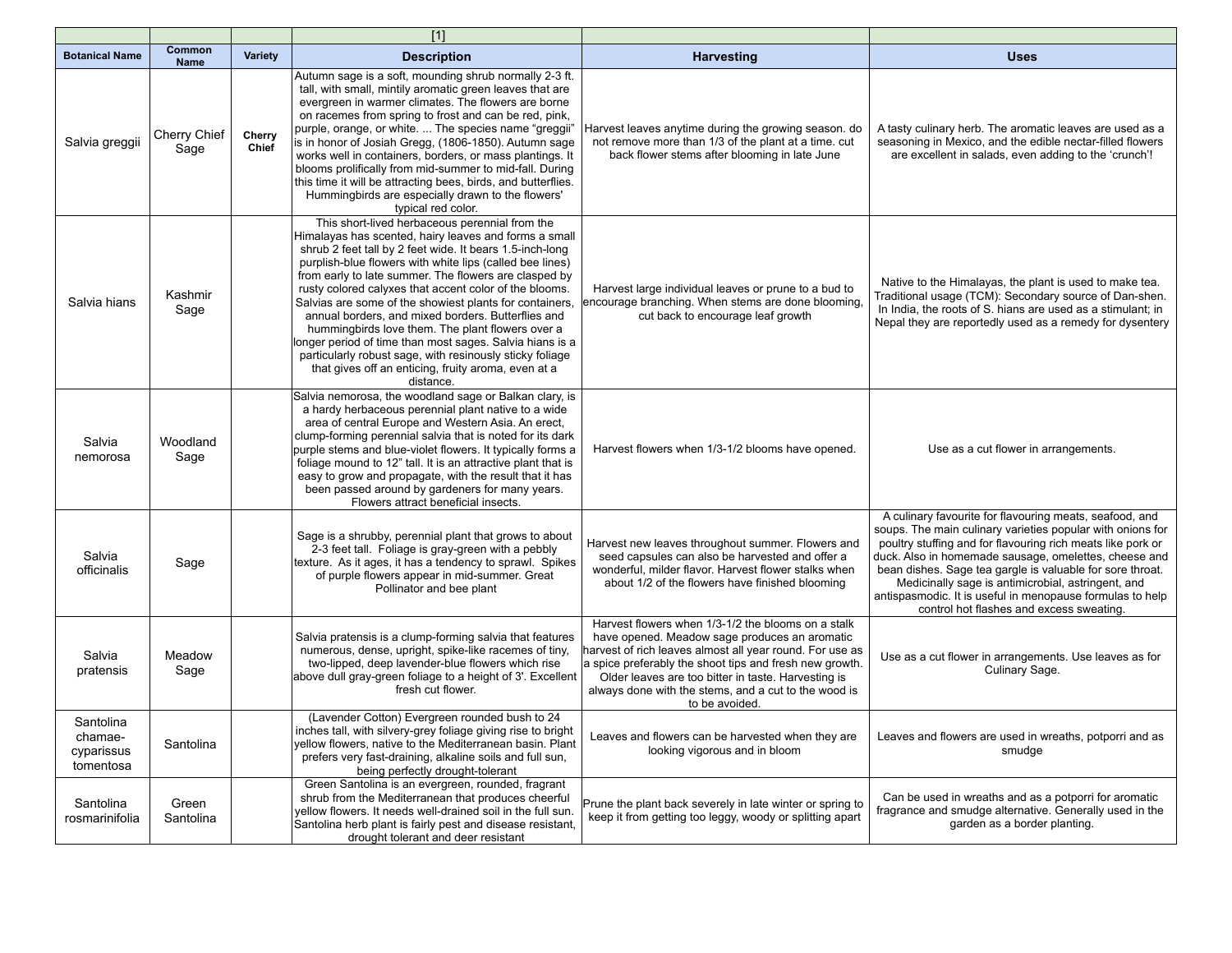|                                                 |                       |                 | $[1]$                                                                                                                                                                                                                                                                                                                                                                                                                                                                                                                                                                                                                                                                                                               |                                                                                                                                                                                                                                                                                                                                                             |                                                                                                                                                                                                                                                                                                                                                                                                                                                                           |
|-------------------------------------------------|-----------------------|-----------------|---------------------------------------------------------------------------------------------------------------------------------------------------------------------------------------------------------------------------------------------------------------------------------------------------------------------------------------------------------------------------------------------------------------------------------------------------------------------------------------------------------------------------------------------------------------------------------------------------------------------------------------------------------------------------------------------------------------------|-------------------------------------------------------------------------------------------------------------------------------------------------------------------------------------------------------------------------------------------------------------------------------------------------------------------------------------------------------------|---------------------------------------------------------------------------------------------------------------------------------------------------------------------------------------------------------------------------------------------------------------------------------------------------------------------------------------------------------------------------------------------------------------------------------------------------------------------------|
| <b>Botanical Name</b>                           | Common<br><b>Name</b> | <b>Variety</b>  | <b>Description</b>                                                                                                                                                                                                                                                                                                                                                                                                                                                                                                                                                                                                                                                                                                  | <b>Harvesting</b>                                                                                                                                                                                                                                                                                                                                           | <b>Uses</b>                                                                                                                                                                                                                                                                                                                                                                                                                                                               |
| Salvia greggii                                  | Cherry Chief<br>Sage  | Cherry<br>Chief | Autumn sage is a soft, mounding shrub normally 2-3 ft.<br>tall, with small, mintily aromatic green leaves that are<br>evergreen in warmer climates. The flowers are borne<br>on racemes from spring to frost and can be red, pink,<br>purple, orange, or white.  The species name "greggii"<br>is in honor of Josiah Gregg, (1806-1850). Autumn sage<br>works well in containers, borders, or mass plantings. It<br>blooms prolifically from mid-summer to mid-fall. During<br>this time it will be attracting bees, birds, and butterflies.<br>Hummingbirds are especially drawn to the flowers'<br>typical red color.                                                                                             | Harvest leaves anytime during the growing season, do<br>not remove more than 1/3 of the plant at a time, cut<br>back flower stems after blooming in late June                                                                                                                                                                                               | A tasty culinary herb. The aromatic leaves are used as a<br>seasoning in Mexico, and the edible nectar-filled flowers<br>are excellent in salads, even adding to the 'crunch'!                                                                                                                                                                                                                                                                                            |
| Salvia hians                                    | Kashmir<br>Sage       |                 | This short-lived herbaceous perennial from the<br>Himalayas has scented, hairy leaves and forms a small<br>shrub 2 feet tall by 2 feet wide. It bears 1.5-inch-long<br>purplish-blue flowers with white lips (called bee lines)<br>from early to late summer. The flowers are clasped by<br>rusty colored calyxes that accent color of the blooms.<br>Salvias are some of the showiest plants for containers,<br>annual borders, and mixed borders. Butterflies and<br>hummingbirds love them. The plant flowers over a<br>longer period of time than most sages. Salvia hians is a<br>particularly robust sage, with resinously sticky foliage<br>that gives off an enticing, fruity aroma, even at a<br>distance. | Harvest large individual leaves or prune to a bud to<br>encourage branching. When stems are done blooming,<br>cut back to encourage leaf growth                                                                                                                                                                                                             | Native to the Himalayas, the plant is used to make tea.<br>Traditional usage (TCM): Secondary source of Dan-shen.<br>In India, the roots of S. hians are used as a stimulant; in<br>Nepal they are reportedly used as a remedy for dysentery                                                                                                                                                                                                                              |
| Salvia<br>nemorosa                              | Woodland<br>Sage      |                 | Salvia nemorosa, the woodland sage or Balkan clary, is<br>a hardy herbaceous perennial plant native to a wide<br>area of central Europe and Western Asia. An erect,<br>clump-forming perennial salvia that is noted for its dark<br>purple stems and blue-violet flowers. It typically forms a<br>foliage mound to 12" tall. It is an attractive plant that is<br>easy to grow and propagate, with the result that it has<br>been passed around by gardeners for many years.<br>Flowers attract beneficial insects.                                                                                                                                                                                                 | Harvest flowers when 1/3-1/2 blooms have opened.                                                                                                                                                                                                                                                                                                            | Use as a cut flower in arrangements.                                                                                                                                                                                                                                                                                                                                                                                                                                      |
| Salvia<br>officinalis                           | Sage                  |                 | Sage is a shrubby, perennial plant that grows to about<br>2-3 feet tall. Foliage is gray-green with a pebbly<br>texture. As it ages, it has a tendency to sprawl. Spikes<br>of purple flowers appear in mid-summer. Great<br>Pollinator and bee plant                                                                                                                                                                                                                                                                                                                                                                                                                                                               | Harvest new leaves throughout summer. Flowers and<br>seed capsules can also be harvested and offer a<br>wonderful, milder flavor. Harvest flower stalks when<br>about 1/2 of the flowers have finished blooming                                                                                                                                             | A culinary favourite for flavouring meats, seafood, and<br>soups. The main culinary varieties popular with onions for<br>poultry stuffing and for flavouring rich meats like pork or<br>duck. Also in homemade sausage, omelettes, cheese and<br>bean dishes. Sage tea gargle is valuable for sore throat.<br>Medicinally sage is antimicrobial, astringent, and<br>antispasmodic. It is useful in menopause formulas to help<br>control hot flashes and excess sweating. |
| Salvia<br>pratensis                             | Meadow<br>Sage        |                 | Salvia pratensis is a clump-forming salvia that features<br>numerous, dense, upright, spike-like racemes of tiny,<br>two-lipped, deep lavender-blue flowers which rise<br>above dull gray-green foliage to a height of 3'. Excellent<br>fresh cut flower.                                                                                                                                                                                                                                                                                                                                                                                                                                                           | Harvest flowers when 1/3-1/2 the blooms on a stalk<br>have opened. Meadow sage produces an aromatic<br>harvest of rich leaves almost all year round. For use as<br>a spice preferably the shoot tips and fresh new growth.<br>Older leaves are too bitter in taste. Harvesting is<br>always done with the stems, and a cut to the wood is<br>to be avoided. | Use as a cut flower in arrangements. Use leaves as for<br>Culinary Sage.                                                                                                                                                                                                                                                                                                                                                                                                  |
| Santolina<br>chamae-<br>cyparissus<br>tomentosa | Santolina             |                 | (Lavender Cotton) Evergreen rounded bush to 24<br>inches tall, with silvery-grey foliage giving rise to bright<br>yellow flowers, native to the Mediterranean basin. Plant<br>prefers very fast-draining, alkaline soils and full sun,<br>being perfectly drought-tolerant                                                                                                                                                                                                                                                                                                                                                                                                                                          | Leaves and flowers can be harvested when they are<br>looking vigorous and in bloom                                                                                                                                                                                                                                                                          | Leaves and flowers are used in wreaths, potporri and as<br>smudge                                                                                                                                                                                                                                                                                                                                                                                                         |
| Santolina<br>rosmarinifolia                     | Green<br>Santolina    |                 | Green Santolina is an evergreen, rounded, fragrant<br>shrub from the Mediterranean that produces cheerful<br>yellow flowers. It needs well-drained soil in the full sun.<br>Santolina herb plant is fairly pest and disease resistant,<br>drought tolerant and deer resistant                                                                                                                                                                                                                                                                                                                                                                                                                                       | Prune the plant back severely in late winter or spring to<br>keep it from getting too leggy, woody or splitting apart                                                                                                                                                                                                                                       | Can be used in wreaths and as a potporri for aromatic<br>fragrance and smudge alternative. Generally used in the<br>garden as a border planting.                                                                                                                                                                                                                                                                                                                          |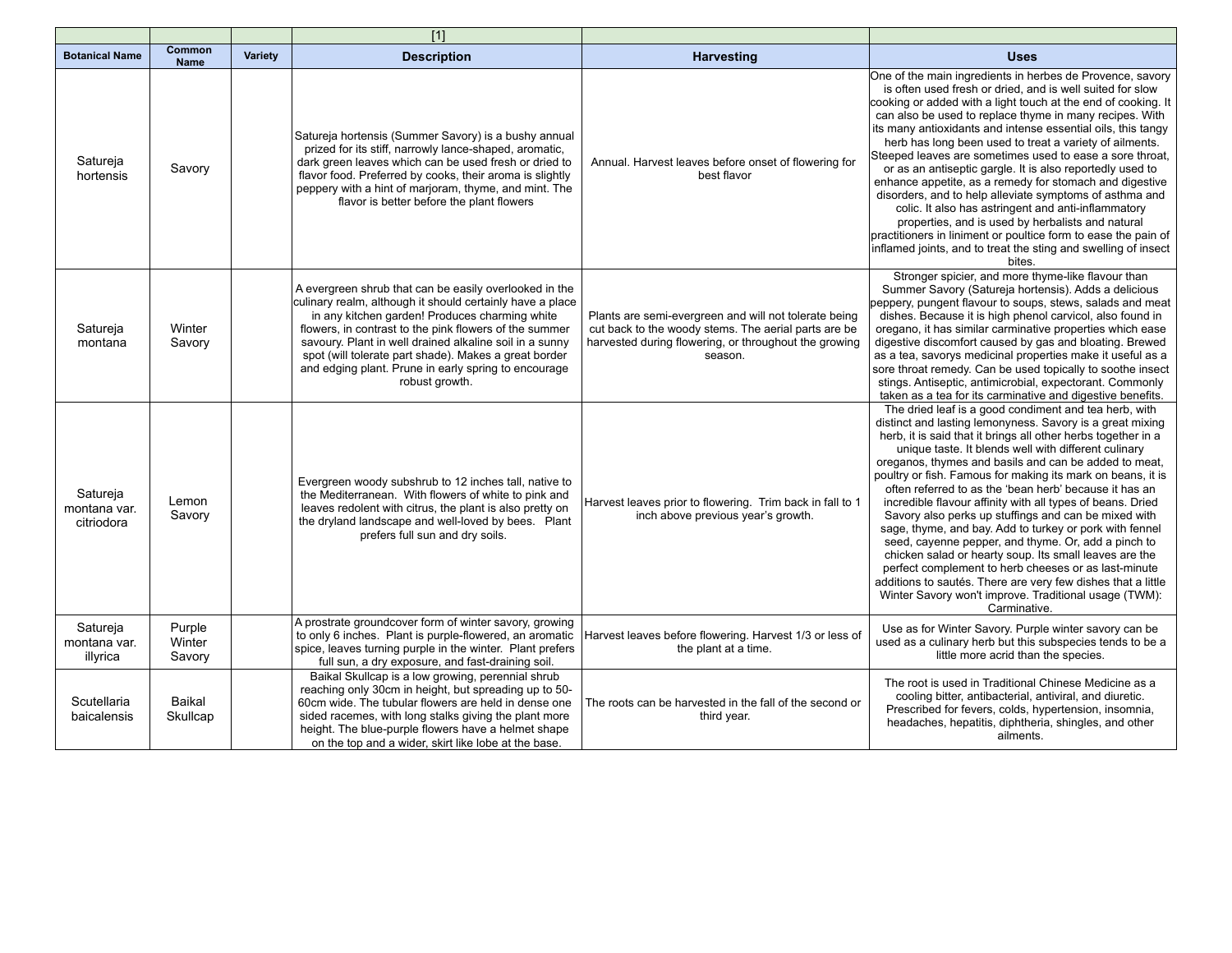|                                        |                            |         | $[1]$                                                                                                                                                                                                                                                                                                                                                                                                                         |                                                                                                                                                                                   |                                                                                                                                                                                                                                                                                                                                                                                                                                                                                                                                                                                                                                                                                                                                                                                                                                                                                                                                  |
|----------------------------------------|----------------------------|---------|-------------------------------------------------------------------------------------------------------------------------------------------------------------------------------------------------------------------------------------------------------------------------------------------------------------------------------------------------------------------------------------------------------------------------------|-----------------------------------------------------------------------------------------------------------------------------------------------------------------------------------|----------------------------------------------------------------------------------------------------------------------------------------------------------------------------------------------------------------------------------------------------------------------------------------------------------------------------------------------------------------------------------------------------------------------------------------------------------------------------------------------------------------------------------------------------------------------------------------------------------------------------------------------------------------------------------------------------------------------------------------------------------------------------------------------------------------------------------------------------------------------------------------------------------------------------------|
| <b>Botanical Name</b>                  | Common<br><b>Name</b>      | Variety | <b>Description</b>                                                                                                                                                                                                                                                                                                                                                                                                            | <b>Harvesting</b>                                                                                                                                                                 | <b>Uses</b>                                                                                                                                                                                                                                                                                                                                                                                                                                                                                                                                                                                                                                                                                                                                                                                                                                                                                                                      |
| Satureja<br>hortensis                  | Savory                     |         | Satureja hortensis (Summer Savory) is a bushy annual<br>prized for its stiff, narrowly lance-shaped, aromatic,<br>dark green leaves which can be used fresh or dried to<br>flavor food. Preferred by cooks, their aroma is slightly<br>peppery with a hint of marjoram, thyme, and mint. The<br>flavor is better before the plant flowers                                                                                     | Annual. Harvest leaves before onset of flowering for<br>best flavor                                                                                                               | One of the main ingredients in herbes de Provence, savory<br>is often used fresh or dried, and is well suited for slow<br>cooking or added with a light touch at the end of cooking. It<br>can also be used to replace thyme in many recipes. With<br>its many antioxidants and intense essential oils, this tangy<br>herb has long been used to treat a variety of ailments.<br>Steeped leaves are sometimes used to ease a sore throat,<br>or as an antiseptic gargle. It is also reportedly used to<br>enhance appetite, as a remedy for stomach and digestive<br>disorders, and to help alleviate symptoms of asthma and<br>colic. It also has astringent and anti-inflammatory<br>properties, and is used by herbalists and natural<br>practitioners in liniment or poultice form to ease the pain of<br>inflamed joints, and to treat the sting and swelling of insect<br>bites.                                           |
| Satureja<br>montana                    | Winter<br>Savory           |         | A evergreen shrub that can be easily overlooked in the<br>culinary realm, although it should certainly have a place<br>in any kitchen garden! Produces charming white<br>flowers, in contrast to the pink flowers of the summer<br>savoury. Plant in well drained alkaline soil in a sunny<br>spot (will tolerate part shade). Makes a great border<br>and edging plant. Prune in early spring to encourage<br>robust growth. | Plants are semi-evergreen and will not tolerate being<br>cut back to the woody stems. The aerial parts are be<br>harvested during flowering, or throughout the growing<br>season. | Stronger spicier, and more thyme-like flavour than<br>Summer Savory (Satureja hortensis). Adds a delicious<br>peppery, pungent flavour to soups, stews, salads and meat<br>dishes. Because it is high phenol carvicol, also found in<br>oregano, it has similar carminative properties which ease<br>digestive discomfort caused by gas and bloating. Brewed<br>as a tea, savorys medicinal properties make it useful as a<br>sore throat remedy. Can be used topically to soothe insect<br>stings. Antiseptic, antimicrobial, expectorant. Commonly<br>taken as a tea for its carminative and digestive benefits.                                                                                                                                                                                                                                                                                                               |
| Satureja<br>montana var.<br>citriodora | Lemon<br>Savory            |         | Evergreen woody subshrub to 12 inches tall, native to<br>the Mediterranean. With flowers of white to pink and<br>leaves redolent with citrus, the plant is also pretty on<br>the dryland landscape and well-loved by bees. Plant<br>prefers full sun and dry soils.                                                                                                                                                           | Harvest leaves prior to flowering. Trim back in fall to 1<br>inch above previous year's growth.                                                                                   | The dried leaf is a good condiment and tea herb, with<br>distinct and lasting lemonyness. Savory is a great mixing<br>herb, it is said that it brings all other herbs together in a<br>unique taste. It blends well with different culinary<br>oreganos, thymes and basils and can be added to meat,<br>poultry or fish. Famous for making its mark on beans, it is<br>often referred to as the 'bean herb' because it has an<br>incredible flavour affinity with all types of beans. Dried<br>Savory also perks up stuffings and can be mixed with<br>sage, thyme, and bay. Add to turkey or pork with fennel<br>seed, cayenne pepper, and thyme. Or, add a pinch to<br>chicken salad or hearty soup. Its small leaves are the<br>perfect complement to herb cheeses or as last-minute<br>additions to sautés. There are very few dishes that a little<br>Winter Savory won't improve. Traditional usage (TWM):<br>Carminative. |
| Satureja<br>montana var.<br>illyrica   | Purple<br>Winter<br>Savory |         | A prostrate groundcover form of winter savory, growing<br>to only 6 inches. Plant is purple-flowered, an aromatic<br>spice, leaves turning purple in the winter. Plant prefers<br>full sun, a dry exposure, and fast-draining soil.                                                                                                                                                                                           | Harvest leaves before flowering. Harvest 1/3 or less of<br>the plant at a time.                                                                                                   | Use as for Winter Savory. Purple winter savory can be<br>used as a culinary herb but this subspecies tends to be a<br>little more acrid than the species.                                                                                                                                                                                                                                                                                                                                                                                                                                                                                                                                                                                                                                                                                                                                                                        |
| Scutellaria<br>baicalensis             | Baikal<br>Skullcap         |         | Baikal Skullcap is a low growing, perennial shrub<br>reaching only 30cm in height, but spreading up to 50-<br>60cm wide. The tubular flowers are held in dense one<br>sided racemes, with long stalks giving the plant more<br>height. The blue-purple flowers have a helmet shape<br>on the top and a wider, skirt like lobe at the base.                                                                                    | The roots can be harvested in the fall of the second or<br>third year.                                                                                                            | The root is used in Traditional Chinese Medicine as a<br>cooling bitter, antibacterial, antiviral, and diuretic.<br>Prescribed for fevers, colds, hypertension, insomnia,<br>headaches, hepatitis, diphtheria, shingles, and other<br>ailments.                                                                                                                                                                                                                                                                                                                                                                                                                                                                                                                                                                                                                                                                                  |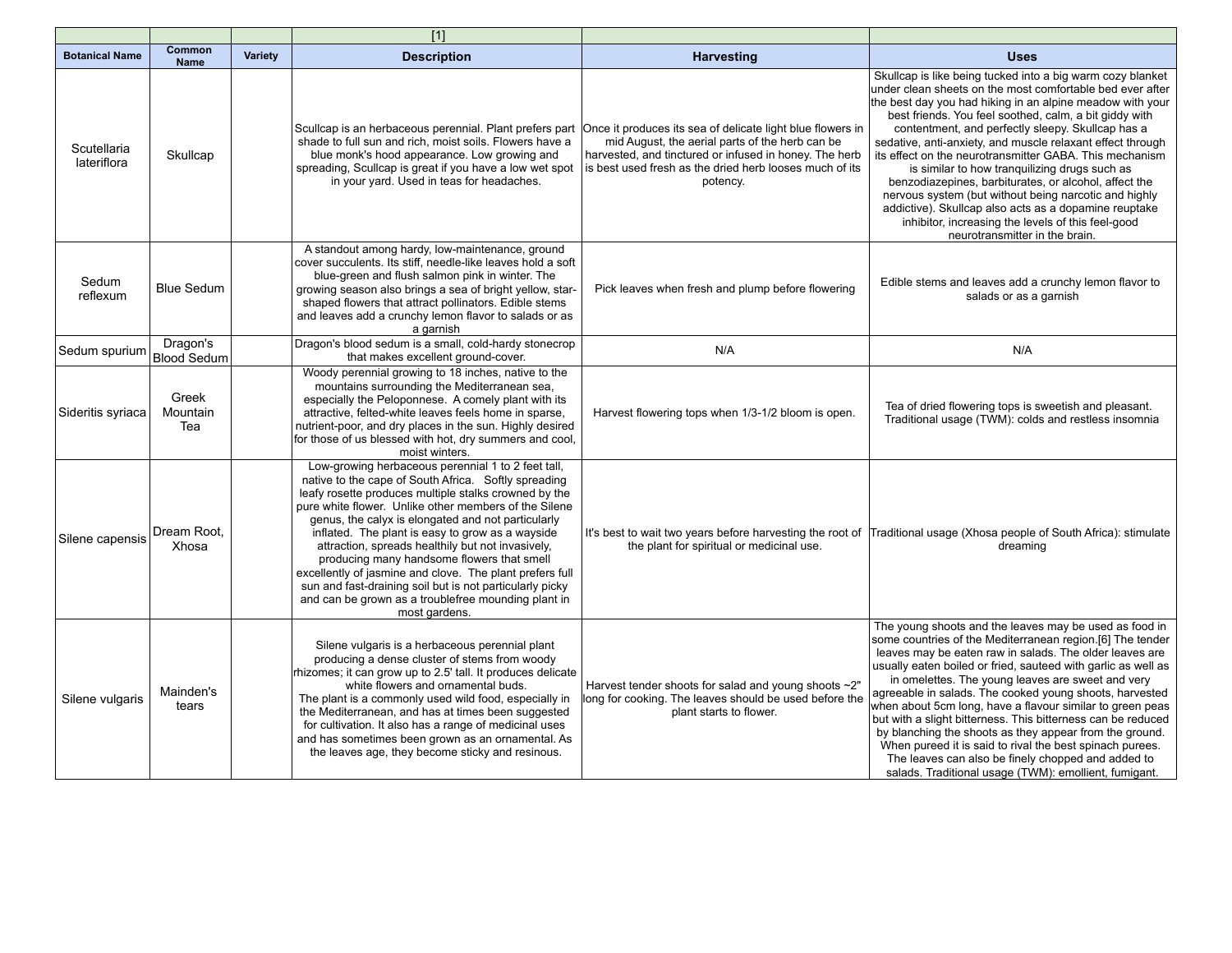|                            |                          |         | $[1]$                                                                                                                                                                                                                                                                                                                                                                                                                                                                                                                                                                                                                                     |                                                                                                                                                                                  |                                                                                                                                                                                                                                                                                                                                                                                                                                                                                                                                                                                                                                                                                                                                                  |
|----------------------------|--------------------------|---------|-------------------------------------------------------------------------------------------------------------------------------------------------------------------------------------------------------------------------------------------------------------------------------------------------------------------------------------------------------------------------------------------------------------------------------------------------------------------------------------------------------------------------------------------------------------------------------------------------------------------------------------------|----------------------------------------------------------------------------------------------------------------------------------------------------------------------------------|--------------------------------------------------------------------------------------------------------------------------------------------------------------------------------------------------------------------------------------------------------------------------------------------------------------------------------------------------------------------------------------------------------------------------------------------------------------------------------------------------------------------------------------------------------------------------------------------------------------------------------------------------------------------------------------------------------------------------------------------------|
| <b>Botanical Name</b>      | Common<br><b>Name</b>    | Variety | <b>Description</b>                                                                                                                                                                                                                                                                                                                                                                                                                                                                                                                                                                                                                        | <b>Harvesting</b>                                                                                                                                                                | <b>Uses</b>                                                                                                                                                                                                                                                                                                                                                                                                                                                                                                                                                                                                                                                                                                                                      |
| Scutellaria<br>lateriflora | Skullcap                 |         | Scullcap is an herbaceous perennial. Plant prefers part Once it produces its sea of delicate light blue flowers in<br>shade to full sun and rich, moist soils. Flowers have a<br>blue monk's hood appearance. Low growing and<br>spreading, Scullcap is great if you have a low wet spot<br>in your yard. Used in teas for headaches.                                                                                                                                                                                                                                                                                                     | mid August, the aerial parts of the herb can be<br>harvested, and tinctured or infused in honey. The herb<br>is best used fresh as the dried herb looses much of its<br>potency. | Skullcap is like being tucked into a big warm cozy blanket<br>under clean sheets on the most comfortable bed ever after<br>the best day you had hiking in an alpine meadow with your<br>best friends. You feel soothed, calm, a bit giddy with<br>contentment, and perfectly sleepy. Skullcap has a<br>sedative, anti-anxiety, and muscle relaxant effect through<br>its effect on the neurotransmitter GABA. This mechanism<br>is similar to how tranquilizing drugs such as<br>benzodiazepines, barbiturates, or alcohol, affect the<br>nervous system (but without being narcotic and highly<br>addictive). Skullcap also acts as a dopamine reuptake<br>inhibitor, increasing the levels of this feel-good<br>neurotransmitter in the brain. |
| Sedum<br>reflexum          | <b>Blue Sedum</b>        |         | A standout among hardy, low-maintenance, ground<br>cover succulents. Its stiff, needle-like leaves hold a soft<br>blue-green and flush salmon pink in winter. The<br>growing season also brings a sea of bright yellow, star-<br>shaped flowers that attract pollinators. Edible stems<br>and leaves add a crunchy lemon flavor to salads or as<br>a garnish                                                                                                                                                                                                                                                                              | Pick leaves when fresh and plump before flowering                                                                                                                                | Edible stems and leaves add a crunchy lemon flavor to<br>salads or as a garnish                                                                                                                                                                                                                                                                                                                                                                                                                                                                                                                                                                                                                                                                  |
| Sedum spurium              | Dragon's<br>Blood Sedum  |         | Dragon's blood sedum is a small, cold-hardy stonecrop<br>that makes excellent ground-cover.                                                                                                                                                                                                                                                                                                                                                                                                                                                                                                                                               | N/A                                                                                                                                                                              | N/A                                                                                                                                                                                                                                                                                                                                                                                                                                                                                                                                                                                                                                                                                                                                              |
| Sideritis syriaca          | Greek<br>Mountain<br>Tea |         | Woody perennial growing to 18 inches, native to the<br>mountains surrounding the Mediterranean sea,<br>especially the Peloponnese. A comely plant with its<br>attractive, felted-white leaves feels home in sparse,<br>nutrient-poor, and dry places in the sun. Highly desired<br>for those of us blessed with hot, dry summers and cool,<br>moist winters.                                                                                                                                                                                                                                                                              | Harvest flowering tops when 1/3-1/2 bloom is open.                                                                                                                               | Tea of dried flowering tops is sweetish and pleasant.<br>Traditional usage (TWM): colds and restless insomnia                                                                                                                                                                                                                                                                                                                                                                                                                                                                                                                                                                                                                                    |
| Silene capensis            | Dream Root.<br>Xhosa     |         | Low-growing herbaceous perennial 1 to 2 feet tall,<br>native to the cape of South Africa. Softly spreading<br>leafy rosette produces multiple stalks crowned by the<br>pure white flower. Unlike other members of the Silene<br>genus, the calyx is elongated and not particularly<br>inflated. The plant is easy to grow as a wayside<br>attraction, spreads healthily but not invasively,<br>producing many handsome flowers that smell<br>excellently of jasmine and clove. The plant prefers full<br>sun and fast-draining soil but is not particularly picky<br>and can be grown as a troublefree mounding plant in<br>most gardens. | the plant for spiritual or medicinal use.                                                                                                                                        | It's best to wait two years before harvesting the root of Traditional usage (Xhosa people of South Africa): stimulate<br>dreaming                                                                                                                                                                                                                                                                                                                                                                                                                                                                                                                                                                                                                |
| Silene vulgaris            | Mainden's<br>tears       |         | Silene vulgaris is a herbaceous perennial plant<br>producing a dense cluster of stems from woody<br>rhizomes; it can grow up to 2.5' tall. It produces delicate<br>white flowers and ornamental buds.<br>The plant is a commonly used wild food, especially in<br>the Mediterranean, and has at times been suggested<br>for cultivation. It also has a range of medicinal uses<br>and has sometimes been grown as an ornamental. As<br>the leaves age, they become sticky and resinous.                                                                                                                                                   | Harvest tender shoots for salad and young shoots ~2"<br>long for cooking. The leaves should be used before the<br>plant starts to flower.                                        | The young shoots and the leaves may be used as food in<br>some countries of the Mediterranean region.[6] The tender<br>leaves may be eaten raw in salads. The older leaves are<br>usually eaten boiled or fried, sauteed with garlic as well as<br>in omelettes. The young leaves are sweet and very<br>agreeable in salads. The cooked young shoots, harvested<br>when about 5cm long, have a flavour similar to green peas<br>but with a slight bitterness. This bitterness can be reduced<br>by blanching the shoots as they appear from the ground.<br>When pureed it is said to rival the best spinach purees.<br>The leaves can also be finely chopped and added to<br>salads. Traditional usage (TWM): emollient, fumigant.               |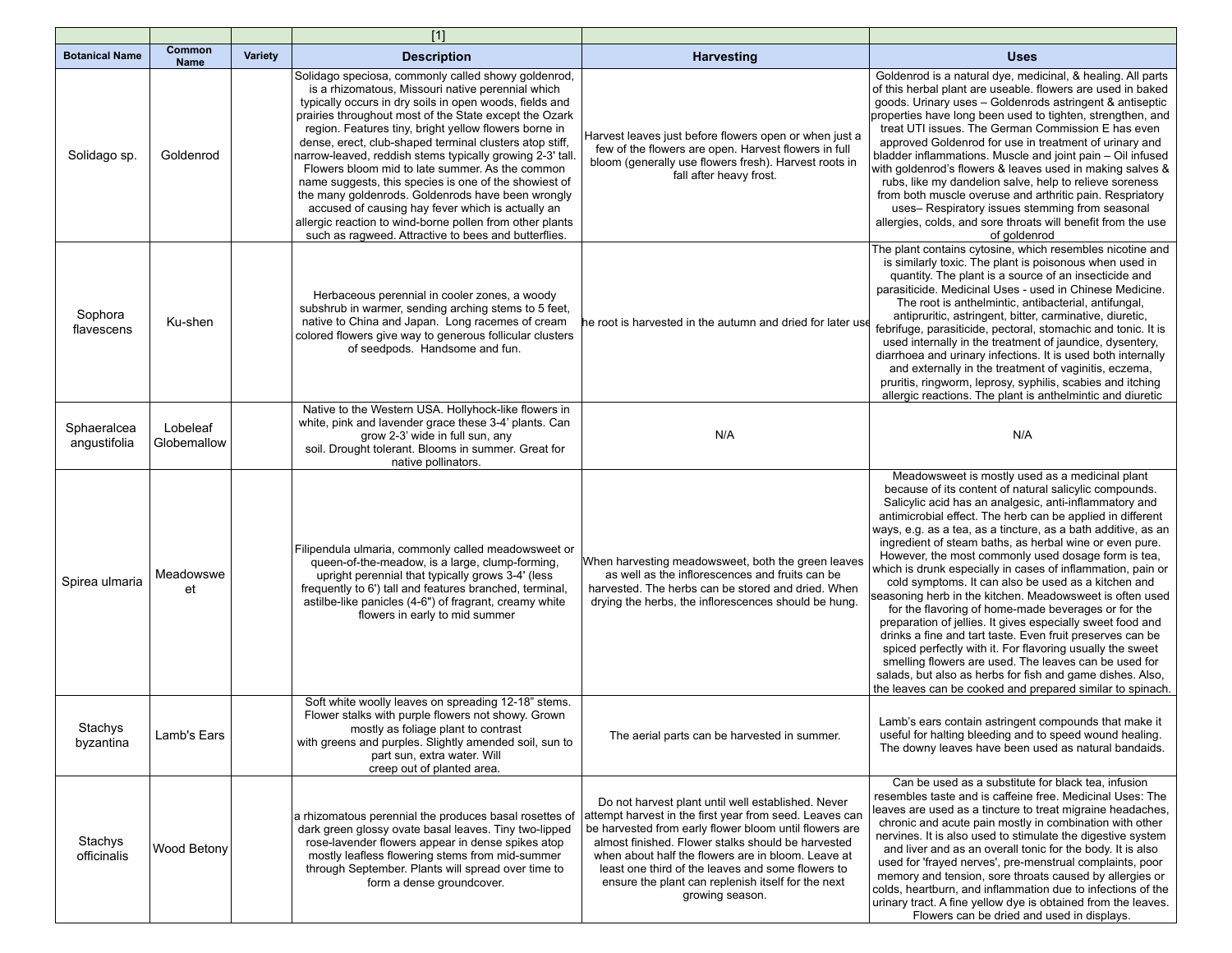|                             |                         |                | $\overline{[1]}$                                                                                                                                                                                                                                                                                                                                                                                                                                                                                                                                                                                                                                                                                                                                         |                                                                                                                                                                                                                                                                                                                                                                                                                   |                                                                                                                                                                                                                                                                                                                                                                                                                                                                                                                                                                                                                                                                                                                                                                                                                                                                                                                                                                                                                                          |
|-----------------------------|-------------------------|----------------|----------------------------------------------------------------------------------------------------------------------------------------------------------------------------------------------------------------------------------------------------------------------------------------------------------------------------------------------------------------------------------------------------------------------------------------------------------------------------------------------------------------------------------------------------------------------------------------------------------------------------------------------------------------------------------------------------------------------------------------------------------|-------------------------------------------------------------------------------------------------------------------------------------------------------------------------------------------------------------------------------------------------------------------------------------------------------------------------------------------------------------------------------------------------------------------|------------------------------------------------------------------------------------------------------------------------------------------------------------------------------------------------------------------------------------------------------------------------------------------------------------------------------------------------------------------------------------------------------------------------------------------------------------------------------------------------------------------------------------------------------------------------------------------------------------------------------------------------------------------------------------------------------------------------------------------------------------------------------------------------------------------------------------------------------------------------------------------------------------------------------------------------------------------------------------------------------------------------------------------|
| <b>Botanical Name</b>       | Common<br><b>Name</b>   | <b>Variety</b> | <b>Description</b>                                                                                                                                                                                                                                                                                                                                                                                                                                                                                                                                                                                                                                                                                                                                       | <b>Harvesting</b>                                                                                                                                                                                                                                                                                                                                                                                                 | <b>Uses</b>                                                                                                                                                                                                                                                                                                                                                                                                                                                                                                                                                                                                                                                                                                                                                                                                                                                                                                                                                                                                                              |
| Solidago sp.                | Goldenrod               |                | Solidago speciosa, commonly called showy goldenrod,<br>is a rhizomatous, Missouri native perennial which<br>typically occurs in dry soils in open woods, fields and<br>prairies throughout most of the State except the Ozark<br>region. Features tiny, bright yellow flowers borne in<br>dense, erect, club-shaped terminal clusters atop stiff,<br>narrow-leaved, reddish stems typically growing 2-3' tall.<br>Flowers bloom mid to late summer. As the common<br>name suggests, this species is one of the showiest of<br>the many goldenrods. Goldenrods have been wrongly<br>accused of causing hay fever which is actually an<br>allergic reaction to wind-borne pollen from other plants<br>such as ragweed. Attractive to bees and butterflies. | Harvest leaves just before flowers open or when just a<br>few of the flowers are open. Harvest flowers in full<br>bloom (generally use flowers fresh). Harvest roots in<br>fall after heavy frost.                                                                                                                                                                                                                | Goldenrod is a natural dye, medicinal, & healing. All parts<br>of this herbal plant are useable. flowers are used in baked<br>goods. Urinary uses - Goldenrods astringent & antiseptic<br>properties have long been used to tighten, strengthen, and<br>treat UTI issues. The German Commission E has even<br>approved Goldenrod for use in treatment of urinary and<br>bladder inflammations. Muscle and joint pain - Oil infused<br>with goldenrod's flowers & leaves used in making salves &<br>rubs, like my dandelion salve, help to relieve soreness<br>from both muscle overuse and arthritic pain. Respriatory<br>uses- Respiratory issues stemming from seasonal<br>allergies, colds, and sore throats will benefit from the use<br>of goldenrod                                                                                                                                                                                                                                                                                |
| Sophora<br>flavescens       | Ku-shen                 |                | Herbaceous perennial in cooler zones, a woody<br>subshrub in warmer, sending arching stems to 5 feet,<br>native to China and Japan. Long racemes of cream<br>colored flowers give way to generous follicular clusters<br>of seedpods. Handsome and fun.                                                                                                                                                                                                                                                                                                                                                                                                                                                                                                  | he root is harvested in the autumn and dried for later use                                                                                                                                                                                                                                                                                                                                                        | The plant contains cytosine, which resembles nicotine and<br>is similarly toxic. The plant is poisonous when used in<br>quantity. The plant is a source of an insecticide and<br>parasiticide. Medicinal Uses - used in Chinese Medicine.<br>The root is anthelmintic, antibacterial, antifungal,<br>antipruritic, astringent, bitter, carminative, diuretic,<br>febrifuge, parasiticide, pectoral, stomachic and tonic. It is<br>used internally in the treatment of jaundice, dysentery,<br>diarrhoea and urinary infections. It is used both internally<br>and externally in the treatment of vaginitis, eczema,<br>pruritis, ringworm, leprosy, syphilis, scabies and itching<br>allergic reactions. The plant is anthelmintic and diuretic                                                                                                                                                                                                                                                                                          |
| Sphaeralcea<br>angustifolia | Lobeleaf<br>Globemallow |                | Native to the Western USA. Hollyhock-like flowers in<br>white, pink and lavender grace these 3-4' plants. Can<br>grow 2-3' wide in full sun, any<br>soil. Drought tolerant. Blooms in summer. Great for<br>native pollinators.                                                                                                                                                                                                                                                                                                                                                                                                                                                                                                                           | N/A                                                                                                                                                                                                                                                                                                                                                                                                               | N/A                                                                                                                                                                                                                                                                                                                                                                                                                                                                                                                                                                                                                                                                                                                                                                                                                                                                                                                                                                                                                                      |
| Spirea ulmaria              | Meadowswe<br>et         |                | Filipendula ulmaria, commonly called meadowsweet or<br>queen-of-the-meadow, is a large, clump-forming,<br>upright perennial that typically grows 3-4' (less<br>frequently to 6') tall and features branched, terminal,<br>astilbe-like panicles (4-6") of fragrant, creamy white<br>flowers in early to mid summer                                                                                                                                                                                                                                                                                                                                                                                                                                       | When harvesting meadowsweet, both the green leaves<br>as well as the inflorescences and fruits can be<br>harvested. The herbs can be stored and dried. When<br>drying the herbs, the inflorescences should be hung.                                                                                                                                                                                               | Meadowsweet is mostly used as a medicinal plant<br>because of its content of natural salicylic compounds.<br>Salicylic acid has an analgesic, anti-inflammatory and<br>antimicrobial effect. The herb can be applied in different<br>ways, e.g. as a tea, as a tincture, as a bath additive, as an<br>ingredient of steam baths, as herbal wine or even pure.<br>However, the most commonly used dosage form is tea,<br>which is drunk especially in cases of inflammation, pain or<br>cold symptoms. It can also be used as a kitchen and<br>seasoning herb in the kitchen. Meadowsweet is often used<br>for the flavoring of home-made beverages or for the<br>preparation of jellies. It gives especially sweet food and<br>drinks a fine and tart taste. Even fruit preserves can be<br>spiced perfectly with it. For flavoring usually the sweet<br>smelling flowers are used. The leaves can be used for<br>salads, but also as herbs for fish and game dishes. Also,<br>the leaves can be cooked and prepared similar to spinach. |
| Stachys<br>byzantina        | Lamb's Ears             |                | Soft white woolly leaves on spreading 12-18" stems.<br>Flower stalks with purple flowers not showy. Grown<br>mostly as foliage plant to contrast<br>with greens and purples. Slightly amended soil, sun to<br>part sun, extra water. Will<br>creep out of planted area.                                                                                                                                                                                                                                                                                                                                                                                                                                                                                  | The aerial parts can be harvested in summer.                                                                                                                                                                                                                                                                                                                                                                      | Lamb's ears contain astringent compounds that make it<br>useful for halting bleeding and to speed wound healing.<br>The downy leaves have been used as natural bandaids.                                                                                                                                                                                                                                                                                                                                                                                                                                                                                                                                                                                                                                                                                                                                                                                                                                                                 |
| Stachys<br>officinalis      | Wood Betony             |                | a rhizomatous perennial the produces basal rosettes of<br>dark green glossy ovate basal leaves. Tiny two-lipped<br>rose-lavender flowers appear in dense spikes atop<br>mostly leafless flowering stems from mid-summer<br>through September. Plants will spread over time to<br>form a dense groundcover.                                                                                                                                                                                                                                                                                                                                                                                                                                               | Do not harvest plant until well established. Never<br>attempt harvest in the first year from seed. Leaves can<br>be harvested from early flower bloom until flowers are<br>almost finished. Flower stalks should be harvested<br>when about half the flowers are in bloom. Leave at<br>least one third of the leaves and some flowers to<br>ensure the plant can replenish itself for the next<br>growing season. | Can be used as a substitute for black tea, infusion<br>resembles taste and is caffeine free. Medicinal Uses: The<br>leaves are used as a tincture to treat migraine headaches,<br>chronic and acute pain mostly in combination with other<br>nervines. It is also used to stimulate the digestive system<br>and liver and as an overall tonic for the body. It is also<br>used for 'frayed nerves', pre-menstrual complaints, poor<br>memory and tension, sore throats caused by allergies or<br>colds, heartburn, and inflammation due to infections of the<br>urinary tract. A fine yellow dye is obtained from the leaves.<br>Flowers can be dried and used in displays.                                                                                                                                                                                                                                                                                                                                                              |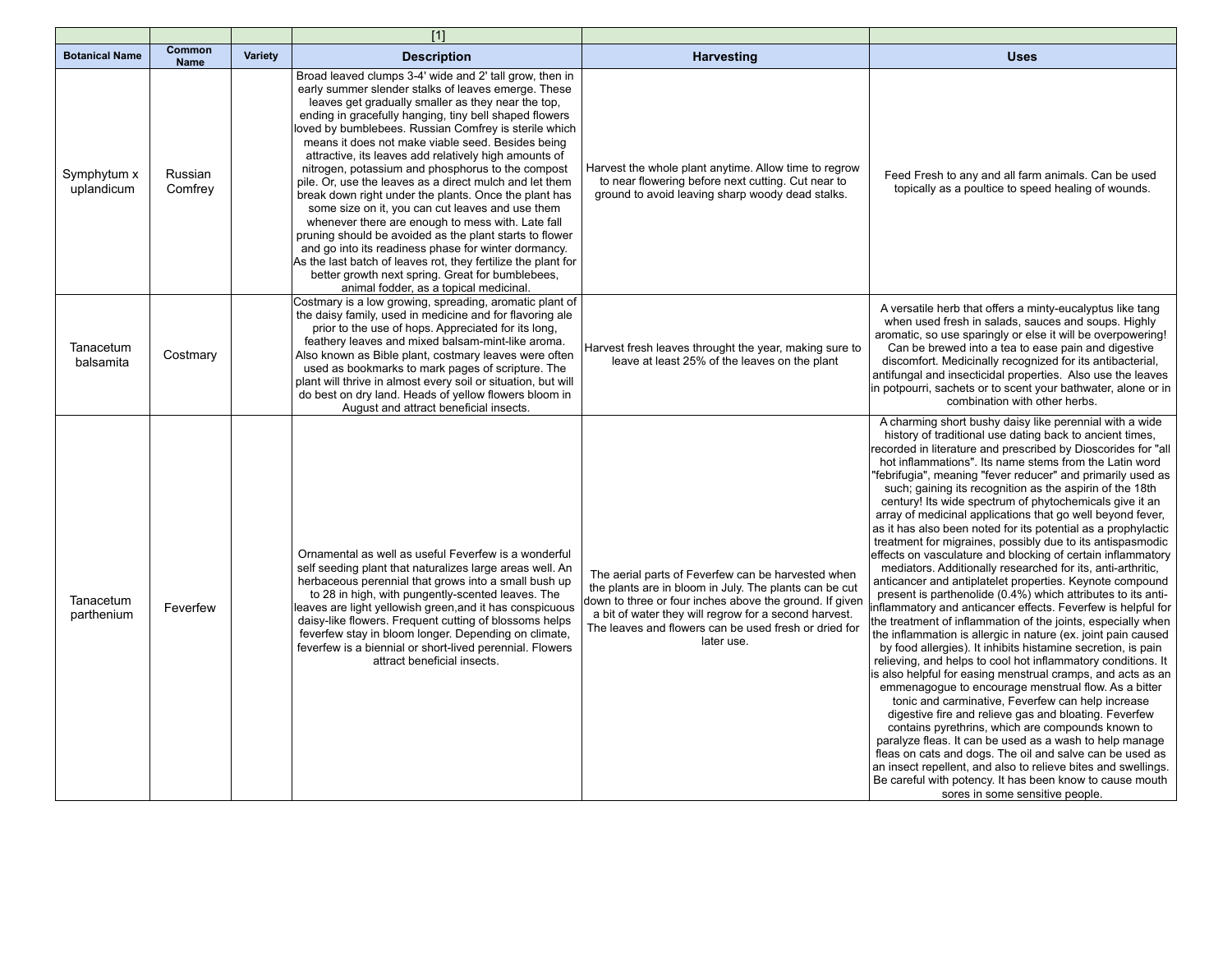|                           |                       |                | $[1]$                                                                                                                                                                                                                                                                                                                                                                                                                                                                                                                                                                                                                                                                                                                                                                                                                                                                                                                                                                     |                                                                                                                                                                                                                                                                                                         |                                                                                                                                                                                                                                                                                                                                                                                                                                                                                                                                                                                                                                                                                                                                                                                                                                                                                                                                                                                                                                                                                                                                                                                                                                                                                                                                                                                                                                                                                                                                                                                                                                                                                                                                                                                                              |
|---------------------------|-----------------------|----------------|---------------------------------------------------------------------------------------------------------------------------------------------------------------------------------------------------------------------------------------------------------------------------------------------------------------------------------------------------------------------------------------------------------------------------------------------------------------------------------------------------------------------------------------------------------------------------------------------------------------------------------------------------------------------------------------------------------------------------------------------------------------------------------------------------------------------------------------------------------------------------------------------------------------------------------------------------------------------------|---------------------------------------------------------------------------------------------------------------------------------------------------------------------------------------------------------------------------------------------------------------------------------------------------------|--------------------------------------------------------------------------------------------------------------------------------------------------------------------------------------------------------------------------------------------------------------------------------------------------------------------------------------------------------------------------------------------------------------------------------------------------------------------------------------------------------------------------------------------------------------------------------------------------------------------------------------------------------------------------------------------------------------------------------------------------------------------------------------------------------------------------------------------------------------------------------------------------------------------------------------------------------------------------------------------------------------------------------------------------------------------------------------------------------------------------------------------------------------------------------------------------------------------------------------------------------------------------------------------------------------------------------------------------------------------------------------------------------------------------------------------------------------------------------------------------------------------------------------------------------------------------------------------------------------------------------------------------------------------------------------------------------------------------------------------------------------------------------------------------------------|
| <b>Botanical Name</b>     | Common<br><b>Name</b> | <b>Variety</b> | <b>Description</b>                                                                                                                                                                                                                                                                                                                                                                                                                                                                                                                                                                                                                                                                                                                                                                                                                                                                                                                                                        | <b>Harvesting</b>                                                                                                                                                                                                                                                                                       | <b>Uses</b>                                                                                                                                                                                                                                                                                                                                                                                                                                                                                                                                                                                                                                                                                                                                                                                                                                                                                                                                                                                                                                                                                                                                                                                                                                                                                                                                                                                                                                                                                                                                                                                                                                                                                                                                                                                                  |
| Symphytum x<br>uplandicum | Russian<br>Comfrey    |                | Broad leaved clumps 3-4' wide and 2' tall grow, then in<br>early summer slender stalks of leaves emerge. These<br>leaves get gradually smaller as they near the top,<br>ending in gracefully hanging, tiny bell shaped flowers<br>loved by bumblebees. Russian Comfrey is sterile which<br>means it does not make viable seed. Besides being<br>attractive, its leaves add relatively high amounts of<br>nitrogen, potassium and phosphorus to the compost<br>pile. Or, use the leaves as a direct mulch and let them<br>break down right under the plants. Once the plant has<br>some size on it, you can cut leaves and use them<br>whenever there are enough to mess with. Late fall<br>pruning should be avoided as the plant starts to flower<br>and go into its readiness phase for winter dormancy.<br>As the last batch of leaves rot, they fertilize the plant for<br>better growth next spring. Great for bumblebees,<br>animal fodder, as a topical medicinal. | Harvest the whole plant anytime. Allow time to regrow<br>to near flowering before next cutting. Cut near to<br>ground to avoid leaving sharp woody dead stalks.                                                                                                                                         | Feed Fresh to any and all farm animals. Can be used<br>topically as a poultice to speed healing of wounds.                                                                                                                                                                                                                                                                                                                                                                                                                                                                                                                                                                                                                                                                                                                                                                                                                                                                                                                                                                                                                                                                                                                                                                                                                                                                                                                                                                                                                                                                                                                                                                                                                                                                                                   |
| Tanacetum<br>balsamita    | Costmary              |                | Costmary is a low growing, spreading, aromatic plant of<br>the daisy family, used in medicine and for flavoring ale<br>prior to the use of hops. Appreciated for its long,<br>feathery leaves and mixed balsam-mint-like aroma.<br>Also known as Bible plant, costmary leaves were often<br>used as bookmarks to mark pages of scripture. The<br>plant will thrive in almost every soil or situation, but will<br>do best on dry land. Heads of yellow flowers bloom in<br>August and attract beneficial insects.                                                                                                                                                                                                                                                                                                                                                                                                                                                         | Harvest fresh leaves throught the year, making sure to<br>leave at least 25% of the leaves on the plant                                                                                                                                                                                                 | A versatile herb that offers a minty-eucalyptus like tang<br>when used fresh in salads, sauces and soups. Highly<br>aromatic, so use sparingly or else it will be overpowering!<br>Can be brewed into a tea to ease pain and digestive<br>discomfort. Medicinally recognized for its antibacterial,<br>antifungal and insecticidal properties. Also use the leaves<br>in potpourri, sachets or to scent your bathwater, alone or in<br>combination with other herbs.                                                                                                                                                                                                                                                                                                                                                                                                                                                                                                                                                                                                                                                                                                                                                                                                                                                                                                                                                                                                                                                                                                                                                                                                                                                                                                                                         |
| Tanacetum<br>parthenium   | Feverfew              |                | Ornamental as well as useful Feverfew is a wonderful<br>self seeding plant that naturalizes large areas well. An<br>herbaceous perennial that grows into a small bush up<br>to 28 in high, with pungently-scented leaves. The<br>leaves are light yellowish green, and it has conspicuous<br>daisy-like flowers. Frequent cutting of blossoms helps<br>feverfew stay in bloom longer. Depending on climate,<br>feverfew is a biennial or short-lived perennial. Flowers<br>attract beneficial insects.                                                                                                                                                                                                                                                                                                                                                                                                                                                                    | The aerial parts of Feverfew can be harvested when<br>the plants are in bloom in July. The plants can be cut<br>down to three or four inches above the ground. If given<br>a bit of water they will regrow for a second harvest.<br>The leaves and flowers can be used fresh or dried for<br>later use. | A charming short bushy daisy like perennial with a wide<br>history of traditional use dating back to ancient times,<br>recorded in literature and prescribed by Dioscorides for "all<br>hot inflammations". Its name stems from the Latin word<br>'febrifugia", meaning "fever reducer" and primarily used as<br>such; gaining its recognition as the aspirin of the 18th<br>century! Its wide spectrum of phytochemicals give it an<br>array of medicinal applications that go well beyond fever,<br>as it has also been noted for its potential as a prophylactic<br>treatment for migraines, possibly due to its antispasmodic<br>effects on vasculature and blocking of certain inflammatory<br>mediators. Additionally researched for its, anti-arthritic,<br>anticancer and antiplatelet properties. Keynote compound<br>present is parthenolide (0.4%) which attributes to its anti-<br>nflammatory and anticancer effects. Feverfew is helpful for<br>the treatment of inflammation of the joints, especially when<br>the inflammation is allergic in nature (ex. joint pain caused<br>by food allergies). It inhibits histamine secretion, is pain<br>relieving, and helps to cool hot inflammatory conditions. It<br>is also helpful for easing menstrual cramps, and acts as an<br>emmenagogue to encourage menstrual flow. As a bitter<br>tonic and carminative, Feverfew can help increase<br>digestive fire and relieve gas and bloating. Feverfew<br>contains pyrethrins, which are compounds known to<br>paralyze fleas. It can be used as a wash to help manage<br>fleas on cats and dogs. The oil and salve can be used as<br>an insect repellent, and also to relieve bites and swellings.<br>Be careful with potency. It has been know to cause mouth<br>sores in some sensitive people. |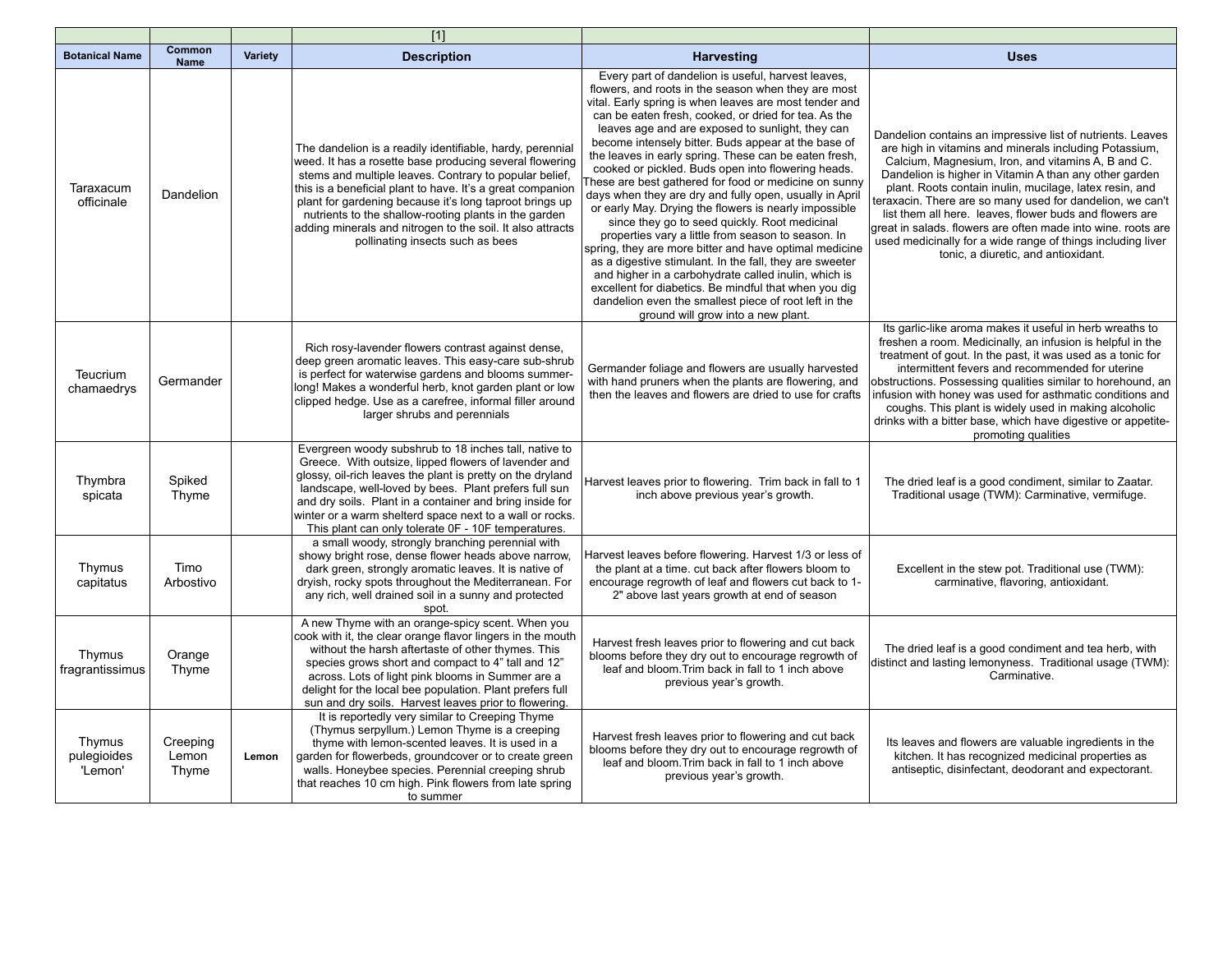|                                  |                            |         | $[1]$                                                                                                                                                                                                                                                                                                                                                                                                                                                              |                                                                                                                                                                                                                                                                                                                                                                                                                                                                                                                                                                                                                                                                                                                                                                                                                                                                                                                                                                                                                                                                                |                                                                                                                                                                                                                                                                                                                                                                                                                                                                                                                                                                                               |
|----------------------------------|----------------------------|---------|--------------------------------------------------------------------------------------------------------------------------------------------------------------------------------------------------------------------------------------------------------------------------------------------------------------------------------------------------------------------------------------------------------------------------------------------------------------------|--------------------------------------------------------------------------------------------------------------------------------------------------------------------------------------------------------------------------------------------------------------------------------------------------------------------------------------------------------------------------------------------------------------------------------------------------------------------------------------------------------------------------------------------------------------------------------------------------------------------------------------------------------------------------------------------------------------------------------------------------------------------------------------------------------------------------------------------------------------------------------------------------------------------------------------------------------------------------------------------------------------------------------------------------------------------------------|-----------------------------------------------------------------------------------------------------------------------------------------------------------------------------------------------------------------------------------------------------------------------------------------------------------------------------------------------------------------------------------------------------------------------------------------------------------------------------------------------------------------------------------------------------------------------------------------------|
| <b>Botanical Name</b>            | Common<br><b>Name</b>      | Variety | <b>Description</b>                                                                                                                                                                                                                                                                                                                                                                                                                                                 | <b>Harvesting</b>                                                                                                                                                                                                                                                                                                                                                                                                                                                                                                                                                                                                                                                                                                                                                                                                                                                                                                                                                                                                                                                              | <b>Uses</b>                                                                                                                                                                                                                                                                                                                                                                                                                                                                                                                                                                                   |
| Taraxacum<br>officinale          | Dandelion                  |         | The dandelion is a readily identifiable, hardy, perennial<br>weed. It has a rosette base producing several flowering<br>stems and multiple leaves. Contrary to popular belief,<br>this is a beneficial plant to have. It's a great companion<br>plant for gardening because it's long taproot brings up<br>nutrients to the shallow-rooting plants in the garden<br>adding minerals and nitrogen to the soil. It also attracts<br>pollinating insects such as bees | Every part of dandelion is useful, harvest leaves,<br>flowers, and roots in the season when they are most<br>vital. Early spring is when leaves are most tender and<br>can be eaten fresh, cooked, or dried for tea. As the<br>leaves age and are exposed to sunlight, they can<br>become intensely bitter. Buds appear at the base of<br>the leaves in early spring. These can be eaten fresh,<br>cooked or pickled. Buds open into flowering heads.<br>These are best gathered for food or medicine on sunny<br>days when they are dry and fully open, usually in April<br>or early May. Drying the flowers is nearly impossible<br>since they go to seed quickly. Root medicinal<br>properties vary a little from season to season. In<br>spring, they are more bitter and have optimal medicine<br>as a digestive stimulant. In the fall, they are sweeter<br>and higher in a carbohydrate called inulin, which is<br>excellent for diabetics. Be mindful that when you dig<br>dandelion even the smallest piece of root left in the<br>ground will grow into a new plant. | Dandelion contains an impressive list of nutrients. Leaves<br>are high in vitamins and minerals including Potassium,<br>Calcium, Magnesium, Iron, and vitamins A, B and C.<br>Dandelion is higher in Vitamin A than any other garden<br>plant. Roots contain inulin, mucilage, latex resin, and<br>teraxacin. There are so many used for dandelion, we can't<br>list them all here. leaves, flower buds and flowers are<br>great in salads. flowers are often made into wine. roots are<br>used medicinally for a wide range of things including liver<br>tonic, a diuretic, and antioxidant. |
| Teucrium<br>chamaedrys           | Germander                  |         | Rich rosy-lavender flowers contrast against dense,<br>deep green aromatic leaves. This easy-care sub-shrub<br>is perfect for waterwise gardens and blooms summer-<br>long! Makes a wonderful herb, knot garden plant or low<br>clipped hedge. Use as a carefree, informal filler around<br>larger shrubs and perennials                                                                                                                                            | Germander foliage and flowers are usually harvested<br>with hand pruners when the plants are flowering, and<br>then the leaves and flowers are dried to use for crafts                                                                                                                                                                                                                                                                                                                                                                                                                                                                                                                                                                                                                                                                                                                                                                                                                                                                                                         | Its garlic-like aroma makes it useful in herb wreaths to<br>freshen a room. Medicinally, an infusion is helpful in the<br>treatment of gout. In the past, it was used as a tonic for<br>intermittent fevers and recommended for uterine<br>obstructions. Possessing qualities similar to horehound, an<br>infusion with honey was used for asthmatic conditions and<br>coughs. This plant is widely used in making alcoholic<br>drinks with a bitter base, which have digestive or appetite-<br>promoting qualities                                                                           |
| Thymbra<br>spicata               | Spiked<br>Thyme            |         | Evergreen woody subshrub to 18 inches tall, native to<br>Greece. With outsize, lipped flowers of lavender and<br>glossy, oil-rich leaves the plant is pretty on the dryland<br>landscape, well-loved by bees. Plant prefers full sun<br>and dry soils. Plant in a container and bring inside for<br>winter or a warm shelterd space next to a wall or rocks.<br>This plant can only tolerate OF - 10F temperatures.                                                | Harvest leaves prior to flowering. Trim back in fall to 1<br>inch above previous year's growth.                                                                                                                                                                                                                                                                                                                                                                                                                                                                                                                                                                                                                                                                                                                                                                                                                                                                                                                                                                                | The dried leaf is a good condiment, similar to Zaatar.<br>Traditional usage (TWM): Carminative, vermifuge.                                                                                                                                                                                                                                                                                                                                                                                                                                                                                    |
| Thymus<br>capitatus              | Timo<br>Arbostivo          |         | a small woody, strongly branching perennial with<br>showy bright rose, dense flower heads above narrow,<br>dark green, strongly aromatic leaves. It is native of<br>dryish, rocky spots throughout the Mediterranean. For<br>any rich, well drained soil in a sunny and protected<br>spot.                                                                                                                                                                         | Harvest leaves before flowering. Harvest 1/3 or less of<br>the plant at a time. cut back after flowers bloom to<br>encourage regrowth of leaf and flowers cut back to 1-<br>2" above last years growth at end of season                                                                                                                                                                                                                                                                                                                                                                                                                                                                                                                                                                                                                                                                                                                                                                                                                                                        | Excellent in the stew pot. Traditional use (TWM):<br>carminative, flavoring, antioxidant.                                                                                                                                                                                                                                                                                                                                                                                                                                                                                                     |
| Thymus<br>fragrantissimus        | Orange<br>Thyme            |         | A new Thyme with an orange-spicy scent. When you<br>cook with it, the clear orange flavor lingers in the mouth<br>without the harsh aftertaste of other thymes. This<br>species grows short and compact to 4" tall and 12"<br>across. Lots of light pink blooms in Summer are a<br>delight for the local bee population. Plant prefers full<br>sun and dry soils. Harvest leaves prior to flowering.                                                               | Harvest fresh leaves prior to flowering and cut back<br>blooms before they dry out to encourage regrowth of<br>leaf and bloom. Trim back in fall to 1 inch above<br>previous year's growth.                                                                                                                                                                                                                                                                                                                                                                                                                                                                                                                                                                                                                                                                                                                                                                                                                                                                                    | The dried leaf is a good condiment and tea herb, with<br>distinct and lasting lemonyness. Traditional usage (TWM):<br>Carminative.                                                                                                                                                                                                                                                                                                                                                                                                                                                            |
| Thymus<br>pulegioides<br>'Lemon' | Creeping<br>Lemon<br>Thyme | Lemon   | It is reportedly very similar to Creeping Thyme<br>(Thymus serpyllum.) Lemon Thyme is a creeping<br>thyme with lemon-scented leaves. It is used in a<br>garden for flowerbeds, groundcover or to create green<br>walls. Honeybee species. Perennial creeping shrub<br>that reaches 10 cm high. Pink flowers from late spring<br>to summer                                                                                                                          | Harvest fresh leaves prior to flowering and cut back<br>blooms before they dry out to encourage regrowth of<br>leaf and bloom. Trim back in fall to 1 inch above<br>previous year's growth.                                                                                                                                                                                                                                                                                                                                                                                                                                                                                                                                                                                                                                                                                                                                                                                                                                                                                    | Its leaves and flowers are valuable ingredients in the<br>kitchen. It has recognized medicinal properties as<br>antiseptic, disinfectant, deodorant and expectorant.                                                                                                                                                                                                                                                                                                                                                                                                                          |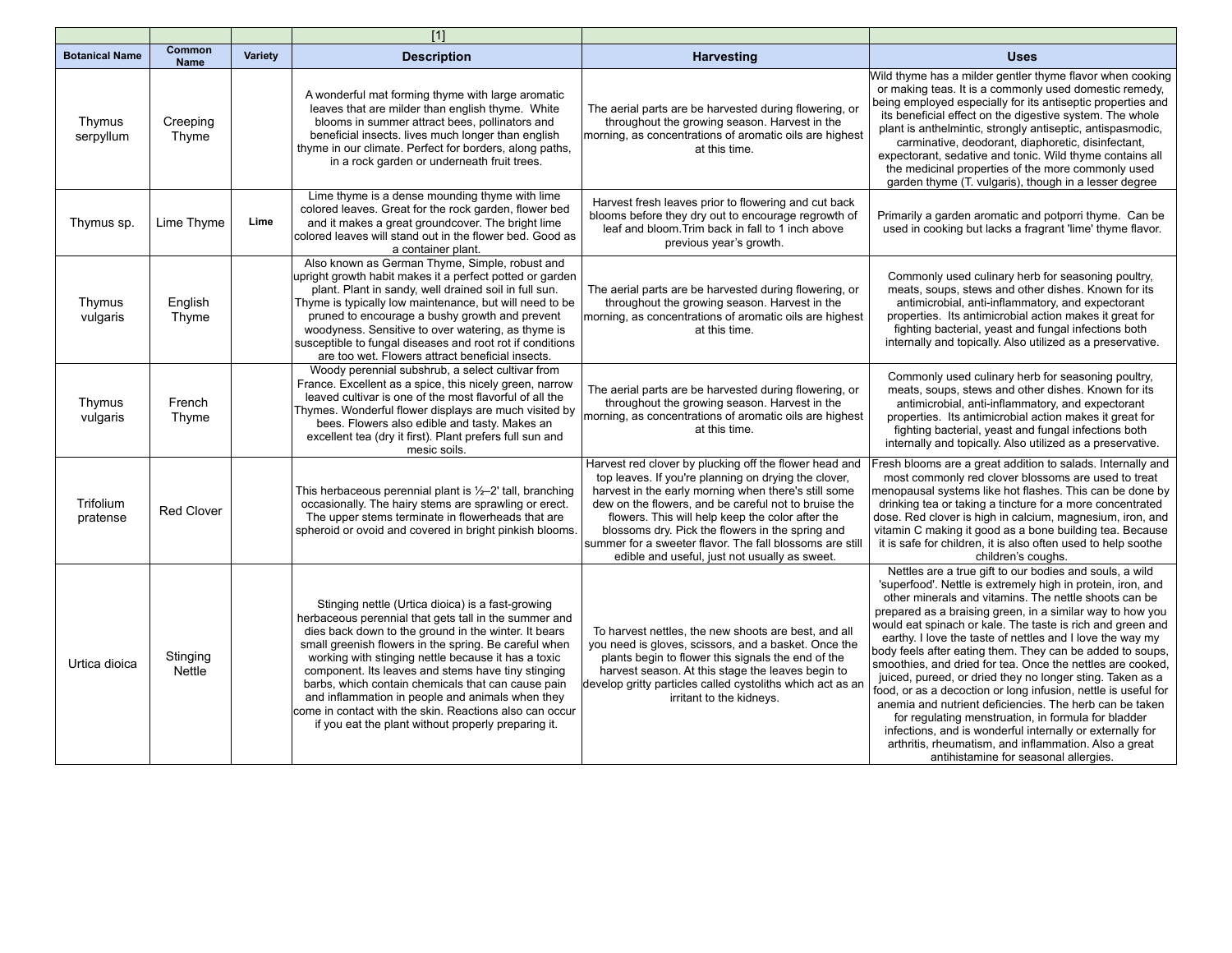|                       |                       |         | $\overline{[1]}$                                                                                                                                                                                                                                                                                                                                                                                                                                                                                                                                                     |                                                                                                                                                                                                                                                                                                                                                                                                                                                     |                                                                                                                                                                                                                                                                                                                                                                                                                                                                                                                                                                                                                                                                                                                                                                                                                                                                                                                    |
|-----------------------|-----------------------|---------|----------------------------------------------------------------------------------------------------------------------------------------------------------------------------------------------------------------------------------------------------------------------------------------------------------------------------------------------------------------------------------------------------------------------------------------------------------------------------------------------------------------------------------------------------------------------|-----------------------------------------------------------------------------------------------------------------------------------------------------------------------------------------------------------------------------------------------------------------------------------------------------------------------------------------------------------------------------------------------------------------------------------------------------|--------------------------------------------------------------------------------------------------------------------------------------------------------------------------------------------------------------------------------------------------------------------------------------------------------------------------------------------------------------------------------------------------------------------------------------------------------------------------------------------------------------------------------------------------------------------------------------------------------------------------------------------------------------------------------------------------------------------------------------------------------------------------------------------------------------------------------------------------------------------------------------------------------------------|
| <b>Botanical Name</b> | Common<br><b>Name</b> | Variety | <b>Description</b>                                                                                                                                                                                                                                                                                                                                                                                                                                                                                                                                                   | <b>Harvesting</b>                                                                                                                                                                                                                                                                                                                                                                                                                                   | <b>Uses</b>                                                                                                                                                                                                                                                                                                                                                                                                                                                                                                                                                                                                                                                                                                                                                                                                                                                                                                        |
| Thymus<br>serpyllum   | Creeping<br>Thyme     |         | A wonderful mat forming thyme with large aromatic<br>leaves that are milder than english thyme. White<br>blooms in summer attract bees, pollinators and<br>beneficial insects. lives much longer than english<br>thyme in our climate. Perfect for borders, along paths,<br>in a rock garden or underneath fruit trees.                                                                                                                                                                                                                                              | The aerial parts are be harvested during flowering, or<br>throughout the growing season. Harvest in the<br>morning, as concentrations of aromatic oils are highest<br>at this time.                                                                                                                                                                                                                                                                 | Wild thyme has a milder gentler thyme flavor when cooking<br>or making teas. It is a commonly used domestic remedy,<br>being employed especially for its antiseptic properties and<br>its beneficial effect on the digestive system. The whole<br>plant is anthelmintic, strongly antiseptic, antispasmodic,<br>carminative, deodorant, diaphoretic, disinfectant,<br>expectorant, sedative and tonic. Wild thyme contains all<br>the medicinal properties of the more commonly used<br>garden thyme (T. vulgaris), though in a lesser degree                                                                                                                                                                                                                                                                                                                                                                      |
| Thymus sp.            | Lime Thyme            | Lime    | Lime thyme is a dense mounding thyme with lime<br>colored leaves. Great for the rock garden, flower bed<br>and it makes a great groundcover. The bright lime<br>colored leaves will stand out in the flower bed. Good as<br>a container plant.                                                                                                                                                                                                                                                                                                                       | Harvest fresh leaves prior to flowering and cut back<br>blooms before they dry out to encourage regrowth of<br>leaf and bloom. Trim back in fall to 1 inch above<br>previous year's growth.                                                                                                                                                                                                                                                         | Primarily a garden aromatic and potporri thyme. Can be<br>used in cooking but lacks a fragrant 'lime' thyme flavor.                                                                                                                                                                                                                                                                                                                                                                                                                                                                                                                                                                                                                                                                                                                                                                                                |
| Thymus<br>vulgaris    | English<br>Thyme      |         | Also known as German Thyme, Simple, robust and<br>upright growth habit makes it a perfect potted or garden<br>plant. Plant in sandy, well drained soil in full sun.<br>Thyme is typically low maintenance, but will need to be<br>pruned to encourage a bushy growth and prevent<br>woodyness. Sensitive to over watering, as thyme is<br>susceptible to fungal diseases and root rot if conditions<br>are too wet. Flowers attract beneficial insects.                                                                                                              | The aerial parts are be harvested during flowering, or<br>throughout the growing season. Harvest in the<br>morning, as concentrations of aromatic oils are highest<br>at this time.                                                                                                                                                                                                                                                                 | Commonly used culinary herb for seasoning poultry,<br>meats, soups, stews and other dishes. Known for its<br>antimicrobial, anti-inflammatory, and expectorant<br>properties. Its antimicrobial action makes it great for<br>fighting bacterial, yeast and fungal infections both<br>internally and topically. Also utilized as a preservative.                                                                                                                                                                                                                                                                                                                                                                                                                                                                                                                                                                    |
| Thymus<br>vulgaris    | French<br>Thyme       |         | Woody perennial subshrub, a select cultivar from<br>France. Excellent as a spice, this nicely green, narrow<br>leaved cultivar is one of the most flavorful of all the<br>Thymes. Wonderful flower displays are much visited by<br>bees. Flowers also edible and tasty. Makes an<br>excellent tea (dry it first). Plant prefers full sun and<br>mesic soils.                                                                                                                                                                                                         | The aerial parts are be harvested during flowering, or<br>throughout the growing season. Harvest in the<br>morning, as concentrations of aromatic oils are highest<br>at this time.                                                                                                                                                                                                                                                                 | Commonly used culinary herb for seasoning poultry,<br>meats, soups, stews and other dishes. Known for its<br>antimicrobial, anti-inflammatory, and expectorant<br>properties. Its antimicrobial action makes it great for<br>fighting bacterial, yeast and fungal infections both<br>internally and topically. Also utilized as a preservative.                                                                                                                                                                                                                                                                                                                                                                                                                                                                                                                                                                    |
| Trifolium<br>pratense | <b>Red Clover</b>     |         | This herbaceous perennial plant is $\frac{1}{2}$ -2' tall, branching<br>occasionally. The hairy stems are sprawling or erect.<br>The upper stems terminate in flowerheads that are<br>spheroid or ovoid and covered in bright pinkish blooms.                                                                                                                                                                                                                                                                                                                        | Harvest red clover by plucking off the flower head and<br>top leaves. If you're planning on drying the clover,<br>harvest in the early morning when there's still some<br>dew on the flowers, and be careful not to bruise the<br>flowers. This will help keep the color after the<br>blossoms dry. Pick the flowers in the spring and<br>summer for a sweeter flavor. The fall blossoms are still<br>edible and useful, just not usually as sweet. | Fresh blooms are a great addition to salads. Internally and<br>most commonly red clover blossoms are used to treat<br>menopausal systems like hot flashes. This can be done by<br>drinking tea or taking a tincture for a more concentrated<br>dose. Red clover is high in calcium, magnesium, iron, and<br>vitamin C making it good as a bone building tea. Because<br>it is safe for children, it is also often used to help soothe<br>children's coughs.                                                                                                                                                                                                                                                                                                                                                                                                                                                        |
| Urtica dioica         | Stinging<br>Nettle    |         | Stinging nettle (Urtica dioica) is a fast-growing<br>herbaceous perennial that gets tall in the summer and<br>dies back down to the ground in the winter. It bears<br>small greenish flowers in the spring. Be careful when<br>working with stinging nettle because it has a toxic<br>component. Its leaves and stems have tiny stinging<br>barbs, which contain chemicals that can cause pain<br>and inflammation in people and animals when they<br>come in contact with the skin. Reactions also can occur<br>if you eat the plant without properly preparing it. | To harvest nettles, the new shoots are best, and all<br>you need is gloves, scissors, and a basket. Once the<br>plants begin to flower this signals the end of the<br>harvest season. At this stage the leaves begin to<br>develop gritty particles called cystoliths which act as an<br>irritant to the kidneys.                                                                                                                                   | Nettles are a true gift to our bodies and souls, a wild<br>'superfood'. Nettle is extremely high in protein, iron, and<br>other minerals and vitamins. The nettle shoots can be<br>prepared as a braising green, in a similar way to how you<br>would eat spinach or kale. The taste is rich and green and<br>earthy. I love the taste of nettles and I love the way my<br>body feels after eating them. They can be added to soups,<br>smoothies, and dried for tea. Once the nettles are cooked,<br>juiced, pureed, or dried they no longer sting. Taken as a<br>food, or as a decoction or long infusion, nettle is useful for<br>anemia and nutrient deficiencies. The herb can be taken<br>for regulating menstruation, in formula for bladder<br>infections, and is wonderful internally or externally for<br>arthritis, rheumatism, and inflammation. Also a great<br>antihistamine for seasonal allergies. |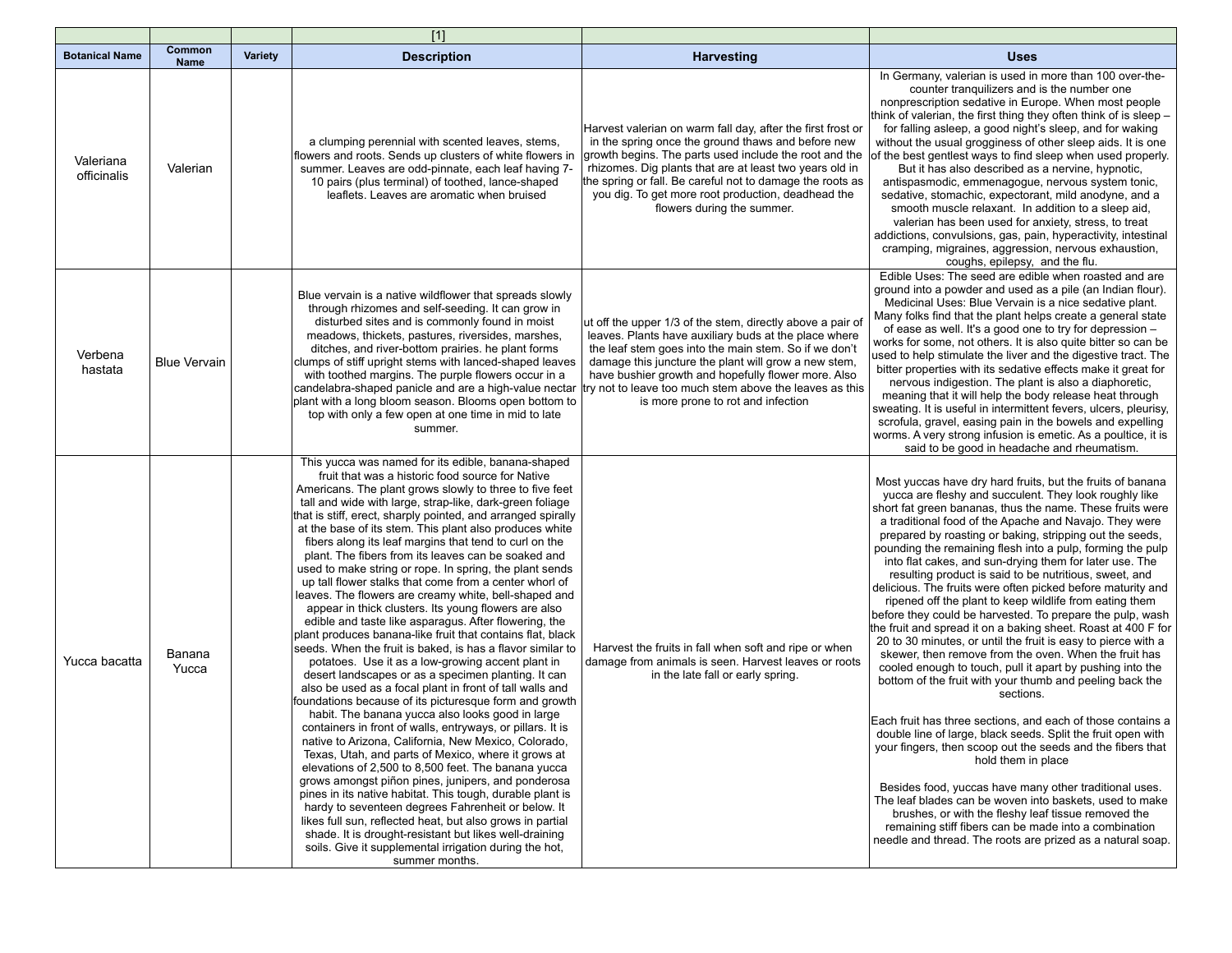|                          |                              |                | $[1]$                                                                                                                                                                                                                                                                                                                                                                                                                                                                                                                                                                                                                                                                                                                                                                                                                                                                                                                                                                                                                                                                                                                                                                                                                                                                                                                                                                                                                                                                                                                                                                                                                                                                                                                                                                                                      |                                                                                                                                                                                                                                                                                                                                                                                              |                                                                                                                                                                                                                                                                                                                                                                                                                                                                                                                                                                                                                                                                                                                                                                                                                                                                                                                                                                                                                                                                                                                                                                                                                                                                                                                                                                                                                                                                                                                                          |
|--------------------------|------------------------------|----------------|------------------------------------------------------------------------------------------------------------------------------------------------------------------------------------------------------------------------------------------------------------------------------------------------------------------------------------------------------------------------------------------------------------------------------------------------------------------------------------------------------------------------------------------------------------------------------------------------------------------------------------------------------------------------------------------------------------------------------------------------------------------------------------------------------------------------------------------------------------------------------------------------------------------------------------------------------------------------------------------------------------------------------------------------------------------------------------------------------------------------------------------------------------------------------------------------------------------------------------------------------------------------------------------------------------------------------------------------------------------------------------------------------------------------------------------------------------------------------------------------------------------------------------------------------------------------------------------------------------------------------------------------------------------------------------------------------------------------------------------------------------------------------------------------------------|----------------------------------------------------------------------------------------------------------------------------------------------------------------------------------------------------------------------------------------------------------------------------------------------------------------------------------------------------------------------------------------------|------------------------------------------------------------------------------------------------------------------------------------------------------------------------------------------------------------------------------------------------------------------------------------------------------------------------------------------------------------------------------------------------------------------------------------------------------------------------------------------------------------------------------------------------------------------------------------------------------------------------------------------------------------------------------------------------------------------------------------------------------------------------------------------------------------------------------------------------------------------------------------------------------------------------------------------------------------------------------------------------------------------------------------------------------------------------------------------------------------------------------------------------------------------------------------------------------------------------------------------------------------------------------------------------------------------------------------------------------------------------------------------------------------------------------------------------------------------------------------------------------------------------------------------|
| <b>Botanical Name</b>    | <b>Common</b><br><b>Name</b> | <b>Variety</b> | <b>Description</b>                                                                                                                                                                                                                                                                                                                                                                                                                                                                                                                                                                                                                                                                                                                                                                                                                                                                                                                                                                                                                                                                                                                                                                                                                                                                                                                                                                                                                                                                                                                                                                                                                                                                                                                                                                                         | Harvesting                                                                                                                                                                                                                                                                                                                                                                                   | <b>Uses</b>                                                                                                                                                                                                                                                                                                                                                                                                                                                                                                                                                                                                                                                                                                                                                                                                                                                                                                                                                                                                                                                                                                                                                                                                                                                                                                                                                                                                                                                                                                                              |
| Valeriana<br>officinalis | Valerian                     |                | a clumping perennial with scented leaves, stems,<br>flowers and roots. Sends up clusters of white flowers in<br>summer. Leaves are odd-pinnate, each leaf having 7-<br>10 pairs (plus terminal) of toothed, lance-shaped<br>leaflets. Leaves are aromatic when bruised                                                                                                                                                                                                                                                                                                                                                                                                                                                                                                                                                                                                                                                                                                                                                                                                                                                                                                                                                                                                                                                                                                                                                                                                                                                                                                                                                                                                                                                                                                                                     | Harvest valerian on warm fall day, after the first frost or<br>in the spring once the ground thaws and before new<br>growth begins. The parts used include the root and the<br>rhizomes. Dig plants that are at least two years old in<br>the spring or fall. Be careful not to damage the roots as<br>you dig. To get more root production, deadhead the<br>flowers during the summer.      | In Germany, valerian is used in more than 100 over-the-<br>counter tranquilizers and is the number one<br>nonprescription sedative in Europe. When most people<br>think of valerian, the first thing they often think of is sleep -<br>for falling asleep, a good night's sleep, and for waking<br>without the usual grogginess of other sleep aids. It is one<br>of the best gentlest ways to find sleep when used properly.<br>But it has also described as a nervine, hypnotic,<br>antispasmodic, emmenagogue, nervous system tonic,<br>sedative, stomachic, expectorant, mild anodyne, and a<br>smooth muscle relaxant. In addition to a sleep aid,<br>valerian has been used for anxiety, stress, to treat<br>addictions, convulsions, gas, pain, hyperactivity, intestinal<br>cramping, migraines, aggression, nervous exhaustion,<br>coughs, epilepsy, and the flu.                                                                                                                                                                                                                                                                                                                                                                                                                                                                                                                                                                                                                                                               |
| Verbena<br>hastata       | <b>Blue Vervain</b>          |                | Blue vervain is a native wildflower that spreads slowly<br>through rhizomes and self-seeding. It can grow in<br>disturbed sites and is commonly found in moist<br>meadows, thickets, pastures, riversides, marshes,<br>ditches, and river-bottom prairies. he plant forms<br>clumps of stiff upright stems with lanced-shaped leaves<br>with toothed margins. The purple flowers occur in a<br>candelabra-shaped panicle and are a high-value nectar<br>plant with a long bloom season. Blooms open bottom to<br>top with only a few open at one time in mid to late<br>summer.                                                                                                                                                                                                                                                                                                                                                                                                                                                                                                                                                                                                                                                                                                                                                                                                                                                                                                                                                                                                                                                                                                                                                                                                                            | ut off the upper 1/3 of the stem, directly above a pair of<br>leaves. Plants have auxiliary buds at the place where<br>the leaf stem goes into the main stem. So if we don't<br>damage this juncture the plant will grow a new stem,<br>have bushier growth and hopefully flower more. Also<br>try not to leave too much stem above the leaves as this<br>is more prone to rot and infection | Edible Uses: The seed are edible when roasted and are<br>ground into a powder and used as a pile (an Indian flour).<br>Medicinal Uses: Blue Vervain is a nice sedative plant.<br>Many folks find that the plant helps create a general state<br>of ease as well. It's a good one to try for depression -<br>works for some, not others. It is also quite bitter so can be<br>used to help stimulate the liver and the digestive tract. The<br>bitter properties with its sedative effects make it great for<br>nervous indigestion. The plant is also a diaphoretic,<br>meaning that it will help the body release heat through<br>sweating. It is useful in intermittent fevers, ulcers, pleurisy,<br>scrofula, gravel, easing pain in the bowels and expelling<br>worms. A very strong infusion is emetic. As a poultice, it is<br>said to be good in headache and rheumatism.                                                                                                                                                                                                                                                                                                                                                                                                                                                                                                                                                                                                                                                         |
| Yucca bacatta            | Banana<br>Yucca              |                | This yucca was named for its edible, banana-shaped<br>fruit that was a historic food source for Native<br>Americans. The plant grows slowly to three to five feet<br>tall and wide with large, strap-like, dark-green foliage<br>that is stiff, erect, sharply pointed, and arranged spirally<br>at the base of its stem. This plant also produces white<br>fibers along its leaf margins that tend to curl on the<br>plant. The fibers from its leaves can be soaked and<br>used to make string or rope. In spring, the plant sends<br>up tall flower stalks that come from a center whorl of<br>leaves. The flowers are creamy white, bell-shaped and<br>appear in thick clusters. Its young flowers are also<br>edible and taste like asparagus. After flowering, the<br>plant produces banana-like fruit that contains flat, black<br>seeds. When the fruit is baked, is has a flavor similar to<br>potatoes. Use it as a low-growing accent plant in<br>desert landscapes or as a specimen planting. It can<br>also be used as a focal plant in front of tall walls and<br>foundations because of its picturesque form and growth<br>habit. The banana yucca also looks good in large<br>containers in front of walls, entryways, or pillars. It is<br>native to Arizona, California, New Mexico, Colorado,<br>Texas, Utah, and parts of Mexico, where it grows at<br>elevations of 2,500 to 8,500 feet. The banana yucca<br>grows amongst piñon pines, junipers, and ponderosa<br>pines in its native habitat. This tough, durable plant is<br>hardy to seventeen degrees Fahrenheit or below. It<br>likes full sun, reflected heat, but also grows in partial<br>shade. It is drought-resistant but likes well-draining<br>soils. Give it supplemental irrigation during the hot,<br>summer months. | Harvest the fruits in fall when soft and ripe or when<br>damage from animals is seen. Harvest leaves or roots<br>in the late fall or early spring.                                                                                                                                                                                                                                           | Most yuccas have dry hard fruits, but the fruits of banana<br>yucca are fleshy and succulent. They look roughly like<br>short fat green bananas, thus the name. These fruits were<br>a traditional food of the Apache and Navajo. They were<br>prepared by roasting or baking, stripping out the seeds,<br>pounding the remaining flesh into a pulp, forming the pulp<br>into flat cakes, and sun-drying them for later use. The<br>resulting product is said to be nutritious, sweet, and<br>delicious. The fruits were often picked before maturity and<br>ripened off the plant to keep wildlife from eating them<br>before they could be harvested. To prepare the pulp, wash<br>the fruit and spread it on a baking sheet. Roast at 400 F for<br>20 to 30 minutes, or until the fruit is easy to pierce with a<br>skewer, then remove from the oven. When the fruit has<br>cooled enough to touch, pull it apart by pushing into the<br>bottom of the fruit with your thumb and peeling back the<br>sections.<br>Each fruit has three sections, and each of those contains a<br>double line of large, black seeds. Split the fruit open with<br>your fingers, then scoop out the seeds and the fibers that<br>hold them in place<br>Besides food, yuccas have many other traditional uses.<br>The leaf blades can be woven into baskets, used to make<br>brushes, or with the fleshy leaf tissue removed the<br>remaining stiff fibers can be made into a combination<br>needle and thread. The roots are prized as a natural soap. |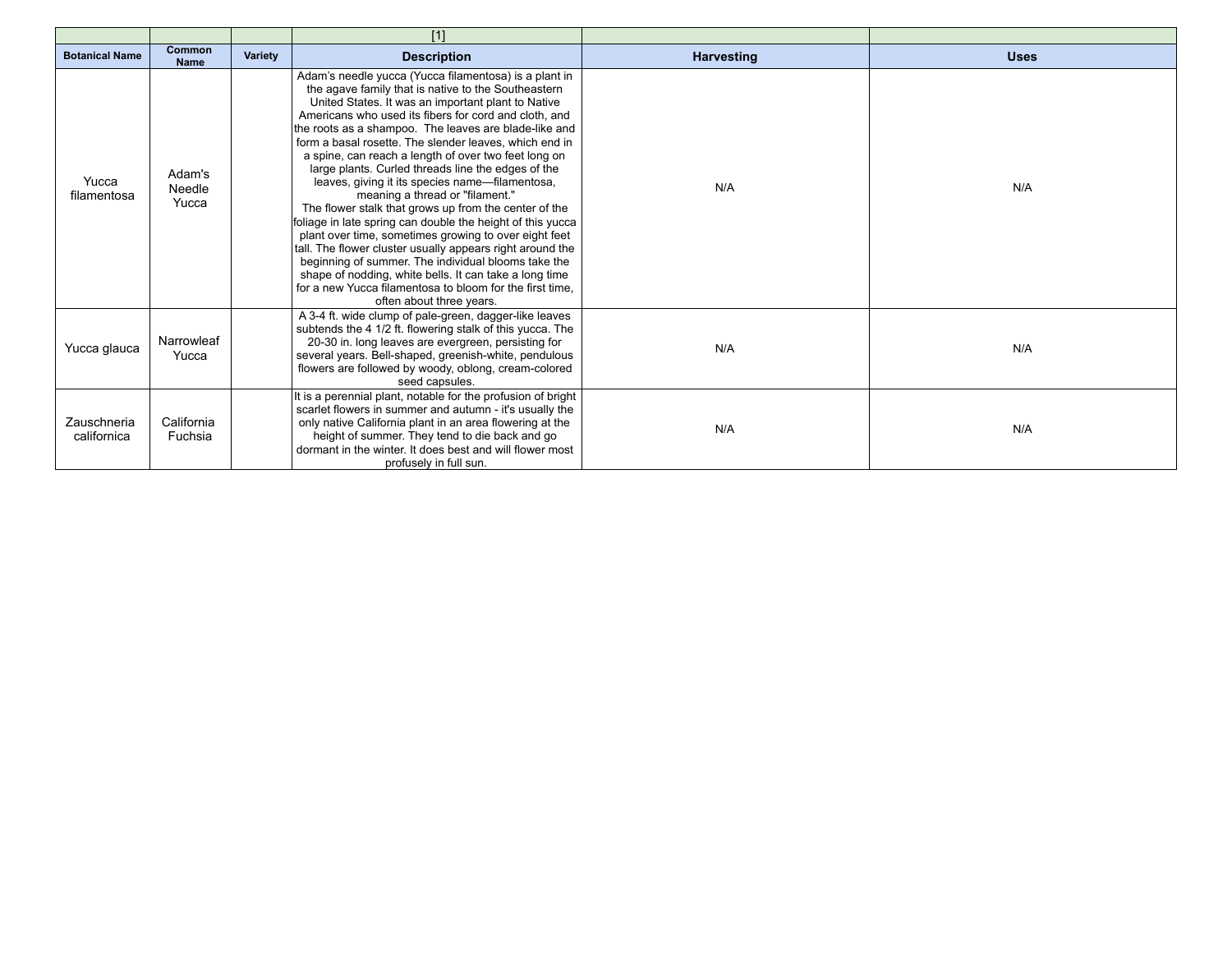|                            |                           |                | [1]                                                                                                                                                                                                                                                                                                                                                                                                                                                                                                                                                                                                                                                                                                                                                                                                                                                                                                                                                                                                      |                   |             |
|----------------------------|---------------------------|----------------|----------------------------------------------------------------------------------------------------------------------------------------------------------------------------------------------------------------------------------------------------------------------------------------------------------------------------------------------------------------------------------------------------------------------------------------------------------------------------------------------------------------------------------------------------------------------------------------------------------------------------------------------------------------------------------------------------------------------------------------------------------------------------------------------------------------------------------------------------------------------------------------------------------------------------------------------------------------------------------------------------------|-------------------|-------------|
| <b>Botanical Name</b>      | Common<br><b>Name</b>     | <b>Variety</b> | <b>Description</b>                                                                                                                                                                                                                                                                                                                                                                                                                                                                                                                                                                                                                                                                                                                                                                                                                                                                                                                                                                                       | <b>Harvesting</b> | <b>Uses</b> |
| Yucca<br>filamentosa       | Adam's<br>Needle<br>Yucca |                | Adam's needle yucca (Yucca filamentosa) is a plant in<br>the agave family that is native to the Southeastern<br>United States. It was an important plant to Native<br>Americans who used its fibers for cord and cloth, and<br>the roots as a shampoo. The leaves are blade-like and<br>form a basal rosette. The slender leaves, which end in<br>a spine, can reach a length of over two feet long on<br>large plants. Curled threads line the edges of the<br>leaves, giving it its species name-filamentosa,<br>meaning a thread or "filament."<br>The flower stalk that grows up from the center of the<br>foliage in late spring can double the height of this yucca<br>plant over time, sometimes growing to over eight feet<br>tall. The flower cluster usually appears right around the<br>beginning of summer. The individual blooms take the<br>shape of nodding, white bells. It can take a long time<br>for a new Yucca filamentosa to bloom for the first time.<br>often about three years. | N/A               | N/A         |
| Yucca glauca               | Narrowleaf<br>Yucca       |                | A 3-4 ft. wide clump of pale-green, dagger-like leaves<br>subtends the 4 1/2 ft. flowering stalk of this yucca. The<br>20-30 in. long leaves are evergreen, persisting for<br>several years. Bell-shaped, greenish-white, pendulous<br>flowers are followed by woody, oblong, cream-colored<br>seed capsules.                                                                                                                                                                                                                                                                                                                                                                                                                                                                                                                                                                                                                                                                                            | N/A               | N/A         |
| Zauschneria<br>californica | California<br>Fuchsia     |                | It is a perennial plant, notable for the profusion of bright<br>scarlet flowers in summer and autumn - it's usually the<br>only native California plant in an area flowering at the<br>height of summer. They tend to die back and go<br>dormant in the winter. It does best and will flower most<br>profusely in full sun.                                                                                                                                                                                                                                                                                                                                                                                                                                                                                                                                                                                                                                                                              | N/A               | N/A         |